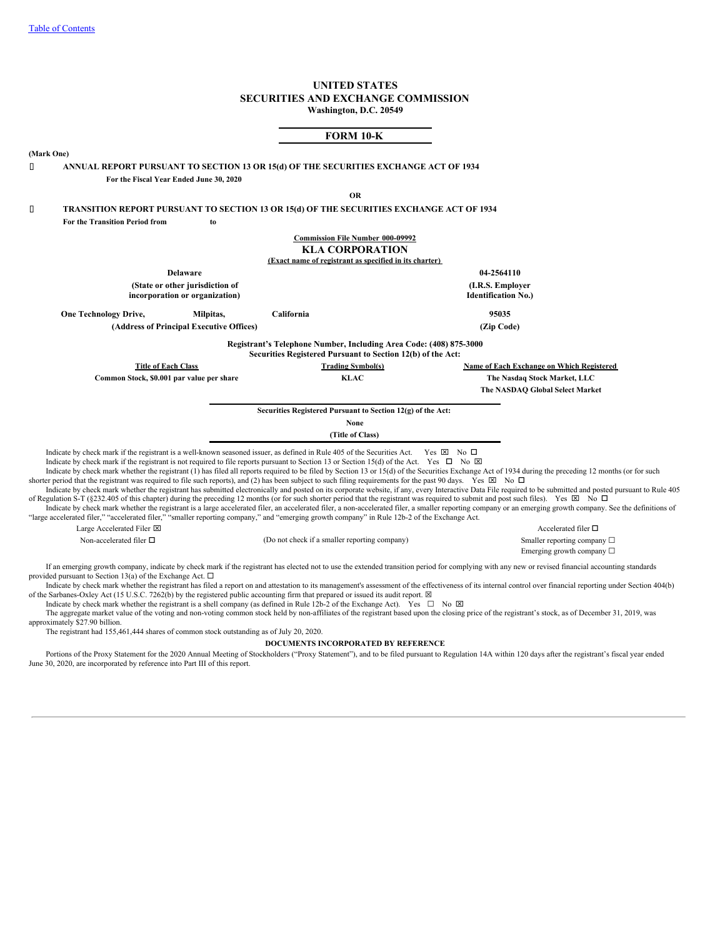# **UNITED STATES SECURITIES AND EXCHANGE COMMISSION Washington, D.C. 20549**

# **FORM 10-K**

**OR**

#### **(Mark One)**

 **ANNUAL REPORT PURSUANT TO SECTION 13 OR 15(d) OF THE SECURITIES EXCHANGE ACT OF 1934 For the Fiscal Year Ended June 30, 2020**

 **TRANSITION REPORT PURSUANT TO SECTION 13 OR 15(d) OF THE SECURITIES EXCHANGE ACT OF 1934 For the Transition Period from to**

|                                                                                                                                                                                                                                                                                                                                                                                                                                                                                                                             |                 | <b>Commission File Number 000-09992</b><br><b>KLA CORPORATION</b>                                                                                                                                                                                                                 |                                                |                                                                                                                                                                                                                                                                                                                                                                                                                                                                                                                                                                                                                                        |
|-----------------------------------------------------------------------------------------------------------------------------------------------------------------------------------------------------------------------------------------------------------------------------------------------------------------------------------------------------------------------------------------------------------------------------------------------------------------------------------------------------------------------------|-----------------|-----------------------------------------------------------------------------------------------------------------------------------------------------------------------------------------------------------------------------------------------------------------------------------|------------------------------------------------|----------------------------------------------------------------------------------------------------------------------------------------------------------------------------------------------------------------------------------------------------------------------------------------------------------------------------------------------------------------------------------------------------------------------------------------------------------------------------------------------------------------------------------------------------------------------------------------------------------------------------------------|
|                                                                                                                                                                                                                                                                                                                                                                                                                                                                                                                             |                 | (Exact name of registrant as specified in its charter)                                                                                                                                                                                                                            |                                                |                                                                                                                                                                                                                                                                                                                                                                                                                                                                                                                                                                                                                                        |
|                                                                                                                                                                                                                                                                                                                                                                                                                                                                                                                             | <b>Delaware</b> |                                                                                                                                                                                                                                                                                   | 04-2564110                                     |                                                                                                                                                                                                                                                                                                                                                                                                                                                                                                                                                                                                                                        |
| (State or other jurisdiction of<br>incorporation or organization)                                                                                                                                                                                                                                                                                                                                                                                                                                                           |                 |                                                                                                                                                                                                                                                                                   | (I.R.S. Employer<br><b>Identification No.)</b> |                                                                                                                                                                                                                                                                                                                                                                                                                                                                                                                                                                                                                                        |
| <b>One Technology Drive,</b>                                                                                                                                                                                                                                                                                                                                                                                                                                                                                                | Milpitas,       | California                                                                                                                                                                                                                                                                        | 95035                                          |                                                                                                                                                                                                                                                                                                                                                                                                                                                                                                                                                                                                                                        |
| (Address of Principal Executive Offices)                                                                                                                                                                                                                                                                                                                                                                                                                                                                                    |                 |                                                                                                                                                                                                                                                                                   | (Zip Code)                                     |                                                                                                                                                                                                                                                                                                                                                                                                                                                                                                                                                                                                                                        |
|                                                                                                                                                                                                                                                                                                                                                                                                                                                                                                                             |                 | Registrant's Telephone Number, Including Area Code: (408) 875-3000<br>Securities Registered Pursuant to Section 12(b) of the Act:                                                                                                                                                 |                                                |                                                                                                                                                                                                                                                                                                                                                                                                                                                                                                                                                                                                                                        |
| <b>Title of Each Class</b>                                                                                                                                                                                                                                                                                                                                                                                                                                                                                                  |                 | <b>Trading Symbol(s)</b>                                                                                                                                                                                                                                                          |                                                | Name of Each Exchange on Which Registered                                                                                                                                                                                                                                                                                                                                                                                                                                                                                                                                                                                              |
| Common Stock, \$0.001 par value per share                                                                                                                                                                                                                                                                                                                                                                                                                                                                                   |                 | <b>KLAC</b>                                                                                                                                                                                                                                                                       |                                                | The Nasdaq Stock Market, LLC                                                                                                                                                                                                                                                                                                                                                                                                                                                                                                                                                                                                           |
|                                                                                                                                                                                                                                                                                                                                                                                                                                                                                                                             |                 |                                                                                                                                                                                                                                                                                   |                                                | The NASDAQ Global Select Market                                                                                                                                                                                                                                                                                                                                                                                                                                                                                                                                                                                                        |
|                                                                                                                                                                                                                                                                                                                                                                                                                                                                                                                             |                 | Securities Registered Pursuant to Section 12(g) of the Act:                                                                                                                                                                                                                       |                                                |                                                                                                                                                                                                                                                                                                                                                                                                                                                                                                                                                                                                                                        |
|                                                                                                                                                                                                                                                                                                                                                                                                                                                                                                                             |                 | None                                                                                                                                                                                                                                                                              |                                                |                                                                                                                                                                                                                                                                                                                                                                                                                                                                                                                                                                                                                                        |
|                                                                                                                                                                                                                                                                                                                                                                                                                                                                                                                             |                 | (Title of Class)                                                                                                                                                                                                                                                                  |                                                |                                                                                                                                                                                                                                                                                                                                                                                                                                                                                                                                                                                                                                        |
| shorter period that the registrant was required to file such reports), and (2) has been subject to such filing requirements for the past 90 days. Yes $\boxtimes$ No $\Box$<br>of Regulation S-T (§232.405 of this chapter) during the preceding 12 months (or for such shorter period that the registrant was required to submit and post such files). Yes $[2]$ No $[2]$<br>"large accelerated filer," "accelerated filer," "smaller reporting company," and "emerging growth company" in Rule 12b-2 of the Exchange Act. |                 | Indicate by check mark if the registrant is a well-known seasoned issuer, as defined in Rule 405 of the Securities Act.<br>Indicate by check mark if the registrant is not required to file reports pursuant to Section 13 or Section 15(d) of the Act. Yes $\Box$ No $\boxtimes$ | Yes ⊠ No □                                     | Indicate by check mark whether the registrant (1) has filed all reports required to be filed by Section 13 or 15(d) of the Securities Exchange Act of 1934 during the preceding 12 months (or for such<br>Indicate by check mark whether the registrant has submitted electronically and posted on its corporate website, if any, every Interactive Data File required to be submitted and posted pursuant to Rule 405<br>Indicate by check mark whether the registrant is a large accelerated filer, an accelerated filer, a non-accelerated filer, a smaller reporting company or an emerging growth company. See the definitions of |
| Large Accelerated Filer $\boxtimes$                                                                                                                                                                                                                                                                                                                                                                                                                                                                                         |                 |                                                                                                                                                                                                                                                                                   |                                                | Accelerated filer □                                                                                                                                                                                                                                                                                                                                                                                                                                                                                                                                                                                                                    |
| Non-accelerated filer $\square$                                                                                                                                                                                                                                                                                                                                                                                                                                                                                             |                 | (Do not check if a smaller reporting company)                                                                                                                                                                                                                                     |                                                | Smaller reporting company $\Box$<br>Emerging growth company $\Box$                                                                                                                                                                                                                                                                                                                                                                                                                                                                                                                                                                     |
| provided pursuant to Section 13(a) of the Exchange Act. $\Box$                                                                                                                                                                                                                                                                                                                                                                                                                                                              |                 |                                                                                                                                                                                                                                                                                   |                                                | If an emerging growth company, indicate by check mark if the registrant has elected not to use the extended transition period for complying with any new or revised financial accounting standards<br>Indicate by check mark whether the registrant has filed a report on and attestation to its management's assessment of the effectiveness of its internal control over financial reporting under Section 404(b)                                                                                                                                                                                                                    |

Indicate by check mark whether the registrant has filed a report on and attestation to its management's assessment of the effectiveness of its internal control over financial reporting under Section 404(b) of the Sarbanes

The aggregate market value of the voting and non-voting common stock held by non-affiliates of the registrant based upon the closing price of the registrant's stock, as of December 31, 2019, was approximately \$27.90 billion.

The registrant had 155,461,444 shares of common stock outstanding as of July 20, 2020.

# **DOCUMENTS INCORPORATED BY REFERENCE**

<span id="page-0-0"></span>Portions of the Proxy Statement for the 2020 Annual Meeting of Stockholders ("Proxy Statement"), and to be filed pursuant to Regulation 14A within 120 days after the registrant's fiscal year ended June 30, 2020, are incorporated by reference into Part III of this report.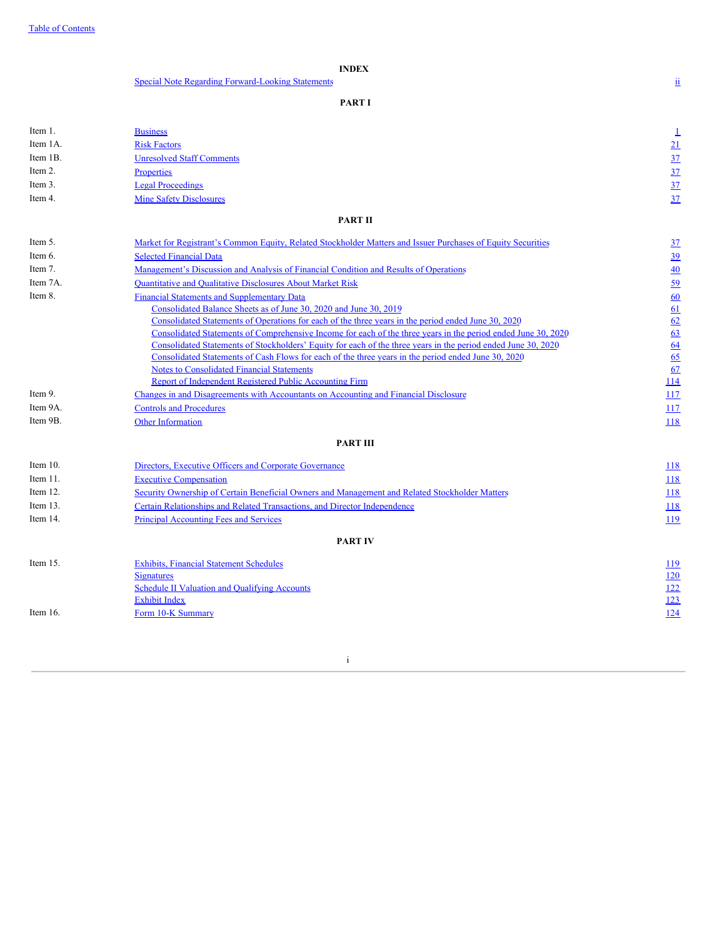# **INDEX**

Special Note Regarding [Forward-Looking](#page-1-0) Statements [ii](#page-1-0)i

# **PART I**

| Item 1.     | <b>Business</b>                                                                                               | $\overline{1}$                                                           |
|-------------|---------------------------------------------------------------------------------------------------------------|--------------------------------------------------------------------------|
| Item 1A.    | <b>Risk Factors</b>                                                                                           | 21                                                                       |
| Item 1B.    | <b>Unresolved Staff Comments</b>                                                                              | $\frac{37}{2}$                                                           |
| Item 2.     | <b>Properties</b>                                                                                             | $\frac{37}{2}$                                                           |
| Item 3.     | <b>Legal Proceedings</b>                                                                                      | $\frac{37}{2}$                                                           |
| Item 4.     | <b>Mine Safety Disclosures</b>                                                                                | $\frac{37}{2}$                                                           |
|             | <b>PART II</b>                                                                                                |                                                                          |
| Item 5.     | Market for Registrant's Common Equity, Related Stockholder Matters and Issuer Purchases of Equity Securities  | 37                                                                       |
| Item 6.     | <b>Selected Financial Data</b>                                                                                | $\frac{39}{2}$                                                           |
| Item 7.     | Management's Discussion and Analysis of Financial Condition and Results of Operations                         | $\underline{40}$                                                         |
| Item 7A.    | <b>Ouantitative and Qualitative Disclosures About Market Risk</b>                                             | 59                                                                       |
| Item 8.     | <b>Financial Statements and Supplementary Data</b>                                                            | 60                                                                       |
|             | Consolidated Balance Sheets as of June 30, 2020 and June 30, 2019                                             |                                                                          |
|             | Consolidated Statements of Operations for each of the three years in the period ended June 30, 2020           | $\frac{61}{62}$<br>$\frac{62}{63}$<br>$\frac{63}{65}$<br>$\frac{67}{67}$ |
|             | Consolidated Statements of Comprehensive Income for each of the three years in the period ended June 30, 2020 |                                                                          |
|             | Consolidated Statements of Stockholders' Equity for each of the three years in the period ended June 30, 2020 |                                                                          |
|             | Consolidated Statements of Cash Flows for each of the three years in the period ended June 30, 2020           |                                                                          |
|             | <b>Notes to Consolidated Financial Statements</b>                                                             |                                                                          |
|             | Report of Independent Registered Public Accounting Firm                                                       | <u>114</u>                                                               |
| Item 9.     | Changes in and Disagreements with Accountants on Accounting and Financial Disclosure                          | 117                                                                      |
| Item 9A.    | <b>Controls and Procedures</b>                                                                                | 117                                                                      |
| Item 9B.    | Other Information                                                                                             | 118                                                                      |
|             | <b>PART III</b>                                                                                               |                                                                          |
| Item $10$ . | Directors, Executive Officers and Corporate Governance                                                        | <u>118</u>                                                               |
| Item 11.    | <b>Executive Compensation</b>                                                                                 | 118                                                                      |
| Item 12.    | Security Ownership of Certain Beneficial Owners and Management and Related Stockholder Matters                | 118                                                                      |
| Item $13$ . | Certain Relationships and Related Transactions, and Director Independence                                     | 118                                                                      |
| Item 14.    | <b>Principal Accounting Fees and Services</b>                                                                 | 119                                                                      |
|             | <b>PART IV</b>                                                                                                |                                                                          |
| Item $15$ . | <b>Exhibits. Financial Statement Schedules</b>                                                                | 119                                                                      |
|             | <b>Signatures</b>                                                                                             | 120                                                                      |
|             | <b>Schedule II Valuation and Qualifying Accounts</b>                                                          | 122                                                                      |
|             | <b>Exhibit Index</b>                                                                                          | 123                                                                      |
| Item $16$ . | Form 10-K Summary                                                                                             | 124                                                                      |
|             |                                                                                                               |                                                                          |

<span id="page-1-0"></span>i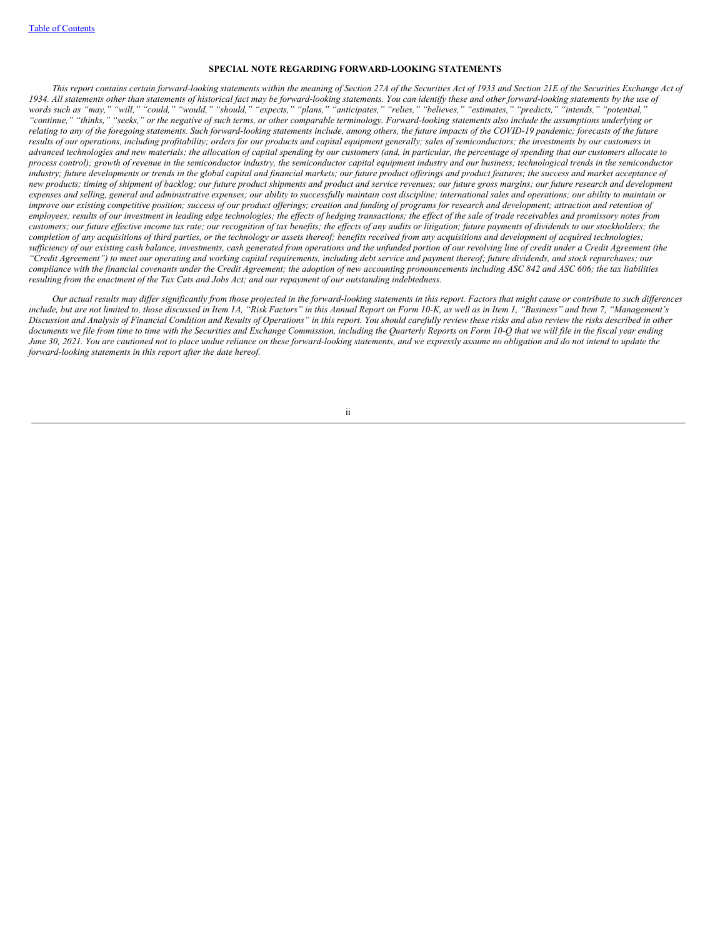# **SPECIAL NOTE REGARDING FORWARD-LOOKING STATEMENTS**

This report contains certain forward-looking statements within the meaning of Section 27A of the Securities Act of 1933 and Section 21E of the Securities Exchange Act of 1934. All statements other than statements of historical fact may be forward-looking statements. You can identify these and other forward-looking statements by the use of words such as "may," "will," "could," "would," "should," "expects," "plans," "anticipates," "relies," "believes," "estimates," "predicts," "intends," "potential," "continue," "thinks," "seeks," or the negative of such terms, or other comparable terminology. Forward-looking statements also include the assumptions underlying or relating to any of the foregoing statements. Such forward-looking statements include, among others, the future impacts of the COVID-19 pandemic; forecasts of the future results of our operations, including profitability; orders for our products and capital equipment generally; sales of semiconductors; the investments by our customers in advanced technologies and new materials; the allocation of capital spending by our customers (and, in particular, the percentage of spending that our customers allocate to process control); growth of revenue in the semiconductor industry, the semiconductor capital equipment industry and our business; technological trends in the semiconductor industry; future developments or trends in the global capital and financial markets; our future product offerings and product features; the success and market acceptance of new products; timing of shipment of backlog; our future product shipments and product and service revenues; our future gross margins; our future research and development expenses and selling, general and administrative expenses; our ability to successfully maintain cost discipline; international sales and operations; our ability to maintain or improve our existing competitive position; success of our product offerings; creation and funding of programs for research and development; attraction and retention of employees; results of our investment in leading edge technologies; the effects of hedging transactions; the effect of the sale of trade receivables and promissory notes from customers; our future effective income tax rate; our recognition of tax benefits; the effects of any audits or litigation; future payments of dividends to our stockholders; the completion of any acquisitions of third parties, or the technology or assets thereof; benefits received from any acquisitions and development of acquired technologies; sufficiency of our existing cash balance, investments, cash generated from operations and the unfunded portion of our revolving line of credit under a Credit Agreement (the "Credit Agreement") to meet our operating and working capital requirements, including debt service and payment thereof; future dividends, and stock repurchases; our compliance with the financial covenants under the Credit Agreement; the adoption of new accounting pronouncements including ASC 842 and ASC 606; the tax liabilities resulting from the enactment of the Tax Cuts and Jobs Act; and our repayment of our outstanding indebtedness.

Our actual results may differ significantly from those projected in the forward-looking statements in this report. Factors that might cause or contribute to such differences include, but are not limited to, those discussed in Item 1A, "Risk Factors" in this Annual Report on Form 10-K, as well as in Item 1, "Business" and Item 7, "Management's Discussion and Analysis of Financial Condition and Results of Operations" in this report. You should carefully review these risks and also review the risks described in other documents we file from time to time with the Securities and Exchange Commission, including the Quarterly Reports on Form 10-Q that we will file in the fiscal year ending June 30, 2021. You are cautioned not to place undue reliance on these forward-looking statements, and we expressly assume no obligation and do not intend to update the *forward-looking statements in this report after the date hereof.*

ii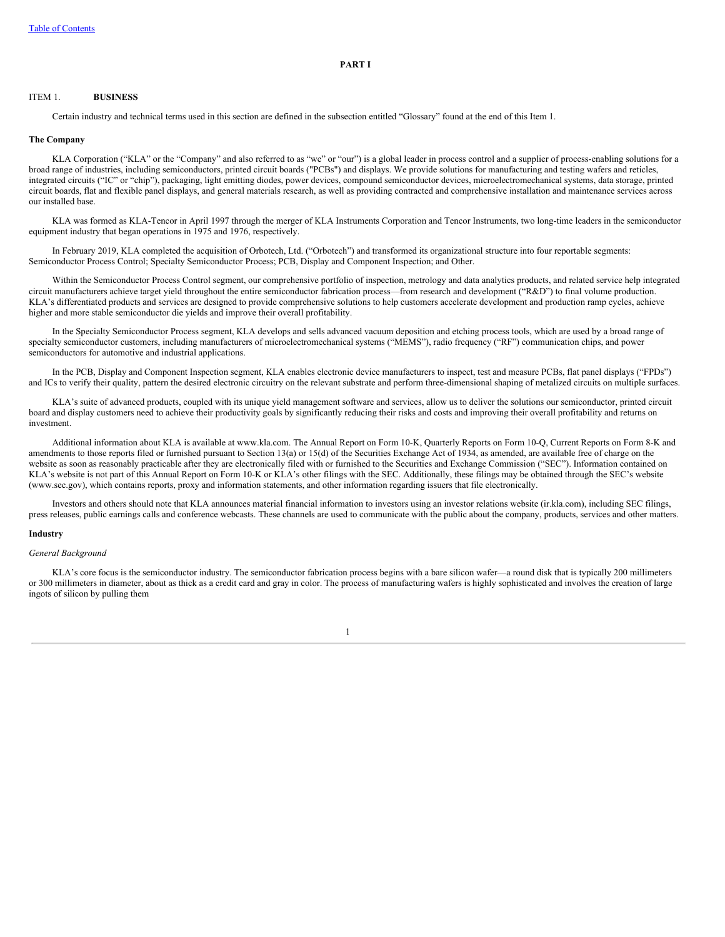### **PART I**

# <span id="page-3-0"></span>ITEM 1. **BUSINESS**

Certain industry and technical terms used in this section are defined in the subsection entitled "Glossary" found at the end of this Item 1.

#### **The Company**

KLA Corporation ("KLA" or the "Company" and also referred to as "we" or "our") is a global leader in process control and a supplier of process-enabling solutions for a broad range of industries, including semiconductors, printed circuit boards ("PCBs") and displays. We provide solutions for manufacturing and testing wafers and reticles, integrated circuits ("IC" or "chip"), packaging, light emitting diodes, power devices, compound semiconductor devices, microelectromechanical systems, data storage, printed circuit boards, flat and flexible panel displays, and general materials research, as well as providing contracted and comprehensive installation and maintenance services across our installed base.

KLA was formed as KLA-Tencor in April 1997 through the merger of KLA Instruments Corporation and Tencor Instruments, two long-time leaders in the semiconductor equipment industry that began operations in 1975 and 1976, respectively.

In February 2019, KLA completed the acquisition of Orbotech, Ltd. ("Orbotech") and transformed its organizational structure into four reportable segments: Semiconductor Process Control; Specialty Semiconductor Process; PCB, Display and Component Inspection; and Other.

Within the Semiconductor Process Control segment, our comprehensive portfolio of inspection, metrology and data analytics products, and related service help integrated circuit manufacturers achieve target yield throughout the entire semiconductor fabrication process—from research and development ("R&D") to final volume production. KLA's differentiated products and services are designed to provide comprehensive solutions to help customers accelerate development and production ramp cycles, achieve higher and more stable semiconductor die yields and improve their overall profitability.

In the Specialty Semiconductor Process segment, KLA develops and sells advanced vacuum deposition and etching process tools, which are used by a broad range of specialty semiconductor customers, including manufacturers of microelectromechanical systems ("MEMS"), radio frequency ("RF") communication chips, and power semiconductors for automotive and industrial applications.

In the PCB, Display and Component Inspection segment, KLA enables electronic device manufacturers to inspect, test and measure PCBs, flat panel displays ("FPDs") and ICs to verify their quality, pattern the desired electronic circuitry on the relevant substrate and perform three-dimensional shaping of metalized circuits on multiple surfaces.

KLA's suite of advanced products, coupled with its unique yield management software and services, allow us to deliver the solutions our semiconductor, printed circuit board and display customers need to achieve their productivity goals by significantly reducing their risks and costs and improving their overall profitability and returns on investment.

Additional information about KLA is available at www.kla.com. The Annual Report on Form 10-K, Quarterly Reports on Form 10-Q, Current Reports on Form 8-K and amendments to those reports filed or furnished pursuant to Section 13(a) or 15(d) of the Securities Exchange Act of 1934, as amended, are available free of charge on the website as soon as reasonably practicable after they are electronically filed with or furnished to the Securities and Exchange Commission ("SEC"). Information contained on KLA's website is not part of this Annual Report on Form 10-K or KLA's other filings with the SEC. Additionally, these filings may be obtained through the SEC's website (www.sec.gov), which contains reports, proxy and information statements, and other information regarding issuers that file electronically.

Investors and others should note that KLA announces material financial information to investors using an investor relations website (ir.kla.com), including SEC filings, press releases, public earnings calls and conference webcasts. These channels are used to communicate with the public about the company, products, services and other matters.

#### **Industry**

## *General Background*

KLA's core focus is the semiconductor industry. The semiconductor fabrication process begins with a bare silicon wafer—a round disk that is typically 200 millimeters or 300 millimeters in diameter, about as thick as a credit card and gray in color. The process of manufacturing wafers is highly sophisticated and involves the creation of large ingots of silicon by pulling them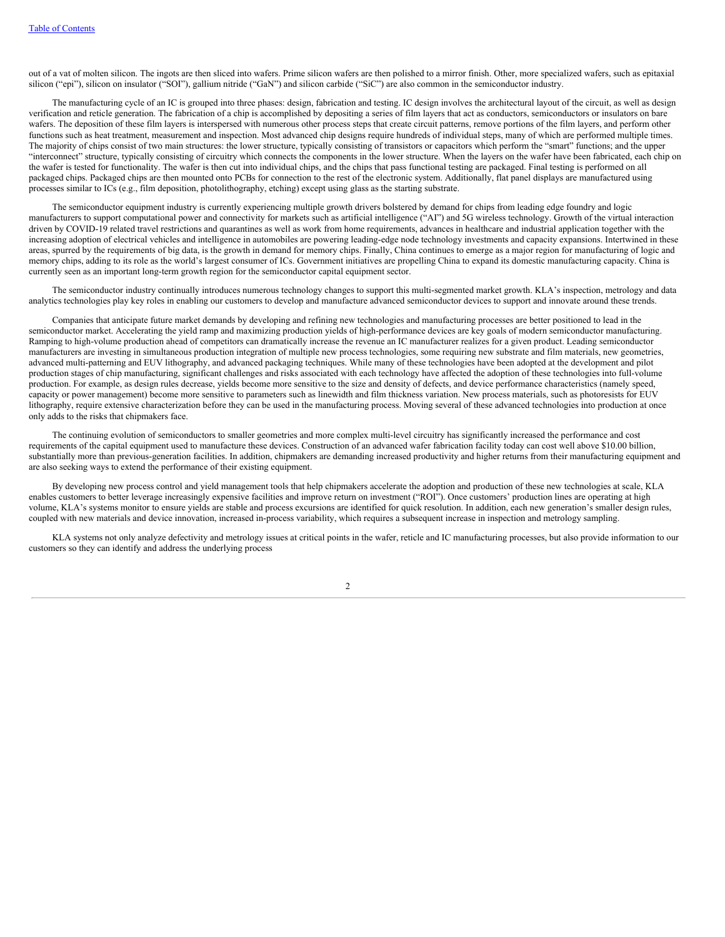out of a vat of molten silicon. The ingots are then sliced into wafers. Prime silicon wafers are then polished to a mirror finish. Other, more specialized wafers, such as epitaxial silicon ("epi"), silicon on insulator ("SOI"), gallium nitride ("GaN") and silicon carbide ("SiC") are also common in the semiconductor industry.

The manufacturing cycle of an IC is grouped into three phases: design, fabrication and testing. IC design involves the architectural layout of the circuit, as well as design verification and reticle generation. The fabrication of a chip is accomplished by depositing a series of film layers that act as conductors, semiconductors or insulators on bare wafers. The deposition of these film layers is interspersed with numerous other process steps that create circuit patterns, remove portions of the film layers, and perform other functions such as heat treatment, measurement and inspection. Most advanced chip designs require hundreds of individual steps, many of which are performed multiple times. The majority of chips consist of two main structures: the lower structure, typically consisting of transistors or capacitors which perform the "smart" functions; and the upper "interconnect" structure, typically consisting of circuitry which connects the components in the lower structure. When the layers on the wafer have been fabricated, each chip on the wafer is tested for functionality. The wafer is then cut into individual chips, and the chips that pass functional testing are packaged. Final testing is performed on all packaged chips. Packaged chips are then mounted onto PCBs for connection to the rest of the electronic system. Additionally, flat panel displays are manufactured using processes similar to ICs (e.g., film deposition, photolithography, etching) except using glass as the starting substrate.

The semiconductor equipment industry is currently experiencing multiple growth drivers bolstered by demand for chips from leading edge foundry and logic manufacturers to support computational power and connectivity for markets such as artificial intelligence ("AI") and 5G wireless technology. Growth of the virtual interaction driven by COVID-19 related travel restrictions and quarantines as well as work from home requirements, advances in healthcare and industrial application together with the increasing adoption of electrical vehicles and intelligence in automobiles are powering leading-edge node technology investments and capacity expansions. Intertwined in these areas, spurred by the requirements of big data, is the growth in demand for memory chips. Finally, China continues to emerge as a major region for manufacturing of logic and memory chips, adding to its role as the world's largest consumer of ICs. Government initiatives are propelling China to expand its domestic manufacturing capacity. China is currently seen as an important long-term growth region for the semiconductor capital equipment sector.

The semiconductor industry continually introduces numerous technology changes to support this multi-segmented market growth. KLA's inspection, metrology and data analytics technologies play key roles in enabling our customers to develop and manufacture advanced semiconductor devices to support and innovate around these trends.

Companies that anticipate future market demands by developing and refining new technologies and manufacturing processes are better positioned to lead in the semiconductor market. Accelerating the yield ramp and maximizing production yields of high-performance devices are key goals of modern semiconductor manufacturing. Ramping to high-volume production ahead of competitors can dramatically increase the revenue an IC manufacturer realizes for a given product. Leading semiconductor manufacturers are investing in simultaneous production integration of multiple new process technologies, some requiring new substrate and film materials, new geometries, advanced multi-patterning and EUV lithography, and advanced packaging techniques. While many of these technologies have been adopted at the development and pilot production stages of chip manufacturing, significant challenges and risks associated with each technology have affected the adoption of these technologies into full-volume production. For example, as design rules decrease, yields become more sensitive to the size and density of defects, and device performance characteristics (namely speed, capacity or power management) become more sensitive to parameters such as linewidth and film thickness variation. New process materials, such as photoresists for EUV lithography, require extensive characterization before they can be used in the manufacturing process. Moving several of these advanced technologies into production at once only adds to the risks that chipmakers face.

The continuing evolution of semiconductors to smaller geometries and more complex multi-level circuitry has significantly increased the performance and cost requirements of the capital equipment used to manufacture these devices. Construction of an advanced wafer fabrication facility today can cost well above \$10.00 billion, substantially more than previous-generation facilities. In addition, chipmakers are demanding increased productivity and higher returns from their manufacturing equipment and are also seeking ways to extend the performance of their existing equipment.

By developing new process control and yield management tools that help chipmakers accelerate the adoption and production of these new technologies at scale, KLA enables customers to better leverage increasingly expensive facilities and improve return on investment ("ROI"). Once customers' production lines are operating at high volume, KLA's systems monitor to ensure yields are stable and process excursions are identified for quick resolution. In addition, each new generation's smaller design rules, coupled with new materials and device innovation, increased in-process variability, which requires a subsequent increase in inspection and metrology sampling.

KLA systems not only analyze defectivity and metrology issues at critical points in the wafer, reticle and IC manufacturing processes, but also provide information to our customers so they can identify and address the underlying process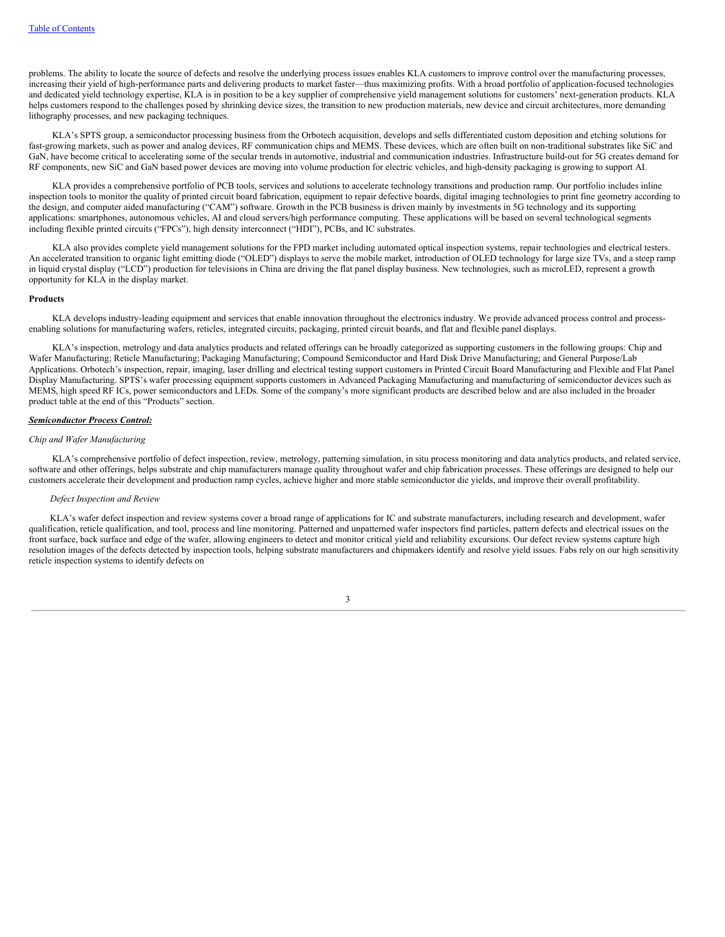problems. The ability to locate the source of defects and resolve the underlying process issues enables KLA customers to improve control over the manufacturing processes, increasing their yield of high-performance parts and delivering products to market faster—thus maximizing profits. With a broad portfolio of application-focused technologies and dedicated yield technology expertise, KLA is in position to be a key supplier of comprehensive yield management solutions for customers' next-generation products. KLA helps customers respond to the challenges posed by shrinking device sizes, the transition to new production materials, new device and circuit architectures, more demanding lithography processes, and new packaging techniques.

KLA's SPTS group, a semiconductor processing business from the Orbotech acquisition, develops and sells differentiated custom deposition and etching solutions for fast-growing markets, such as power and analog devices, RF communication chips and MEMS. These devices, which are often built on non-traditional substrates like SiC and GaN, have become critical to accelerating some of the secular trends in automotive, industrial and communication industries. Infrastructure build-out for 5G creates demand for RF components, new SiC and GaN based power devices are moving into volume production for electric vehicles, and high-density packaging is growing to support AI.

KLA provides a comprehensive portfolio of PCB tools, services and solutions to accelerate technology transitions and production ramp. Our portfolio includes inline inspection tools to monitor the quality of printed circuit board fabrication, equipment to repair defective boards, digital imaging technologies to print fine geometry according to the design, and computer aided manufacturing ("CAM") software. Growth in the PCB business is driven mainly by investments in 5G technology and its supporting applications: smartphones, autonomous vehicles, AI and cloud servers/high performance computing. These applications will be based on several technological segments including flexible printed circuits ("FPCs"), high density interconnect ("HDI"), PCBs, and IC substrates.

KLA also provides complete yield management solutions for the FPD market including automated optical inspection systems, repair technologies and electrical testers. An accelerated transition to organic light emitting diode ("OLED") displays to serve the mobile market, introduction of OLED technology for large size TVs, and a steep ramp in liquid crystal display ("LCD") production for televisions in China are driving the flat panel display business. New technologies, such as microLED, represent a growth opportunity for KLA in the display market.

#### **Products**

KLA develops industry-leading equipment and services that enable innovation throughout the electronics industry. We provide advanced process control and processenabling solutions for manufacturing wafers, reticles, integrated circuits, packaging, printed circuit boards, and flat and flexible panel displays.

KLA's inspection, metrology and data analytics products and related offerings can be broadly categorized as supporting customers in the following groups: Chip and Wafer Manufacturing; Reticle Manufacturing; Packaging Manufacturing; Compound Semiconductor and Hard Disk Drive Manufacturing; and General Purpose/Lab Applications. Orbotech's inspection, repair, imaging, laser drilling and electrical testing support customers in Printed Circuit Board Manufacturing and Flexible and Flat Panel Display Manufacturing. SPTS's wafer processing equipment supports customers in Advanced Packaging Manufacturing and manufacturing of semiconductor devices such as MEMS, high speed RF ICs, power semiconductors and LEDs. Some of the company's more significant products are described below and are also included in the broader product table at the end of this "Products" section.

### *Semiconductor Process Control:*

### *Chip and Wafer Manufacturing*

KLA's comprehensive portfolio of defect inspection, review, metrology, patterning simulation, in situ process monitoring and data analytics products, and related service, software and other offerings, helps substrate and chip manufacturers manage quality throughout wafer and chip fabrication processes. These offerings are designed to help our customers accelerate their development and production ramp cycles, achieve higher and more stable semiconductor die yields, and improve their overall profitability.

# *Defect Inspection and Review*

KLA's wafer defect inspection and review systems cover a broad range of applications for IC and substrate manufacturers, including research and development, wafer qualification, reticle qualification, and tool, process and line monitoring. Patterned and unpatterned wafer inspectors find particles, pattern defects and electrical issues on the front surface, back surface and edge of the wafer, allowing engineers to detect and monitor critical yield and reliability excursions. Our defect review systems capture high resolution images of the defects detected by inspection tools, helping substrate manufacturers and chipmakers identify and resolve yield issues. Fabs rely on our high sensitivity reticle inspection systems to identify defects on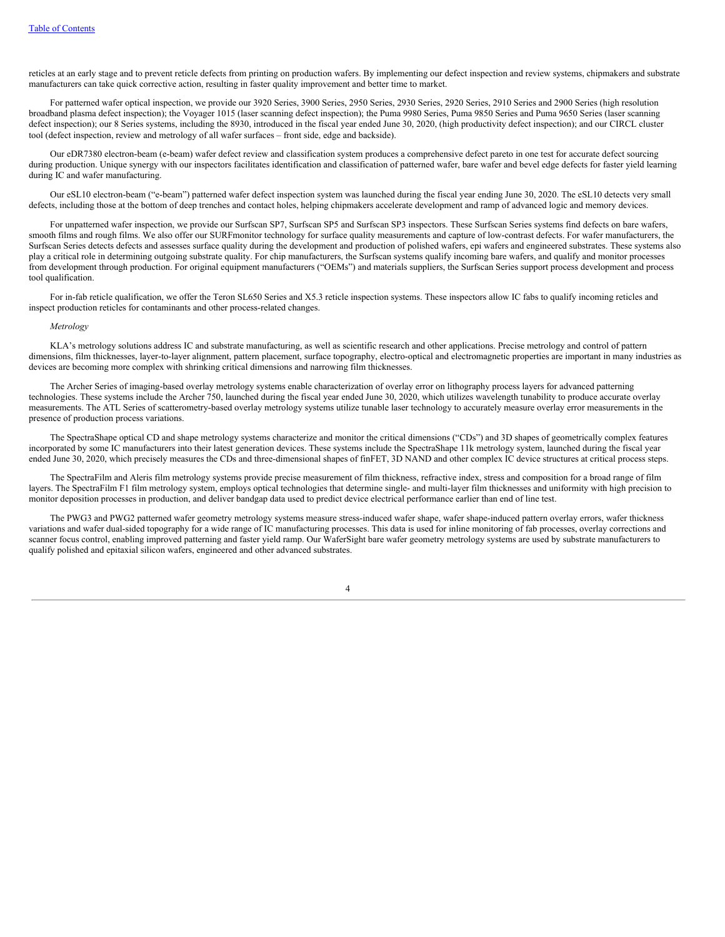reticles at an early stage and to prevent reticle defects from printing on production wafers. By implementing our defect inspection and review systems, chipmakers and substrate manufacturers can take quick corrective action, resulting in faster quality improvement and better time to market.

For patterned wafer optical inspection, we provide our 3920 Series, 3900 Series, 2950 Series, 2930 Series, 2920 Series, 2910 Series and 2900 Series (high resolution broadband plasma defect inspection); the Voyager 1015 (laser scanning defect inspection); the Puma 9980 Series, Puma 9850 Series and Puma 9650 Series (laser scanning defect inspection); our 8 Series systems, including the 8930, introduced in the fiscal year ended June 30, 2020, (high productivity defect inspection); and our CIRCL cluster tool (defect inspection, review and metrology of all wafer surfaces – front side, edge and backside).

Our eDR7380 electron-beam (e-beam) wafer defect review and classification system produces a comprehensive defect pareto in one test for accurate defect sourcing during production. Unique synergy with our inspectors facilitates identification and classification of patterned wafer, bare wafer and bevel edge defects for faster yield learning during IC and wafer manufacturing.

Our eSL10 electron-beam ("e-beam") patterned wafer defect inspection system was launched during the fiscal year ending June 30, 2020. The eSL10 detects very small defects, including those at the bottom of deep trenches and contact holes, helping chipmakers accelerate development and ramp of advanced logic and memory devices.

For unpatterned wafer inspection, we provide our Surfscan SP7, Surfscan SP5 and Surfscan SP3 inspectors. These Surfscan Series systems find defects on bare wafers, smooth films and rough films. We also offer our SURFmonitor technology for surface quality measurements and capture of low-contrast defects. For wafer manufacturers, the Surfscan Series detects defects and assesses surface quality during the development and production of polished wafers, epi wafers and engineered substrates. These systems also play a critical role in determining outgoing substrate quality. For chip manufacturers, the Surfscan systems qualify incoming bare wafers, and qualify and monitor processes from development through production. For original equipment manufacturers ("OEMs") and materials suppliers, the Surfscan Series support process development and process tool qualification.

For in-fab reticle qualification, we offer the Teron SL650 Series and X5.3 reticle inspection systems. These inspectors allow IC fabs to qualify incoming reticles and inspect production reticles for contaminants and other process-related changes.

#### *Metrology*

KLA's metrology solutions address IC and substrate manufacturing, as well as scientific research and other applications. Precise metrology and control of pattern dimensions, film thicknesses, layer-to-layer alignment, pattern placement, surface topography, electro-optical and electromagnetic properties are important in many industries as devices are becoming more complex with shrinking critical dimensions and narrowing film thicknesses.

The Archer Series of imaging-based overlay metrology systems enable characterization of overlay error on lithography process layers for advanced patterning technologies. These systems include the Archer 750, launched during the fiscal year ended June 30, 2020, which utilizes wavelength tunability to produce accurate overlay measurements. The ATL Series of scatterometry-based overlay metrology systems utilize tunable laser technology to accurately measure overlay error measurements in the presence of production process variations.

The SpectraShape optical CD and shape metrology systems characterize and monitor the critical dimensions ("CDs") and 3D shapes of geometrically complex features incorporated by some IC manufacturers into their latest generation devices. These systems include the SpectraShape 11k metrology system, launched during the fiscal year ended June 30, 2020, which precisely measures the CDs and three-dimensional shapes of finFET, 3D NAND and other complex IC device structures at critical process steps.

The SpectraFilm and Aleris film metrology systems provide precise measurement of film thickness, refractive index, stress and composition for a broad range of film layers. The SpectraFilm F1 film metrology system, employs optical technologies that determine single- and multi-layer film thicknesses and uniformity with high precision to monitor deposition processes in production, and deliver bandgap data used to predict device electrical performance earlier than end of line test.

The PWG3 and PWG2 patterned wafer geometry metrology systems measure stress-induced wafer shape, wafer shape-induced pattern overlay errors, wafer thickness variations and wafer dual-sided topography for a wide range of IC manufacturing processes. This data is used for inline monitoring of fab processes, overlay corrections and scanner focus control, enabling improved patterning and faster yield ramp. Our WaferSight bare wafer geometry metrology systems are used by substrate manufacturers to qualify polished and epitaxial silicon wafers, engineered and other advanced substrates.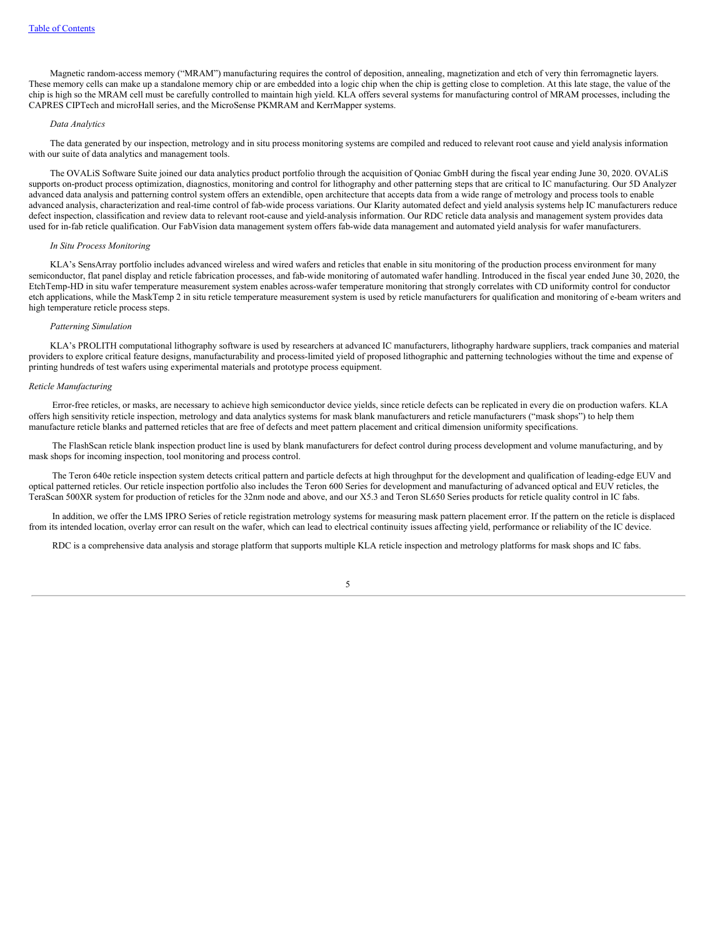Magnetic random-access memory ("MRAM") manufacturing requires the control of deposition, annealing, magnetization and etch of very thin ferromagnetic layers. These memory cells can make up a standalone memory chip or are embedded into a logic chip when the chip is getting close to completion. At this late stage, the value of the chip is high so the MRAM cell must be carefully controlled to maintain high yield. KLA offers several systems for manufacturing control of MRAM processes, including the CAPRES CIPTech and microHall series, and the MicroSense PKMRAM and KerrMapper systems.

#### *Data Analytics*

The data generated by our inspection, metrology and in situ process monitoring systems are compiled and reduced to relevant root cause and yield analysis information with our suite of data analytics and management tools.

The OVALiS Software Suite joined our data analytics product portfolio through the acquisition of Qoniac GmbH during the fiscal year ending June 30, 2020. OVALiS supports on-product process optimization, diagnostics, monitoring and control for lithography and other patterning steps that are critical to IC manufacturing. Our 5D Analyzer advanced data analysis and patterning control system offers an extendible, open architecture that accepts data from a wide range of metrology and process tools to enable advanced analysis, characterization and real-time control of fab-wide process variations. Our Klarity automated defect and yield analysis systems help IC manufacturers reduce defect inspection, classification and review data to relevant root-cause and yield-analysis information. Our RDC reticle data analysis and management system provides data used for in-fab reticle qualification. Our FabVision data management system offers fab-wide data management and automated yield analysis for wafer manufacturers.

### *In Situ Process Monitoring*

KLA's SensArray portfolio includes advanced wireless and wired wafers and reticles that enable in situ monitoring of the production process environment for many semiconductor, flat panel display and reticle fabrication processes, and fab-wide monitoring of automated wafer handling. Introduced in the fiscal year ended June 30, 2020, the EtchTemp-HD in situ wafer temperature measurement system enables across-wafer temperature monitoring that strongly correlates with CD uniformity control for conductor etch applications, while the MaskTemp 2 in situ reticle temperature measurement system is used by reticle manufacturers for qualification and monitoring of e-beam writers and high temperature reticle process steps.

### *Patterning Simulation*

KLA's PROLITH computational lithography software is used by researchers at advanced IC manufacturers, lithography hardware suppliers, track companies and material providers to explore critical feature designs, manufacturability and process-limited yield of proposed lithographic and patterning technologies without the time and expense of printing hundreds of test wafers using experimental materials and prototype process equipment.

#### *Reticle Manufacturing*

Error-free reticles, or masks, are necessary to achieve high semiconductor device yields, since reticle defects can be replicated in every die on production wafers. KLA offers high sensitivity reticle inspection, metrology and data analytics systems for mask blank manufacturers and reticle manufacturers ("mask shops") to help them manufacture reticle blanks and patterned reticles that are free of defects and meet pattern placement and critical dimension uniformity specifications.

The FlashScan reticle blank inspection product line is used by blank manufacturers for defect control during process development and volume manufacturing, and by mask shops for incoming inspection, tool monitoring and process control.

The Teron 640e reticle inspection system detects critical pattern and particle defects at high throughput for the development and qualification of leading-edge EUV and optical patterned reticles. Our reticle inspection portfolio also includes the Teron 600 Series for development and manufacturing of advanced optical and EUV reticles, the TeraScan 500XR system for production of reticles for the 32nm node and above, and our X5.3 and Teron SL650 Series products for reticle quality control in IC fabs.

In addition, we offer the LMS IPRO Series of reticle registration metrology systems for measuring mask pattern placement error. If the pattern on the reticle is displaced from its intended location, overlay error can result on the wafer, which can lead to electrical continuity issues affecting yield, performance or reliability of the IC device.

RDC is a comprehensive data analysis and storage platform that supports multiple KLA reticle inspection and metrology platforms for mask shops and IC fabs.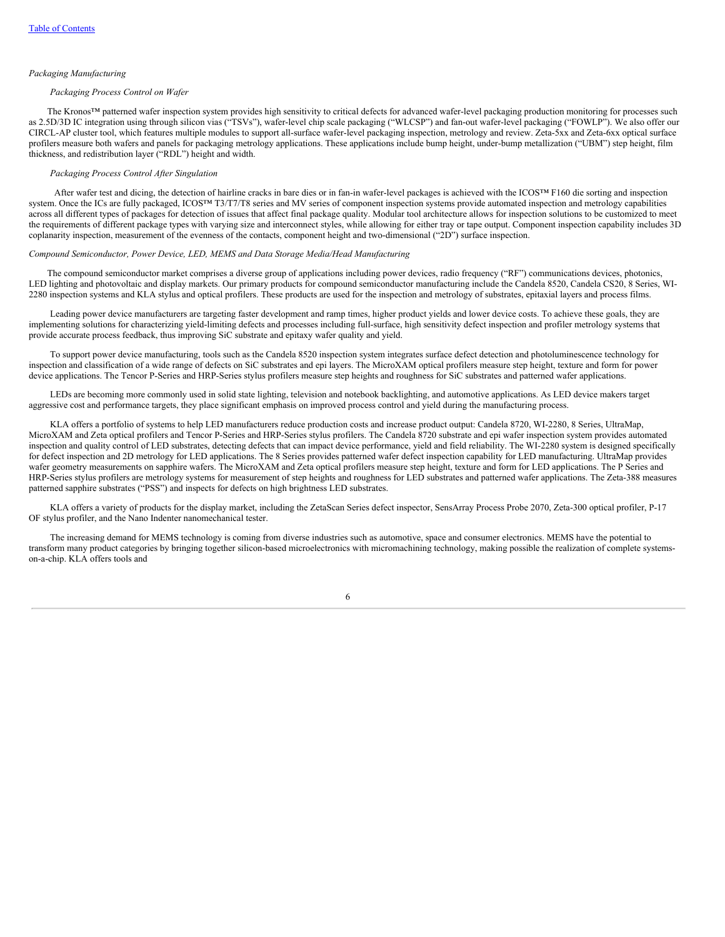### *Packaging Manufacturing*

### *Packaging Process Control on Wafer*

The Kronos™ patterned wafer inspection system provides high sensitivity to critical defects for advanced wafer-level packaging production monitoring for processes such as 2.5D/3D IC integration using through silicon vias ("TSVs"), wafer-level chip scale packaging ("WLCSP") and fan-out wafer-level packaging ("FOWLP"). We also offer our CIRCL-AP cluster tool, which features multiple modules to support all-surface wafer-level packaging inspection, metrology and review. Zeta-5xx and Zeta-6xx optical surface profilers measure both wafers and panels for packaging metrology applications. These applications include bump height, under-bump metallization ("UBM") step height, film thickness, and redistribution layer ("RDL") height and width.

### *Packaging Process Control After Singulation*

After wafer test and dicing, the detection of hairline cracks in bare dies or in fan-in wafer-level packages is achieved with the ICOS™ F160 die sorting and inspection system. Once the ICs are fully packaged, ICOS™ T3/T7/T8 series and MV series of component inspection systems provide automated inspection and metrology capabilities across all different types of packages for detection of issues that affect final package quality. Modular tool architecture allows for inspection solutions to be customized to meet the requirements of different package types with varying size and interconnect styles, while allowing for either tray or tape output. Component inspection capability includes 3D coplanarity inspection, measurement of the evenness of the contacts, component height and two-dimensional ("2D") surface inspection.

# *Compound Semiconductor, Power Device, LED, MEMS and Data Storage Media/Head Manufacturing*

The compound semiconductor market comprises a diverse group of applications including power devices, radio frequency ("RF") communications devices, photonics, LED lighting and photovoltaic and display markets. Our primary products for compound semiconductor manufacturing include the Candela 8520, Candela CS20, 8 Series, WI-2280 inspection systems and KLA stylus and optical profilers. These products are used for the inspection and metrology of substrates, epitaxial layers and process films.

Leading power device manufacturers are targeting faster development and ramp times, higher product yields and lower device costs. To achieve these goals, they are implementing solutions for characterizing yield-limiting defects and processes including full-surface, high sensitivity defect inspection and profiler metrology systems that provide accurate process feedback, thus improving SiC substrate and epitaxy wafer quality and yield.

To support power device manufacturing, tools such as the Candela 8520 inspection system integrates surface defect detection and photoluminescence technology for inspection and classification of a wide range of defects on SiC substrates and epi layers. The MicroXAM optical profilers measure step height, texture and form for power device applications. The Tencor P-Series and HRP-Series stylus profilers measure step heights and roughness for SiC substrates and patterned wafer applications.

LEDs are becoming more commonly used in solid state lighting, television and notebook backlighting, and automotive applications. As LED device makers target aggressive cost and performance targets, they place significant emphasis on improved process control and yield during the manufacturing process.

KLA offers a portfolio of systems to help LED manufacturers reduce production costs and increase product output: Candela 8720, WI-2280, 8 Series, UltraMap, MicroXAM and Zeta optical profilers and Tencor P-Series and HRP-Series stylus profilers. The Candela 8720 substrate and epi wafer inspection system provides automated inspection and quality control of LED substrates, detecting defects that can impact device performance, yield and field reliability. The WI-2280 system is designed specifically for defect inspection and 2D metrology for LED applications. The 8 Series provides patterned wafer defect inspection capability for LED manufacturing. UltraMap provides wafer geometry measurements on sapphire wafers. The MicroXAM and Zeta optical profilers measure step height, texture and form for LED applications. The P Series and HRP-Series stylus profilers are metrology systems for measurement of step heights and roughness for LED substrates and patterned wafer applications. The Zeta-388 measures patterned sapphire substrates ("PSS") and inspects for defects on high brightness LED substrates.

KLA offers a variety of products for the display market, including the ZetaScan Series defect inspector, SensArray Process Probe 2070, Zeta-300 optical profiler, P-17 OF stylus profiler, and the Nano Indenter nanomechanical tester.

The increasing demand for MEMS technology is coming from diverse industries such as automotive, space and consumer electronics. MEMS have the potential to transform many product categories by bringing together silicon-based microelectronics with micromachining technology, making possible the realization of complete systemson-a-chip. KLA offers tools and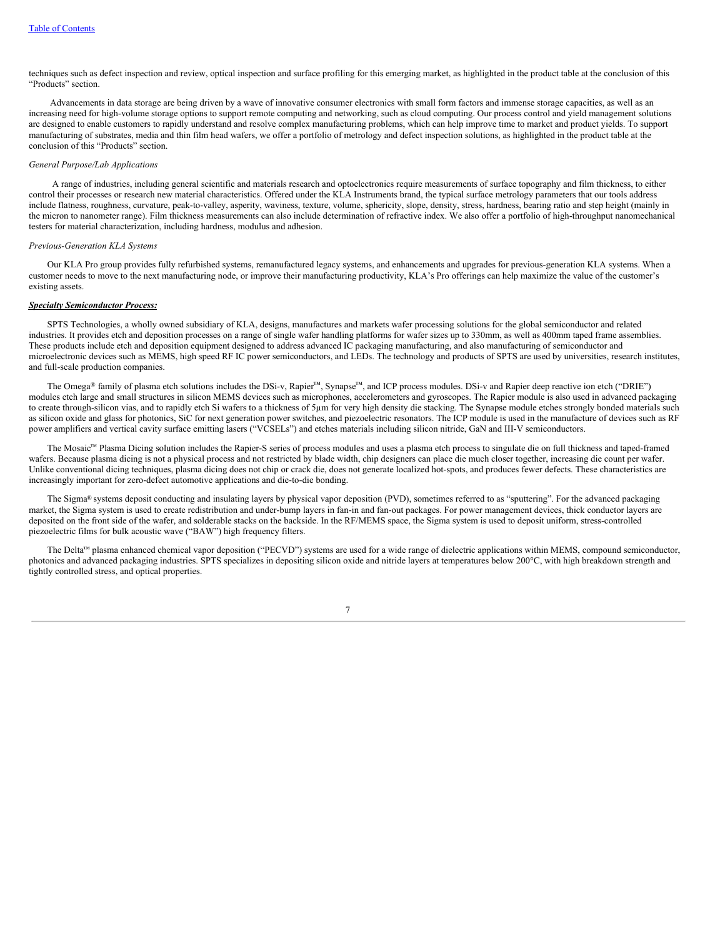techniques such as defect inspection and review, optical inspection and surface profiling for this emerging market, as highlighted in the product table at the conclusion of this "Products" section.

Advancements in data storage are being driven by a wave of innovative consumer electronics with small form factors and immense storage capacities, as well as an increasing need for high-volume storage options to support remote computing and networking, such as cloud computing. Our process control and yield management solutions are designed to enable customers to rapidly understand and resolve complex manufacturing problems, which can help improve time to market and product yields. To support manufacturing of substrates, media and thin film head wafers, we offer a portfolio of metrology and defect inspection solutions, as highlighted in the product table at the conclusion of this "Products" section.

### *General Purpose/Lab Applications*

A range of industries, including general scientific and materials research and optoelectronics require measurements of surface topography and film thickness, to either control their processes or research new material characteristics. Offered under the KLA Instruments brand, the typical surface metrology parameters that our tools address include flatness, roughness, curvature, peak-to-valley, asperity, waviness, texture, volume, sphericity, slope, density, stress, hardness, bearing ratio and step height (mainly in the micron to nanometer range). Film thickness measurements can also include determination of refractive index. We also offer a portfolio of high-throughput nanomechanical testers for material characterization, including hardness, modulus and adhesion.

### *Previous-Generation KLA Systems*

Our KLA Pro group provides fully refurbished systems, remanufactured legacy systems, and enhancements and upgrades for previous-generation KLA systems. When a customer needs to move to the next manufacturing node, or improve their manufacturing productivity, KLA's Pro offerings can help maximize the value of the customer's existing assets.

### *Specialty Semiconductor Process:*

SPTS Technologies, a wholly owned subsidiary of KLA, designs, manufactures and markets wafer processing solutions for the global semiconductor and related industries. It provides etch and deposition processes on a range of single wafer handling platforms for wafer sizes up to 330mm, as well as 400mm taped frame assemblies. These products include etch and deposition equipment designed to address advanced IC packaging manufacturing, and also manufacturing of semiconductor and microelectronic devices such as MEMS, high speed RF IC power semiconductors, and LEDs. The technology and products of SPTS are used by universities, research institutes, and full-scale production companies.

The Omega® family of plasma etch solutions includes the DSi-v, Rapier™, Synapse™, and ICP process modules. DSi-v and Rapier deep reactive ion etch ("DRIE") modules etch large and small structures in silicon MEMS devices such as microphones, accelerometers and gyroscopes. The Rapier module is also used in advanced packaging to create through-silicon vias, and to rapidly etch Si wafers to a thickness of 5µm for very high density die stacking. The Synapse module etches strongly bonded materials such as silicon oxide and glass for photonics, SiC for next generation power switches, and piezoelectric resonators. The ICP module is used in the manufacture of devices such as RF power amplifiers and vertical cavity surface emitting lasers ("VCSELs") and etches materials including silicon nitride, GaN and III-V semiconductors.

The Mosaic™ Plasma Dicing solution includes the Rapier-S series of process modules and uses a plasma etch process to singulate die on full thickness and taped-framed wafers. Because plasma dicing is not a physical process and not restricted by blade width, chip designers can place die much closer together, increasing die count per wafer. Unlike conventional dicing techniques, plasma dicing does not chip or crack die, does not generate localized hot-spots, and produces fewer defects. These characteristics are increasingly important for zero-defect automotive applications and die-to-die bonding.

The Sigma® systems deposit conducting and insulating layers by physical vapor deposition (PVD), sometimes referred to as "sputtering". For the advanced packaging market, the Sigma system is used to create redistribution and under-bump layers in fan-in and fan-out packages. For power management devices, thick conductor layers are deposited on the front side of the wafer, and solderable stacks on the backside. In the RF/MEMS space, the Sigma system is used to deposit uniform, stress-controlled piezoelectric films for bulk acoustic wave ("BAW") high frequency filters.

The Delta™ plasma enhanced chemical vapor deposition ("PECVD") systems are used for a wide range of dielectric applications within MEMS, compound semiconductor, photonics and advanced packaging industries. SPTS specializes in depositing silicon oxide and nitride layers at temperatures below 200°C, with high breakdown strength and tightly controlled stress, and optical properties.

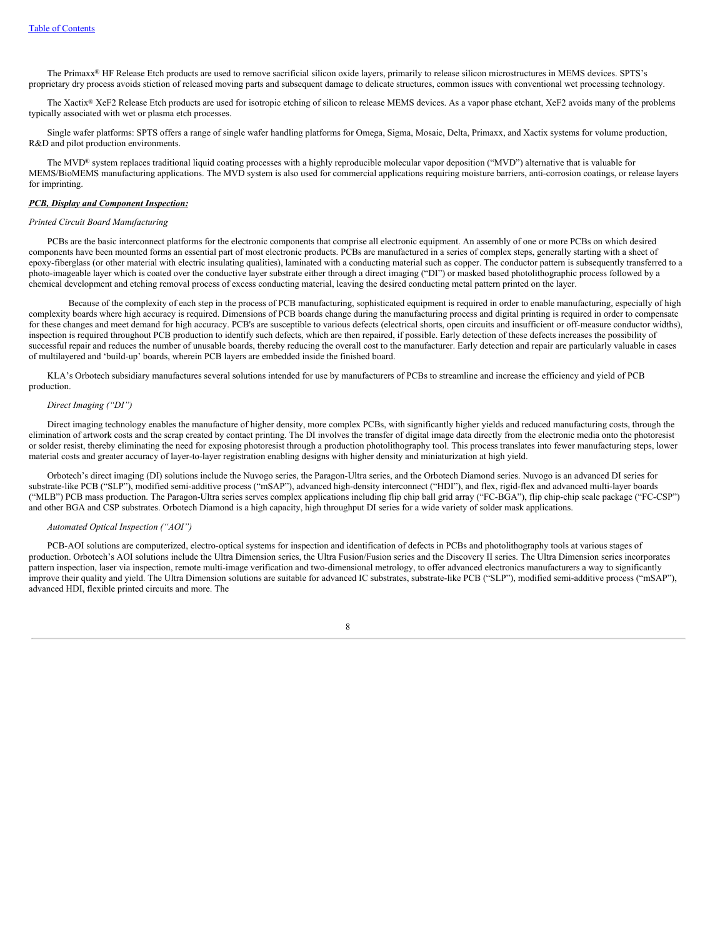The Primaxx® HF Release Etch products are used to remove sacrificial silicon oxide layers, primarily to release silicon microstructures in MEMS devices. SPTS's proprietary dry process avoids stiction of released moving parts and subsequent damage to delicate structures, common issues with conventional wet processing technology.

The Xactix® XeF2 Release Etch products are used for isotropic etching of silicon to release MEMS devices. As a vapor phase etchant, XeF2 avoids many of the problems typically associated with wet or plasma etch processes.

Single wafer platforms: SPTS offers a range of single wafer handling platforms for Omega, Sigma, Mosaic, Delta, Primaxx, and Xactix systems for volume production, R&D and pilot production environments.

The MVD® system replaces traditional liquid coating processes with a highly reproducible molecular vapor deposition ("MVD") alternative that is valuable for MEMS/BioMEMS manufacturing applications. The MVD system is also used for commercial applications requiring moisture barriers, anti-corrosion coatings, or release layers for imprinting.

# *PCB, Display and Component Inspection:*

# *Printed Circuit Board Manufacturing*

PCBs are the basic interconnect platforms for the electronic components that comprise all electronic equipment. An assembly of one or more PCBs on which desired components have been mounted forms an essential part of most electronic products. PCBs are manufactured in a series of complex steps, generally starting with a sheet of epoxy-fiberglass (or other material with electric insulating qualities), laminated with a conducting material such as copper. The conductor pattern is subsequently transferred to a photo-imageable layer which is coated over the conductive layer substrate either through a direct imaging ("DI") or masked based photolithographic process followed by a chemical development and etching removal process of excess conducting material, leaving the desired conducting metal pattern printed on the layer.

Because of the complexity of each step in the process of PCB manufacturing, sophisticated equipment is required in order to enable manufacturing, especially of high complexity boards where high accuracy is required. Dimensions of PCB boards change during the manufacturing process and digital printing is required in order to compensate for these changes and meet demand for high accuracy. PCB's are susceptible to various defects (electrical shorts, open circuits and insufficient or off-measure conductor widths), inspection is required throughout PCB production to identify such defects, which are then repaired, if possible. Early detection of these defects increases the possibility of successful repair and reduces the number of unusable boards, thereby reducing the overall cost to the manufacturer. Early detection and repair are particularly valuable in cases of multilayered and 'build-up' boards, wherein PCB layers are embedded inside the finished board.

KLA's Orbotech subsidiary manufactures several solutions intended for use by manufacturers of PCBs to streamline and increase the efficiency and yield of PCB production.

### *Direct Imaging ("DI")*

Direct imaging technology enables the manufacture of higher density, more complex PCBs, with significantly higher yields and reduced manufacturing costs, through the elimination of artwork costs and the scrap created by contact printing. The DI involves the transfer of digital image data directly from the electronic media onto the photoresist or solder resist, thereby eliminating the need for exposing photoresist through a production photolithography tool. This process translates into fewer manufacturing steps, lower material costs and greater accuracy of layer-to-layer registration enabling designs with higher density and miniaturization at high yield.

Orbotech's direct imaging (DI) solutions include the Nuvogo series, the Paragon-Ultra series, and the Orbotech Diamond series. Nuvogo is an advanced DI series for substrate-like PCB ("SLP"), modified semi-additive process ("mSAP"), advanced high-density interconnect ("HDI"), and flex, rigid-flex and advanced multi-layer boards ("MLB") PCB mass production. The Paragon-Ultra series serves complex applications including flip chip ball grid array ("FC-BGA"), flip chip-chip scale package ("FC-CSP") and other BGA and CSP substrates. Orbotech Diamond is a high capacity, high throughput DI series for a wide variety of solder mask applications.

#### *Automated Optical Inspection ("AOI")*

PCB-AOI solutions are computerized, electro-optical systems for inspection and identification of defects in PCBs and photolithography tools at various stages of production. Orbotech's AOI solutions include the Ultra Dimension series, the Ultra Fusion/Fusion series and the Discovery II series. The Ultra Dimension series incorporates pattern inspection, laser via inspection, remote multi-image verification and two-dimensional metrology, to offer advanced electronics manufacturers a way to significantly improve their quality and yield. The Ultra Dimension solutions are suitable for advanced IC substrates, substrate-like PCB ("SLP"), modified semi-additive process ("mSAP"), advanced HDI, flexible printed circuits and more. The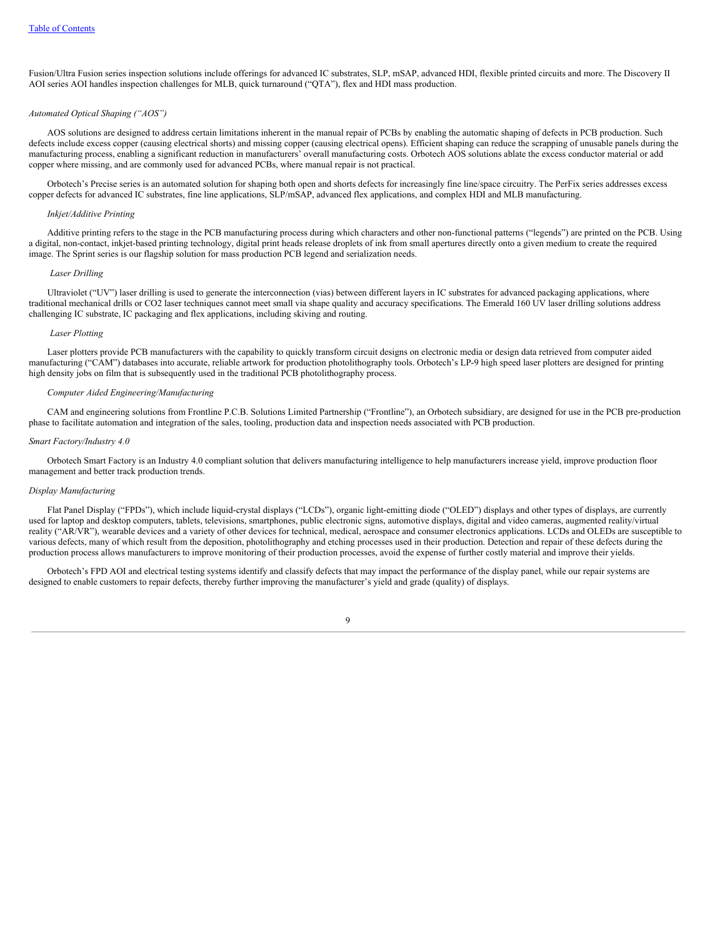Fusion/Ultra Fusion series inspection solutions include offerings for advanced IC substrates, SLP, mSAP, advanced HDI, flexible printed circuits and more. The Discovery II AOI series AOI handles inspection challenges for MLB, quick turnaround ("QTA"), flex and HDI mass production.

### *Automated Optical Shaping ("AOS")*

AOS solutions are designed to address certain limitations inherent in the manual repair of PCBs by enabling the automatic shaping of defects in PCB production. Such defects include excess copper (causing electrical shorts) and missing copper (causing electrical opens). Efficient shaping can reduce the scrapping of unusable panels during the manufacturing process, enabling a significant reduction in manufacturers' overall manufacturing costs. Orbotech AOS solutions ablate the excess conductor material or add copper where missing, and are commonly used for advanced PCBs, where manual repair is not practical.

Orbotech's Precise series is an automated solution for shaping both open and shorts defects for increasingly fine line/space circuitry. The PerFix series addresses excess copper defects for advanced IC substrates, fine line applications, SLP/mSAP, advanced flex applications, and complex HDI and MLB manufacturing.

# *Inkjet/Additive Printing*

Additive printing refers to the stage in the PCB manufacturing process during which characters and other non-functional patterns ("legends") are printed on the PCB. Using a digital, non-contact, inkjet-based printing technology, digital print heads release droplets of ink from small apertures directly onto a given medium to create the required image. The Sprint series is our flagship solution for mass production PCB legend and serialization needs.

#### *Laser Drilling*

Ultraviolet ("UV") laser drilling is used to generate the interconnection (vias) between different layers in IC substrates for advanced packaging applications, where traditional mechanical drills or CO2 laser techniques cannot meet small via shape quality and accuracy specifications. The Emerald 160 UV laser drilling solutions address challenging IC substrate, IC packaging and flex applications, including skiving and routing.

### *Laser Plotting*

Laser plotters provide PCB manufacturers with the capability to quickly transform circuit designs on electronic media or design data retrieved from computer aided manufacturing ("CAM") databases into accurate, reliable artwork for production photolithography tools. Orbotech's LP-9 high speed laser plotters are designed for printing high density jobs on film that is subsequently used in the traditional PCB photolithography process.

#### *Computer Aided Engineering/Manufacturing*

CAM and engineering solutions from Frontline P.C.B. Solutions Limited Partnership ("Frontline"), an Orbotech subsidiary, are designed for use in the PCB pre-production phase to facilitate automation and integration of the sales, tooling, production data and inspection needs associated with PCB production.

#### *Smart Factory/Industry 4.0*

Orbotech Smart Factory is an Industry 4.0 compliant solution that delivers manufacturing intelligence to help manufacturers increase yield, improve production floor management and better track production trends.

### *Display Manufacturing*

Flat Panel Display ("FPDs"), which include liquid-crystal displays ("LCDs"), organic light-emitting diode ("OLED") displays and other types of displays, are currently used for laptop and desktop computers, tablets, televisions, smartphones, public electronic signs, automotive displays, digital and video cameras, augmented reality/virtual reality ("AR/VR"), wearable devices and a variety of other devices for technical, medical, aerospace and consumer electronics applications. LCDs and OLEDs are susceptible to various defects, many of which result from the deposition, photolithography and etching processes used in their production. Detection and repair of these defects during the production process allows manufacturers to improve monitoring of their production processes, avoid the expense of further costly material and improve their yields.

Orbotech's FPD AOI and electrical testing systems identify and classify defects that may impact the performance of the display panel, while our repair systems are designed to enable customers to repair defects, thereby further improving the manufacturer's yield and grade (quality) of displays.

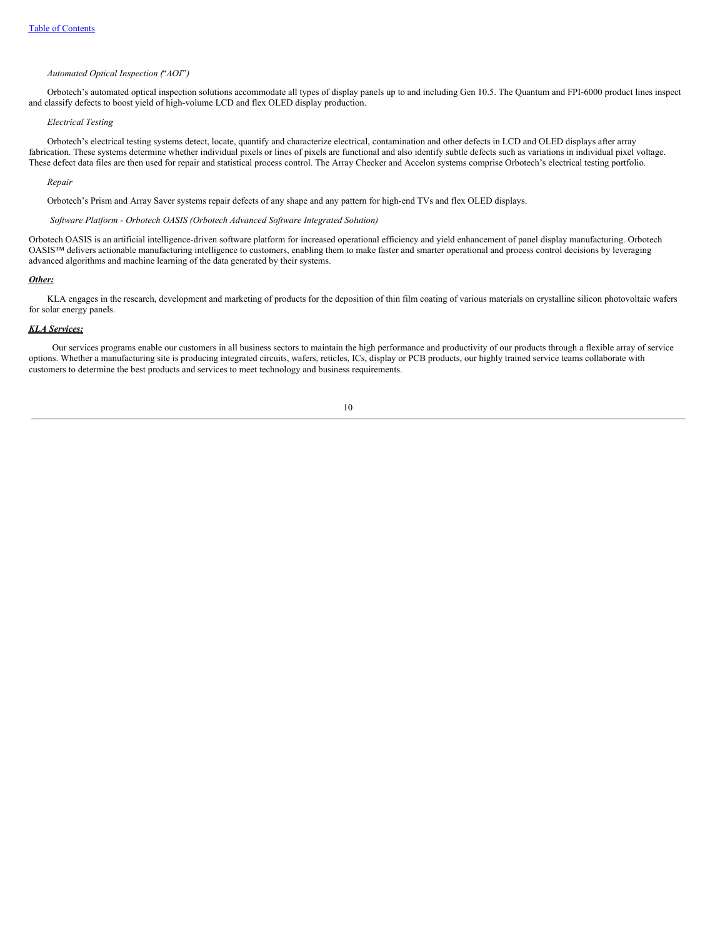#### *Automated Optical Inspection (*"*AOI*"*)*

Orbotech's automated optical inspection solutions accommodate all types of display panels up to and including Gen 10.5. The Quantum and FPI-6000 product lines inspect and classify defects to boost yield of high-volume LCD and flex OLED display production.

# *Electrical Testing*

Orbotech's electrical testing systems detect, locate, quantify and characterize electrical, contamination and other defects in LCD and OLED displays after array fabrication. These systems determine whether individual pixels or lines of pixels are functional and also identify subtle defects such as variations in individual pixel voltage. These defect data files are then used for repair and statistical process control. The Array Checker and Accelon systems comprise Orbotech's electrical testing portfolio.

#### *Repair*

Orbotech's Prism and Array Saver systems repair defects of any shape and any pattern for high-end TVs and flex OLED displays.

# *Software Platform - Orbotech OASIS (Orbotech Advanced Software Integrated Solution)*

Orbotech OASIS is an artificial intelligence-driven software platform for increased operational efficiency and yield enhancement of panel display manufacturing. Orbotech OASIS™ delivers actionable manufacturing intelligence to customers, enabling them to make faster and smarter operational and process control decisions by leveraging advanced algorithms and machine learning of the data generated by their systems.

### *Other:*

KLA engages in the research, development and marketing of products for the deposition of thin film coating of various materials on crystalline silicon photovoltaic wafers for solar energy panels.

### *KLA Services:*

Our services programs enable our customers in all business sectors to maintain the high performance and productivity of our products through a flexible array of service options. Whether a manufacturing site is producing integrated circuits, wafers, reticles, ICs, display or PCB products, our highly trained service teams collaborate with customers to determine the best products and services to meet technology and business requirements.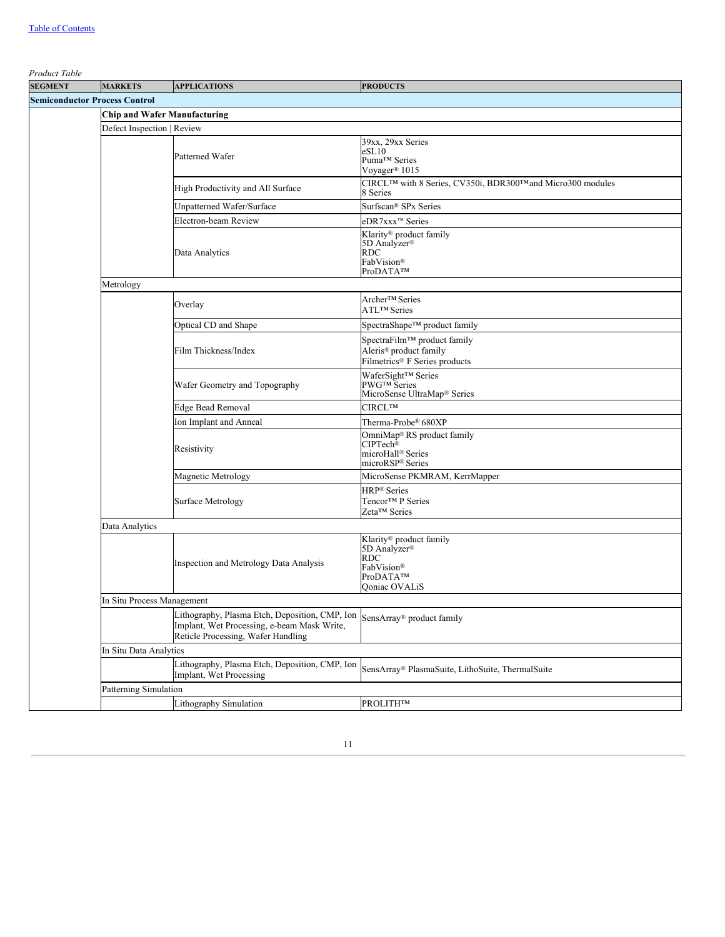| Product Table                        |                                     |                                                                                                                                     |                                                                                                                      |
|--------------------------------------|-------------------------------------|-------------------------------------------------------------------------------------------------------------------------------------|----------------------------------------------------------------------------------------------------------------------|
| <b>SEGMENT</b>                       | <b>MARKETS</b>                      | <b>APPLICATIONS</b>                                                                                                                 | <b>PRODUCTS</b>                                                                                                      |
| <b>Semiconductor Process Control</b> |                                     |                                                                                                                                     |                                                                                                                      |
|                                      | <b>Chip and Wafer Manufacturing</b> |                                                                                                                                     |                                                                                                                      |
|                                      | Defect Inspection   Review          |                                                                                                                                     |                                                                                                                      |
|                                      |                                     | Patterned Wafer                                                                                                                     | 39xx, 29xx Series<br>eS1.10<br>Puma <sup>™</sup> Series<br>Voyager <sup>®</sup> 1015                                 |
|                                      |                                     | High Productivity and All Surface                                                                                                   | CIRCL™ with 8 Series, CV350i, BDR300™and Micro300 modules<br>8 Series                                                |
|                                      |                                     | Unpatterned Wafer/Surface                                                                                                           | Surfscan® SPx Series                                                                                                 |
|                                      |                                     | Electron-beam Review                                                                                                                | eDR7xxx <sup>™</sup> Series                                                                                          |
|                                      |                                     | Data Analytics                                                                                                                      | Klarity® product family<br>5D Analyzer <sup>®</sup><br><b>RDC</b><br>FabVision®<br>ProDATA™                          |
|                                      | Metrology                           |                                                                                                                                     |                                                                                                                      |
|                                      |                                     | Overlay                                                                                                                             | Archer™ Series<br>ATL™ Series                                                                                        |
|                                      |                                     | Optical CD and Shape                                                                                                                | SpectraShape™ product family                                                                                         |
|                                      |                                     | Film Thickness/Index                                                                                                                | SpectraFilm™ product family<br>Aleris <sup>®</sup> product family<br>Filmetrics® F Series products                   |
|                                      |                                     | Wafer Geometry and Topography                                                                                                       | WaferSight™ Series<br>PWG <sup>™</sup> Series<br>MicroSense UltraMap® Series                                         |
|                                      |                                     | <b>Edge Bead Removal</b>                                                                                                            | <b>CIRCLTM</b>                                                                                                       |
|                                      |                                     | Ion Implant and Anneal                                                                                                              | Therma-Probe® 680XP                                                                                                  |
|                                      |                                     | Resistivity                                                                                                                         | OmniMap® RS product family<br>CIPTech®<br>microHall <sup>®</sup> Series<br>microRSP® Series                          |
|                                      |                                     | Magnetic Metrology                                                                                                                  | MicroSense PKMRAM, KerrMapper                                                                                        |
|                                      |                                     | Surface Metrology                                                                                                                   | HRP <sup>®</sup> Series<br>Tencor™ P Series<br>Zeta™ Series                                                          |
|                                      | Data Analytics                      |                                                                                                                                     |                                                                                                                      |
|                                      |                                     | Inspection and Metrology Data Analysis                                                                                              | Klarity® product family<br>5D Analyzer <sup>®</sup><br><b>RDC</b><br>FabVision®<br><b>ProDATATM</b><br>Qoniac OVALiS |
|                                      | In Situ Process Management          |                                                                                                                                     |                                                                                                                      |
|                                      |                                     | Lithography, Plasma Etch, Deposition, CMP, Ion<br>Implant, Wet Processing, e-beam Mask Write,<br>Reticle Processing, Wafer Handling | SensArray® product family                                                                                            |
|                                      | In Situ Data Analytics              |                                                                                                                                     |                                                                                                                      |
|                                      |                                     | Lithography, Plasma Etch, Deposition, CMP, Ion<br>Implant, Wet Processing                                                           | SensArray® PlasmaSuite, LithoSuite, ThermalSuite                                                                     |
|                                      | Patterning Simulation               |                                                                                                                                     |                                                                                                                      |
|                                      |                                     | Lithography Simulation                                                                                                              | PROLITH™                                                                                                             |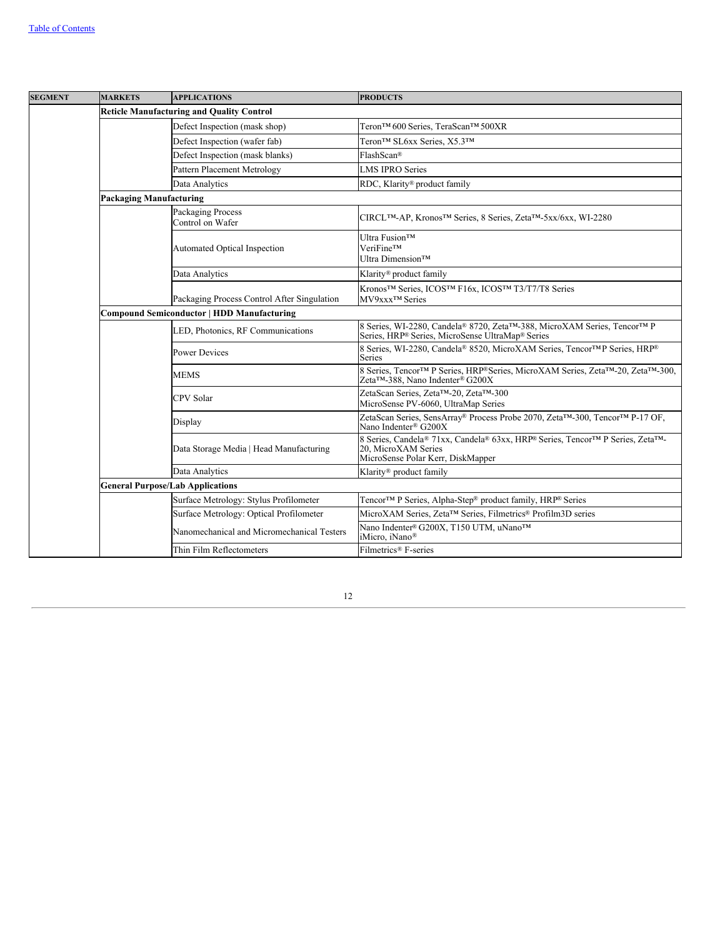| <b>SEGMENT</b> | <b>MARKETS</b>                                   | <b>APPLICATIONS</b>                               | <b>PRODUCTS</b>                                                                                                                            |  |
|----------------|--------------------------------------------------|---------------------------------------------------|--------------------------------------------------------------------------------------------------------------------------------------------|--|
|                | <b>Reticle Manufacturing and Quality Control</b> |                                                   |                                                                                                                                            |  |
|                |                                                  | Defect Inspection (mask shop)                     | Teron™ 600 Series, TeraScan™ 500XR                                                                                                         |  |
|                |                                                  | Defect Inspection (wafer fab)                     | Teron <sup>™</sup> SL6xx Series, X5.3™                                                                                                     |  |
|                |                                                  | Defect Inspection (mask blanks)                   | FlashScan®                                                                                                                                 |  |
|                |                                                  | Pattern Placement Metrology                       | <b>LMS IPRO Series</b>                                                                                                                     |  |
|                |                                                  | Data Analytics                                    | RDC, Klarity® product family                                                                                                               |  |
|                | <b>Packaging Manufacturing</b>                   |                                                   |                                                                                                                                            |  |
|                |                                                  | Packaging Process<br>Control on Wafer             | CIRCL™-AP, Kronos™ Series, 8 Series, Zeta™-5xx/6xx, WI-2280                                                                                |  |
|                |                                                  | <b>Automated Optical Inspection</b>               | Ultra Fusion™<br>VeriFine™<br>Ultra Dimension™                                                                                             |  |
|                |                                                  | Data Analytics                                    | Klarity® product family                                                                                                                    |  |
|                |                                                  | Packaging Process Control After Singulation       | Kronos™ Series, ICOS™ F16x, ICOS™ T3/T7/T8 Series<br>MV9xxx™ Series                                                                        |  |
|                |                                                  | <b>Compound Semiconductor   HDD Manufacturing</b> |                                                                                                                                            |  |
|                |                                                  | LED, Photonics, RF Communications                 | 8 Series, WI-2280, Candela® 8720, Zeta™-388, MicroXAM Series, Tencor™ P<br>Series, HRP® Series, MicroSense UltraMap® Series                |  |
|                |                                                  | <b>Power Devices</b>                              | 8 Series, WI-2280, Candela® 8520, MicroXAM Series, Tencor <sup>TM</sup> P Series, HRP®<br>Series                                           |  |
|                |                                                  | <b>MEMS</b>                                       | 8 Series, Tencor™ P Series, HRP®Series, MicroXAM Series, Zeta™-20, Zeta™-300,<br>Zeta <sup>TM</sup> -388. Nano Indenter <sup>®</sup> G200X |  |
|                |                                                  | CPV Solar                                         | ZetaScan Series, Zeta™-20, Zeta™-300<br>MicroSense PV-6060, UltraMap Series                                                                |  |
|                |                                                  | Display                                           | ZetaScan Series, SensArray® Process Probe 2070, Zeta™-300, Tencor <sup>™</sup> P-17 OF,<br>Nano Indenter® G200X                            |  |
|                |                                                  | Data Storage Media   Head Manufacturing           | 8 Series, Candela® 71xx, Candela® 63xx, HRP® Series, Tencor™ P Series, Zeta™-<br>20, MicroXAM Series<br>MicroSense Polar Kerr, DiskMapper  |  |
|                |                                                  | Data Analytics                                    | Klarity <sup>®</sup> product family                                                                                                        |  |
|                | <b>General Purpose/Lab Applications</b>          |                                                   |                                                                                                                                            |  |
|                |                                                  | Surface Metrology: Stylus Profilometer            | Tencor <sup>™</sup> P Series, Alpha-Step® product family, HRP® Series                                                                      |  |
|                |                                                  | Surface Metrology: Optical Profilometer           | MicroXAM Series, Zeta <sup>TM</sup> Series, Filmetrics® Profilm3D series                                                                   |  |
|                |                                                  | Nanomechanical and Micromechanical Testers        | Nano Indenter® G200X, T150 UTM, uNano™<br>iMicro, iNano®                                                                                   |  |
|                |                                                  | Thin Film Reflectometers                          | Filmetrics® F-series                                                                                                                       |  |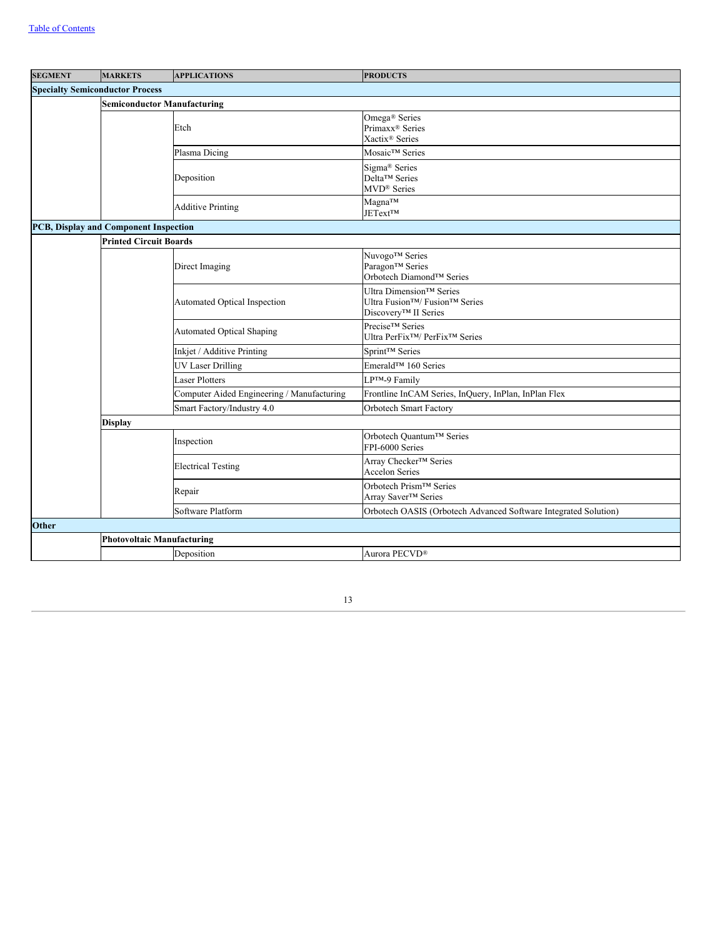| <b>SEGMENT</b>                         | <b>MARKETS</b>                             | <b>APPLICATIONS</b>              | <b>PRODUCTS</b>                                                                              |  |
|----------------------------------------|--------------------------------------------|----------------------------------|----------------------------------------------------------------------------------------------|--|
| <b>Specialty Semiconductor Process</b> |                                            |                                  |                                                                                              |  |
|                                        | <b>Semiconductor Manufacturing</b>         |                                  |                                                                                              |  |
|                                        |                                            | Etch                             | Omega <sup>®</sup> Series<br>Primaxx <sup>®</sup> Series<br>Xactix <sup>®</sup> Series       |  |
|                                        |                                            | Plasma Dicing                    | Mosaic <sup>™</sup> Series                                                                   |  |
|                                        |                                            | Deposition                       | Sigma <sup>®</sup> Series<br>Delta™ Series<br><b>MVD®</b> Series                             |  |
|                                        |                                            | <b>Additive Printing</b>         | Magna™<br><b>JEText<sup>TM</sup></b>                                                         |  |
|                                        | PCB, Display and Component Inspection      |                                  |                                                                                              |  |
|                                        | <b>Printed Circuit Boards</b>              |                                  |                                                                                              |  |
|                                        |                                            | Direct Imaging                   | Nuvogo™ Series<br>Paragon™ Series<br>Orbotech Diamond™ Series                                |  |
|                                        |                                            | Automated Optical Inspection     | Ultra Dimension™ Series<br>Ultra Fusion™/ Fusion™ Series<br>Discovery <sup>™</sup> II Series |  |
|                                        |                                            | <b>Automated Optical Shaping</b> | Precise <sup>™</sup> Series<br>Ultra PerFix™/ PerFix™ Series                                 |  |
|                                        |                                            | Inkjet / Additive Printing       | Sprint™ Series                                                                               |  |
|                                        |                                            | <b>UV Laser Drilling</b>         | Emerald™ 160 Series                                                                          |  |
|                                        |                                            | <b>Laser Plotters</b>            | LP™-9 Family                                                                                 |  |
|                                        | Computer Aided Engineering / Manufacturing |                                  | Frontline InCAM Series, InQuery, InPlan, InPlan Flex                                         |  |
|                                        |                                            | Smart Factory/Industry 4.0       | Orbotech Smart Factory                                                                       |  |
|                                        | <b>Display</b>                             |                                  |                                                                                              |  |
|                                        |                                            | Inspection                       | Orbotech Quantum™ Series<br>FPI-6000 Series                                                  |  |
|                                        |                                            | <b>Electrical Testing</b>        | Array Checker™ Series<br><b>Accelon Series</b>                                               |  |
|                                        |                                            | Repair                           | Orbotech Prism™ Series<br>Array Saver <sup>™</sup> Series                                    |  |
|                                        |                                            | Software Platform                | Orbotech OASIS (Orbotech Advanced Software Integrated Solution)                              |  |
| Other                                  |                                            |                                  |                                                                                              |  |
|                                        | <b>Photovoltaic Manufacturing</b>          |                                  |                                                                                              |  |
|                                        |                                            | Deposition                       | Aurora PECVD®                                                                                |  |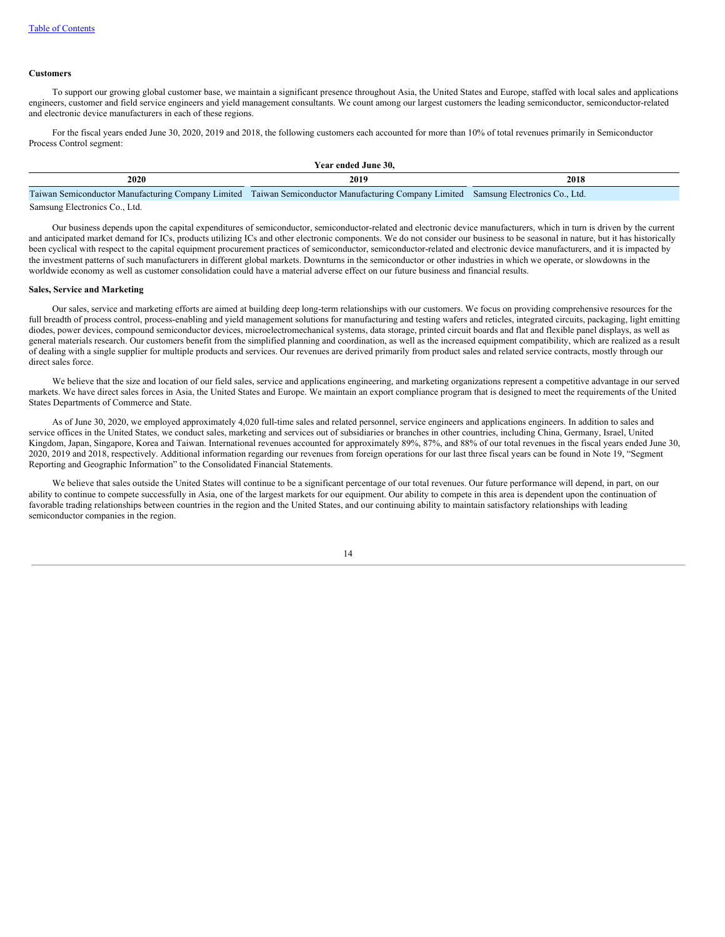#### **Customers**

To support our growing global customer base, we maintain a significant presence throughout Asia, the United States and Europe, staffed with local sales and applications engineers, customer and field service engineers and yield management consultants. We count among our largest customers the leading semiconductor, semiconductor-related and electronic device manufacturers in each of these regions.

For the fiscal years ended June 30, 2020, 2019 and 2018, the following customers each accounted for more than 10% of total revenues primarily in Semiconductor Process Control segment:

|                                                                                                                                                                  | <b>June 30.</b><br>∕ ear ended                                                                                                                                                                                                  |      |
|------------------------------------------------------------------------------------------------------------------------------------------------------------------|---------------------------------------------------------------------------------------------------------------------------------------------------------------------------------------------------------------------------------|------|
| 2020<br>$\sim$ $\sim$                                                                                                                                            | 2019                                                                                                                                                                                                                            | 2018 |
| $\mathbf{T}$ , in the $\mathbf{C}$ , and is a set of the set of $\mathbf{C}$ , and $\mathbf{C}$ , and $\mathbf{C}$ , and $\mathbf{C}$ is the set of $\mathbf{C}$ | $\pi$ -bernard contracted the state of the state of the state of the state of the state of the state of the state of the state of the state of the state of the state of the state of the state of the state of the state of th | T1   |

Taiwan Semiconductor Manufacturing Company Limited Taiwan Semiconductor Manufacturing Company Limited Samsung Electronics Co., Ltd. Samsung Electronics Co., Ltd.

Our business depends upon the capital expenditures of semiconductor, semiconductor-related and electronic device manufacturers, which in turn is driven by the current and anticipated market demand for ICs, products utilizing ICs and other electronic components. We do not consider our business to be seasonal in nature, but it has historically been cyclical with respect to the capital equipment procurement practices of semiconductor, semiconductor-related and electronic device manufacturers, and it is impacted by the investment patterns of such manufacturers in different global markets. Downturns in the semiconductor or other industries in which we operate, or slowdowns in the worldwide economy as well as customer consolidation could have a material adverse effect on our future business and financial results.

#### **Sales, Service and Marketing**

Our sales, service and marketing efforts are aimed at building deep long-term relationships with our customers. We focus on providing comprehensive resources for the full breadth of process control, process-enabling and yield management solutions for manufacturing and testing wafers and reticles, integrated circuits, packaging, light emitting diodes, power devices, compound semiconductor devices, microelectromechanical systems, data storage, printed circuit boards and flat and flexible panel displays, as well as general materials research. Our customers benefit from the simplified planning and coordination, as well as the increased equipment compatibility, which are realized as a result of dealing with a single supplier for multiple products and services. Our revenues are derived primarily from product sales and related service contracts, mostly through our direct sales force.

We believe that the size and location of our field sales, service and applications engineering, and marketing organizations represent a competitive advantage in our served markets. We have direct sales forces in Asia, the United States and Europe. We maintain an export compliance program that is designed to meet the requirements of the United States Departments of Commerce and State.

As of June 30, 2020, we employed approximately 4,020 full-time sales and related personnel, service engineers and applications engineers. In addition to sales and service offices in the United States, we conduct sales, marketing and services out of subsidiaries or branches in other countries, including China, Germany, Israel, United Kingdom, Japan, Singapore, Korea and Taiwan. International revenues accounted for approximately 89%, 87%, and 88% of our total revenues in the fiscal years ended June 30, 2020, 2019 and 2018, respectively. Additional information regarding our revenues from foreign operations for our last three fiscal years can be found in Note 19, "Segment Reporting and Geographic Information" to the Consolidated Financial Statements.

We believe that sales outside the United States will continue to be a significant percentage of our total revenues. Our future performance will depend, in part, on our ability to continue to compete successfully in Asia, one of the largest markets for our equipment. Our ability to compete in this area is dependent upon the continuation of favorable trading relationships between countries in the region and the United States, and our continuing ability to maintain satisfactory relationships with leading semiconductor companies in the region.

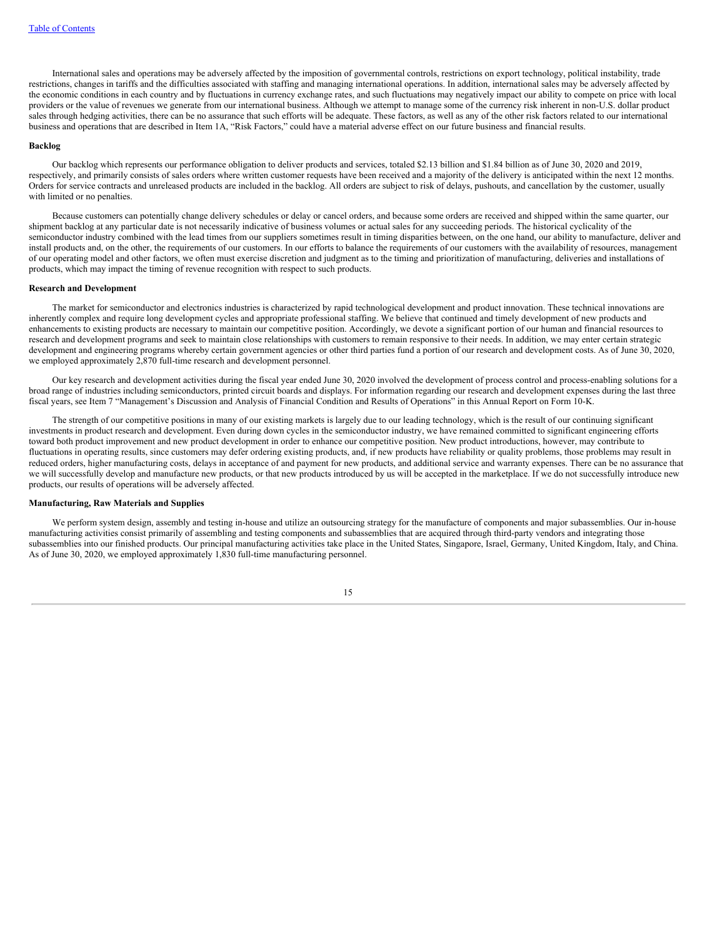International sales and operations may be adversely affected by the imposition of governmental controls, restrictions on export technology, political instability, trade restrictions, changes in tariffs and the difficulties associated with staffing and managing international operations. In addition, international sales may be adversely affected by the economic conditions in each country and by fluctuations in currency exchange rates, and such fluctuations may negatively impact our ability to compete on price with local providers or the value of revenues we generate from our international business. Although we attempt to manage some of the currency risk inherent in non-U.S. dollar product sales through hedging activities, there can be no assurance that such efforts will be adequate. These factors, as well as any of the other risk factors related to our international business and operations that are described in Item 1A, "Risk Factors," could have a material adverse effect on our future business and financial results.

#### **Backlog**

Our backlog which represents our performance obligation to deliver products and services, totaled \$2.13 billion and \$1.84 billion as of June 30, 2020 and 2019, respectively, and primarily consists of sales orders where written customer requests have been received and a majority of the delivery is anticipated within the next 12 months. Orders for service contracts and unreleased products are included in the backlog. All orders are subject to risk of delays, pushouts, and cancellation by the customer, usually with limited or no penalties.

Because customers can potentially change delivery schedules or delay or cancel orders, and because some orders are received and shipped within the same quarter, our shipment backlog at any particular date is not necessarily indicative of business volumes or actual sales for any succeeding periods. The historical cyclicality of the semiconductor industry combined with the lead times from our suppliers sometimes result in timing disparities between, on the one hand, our ability to manufacture, deliver and install products and, on the other, the requirements of our customers. In our efforts to balance the requirements of our customers with the availability of resources, management of our operating model and other factors, we often must exercise discretion and judgment as to the timing and prioritization of manufacturing, deliveries and installations of products, which may impact the timing of revenue recognition with respect to such products.

## **Research and Development**

The market for semiconductor and electronics industries is characterized by rapid technological development and product innovation. These technical innovations are inherently complex and require long development cycles and appropriate professional staffing. We believe that continued and timely development of new products and enhancements to existing products are necessary to maintain our competitive position. Accordingly, we devote a significant portion of our human and financial resources to research and development programs and seek to maintain close relationships with customers to remain responsive to their needs. In addition, we may enter certain strategic development and engineering programs whereby certain government agencies or other third parties fund a portion of our research and development costs. As of June 30, 2020, we employed approximately 2,870 full-time research and development personnel.

Our key research and development activities during the fiscal year ended June 30, 2020 involved the development of process control and process-enabling solutions for a broad range of industries including semiconductors, printed circuit boards and displays. For information regarding our research and development expenses during the last three fiscal years, see Item 7 "Management's Discussion and Analysis of Financial Condition and Results of Operations" in this Annual Report on Form 10-K.

The strength of our competitive positions in many of our existing markets is largely due to our leading technology, which is the result of our continuing significant investments in product research and development. Even during down cycles in the semiconductor industry, we have remained committed to significant engineering efforts toward both product improvement and new product development in order to enhance our competitive position. New product introductions, however, may contribute to fluctuations in operating results, since customers may defer ordering existing products, and, if new products have reliability or quality problems, those problems may result in reduced orders, higher manufacturing costs, delays in acceptance of and payment for new products, and additional service and warranty expenses. There can be no assurance that we will successfully develop and manufacture new products, or that new products introduced by us will be accepted in the marketplace. If we do not successfully introduce new products, our results of operations will be adversely affected.

# **Manufacturing, Raw Materials and Supplies**

We perform system design, assembly and testing in-house and utilize an outsourcing strategy for the manufacture of components and major subassemblies. Our in-house manufacturing activities consist primarily of assembling and testing components and subassemblies that are acquired through third-party vendors and integrating those subassemblies into our finished products. Our principal manufacturing activities take place in the United States, Singapore, Israel, Germany, United Kingdom, Italy, and China. As of June 30, 2020, we employed approximately 1,830 full-time manufacturing personnel.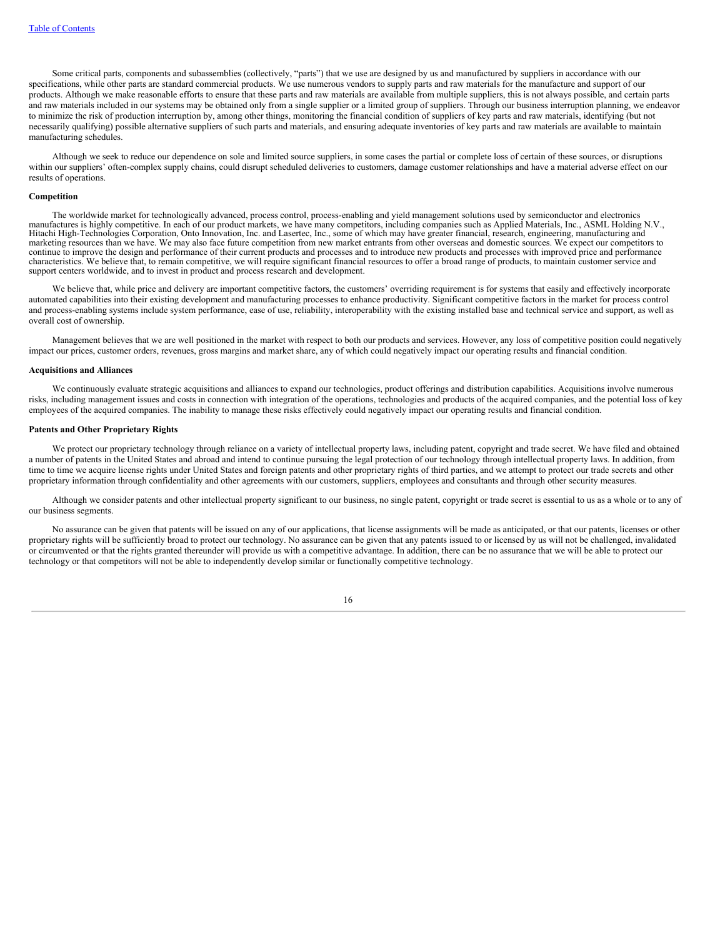Some critical parts, components and subassemblies (collectively, "parts") that we use are designed by us and manufactured by suppliers in accordance with our specifications, while other parts are standard commercial products. We use numerous vendors to supply parts and raw materials for the manufacture and support of our products. Although we make reasonable efforts to ensure that these parts and raw materials are available from multiple suppliers, this is not always possible, and certain parts and raw materials included in our systems may be obtained only from a single supplier or a limited group of suppliers. Through our business interruption planning, we endeavor to minimize the risk of production interruption by, among other things, monitoring the financial condition of suppliers of key parts and raw materials, identifying (but not necessarily qualifying) possible alternative suppliers of such parts and materials, and ensuring adequate inventories of key parts and raw materials are available to maintain manufacturing schedules.

Although we seek to reduce our dependence on sole and limited source suppliers, in some cases the partial or complete loss of certain of these sources, or disruptions within our suppliers' often-complex supply chains, could disrupt scheduled deliveries to customers, damage customer relationships and have a material adverse effect on our results of operations.

# **Competition**

The worldwide market for technologically advanced, process control, process-enabling and yield management solutions used by semiconductor and electronics manufactures is highly competitive. In each of our product markets, we have many competitors, including companies such as Applied Materials, Inc., ASML Holding N.V., Hitachi High-Technologies Corporation, Onto Innovation, Inc. and Lasertec, Inc., some of which may have greater financial, research, engineering, manufacturing and marketing resources than we have. We may also face future competition from new market entrants from other overseas and domestic sources. We expect our competitors to continue to improve the design and performance of their current products and processes and to introduce new products and processes with improved price and performance characteristics. We believe that, to remain competitive, we will require significant financial resources to offer a broad range of products, to maintain customer service and support centers worldwide, and to invest in product and process research and development.

We believe that, while price and delivery are important competitive factors, the customers' overriding requirement is for systems that easily and effectively incorporate automated capabilities into their existing development and manufacturing processes to enhance productivity. Significant competitive factors in the market for process control and process-enabling systems include system performance, ease of use, reliability, interoperability with the existing installed base and technical service and support, as well as overall cost of ownership.

Management believes that we are well positioned in the market with respect to both our products and services. However, any loss of competitive position could negatively impact our prices, customer orders, revenues, gross margins and market share, any of which could negatively impact our operating results and financial condition.

### **Acquisitions and Alliances**

We continuously evaluate strategic acquisitions and alliances to expand our technologies, product offerings and distribution capabilities. Acquisitions involve numerous risks, including management issues and costs in connection with integration of the operations, technologies and products of the acquired companies, and the potential loss of key employees of the acquired companies. The inability to manage these risks effectively could negatively impact our operating results and financial condition.

### **Patents and Other Proprietary Rights**

We protect our proprietary technology through reliance on a variety of intellectual property laws, including patent, copyright and trade secret. We have filed and obtained a number of patents in the United States and abroad and intend to continue pursuing the legal protection of our technology through intellectual property laws. In addition, from time to time we acquire license rights under United States and foreign patents and other proprietary rights of third parties, and we attempt to protect our trade secrets and other proprietary information through confidentiality and other agreements with our customers, suppliers, employees and consultants and through other security measures.

Although we consider patents and other intellectual property significant to our business, no single patent, copyright or trade secret is essential to us as a whole or to any of our business segments.

No assurance can be given that patents will be issued on any of our applications, that license assignments will be made as anticipated, or that our patents, licenses or other proprietary rights will be sufficiently broad to protect our technology. No assurance can be given that any patents issued to or licensed by us will not be challenged, invalidated or circumvented or that the rights granted thereunder will provide us with a competitive advantage. In addition, there can be no assurance that we will be able to protect our technology or that competitors will not be able to independently develop similar or functionally competitive technology.

| ٠           |
|-------------|
| I<br>×<br>٧ |
|             |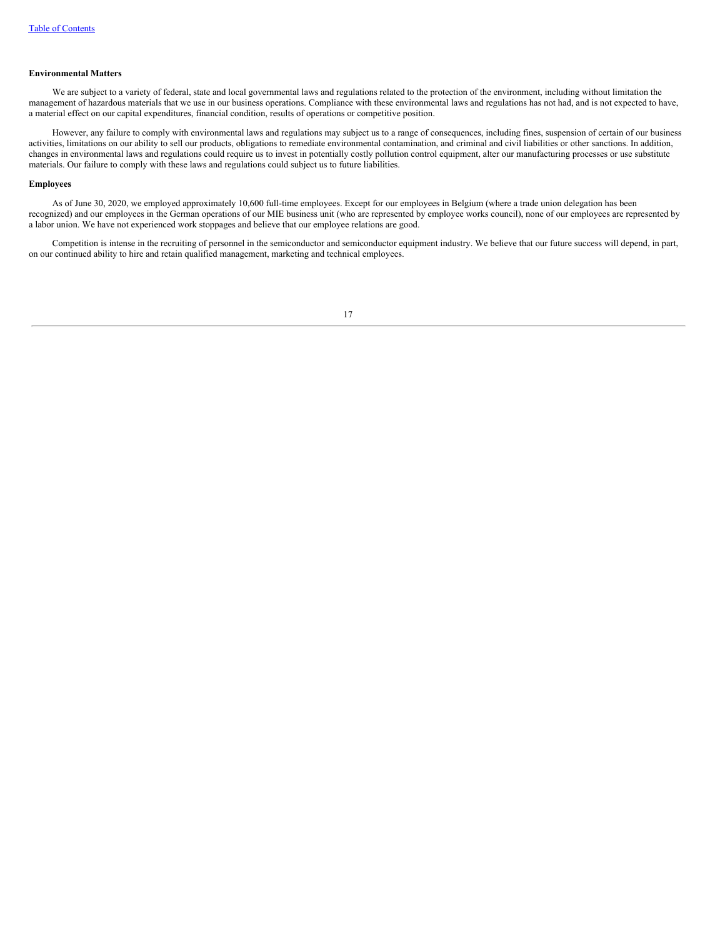### **Environmental Matters**

We are subject to a variety of federal, state and local governmental laws and regulations related to the protection of the environment, including without limitation the management of hazardous materials that we use in our business operations. Compliance with these environmental laws and regulations has not had, and is not expected to have, a material effect on our capital expenditures, financial condition, results of operations or competitive position.

However, any failure to comply with environmental laws and regulations may subject us to a range of consequences, including fines, suspension of certain of our business activities, limitations on our ability to sell our products, obligations to remediate environmental contamination, and criminal and civil liabilities or other sanctions. In addition, changes in environmental laws and regulations could require us to invest in potentially costly pollution control equipment, alter our manufacturing processes or use substitute materials. Our failure to comply with these laws and regulations could subject us to future liabilities.

## **Employees**

As of June 30, 2020, we employed approximately 10,600 full-time employees. Except for our employees in Belgium (where a trade union delegation has been recognized) and our employees in the German operations of our MIE business unit (who are represented by employee works council), none of our employees are represented by a labor union. We have not experienced work stoppages and believe that our employee relations are good.

Competition is intense in the recruiting of personnel in the semiconductor and semiconductor equipment industry. We believe that our future success will depend, in part, on our continued ability to hire and retain qualified management, marketing and technical employees.

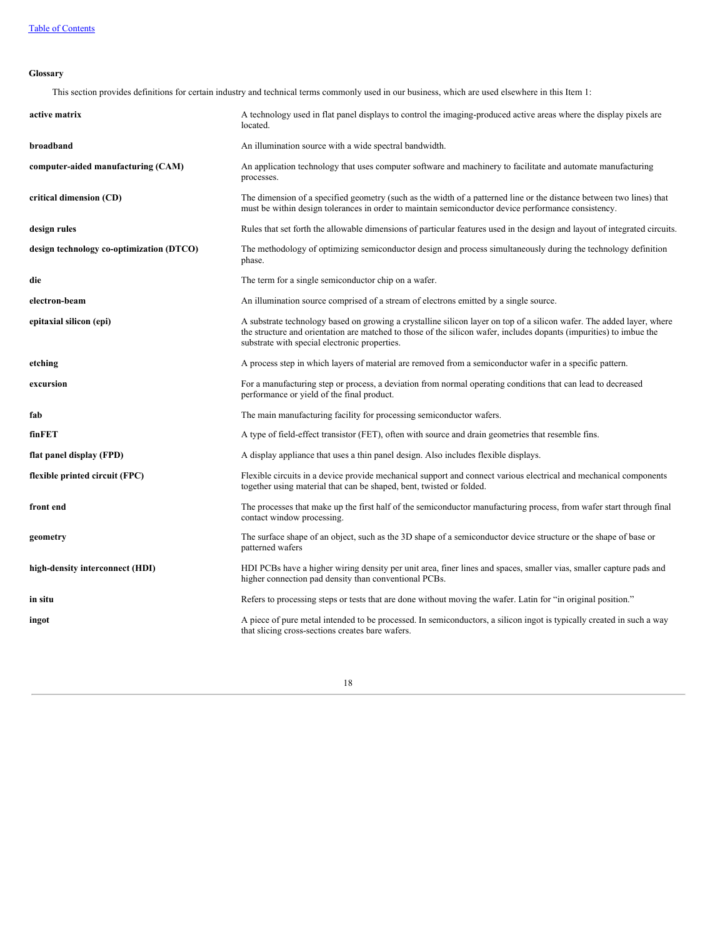# **Glossary**

This section provides definitions for certain industry and technical terms commonly used in our business, which are used elsewhere in this Item 1:

| active matrix                            | A technology used in flat panel displays to control the imaging-produced active areas where the display pixels are<br>located.                                                                                                                                                                |
|------------------------------------------|-----------------------------------------------------------------------------------------------------------------------------------------------------------------------------------------------------------------------------------------------------------------------------------------------|
| broadband                                | An illumination source with a wide spectral bandwidth.                                                                                                                                                                                                                                        |
| computer-aided manufacturing (CAM)       | An application technology that uses computer software and machinery to facilitate and automate manufacturing<br>processes.                                                                                                                                                                    |
| critical dimension (CD)                  | The dimension of a specified geometry (such as the width of a patterned line or the distance between two lines) that<br>must be within design tolerances in order to maintain semiconductor device performance consistency.                                                                   |
| design rules                             | Rules that set forth the allowable dimensions of particular features used in the design and layout of integrated circuits.                                                                                                                                                                    |
| design technology co-optimization (DTCO) | The methodology of optimizing semiconductor design and process simultaneously during the technology definition<br>phase.                                                                                                                                                                      |
| die                                      | The term for a single semiconductor chip on a wafer.                                                                                                                                                                                                                                          |
| electron-beam                            | An illumination source comprised of a stream of electrons emitted by a single source.                                                                                                                                                                                                         |
| epitaxial silicon (epi)                  | A substrate technology based on growing a crystalline silicon layer on top of a silicon wafer. The added layer, where<br>the structure and orientation are matched to those of the silicon wafer, includes dopants (impurities) to imbue the<br>substrate with special electronic properties. |
| etching                                  | A process step in which layers of material are removed from a semiconductor wafer in a specific pattern.                                                                                                                                                                                      |
| excursion                                | For a manufacturing step or process, a deviation from normal operating conditions that can lead to decreased<br>performance or yield of the final product.                                                                                                                                    |
| fab                                      | The main manufacturing facility for processing semiconductor wafers.                                                                                                                                                                                                                          |
| finFET                                   | A type of field-effect transistor (FET), often with source and drain geometries that resemble fins.                                                                                                                                                                                           |
| flat panel display (FPD)                 | A display appliance that uses a thin panel design. Also includes flexible displays.                                                                                                                                                                                                           |
| flexible printed circuit (FPC)           | Flexible circuits in a device provide mechanical support and connect various electrical and mechanical components<br>together using material that can be shaped, bent, twisted or folded.                                                                                                     |
| front end                                | The processes that make up the first half of the semiconductor manufacturing process, from wafer start through final<br>contact window processing.                                                                                                                                            |
| geometry                                 | The surface shape of an object, such as the 3D shape of a semiconductor device structure or the shape of base or<br>patterned wafers                                                                                                                                                          |
| high-density interconnect (HDI)          | HDI PCBs have a higher wiring density per unit area, finer lines and spaces, smaller vias, smaller capture pads and<br>higher connection pad density than conventional PCBs.                                                                                                                  |
| in situ                                  | Refers to processing steps or tests that are done without moving the wafer. Latin for "in original position."                                                                                                                                                                                 |
| ingot                                    | A piece of pure metal intended to be processed. In semiconductors, a silicon ingot is typically created in such a way<br>that slicing cross-sections creates bare wafers.                                                                                                                     |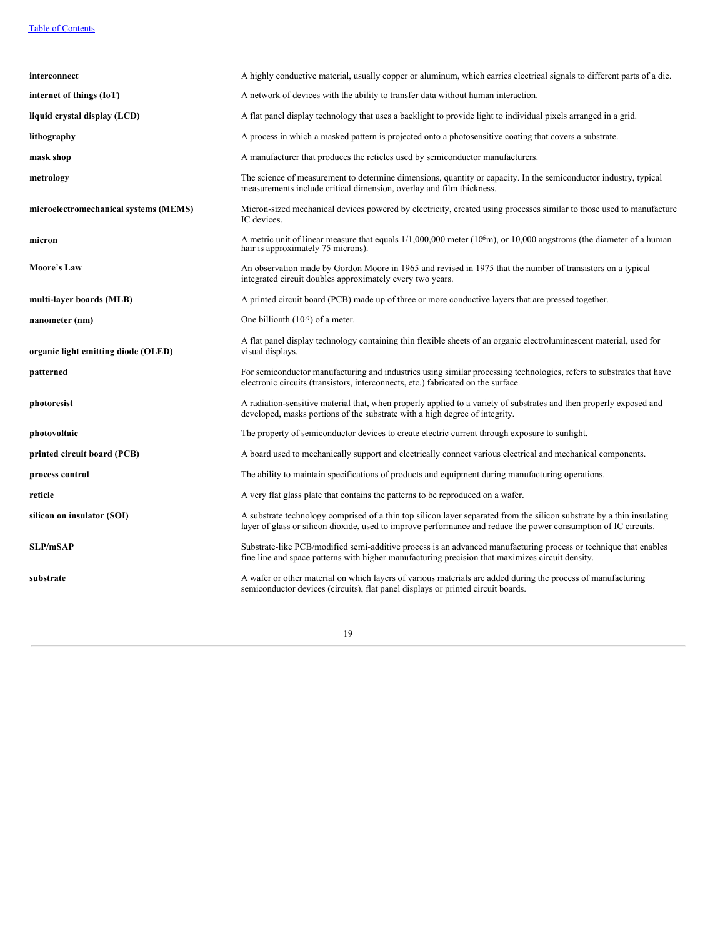| interconnect                          | A highly conductive material, usually copper or aluminum, which carries electrical signals to different parts of a die.                                                                                                                   |
|---------------------------------------|-------------------------------------------------------------------------------------------------------------------------------------------------------------------------------------------------------------------------------------------|
| internet of things (IoT)              | A network of devices with the ability to transfer data without human interaction.                                                                                                                                                         |
| liquid crystal display (LCD)          | A flat panel display technology that uses a backlight to provide light to individual pixels arranged in a grid.                                                                                                                           |
| lithography                           | A process in which a masked pattern is projected onto a photosensitive coating that covers a substrate.                                                                                                                                   |
| mask shop                             | A manufacturer that produces the reticles used by semiconductor manufacturers.                                                                                                                                                            |
| metrology                             | The science of measurement to determine dimensions, quantity or capacity. In the semiconductor industry, typical<br>measurements include critical dimension, overlay and film thickness.                                                  |
| microelectromechanical systems (MEMS) | Micron-sized mechanical devices powered by electricity, created using processes similar to those used to manufacture<br>IC devices.                                                                                                       |
| micron                                | A metric unit of linear measure that equals $1/1,000,000$ meter $(106m)$ , or 10,000 angstroms (the diameter of a human<br>hair is approximately 75 microns).                                                                             |
| <b>Moore's Law</b>                    | An observation made by Gordon Moore in 1965 and revised in 1975 that the number of transistors on a typical<br>integrated circuit doubles approximately every two years.                                                                  |
| multi-layer boards (MLB)              | A printed circuit board (PCB) made up of three or more conductive layers that are pressed together.                                                                                                                                       |
| nanometer (nm)                        | One billionth $(10-9)$ of a meter.                                                                                                                                                                                                        |
| organic light emitting diode (OLED)   | A flat panel display technology containing thin flexible sheets of an organic electroluminescent material, used for<br>visual displays.                                                                                                   |
| patterned                             | For semiconductor manufacturing and industries using similar processing technologies, refers to substrates that have<br>electronic circuits (transistors, interconnects, etc.) fabricated on the surface.                                 |
| photoresist                           | A radiation-sensitive material that, when properly applied to a variety of substrates and then properly exposed and<br>developed, masks portions of the substrate with a high degree of integrity.                                        |
| photovoltaic                          | The property of semiconductor devices to create electric current through exposure to sunlight.                                                                                                                                            |
| printed circuit board (PCB)           | A board used to mechanically support and electrically connect various electrical and mechanical components.                                                                                                                               |
| process control                       | The ability to maintain specifications of products and equipment during manufacturing operations.                                                                                                                                         |
| reticle                               | A very flat glass plate that contains the patterns to be reproduced on a wafer.                                                                                                                                                           |
| silicon on insulator (SOI)            | A substrate technology comprised of a thin top silicon layer separated from the silicon substrate by a thin insulating<br>layer of glass or silicon dioxide, used to improve performance and reduce the power consumption of IC circuits. |
| <b>SLP/mSAP</b>                       | Substrate-like PCB/modified semi-additive process is an advanced manufacturing process or technique that enables<br>fine line and space patterns with higher manufacturing precision that maximizes circuit density.                      |
| substrate                             | A wafer or other material on which layers of various materials are added during the process of manufacturing<br>semiconductor devices (circuits), flat panel displays or printed circuit boards.                                          |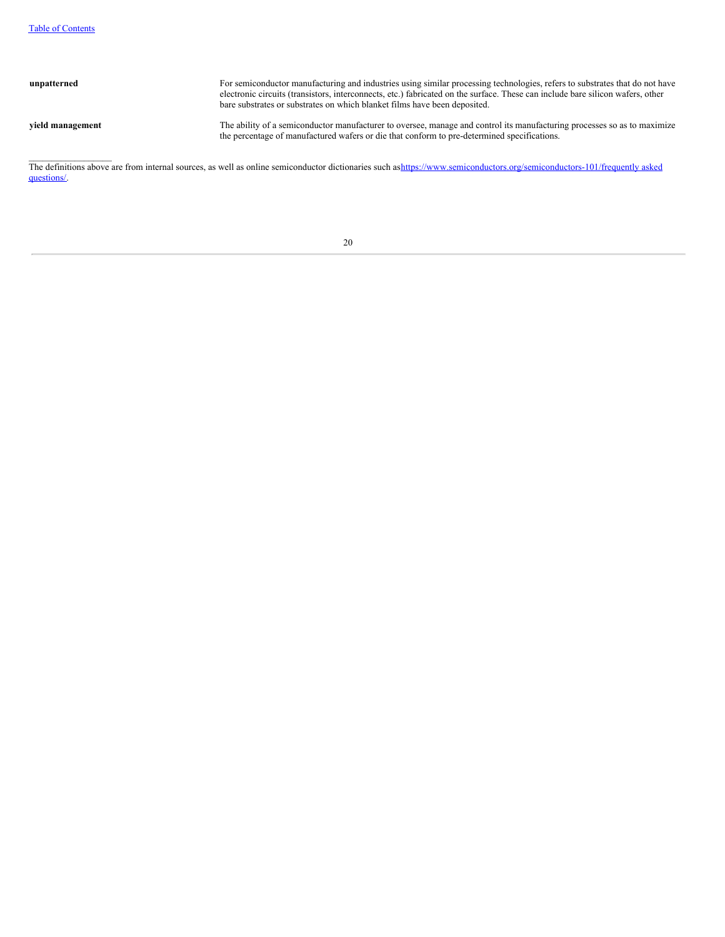$\mathcal{L}=\mathcal{L}^{\mathcal{L}}$  , where  $\mathcal{L}^{\mathcal{L}}$ 

| unpatterned      | For semiconductor manufacturing and industries using similar processing technologies, refers to substrates that do not have<br>electronic circuits (transistors, interconnects, etc.) fabricated on the surface. These can include bare silicon wafers, other<br>bare substrates or substrates on which blanket films have been deposited. |
|------------------|--------------------------------------------------------------------------------------------------------------------------------------------------------------------------------------------------------------------------------------------------------------------------------------------------------------------------------------------|
| vield management | The ability of a semiconductor manufacturer to oversee, manage and control its manufacturing processes so as to maximize<br>the percentage of manufactured wafers or die that conform to pre-determined specifications.                                                                                                                    |

<span id="page-22-0"></span>The definitions above are from internal sources, as well as online semiconductor dictionaries such ashttps://www.semiconductors.org/semiconductors-101/frequently asked questions/.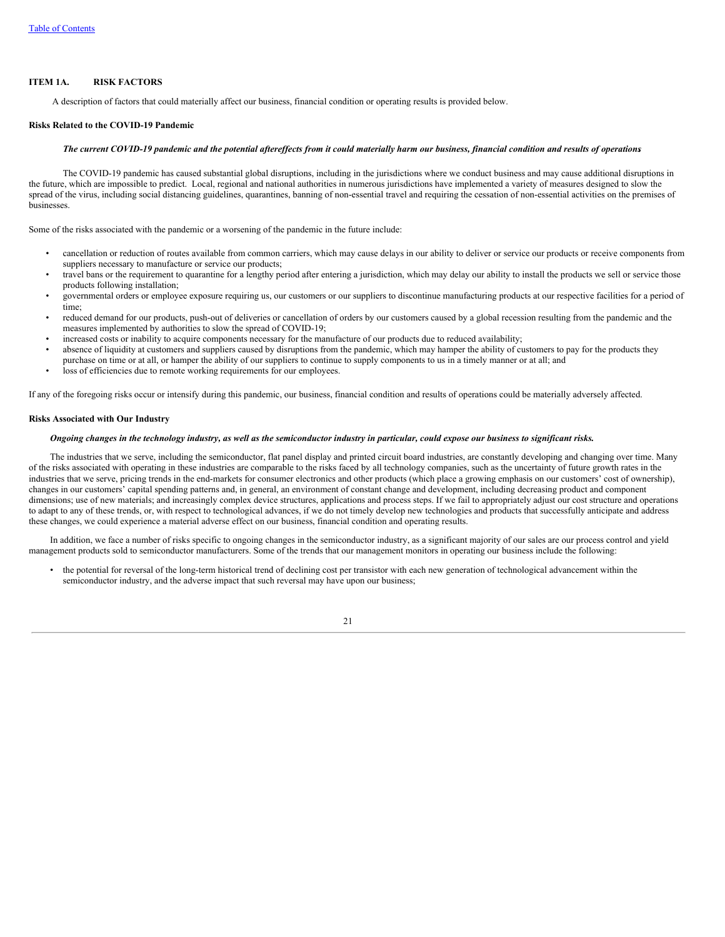# **ITEM 1A. RISK FACTORS**

A description of factors that could materially affect our business, financial condition or operating results is provided below.

# **Risks Related to the COVID-19 Pandemic**

# The current COVID-19 pandemic and the potential aftereffects from it could materially harm our business, financial condition and results of operations

The COVID-19 pandemic has caused substantial global disruptions, including in the jurisdictions where we conduct business and may cause additional disruptions in the future, which are impossible to predict. Local, regional and national authorities in numerous jurisdictions have implemented a variety of measures designed to slow the spread of the virus, including social distancing guidelines, quarantines, banning of non-essential travel and requiring the cessation of non-essential activities on the premises of businesses.

Some of the risks associated with the pandemic or a worsening of the pandemic in the future include:

- cancellation or reduction of routes available from common carriers, which may cause delays in our ability to deliver or service our products or receive components from suppliers necessary to manufacture or service our products;
- travel bans or the requirement to quarantine for a lengthy period after entering a jurisdiction, which may delay our ability to install the products we sell or service those products following installation;
- governmental orders or employee exposure requiring us, our customers or our suppliers to discontinue manufacturing products at our respective facilities for a period of time;
- reduced demand for our products, push-out of deliveries or cancellation of orders by our customers caused by a global recession resulting from the pandemic and the measures implemented by authorities to slow the spread of COVID-19;
- increased costs or inability to acquire components necessary for the manufacture of our products due to reduced availability;
- absence of liquidity at customers and suppliers caused by disruptions from the pandemic, which may hamper the ability of customers to pay for the products they purchase on time or at all, or hamper the ability of our suppliers to continue to supply components to us in a timely manner or at all; and
- loss of efficiencies due to remote working requirements for our employees.

If any of the foregoing risks occur or intensify during this pandemic, our business, financial condition and results of operations could be materially adversely affected.

### **Risks Associated with Our Industry**

### Ongoing changes in the technology industry, as well as the semiconductor industry in particular, could expose our business to significant risks.

The industries that we serve, including the semiconductor, flat panel display and printed circuit board industries, are constantly developing and changing over time. Many of the risks associated with operating in these industries are comparable to the risks faced by all technology companies, such as the uncertainty of future growth rates in the industries that we serve, pricing trends in the end-markets for consumer electronics and other products (which place a growing emphasis on our customers' cost of ownership), changes in our customers' capital spending patterns and, in general, an environment of constant change and development, including decreasing product and component dimensions; use of new materials; and increasingly complex device structures, applications and process steps. If we fail to appropriately adjust our cost structure and operations to adapt to any of these trends, or, with respect to technological advances, if we do not timely develop new technologies and products that successfully anticipate and address these changes, we could experience a material adverse effect on our business, financial condition and operating results.

In addition, we face a number of risks specific to ongoing changes in the semiconductor industry, as a significant majority of our sales are our process control and yield management products sold to semiconductor manufacturers. Some of the trends that our management monitors in operating our business include the following:

• the potential for reversal of the long-term historical trend of declining cost per transistor with each new generation of technological advancement within the semiconductor industry, and the adverse impact that such reversal may have upon our business;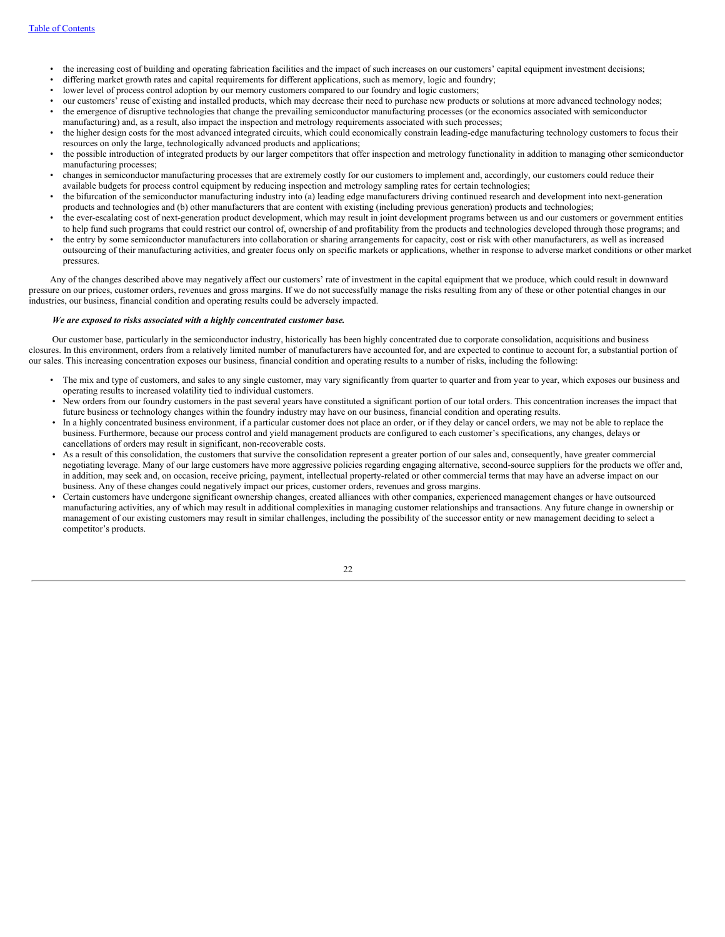- the increasing cost of building and operating fabrication facilities and the impact of such increases on our customers' capital equipment investment decisions;
- differing market growth rates and capital requirements for different applications, such as memory, logic and foundry;
- lower level of process control adoption by our memory customers compared to our foundry and logic customers;
- our customers' reuse of existing and installed products, which may decrease their need to purchase new products or solutions at more advanced technology nodes;
- the emergence of disruptive technologies that change the prevailing semiconductor manufacturing processes (or the economics associated with semiconductor manufacturing) and, as a result, also impact the inspection and metrology requirements associated with such processes;
- the higher design costs for the most advanced integrated circuits, which could economically constrain leading-edge manufacturing technology customers to focus their resources on only the large, technologically advanced products and applications;
- the possible introduction of integrated products by our larger competitors that offer inspection and metrology functionality in addition to managing other semiconductor manufacturing processes;
- changes in semiconductor manufacturing processes that are extremely costly for our customers to implement and, accordingly, our customers could reduce their available budgets for process control equipment by reducing inspection and metrology sampling rates for certain technologies;
- the bifurcation of the semiconductor manufacturing industry into (a) leading edge manufacturers driving continued research and development into next-generation products and technologies and (b) other manufacturers that are content with existing (including previous generation) products and technologies;
- the ever-escalating cost of next-generation product development, which may result in joint development programs between us and our customers or government entities to help fund such programs that could restrict our control of, ownership of and profitability from the products and technologies developed through those programs; and
- the entry by some semiconductor manufacturers into collaboration or sharing arrangements for capacity, cost or risk with other manufacturers, as well as increased outsourcing of their manufacturing activities, and greater focus only on specific markets or applications, whether in response to adverse market conditions or other market **pressures**.

Any of the changes described above may negatively affect our customers' rate of investment in the capital equipment that we produce, which could result in downward pressure on our prices, customer orders, revenues and gross margins. If we do not successfully manage the risks resulting from any of these or other potential changes in our industries, our business, financial condition and operating results could be adversely impacted.

# *We are exposed to risks associated with a highly concentrated customer base.*

Our customer base, particularly in the semiconductor industry, historically has been highly concentrated due to corporate consolidation, acquisitions and business closures. In this environment, orders from a relatively limited number of manufacturers have accounted for, and are expected to continue to account for, a substantial portion of our sales. This increasing concentration exposes our business, financial condition and operating results to a number of risks, including the following:

- The mix and type of customers, and sales to any single customer, may vary significantly from quarter to quarter and from year to year, which exposes our business and operating results to increased volatility tied to individual customers.
- New orders from our foundry customers in the past several years have constituted a significant portion of our total orders. This concentration increases the impact that future business or technology changes within the foundry industry may have on our business, financial condition and operating results.
- In a highly concentrated business environment, if a particular customer does not place an order, or if they delay or cancel orders, we may not be able to replace the business. Furthermore, because our process control and yield management products are configured to each customer's specifications, any changes, delays or cancellations of orders may result in significant, non-recoverable costs.
- As a result of this consolidation, the customers that survive the consolidation represent a greater portion of our sales and, consequently, have greater commercial negotiating leverage. Many of our large customers have more aggressive policies regarding engaging alternative, second-source suppliers for the products we offer and, in addition, may seek and, on occasion, receive pricing, payment, intellectual property-related or other commercial terms that may have an adverse impact on our business. Any of these changes could negatively impact our prices, customer orders, revenues and gross margins.
- Certain customers have undergone significant ownership changes, created alliances with other companies, experienced management changes or have outsourced manufacturing activities, any of which may result in additional complexities in managing customer relationships and transactions. Any future change in ownership or management of our existing customers may result in similar challenges, including the possibility of the successor entity or new management deciding to select a competitor's products.

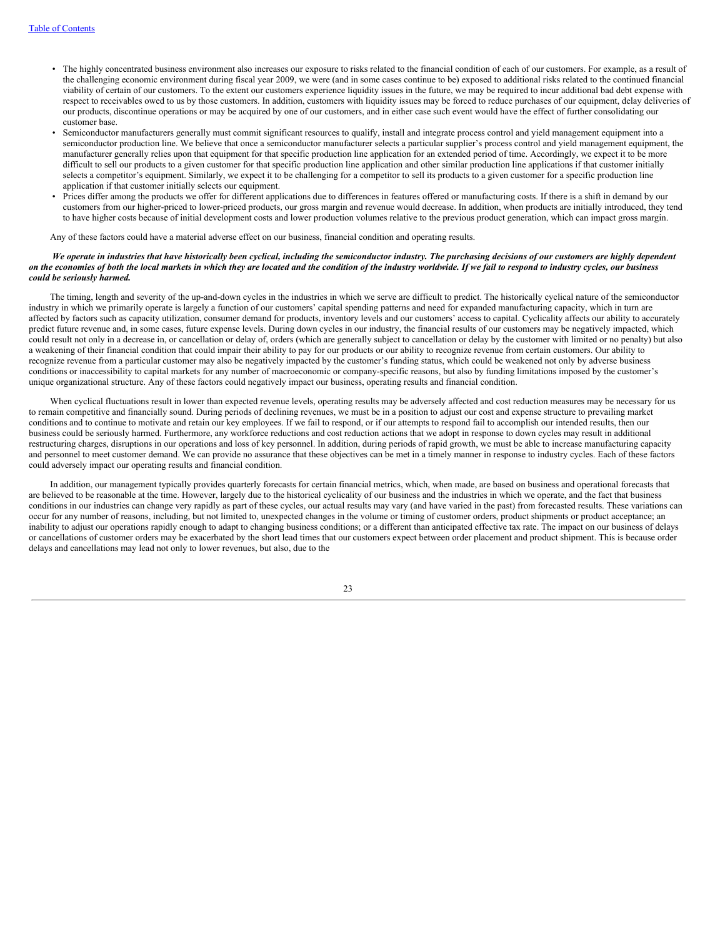- The highly concentrated business environment also increases our exposure to risks related to the financial condition of each of our customers. For example, as a result of the challenging economic environment during fiscal year 2009, we were (and in some cases continue to be) exposed to additional risks related to the continued financial viability of certain of our customers. To the extent our customers experience liquidity issues in the future, we may be required to incur additional bad debt expense with respect to receivables owed to us by those customers. In addition, customers with liquidity issues may be forced to reduce purchases of our equipment, delay deliveries of our products, discontinue operations or may be acquired by one of our customers, and in either case such event would have the effect of further consolidating our customer base.
- Semiconductor manufacturers generally must commit significant resources to qualify, install and integrate process control and yield management equipment into a semiconductor production line. We believe that once a semiconductor manufacturer selects a particular supplier's process control and yield management equipment, the manufacturer generally relies upon that equipment for that specific production line application for an extended period of time. Accordingly, we expect it to be more difficult to sell our products to a given customer for that specific production line application and other similar production line applications if that customer initially selects a competitor's equipment. Similarly, we expect it to be challenging for a competitor to sell its products to a given customer for a specific production line application if that customer initially selects our equipment.
- Prices differ among the products we offer for different applications due to differences in features offered or manufacturing costs. If there is a shift in demand by our customers from our higher-priced to lower-priced products, our gross margin and revenue would decrease. In addition, when products are initially introduced, they tend to have higher costs because of initial development costs and lower production volumes relative to the previous product generation, which can impact gross margin.

Any of these factors could have a material adverse effect on our business, financial condition and operating results.

## We operate in industries that have historically been cyclical, including the semiconductor industry. The purchasing decisions of our customers are highly dependent on the economies of both the local markets in which they are located and the condition of the industry worldwide. If we fail to respond to industry cycles, our business *could be seriously harmed.*

The timing, length and severity of the up-and-down cycles in the industries in which we serve are difficult to predict. The historically cyclical nature of the semiconductor industry in which we primarily operate is largely a function of our customers' capital spending patterns and need for expanded manufacturing capacity, which in turn are affected by factors such as capacity utilization, consumer demand for products, inventory levels and our customers' access to capital. Cyclicality affects our ability to accurately predict future revenue and, in some cases, future expense levels. During down cycles in our industry, the financial results of our customers may be negatively impacted, which could result not only in a decrease in, or cancellation or delay of, orders (which are generally subject to cancellation or delay by the customer with limited or no penalty) but also a weakening of their financial condition that could impair their ability to pay for our products or our ability to recognize revenue from certain customers. Our ability to recognize revenue from a particular customer may also be negatively impacted by the customer's funding status, which could be weakened not only by adverse business conditions or inaccessibility to capital markets for any number of macroeconomic or company-specific reasons, but also by funding limitations imposed by the customer's unique organizational structure. Any of these factors could negatively impact our business, operating results and financial condition.

When cyclical fluctuations result in lower than expected revenue levels, operating results may be adversely affected and cost reduction measures may be necessary for us to remain competitive and financially sound. During periods of declining revenues, we must be in a position to adjust our cost and expense structure to prevailing market conditions and to continue to motivate and retain our key employees. If we fail to respond, or if our attempts to respond fail to accomplish our intended results, then our business could be seriously harmed. Furthermore, any workforce reductions and cost reduction actions that we adopt in response to down cycles may result in additional restructuring charges, disruptions in our operations and loss of key personnel. In addition, during periods of rapid growth, we must be able to increase manufacturing capacity and personnel to meet customer demand. We can provide no assurance that these objectives can be met in a timely manner in response to industry cycles. Each of these factors could adversely impact our operating results and financial condition.

In addition, our management typically provides quarterly forecasts for certain financial metrics, which, when made, are based on business and operational forecasts that are believed to be reasonable at the time. However, largely due to the historical cyclicality of our business and the industries in which we operate, and the fact that business conditions in our industries can change very rapidly as part of these cycles, our actual results may vary (and have varied in the past) from forecasted results. These variations can occur for any number of reasons, including, but not limited to, unexpected changes in the volume or timing of customer orders, product shipments or product acceptance; an inability to adjust our operations rapidly enough to adapt to changing business conditions; or a different than anticipated effective tax rate. The impact on our business of delays or cancellations of customer orders may be exacerbated by the short lead times that our customers expect between order placement and product shipment. This is because order delays and cancellations may lead not only to lower revenues, but also, due to the

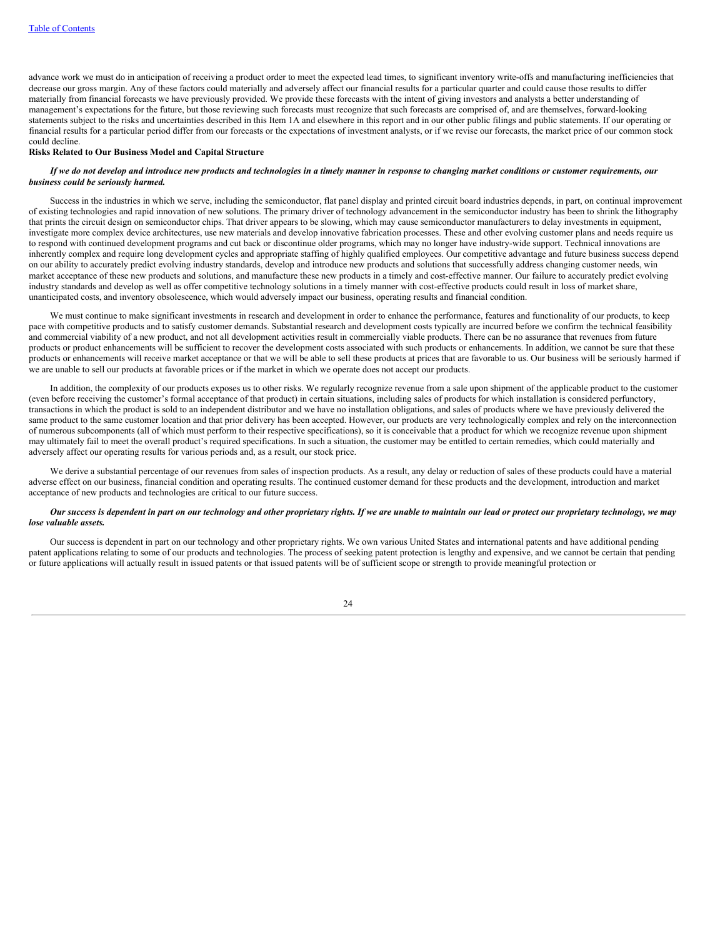advance work we must do in anticipation of receiving a product order to meet the expected lead times, to significant inventory write-offs and manufacturing inefficiencies that decrease our gross margin. Any of these factors could materially and adversely affect our financial results for a particular quarter and could cause those results to differ materially from financial forecasts we have previously provided. We provide these forecasts with the intent of giving investors and analysts a better understanding of management's expectations for the future, but those reviewing such forecasts must recognize that such forecasts are comprised of, and are themselves, forward-looking statements subject to the risks and uncertainties described in this Item 1A and elsewhere in this report and in our other public filings and public statements. If our operating or financial results for a particular period differ from our forecasts or the expectations of investment analysts, or if we revise our forecasts, the market price of our common stock could decline.

### **Risks Related to Our Business Model and Capital Structure**

### If we do not develop and introduce new products and technologies in a timely manner in response to changing market conditions or customer requirements, our *business could be seriously harmed.*

Success in the industries in which we serve, including the semiconductor, flat panel display and printed circuit board industries depends, in part, on continual improvement of existing technologies and rapid innovation of new solutions. The primary driver of technology advancement in the semiconductor industry has been to shrink the lithography that prints the circuit design on semiconductor chips. That driver appears to be slowing, which may cause semiconductor manufacturers to delay investments in equipment, investigate more complex device architectures, use new materials and develop innovative fabrication processes. These and other evolving customer plans and needs require us to respond with continued development programs and cut back or discontinue older programs, which may no longer have industry-wide support. Technical innovations are inherently complex and require long development cycles and appropriate staffing of highly qualified employees. Our competitive advantage and future business success depend on our ability to accurately predict evolving industry standards, develop and introduce new products and solutions that successfully address changing customer needs, win market acceptance of these new products and solutions, and manufacture these new products in a timely and cost-effective manner. Our failure to accurately predict evolving industry standards and develop as well as offer competitive technology solutions in a timely manner with cost-effective products could result in loss of market share, unanticipated costs, and inventory obsolescence, which would adversely impact our business, operating results and financial condition.

We must continue to make significant investments in research and development in order to enhance the performance, features and functionality of our products, to keep pace with competitive products and to satisfy customer demands. Substantial research and development costs typically are incurred before we confirm the technical feasibility and commercial viability of a new product, and not all development activities result in commercially viable products. There can be no assurance that revenues from future products or product enhancements will be sufficient to recover the development costs associated with such products or enhancements. In addition, we cannot be sure that these products or enhancements will receive market acceptance or that we will be able to sell these products at prices that are favorable to us. Our business will be seriously harmed if we are unable to sell our products at favorable prices or if the market in which we operate does not accept our products.

In addition, the complexity of our products exposes us to other risks. We regularly recognize revenue from a sale upon shipment of the applicable product to the customer (even before receiving the customer's formal acceptance of that product) in certain situations, including sales of products for which installation is considered perfunctory, transactions in which the product is sold to an independent distributor and we have no installation obligations, and sales of products where we have previously delivered the same product to the same customer location and that prior delivery has been accepted. However, our products are very technologically complex and rely on the interconnection of numerous subcomponents (all of which must perform to their respective specifications), so it is conceivable that a product for which we recognize revenue upon shipment may ultimately fail to meet the overall product's required specifications. In such a situation, the customer may be entitled to certain remedies, which could materially and adversely affect our operating results for various periods and, as a result, our stock price.

We derive a substantial percentage of our revenues from sales of inspection products. As a result, any delay or reduction of sales of these products could have a material adverse effect on our business, financial condition and operating results. The continued customer demand for these products and the development, introduction and market acceptance of new products and technologies are critical to our future success.

### Our success is dependent in part on our technology and other proprietary rights. If we are unable to maintain our lead or protect our proprietary technology, we may *lose valuable assets.*

Our success is dependent in part on our technology and other proprietary rights. We own various United States and international patents and have additional pending patent applications relating to some of our products and technologies. The process of seeking patent protection is lengthy and expensive, and we cannot be certain that pending or future applications will actually result in issued patents or that issued patents will be of sufficient scope or strength to provide meaningful protection or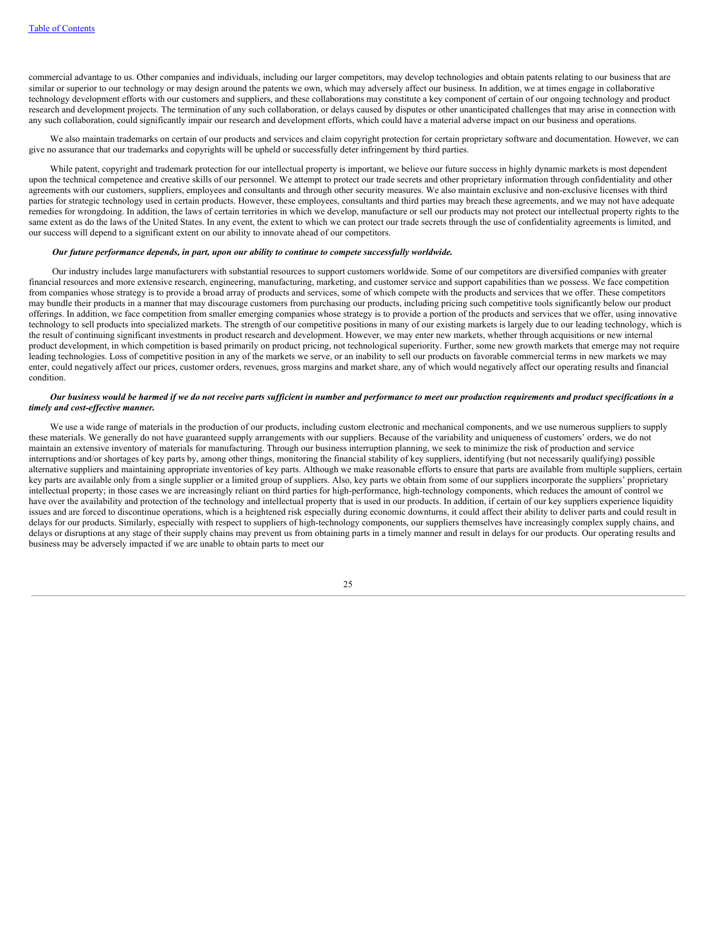commercial advantage to us. Other companies and individuals, including our larger competitors, may develop technologies and obtain patents relating to our business that are similar or superior to our technology or may design around the patents we own, which may adversely affect our business. In addition, we at times engage in collaborative technology development efforts with our customers and suppliers, and these collaborations may constitute a key component of certain of our ongoing technology and product research and development projects. The termination of any such collaboration, or delays caused by disputes or other unanticipated challenges that may arise in connection with any such collaboration, could significantly impair our research and development efforts, which could have a material adverse impact on our business and operations.

We also maintain trademarks on certain of our products and services and claim copyright protection for certain proprietary software and documentation. However, we can give no assurance that our trademarks and copyrights will be upheld or successfully deter infringement by third parties.

While patent, copyright and trademark protection for our intellectual property is important, we believe our future success in highly dynamic markets is most dependent upon the technical competence and creative skills of our personnel. We attempt to protect our trade secrets and other proprietary information through confidentiality and other agreements with our customers, suppliers, employees and consultants and through other security measures. We also maintain exclusive and non-exclusive licenses with third parties for strategic technology used in certain products. However, these employees, consultants and third parties may breach these agreements, and we may not have adequate remedies for wrongdoing. In addition, the laws of certain territories in which we develop, manufacture or sell our products may not protect our intellectual property rights to the same extent as do the laws of the United States. In any event, the extent to which we can protect our trade secrets through the use of confidentiality agreements is limited, and our success will depend to a significant extent on our ability to innovate ahead of our competitors.

# *Our future performance depends, in part, upon our ability to continue to compete successfully worldwide.*

Our industry includes large manufacturers with substantial resources to support customers worldwide. Some of our competitors are diversified companies with greater financial resources and more extensive research, engineering, manufacturing, marketing, and customer service and support capabilities than we possess. We face competition from companies whose strategy is to provide a broad array of products and services, some of which compete with the products and services that we offer. These competitors may bundle their products in a manner that may discourage customers from purchasing our products, including pricing such competitive tools significantly below our product offerings. In addition, we face competition from smaller emerging companies whose strategy is to provide a portion of the products and services that we offer, using innovative technology to sell products into specialized markets. The strength of our competitive positions in many of our existing markets is largely due to our leading technology, which is the result of continuing significant investments in product research and development. However, we may enter new markets, whether through acquisitions or new internal product development, in which competition is based primarily on product pricing, not technological superiority. Further, some new growth markets that emerge may not require leading technologies. Loss of competitive position in any of the markets we serve, or an inability to sell our products on favorable commercial terms in new markets we may enter, could negatively affect our prices, customer orders, revenues, gross margins and market share, any of which would negatively affect our operating results and financial condition.

# Our business would be harmed if we do not receive parts sufficient in number and performance to meet our production requirements and product specifications in a *timely and cost-ef ective manner.*

We use a wide range of materials in the production of our products, including custom electronic and mechanical components, and we use numerous suppliers to supply these materials. We generally do not have guaranteed supply arrangements with our suppliers. Because of the variability and uniqueness of customers' orders, we do not maintain an extensive inventory of materials for manufacturing. Through our business interruption planning, we seek to minimize the risk of production and service interruptions and/or shortages of key parts by, among other things, monitoring the financial stability of key suppliers, identifying (but not necessarily qualifying) possible alternative suppliers and maintaining appropriate inventories of key parts. Although we make reasonable efforts to ensure that parts are available from multiple suppliers, certain key parts are available only from a single supplier or a limited group of suppliers. Also, key parts we obtain from some of our suppliers incorporate the suppliers' proprietary intellectual property; in those cases we are increasingly reliant on third parties for high-performance, high-technology components, which reduces the amount of control we have over the availability and protection of the technology and intellectual property that is used in our products. In addition, if certain of our key suppliers experience liquidity issues and are forced to discontinue operations, which is a heightened risk especially during economic downturns, it could affect their ability to deliver parts and could result in delays for our products. Similarly, especially with respect to suppliers of high-technology components, our suppliers themselves have increasingly complex supply chains, and delays or disruptions at any stage of their supply chains may prevent us from obtaining parts in a timely manner and result in delays for our products. Our operating results and business may be adversely impacted if we are unable to obtain parts to meet our

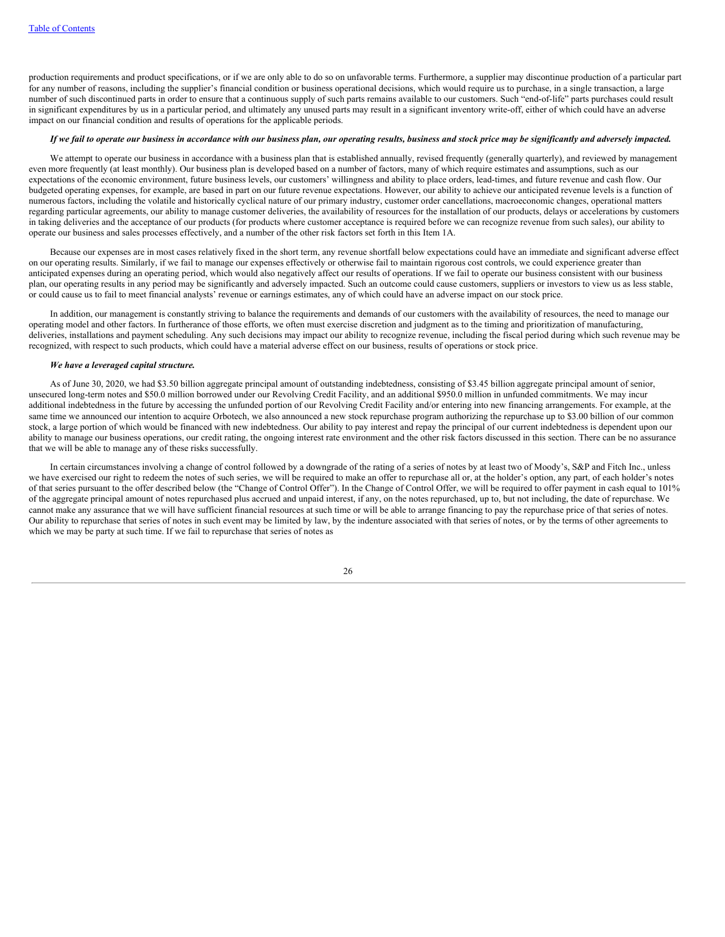production requirements and product specifications, or if we are only able to do so on unfavorable terms. Furthermore, a supplier may discontinue production of a particular part for any number of reasons, including the supplier's financial condition or business operational decisions, which would require us to purchase, in a single transaction, a large number of such discontinued parts in order to ensure that a continuous supply of such parts remains available to our customers. Such "end-of-life" parts purchases could result in significant expenditures by us in a particular period, and ultimately any unused parts may result in a significant inventory write-off, either of which could have an adverse impact on our financial condition and results of operations for the applicable periods.

### If we fail to operate our business in accordance with our business plan, our operating results, business and stock price may be significantly and adversely impacted.

We attempt to operate our business in accordance with a business plan that is established annually, revised frequently (generally quarterly), and reviewed by management even more frequently (at least monthly). Our business plan is developed based on a number of factors, many of which require estimates and assumptions, such as our expectations of the economic environment, future business levels, our customers' willingness and ability to place orders, lead-times, and future revenue and cash flow. Our budgeted operating expenses, for example, are based in part on our future revenue expectations. However, our ability to achieve our anticipated revenue levels is a function of numerous factors, including the volatile and historically cyclical nature of our primary industry, customer order cancellations, macroeconomic changes, operational matters regarding particular agreements, our ability to manage customer deliveries, the availability of resources for the installation of our products, delays or accelerations by customers in taking deliveries and the acceptance of our products (for products where customer acceptance is required before we can recognize revenue from such sales), our ability to operate our business and sales processes effectively, and a number of the other risk factors set forth in this Item 1A.

Because our expenses are in most cases relatively fixed in the short term, any revenue shortfall below expectations could have an immediate and significant adverse effect on our operating results. Similarly, if we fail to manage our expenses effectively or otherwise fail to maintain rigorous cost controls, we could experience greater than anticipated expenses during an operating period, which would also negatively affect our results of operations. If we fail to operate our business consistent with our business plan, our operating results in any period may be significantly and adversely impacted. Such an outcome could cause customers, suppliers or investors to view us as less stable, or could cause us to fail to meet financial analysts' revenue or earnings estimates, any of which could have an adverse impact on our stock price.

In addition, our management is constantly striving to balance the requirements and demands of our customers with the availability of resources, the need to manage our operating model and other factors. In furtherance of those efforts, we often must exercise discretion and judgment as to the timing and prioritization of manufacturing, deliveries, installations and payment scheduling. Any such decisions may impact our ability to recognize revenue, including the fiscal period during which such revenue may be recognized, with respect to such products, which could have a material adverse effect on our business, results of operations or stock price.

# *We have a leveraged capital structure.*

As of June 30, 2020, we had \$3.50 billion aggregate principal amount of outstanding indebtedness, consisting of \$3.45 billion aggregate principal amount of senior, unsecured long-term notes and \$50.0 million borrowed under our Revolving Credit Facility, and an additional \$950.0 million in unfunded commitments. We may incur additional indebtedness in the future by accessing the unfunded portion of our Revolving Credit Facility and/or entering into new financing arrangements. For example, at the same time we announced our intention to acquire Orbotech, we also announced a new stock repurchase program authorizing the repurchase up to \$3.00 billion of our common stock, a large portion of which would be financed with new indebtedness. Our ability to pay interest and repay the principal of our current indebtedness is dependent upon our ability to manage our business operations, our credit rating, the ongoing interest rate environment and the other risk factors discussed in this section. There can be no assurance that we will be able to manage any of these risks successfully.

In certain circumstances involving a change of control followed by a downgrade of the rating of a series of notes by at least two of Moody's, S&P and Fitch Inc., unless we have exercised our right to redeem the notes of such series, we will be required to make an offer to repurchase all or, at the holder's option, any part, of each holder's notes of that series pursuant to the offer described below (the "Change of Control Offer"). In the Change of Control Offer, we will be required to offer payment in cash equal to 101% of the aggregate principal amount of notes repurchased plus accrued and unpaid interest, if any, on the notes repurchased, up to, but not including, the date of repurchase. We cannot make any assurance that we will have sufficient financial resources at such time or will be able to arrange financing to pay the repurchase price of that series of notes. Our ability to repurchase that series of notes in such event may be limited by law, by the indenture associated with that series of notes, or by the terms of other agreements to which we may be party at such time. If we fail to repurchase that series of notes as

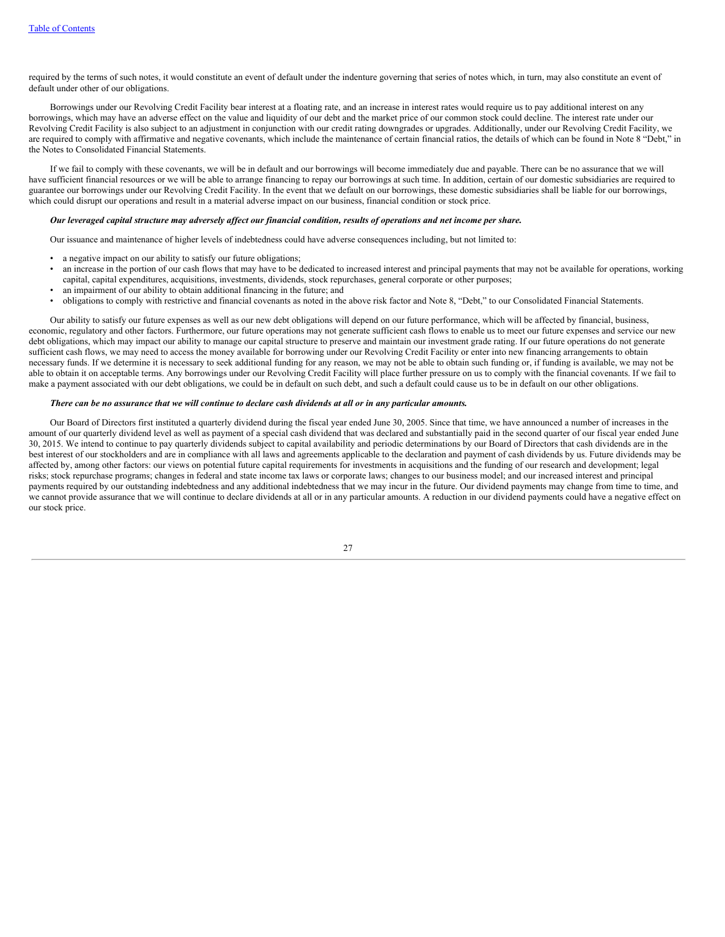required by the terms of such notes, it would constitute an event of default under the indenture governing that series of notes which, in turn, may also constitute an event of default under other of our obligations.

Borrowings under our Revolving Credit Facility bear interest at a floating rate, and an increase in interest rates would require us to pay additional interest on any borrowings, which may have an adverse effect on the value and liquidity of our debt and the market price of our common stock could decline. The interest rate under our Revolving Credit Facility is also subject to an adjustment in conjunction with our credit rating downgrades or upgrades. Additionally, under our Revolving Credit Facility, we are required to comply with affirmative and negative covenants, which include the maintenance of certain financial ratios, the details of which can be found in Note 8 "Debt," in the Notes to Consolidated Financial Statements.

If we fail to comply with these covenants, we will be in default and our borrowings will become immediately due and payable. There can be no assurance that we will have sufficient financial resources or we will be able to arrange financing to repay our borrowings at such time. In addition, certain of our domestic subsidiaries are required to guarantee our borrowings under our Revolving Credit Facility. In the event that we default on our borrowings, these domestic subsidiaries shall be liable for our borrowings, which could disrupt our operations and result in a material adverse impact on our business, financial condition or stock price.

## Our leveraged capital structure may adversely affect our financial condition, results of operations and net income per share.

Our issuance and maintenance of higher levels of indebtedness could have adverse consequences including, but not limited to:

- a negative impact on our ability to satisfy our future obligations;
- an increase in the portion of our cash flows that may have to be dedicated to increased interest and principal payments that may not be available for operations, working capital, capital expenditures, acquisitions, investments, dividends, stock repurchases, general corporate or other purposes;
- an impairment of our ability to obtain additional financing in the future; and
- obligations to comply with restrictive and financial covenants as noted in the above risk factor and Note 8, "Debt," to our Consolidated Financial Statements.

Our ability to satisfy our future expenses as well as our new debt obligations will depend on our future performance, which will be affected by financial, business, economic, regulatory and other factors. Furthermore, our future operations may not generate sufficient cash flows to enable us to meet our future expenses and service our new debt obligations, which may impact our ability to manage our capital structure to preserve and maintain our investment grade rating. If our future operations do not generate sufficient cash flows, we may need to access the money available for borrowing under our Revolving Credit Facility or enter into new financing arrangements to obtain necessary funds. If we determine it is necessary to seek additional funding for any reason, we may not be able to obtain such funding or, if funding is available, we may not be able to obtain it on acceptable terms. Any borrowings under our Revolving Credit Facility will place further pressure on us to comply with the financial covenants. If we fail to make a payment associated with our debt obligations, we could be in default on such debt, and such a default could cause us to be in default on our other obligations.

# There can be no assurance that we will continue to declare cash dividends at all or in any particular amounts.

Our Board of Directors first instituted a quarterly dividend during the fiscal year ended June 30, 2005. Since that time, we have announced a number of increases in the amount of our quarterly dividend level as well as payment of a special cash dividend that was declared and substantially paid in the second quarter of our fiscal year ended June 30, 2015. We intend to continue to pay quarterly dividends subject to capital availability and periodic determinations by our Board of Directors that cash dividends are in the best interest of our stockholders and are in compliance with all laws and agreements applicable to the declaration and payment of cash dividends by us. Future dividends may be affected by, among other factors: our views on potential future capital requirements for investments in acquisitions and the funding of our research and development; legal risks; stock repurchase programs; changes in federal and state income tax laws or corporate laws; changes to our business model; and our increased interest and principal payments required by our outstanding indebtedness and any additional indebtedness that we may incur in the future. Our dividend payments may change from time to time, and we cannot provide assurance that we will continue to declare dividends at all or in any particular amounts. A reduction in our dividend payments could have a negative effect on our stock price.

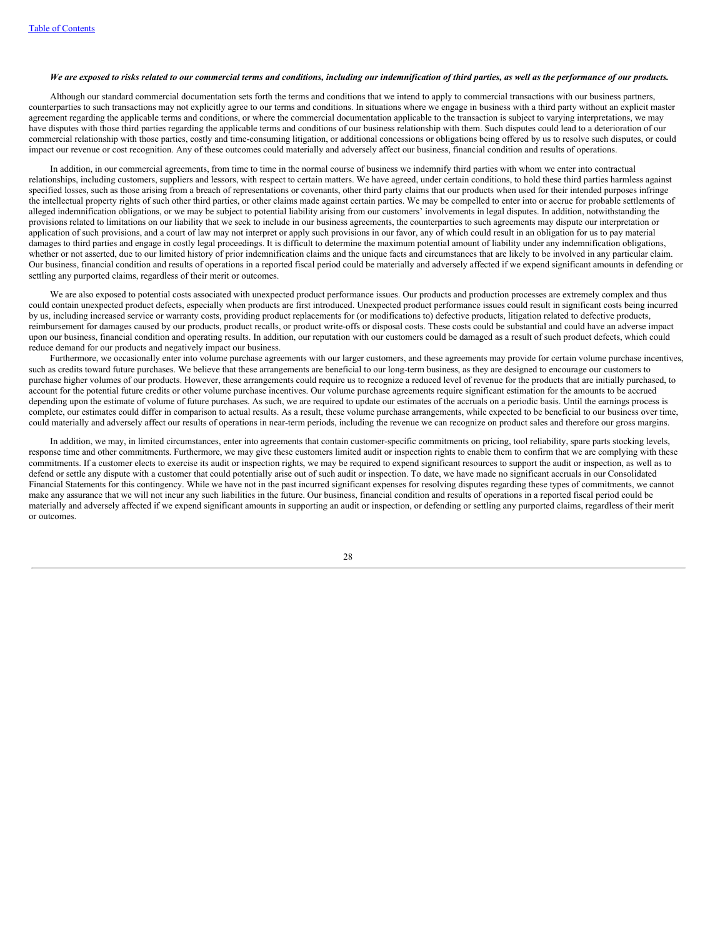## We are exposed to risks related to our commercial terms and conditions, including our indemnification of third parties, as well as the performance of our products.

Although our standard commercial documentation sets forth the terms and conditions that we intend to apply to commercial transactions with our business partners, counterparties to such transactions may not explicitly agree to our terms and conditions. In situations where we engage in business with a third party without an explicit master agreement regarding the applicable terms and conditions, or where the commercial documentation applicable to the transaction is subject to varying interpretations, we may have disputes with those third parties regarding the applicable terms and conditions of our business relationship with them. Such disputes could lead to a deterioration of our commercial relationship with those parties, costly and time-consuming litigation, or additional concessions or obligations being offered by us to resolve such disputes, or could impact our revenue or cost recognition. Any of these outcomes could materially and adversely affect our business, financial condition and results of operations.

In addition, in our commercial agreements, from time to time in the normal course of business we indemnify third parties with whom we enter into contractual relationships, including customers, suppliers and lessors, with respect to certain matters. We have agreed, under certain conditions, to hold these third parties harmless against specified losses, such as those arising from a breach of representations or covenants, other third party claims that our products when used for their intended purposes infringe the intellectual property rights of such other third parties, or other claims made against certain parties. We may be compelled to enter into or accrue for probable settlements of alleged indemnification obligations, or we may be subject to potential liability arising from our customers' involvements in legal disputes. In addition, notwithstanding the provisions related to limitations on our liability that we seek to include in our business agreements, the counterparties to such agreements may dispute our interpretation or application of such provisions, and a court of law may not interpret or apply such provisions in our favor, any of which could result in an obligation for us to pay material damages to third parties and engage in costly legal proceedings. It is difficult to determine the maximum potential amount of liability under any indemnification obligations, whether or not asserted, due to our limited history of prior indemnification claims and the unique facts and circumstances that are likely to be involved in any particular claim. Our business, financial condition and results of operations in a reported fiscal period could be materially and adversely affected if we expend significant amounts in defending or settling any purported claims, regardless of their merit or outcomes.

We are also exposed to potential costs associated with unexpected product performance issues. Our products and production processes are extremely complex and thus could contain unexpected product defects, especially when products are first introduced. Unexpected product performance issues could result in significant costs being incurred by us, including increased service or warranty costs, providing product replacements for (or modifications to) defective products, litigation related to defective products, reimbursement for damages caused by our products, product recalls, or product write-offs or disposal costs. These costs could be substantial and could have an adverse impact upon our business, financial condition and operating results. In addition, our reputation with our customers could be damaged as a result of such product defects, which could reduce demand for our products and negatively impact our business.

Furthermore, we occasionally enter into volume purchase agreements with our larger customers, and these agreements may provide for certain volume purchase incentives, such as credits toward future purchases. We believe that these arrangements are beneficial to our long-term business, as they are designed to encourage our customers to purchase higher volumes of our products. However, these arrangements could require us to recognize a reduced level of revenue for the products that are initially purchased, to account for the potential future credits or other volume purchase incentives. Our volume purchase agreements require significant estimation for the amounts to be accrued depending upon the estimate of volume of future purchases. As such, we are required to update our estimates of the accruals on a periodic basis. Until the earnings process is complete, our estimates could differ in comparison to actual results. As a result, these volume purchase arrangements, while expected to be beneficial to our business over time, could materially and adversely affect our results of operations in near-term periods, including the revenue we can recognize on product sales and therefore our gross margins.

In addition, we may, in limited circumstances, enter into agreements that contain customer-specific commitments on pricing, tool reliability, spare parts stocking levels, response time and other commitments. Furthermore, we may give these customers limited audit or inspection rights to enable them to confirm that we are complying with these commitments. If a customer elects to exercise its audit or inspection rights, we may be required to expend significant resources to support the audit or inspection, as well as to defend or settle any dispute with a customer that could potentially arise out of such audit or inspection. To date, we have made no significant accruals in our Consolidated Financial Statements for this contingency. While we have not in the past incurred significant expenses for resolving disputes regarding these types of commitments, we cannot make any assurance that we will not incur any such liabilities in the future. Our business, financial condition and results of operations in a reported fiscal period could be materially and adversely affected if we expend significant amounts in supporting an audit or inspection, or defending or settling any purported claims, regardless of their merit or outcomes.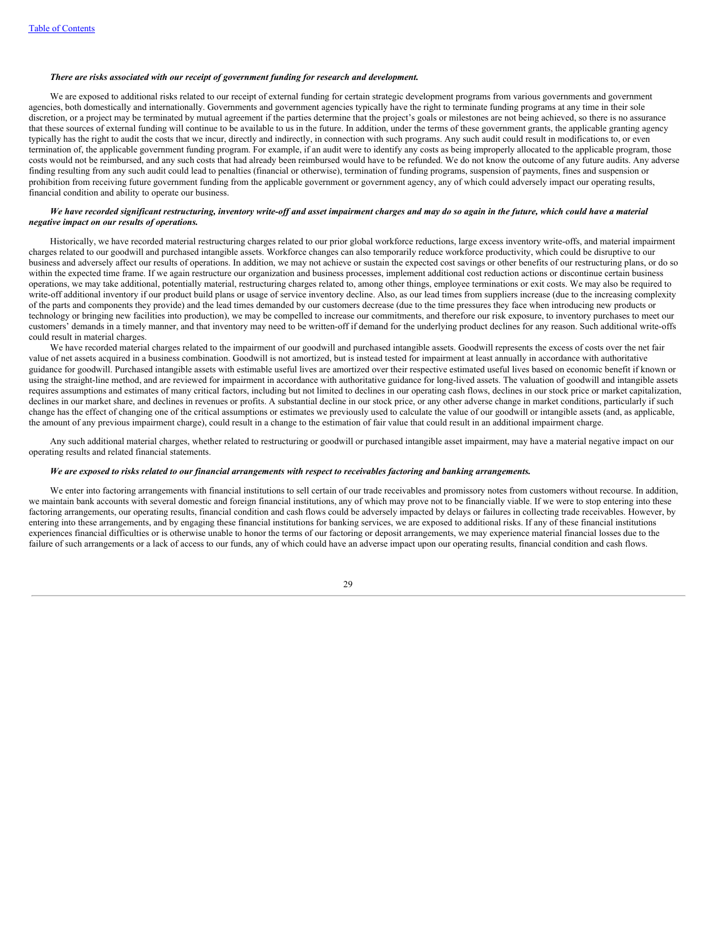## *There are risks associated with our receipt of government funding for research and development.*

We are exposed to additional risks related to our receipt of external funding for certain strategic development programs from various governments and government agencies, both domestically and internationally. Governments and government agencies typically have the right to terminate funding programs at any time in their sole discretion, or a project may be terminated by mutual agreement if the parties determine that the project's goals or milestones are not being achieved, so there is no assurance that these sources of external funding will continue to be available to us in the future. In addition, under the terms of these government grants, the applicable granting agency typically has the right to audit the costs that we incur, directly and indirectly, in connection with such programs. Any such audit could result in modifications to, or even termination of, the applicable government funding program. For example, if an audit were to identify any costs as being improperly allocated to the applicable program, those costs would not be reimbursed, and any such costs that had already been reimbursed would have to be refunded. We do not know the outcome of any future audits. Any adverse finding resulting from any such audit could lead to penalties (financial or otherwise), termination of funding programs, suspension of payments, fines and suspension or prohibition from receiving future government funding from the applicable government or government agency, any of which could adversely impact our operating results, financial condition and ability to operate our business.

### We have recorded significant restructuring, inventory write-off and asset impairment charges and may do so again in the future, which could have a material *negative impact on our results of operations.*

Historically, we have recorded material restructuring charges related to our prior global workforce reductions, large excess inventory write-offs, and material impairment charges related to our goodwill and purchased intangible assets. Workforce changes can also temporarily reduce workforce productivity, which could be disruptive to our business and adversely affect our results of operations. In addition, we may not achieve or sustain the expected cost savings or other benefits of our restructuring plans, or do so within the expected time frame. If we again restructure our organization and business processes, implement additional cost reduction actions or discontinue certain business operations, we may take additional, potentially material, restructuring charges related to, among other things, employee terminations or exit costs. We may also be required to write-off additional inventory if our product build plans or usage of service inventory decline. Also, as our lead times from suppliers increase (due to the increasing complexity of the parts and components they provide) and the lead times demanded by our customers decrease (due to the time pressures they face when introducing new products or technology or bringing new facilities into production), we may be compelled to increase our commitments, and therefore our risk exposure, to inventory purchases to meet our customers' demands in a timely manner, and that inventory may need to be written-off if demand for the underlying product declines for any reason. Such additional write-offs could result in material charges.

We have recorded material charges related to the impairment of our goodwill and purchased intangible assets. Goodwill represents the excess of costs over the net fair value of net assets acquired in a business combination. Goodwill is not amortized, but is instead tested for impairment at least annually in accordance with authoritative guidance for goodwill. Purchased intangible assets with estimable useful lives are amortized over their respective estimated useful lives based on economic benefit if known or using the straight-line method, and are reviewed for impairment in accordance with authoritative guidance for long-lived assets. The valuation of goodwill and intangible assets requires assumptions and estimates of many critical factors, including but not limited to declines in our operating cash flows, declines in our stock price or market capitalization, declines in our market share, and declines in revenues or profits. A substantial decline in our stock price, or any other adverse change in market conditions, particularly if such change has the effect of changing one of the critical assumptions or estimates we previously used to calculate the value of our goodwill or intangible assets (and, as applicable, the amount of any previous impairment charge), could result in a change to the estimation of fair value that could result in an additional impairment charge.

Any such additional material charges, whether related to restructuring or goodwill or purchased intangible asset impairment, may have a material negative impact on our operating results and related financial statements.

#### We are exposed to risks related to our financial arrangements with respect to receivables factoring and banking arrangements.

We enter into factoring arrangements with financial institutions to sell certain of our trade receivables and promissory notes from customers without recourse. In addition, we maintain bank accounts with several domestic and foreign financial institutions, any of which may prove not to be financially viable. If we were to stop entering into these factoring arrangements, our operating results, financial condition and cash flows could be adversely impacted by delays or failures in collecting trade receivables. However, by entering into these arrangements, and by engaging these financial institutions for banking services, we are exposed to additional risks. If any of these financial institutions experiences financial difficulties or is otherwise unable to honor the terms of our factoring or deposit arrangements, we may experience material financial losses due to the failure of such arrangements or a lack of access to our funds, any of which could have an adverse impact upon our operating results, financial condition and cash flows.

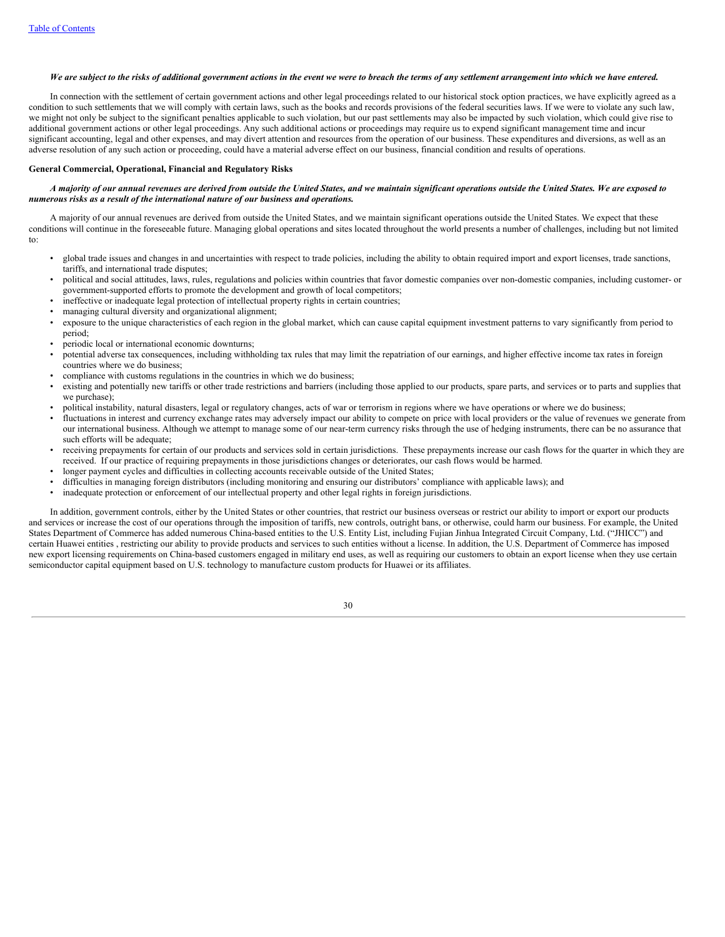## We are subject to the risks of additional government actions in the event we were to breach the terms of any settlement arrangement into which we have entered.

In connection with the settlement of certain government actions and other legal proceedings related to our historical stock option practices, we have explicitly agreed as a condition to such settlements that we will comply with certain laws, such as the books and records provisions of the federal securities laws. If we were to violate any such law, we might not only be subject to the significant penalties applicable to such violation, but our past settlements may also be impacted by such violation, which could give rise to additional government actions or other legal proceedings. Any such additional actions or proceedings may require us to expend significant management time and incur significant accounting, legal and other expenses, and may divert attention and resources from the operation of our business. These expenditures and diversions, as well as an adverse resolution of any such action or proceeding, could have a material adverse effect on our business, financial condition and results of operations.

# **General Commercial, Operational, Financial and Regulatory Risks**

### A majority of our annual revenues are derived from outside the United States, and we maintain significant operations outside the United States. We are exposed to *numerous risks as a result of the international nature of our business and operations.*

A majority of our annual revenues are derived from outside the United States, and we maintain significant operations outside the United States. We expect that these conditions will continue in the foreseeable future. Managing global operations and sites located throughout the world presents a number of challenges, including but not limited to:

- global trade issues and changes in and uncertainties with respect to trade policies, including the ability to obtain required import and export licenses, trade sanctions, tariffs, and international trade disputes;
- political and social attitudes, laws, rules, regulations and policies within countries that favor domestic companies over non-domestic companies, including customer- or government-supported efforts to promote the development and growth of local competitors;
- ineffective or inadequate legal protection of intellectual property rights in certain countries;
- managing cultural diversity and organizational alignment;
- exposure to the unique characteristics of each region in the global market, which can cause capital equipment investment patterns to vary significantly from period to period;
- periodic local or international economic downturns;
- potential adverse tax consequences, including withholding tax rules that may limit the repatriation of our earnings, and higher effective income tax rates in foreign countries where we do business;
- compliance with customs regulations in the countries in which we do business;
- existing and potentially new tariffs or other trade restrictions and barriers (including those applied to our products, spare parts, and services or to parts and supplies that we purchase);
- political instability, natural disasters, legal or regulatory changes, acts of war or terrorism in regions where we have operations or where we do business;
- fluctuations in interest and currency exchange rates may adversely impact our ability to compete on price with local providers or the value of revenues we generate from our international business. Although we attempt to manage some of our near-term currency risks through the use of hedging instruments, there can be no assurance that such efforts will be adequate;
- receiving prepayments for certain of our products and services sold in certain jurisdictions. These prepayments increase our cash flows for the quarter in which they are received. If our practice of requiring prepayments in those jurisdictions changes or deteriorates, our cash flows would be harmed.
- longer payment cycles and difficulties in collecting accounts receivable outside of the United States;
- difficulties in managing foreign distributors (including monitoring and ensuring our distributors' compliance with applicable laws); and
- inadequate protection or enforcement of our intellectual property and other legal rights in foreign jurisdictions.

In addition, government controls, either by the United States or other countries, that restrict our business overseas or restrict our ability to import or export our products and services or increase the cost of our operations through the imposition of tariffs, new controls, outright bans, or otherwise, could harm our business. For example, the United States Department of Commerce has added numerous China-based entities to the U.S. Entity List, including Fujian Jinhua Integrated Circuit Company, Ltd. ("JHICC") and certain Huawei entities , restricting our ability to provide products and services to such entities without a license. In addition, the U.S. Department of Commerce has imposed new export licensing requirements on China-based customers engaged in military end uses, as well as requiring our customers to obtain an export license when they use certain semiconductor capital equipment based on U.S. technology to manufacture custom products for Huawei or its affiliates.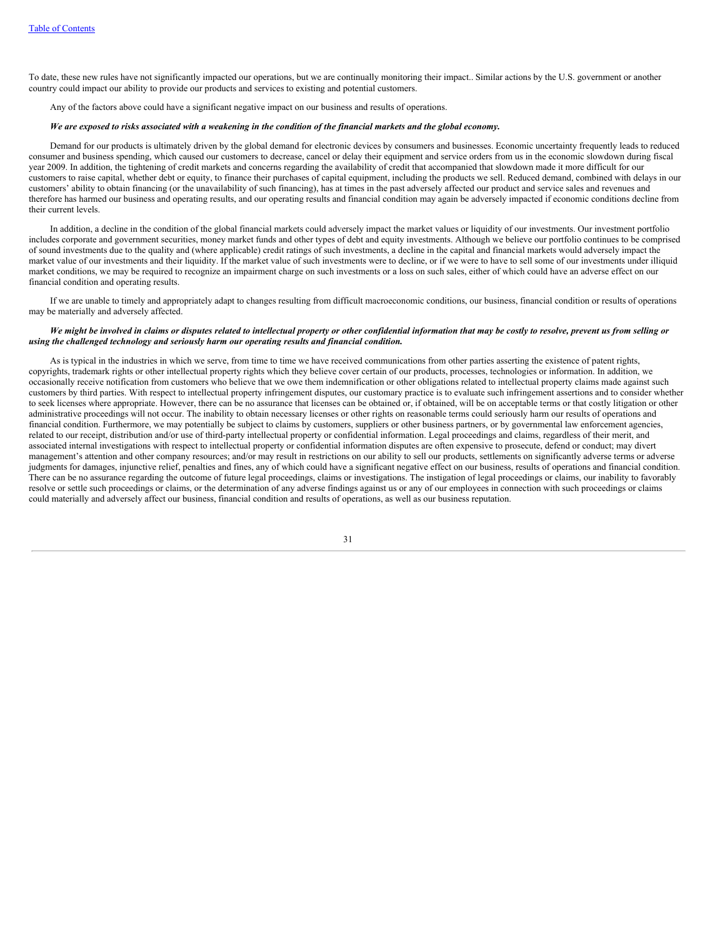To date, these new rules have not significantly impacted our operations, but we are continually monitoring their impact.. Similar actions by the U.S. government or another country could impact our ability to provide our products and services to existing and potential customers.

Any of the factors above could have a significant negative impact on our business and results of operations.

#### We are exposed to risks associated with a weakening in the condition of the financial markets and the global economy.

Demand for our products is ultimately driven by the global demand for electronic devices by consumers and businesses. Economic uncertainty frequently leads to reduced consumer and business spending, which caused our customers to decrease, cancel or delay their equipment and service orders from us in the economic slowdown during fiscal year 2009. In addition, the tightening of credit markets and concerns regarding the availability of credit that accompanied that slowdown made it more difficult for our customers to raise capital, whether debt or equity, to finance their purchases of capital equipment, including the products we sell. Reduced demand, combined with delays in our customers' ability to obtain financing (or the unavailability of such financing), has at times in the past adversely affected our product and service sales and revenues and therefore has harmed our business and operating results, and our operating results and financial condition may again be adversely impacted if economic conditions decline from their current levels.

In addition, a decline in the condition of the global financial markets could adversely impact the market values or liquidity of our investments. Our investment portfolio includes corporate and government securities, money market funds and other types of debt and equity investments. Although we believe our portfolio continues to be comprised of sound investments due to the quality and (where applicable) credit ratings of such investments, a decline in the capital and financial markets would adversely impact the market value of our investments and their liquidity. If the market value of such investments were to decline, or if we were to have to sell some of our investments under illiquid market conditions, we may be required to recognize an impairment charge on such investments or a loss on such sales, either of which could have an adverse effect on our financial condition and operating results.

If we are unable to timely and appropriately adapt to changes resulting from difficult macroeconomic conditions, our business, financial condition or results of operations may be materially and adversely affected.

# We might be involved in claims or disputes related to intellectual property or other confidential information that may be costly to resolve, prevent us from selling or *using the challenged technology and seriously harm our operating results and financial condition.*

As is typical in the industries in which we serve, from time to time we have received communications from other parties asserting the existence of patent rights, copyrights, trademark rights or other intellectual property rights which they believe cover certain of our products, processes, technologies or information. In addition, we occasionally receive notification from customers who believe that we owe them indemnification or other obligations related to intellectual property claims made against such customers by third parties. With respect to intellectual property infringement disputes, our customary practice is to evaluate such infringement assertions and to consider whether to seek licenses where appropriate. However, there can be no assurance that licenses can be obtained or, if obtained, will be on acceptable terms or that costly litigation or other administrative proceedings will not occur. The inability to obtain necessary licenses or other rights on reasonable terms could seriously harm our results of operations and financial condition. Furthermore, we may potentially be subject to claims by customers, suppliers or other business partners, or by governmental law enforcement agencies, related to our receipt, distribution and/or use of third-party intellectual property or confidential information. Legal proceedings and claims, regardless of their merit, and associated internal investigations with respect to intellectual property or confidential information disputes are often expensive to prosecute, defend or conduct; may divert management's attention and other company resources; and/or may result in restrictions on our ability to sell our products, settlements on significantly adverse terms or adverse judgments for damages, injunctive relief, penalties and fines, any of which could have a significant negative effect on our business, results of operations and financial condition. There can be no assurance regarding the outcome of future legal proceedings, claims or investigations. The instigation of legal proceedings or claims, our inability to favorably resolve or settle such proceedings or claims, or the determination of any adverse findings against us or any of our employees in connection with such proceedings or claims could materially and adversely affect our business, financial condition and results of operations, as well as our business reputation.

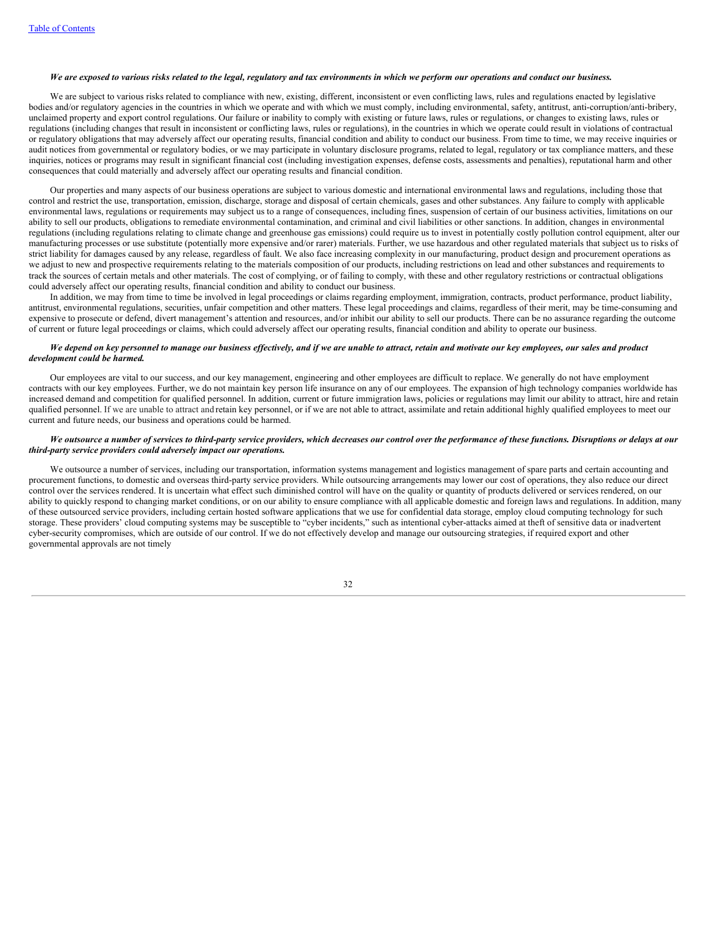## We are exposed to various risks related to the legal, regulatory and tax environments in which we perform our operations and conduct our business.

We are subject to various risks related to compliance with new, existing, different, inconsistent or even conflicting laws, rules and regulations enacted by legislative bodies and/or regulatory agencies in the countries in which we operate and with which we must comply, including environmental, safety, antitrust, anti-corruption/anti-bribery, unclaimed property and export control regulations. Our failure or inability to comply with existing or future laws, rules or regulations, or changes to existing laws, rules or regulations (including changes that result in inconsistent or conflicting laws, rules or regulations), in the countries in which we operate could result in violations of contractual or regulatory obligations that may adversely affect our operating results, financial condition and ability to conduct our business. From time to time, we may receive inquiries or audit notices from governmental or regulatory bodies, or we may participate in voluntary disclosure programs, related to legal, regulatory or tax compliance matters, and these inquiries, notices or programs may result in significant financial cost (including investigation expenses, defense costs, assessments and penalties), reputational harm and other consequences that could materially and adversely affect our operating results and financial condition.

Our properties and many aspects of our business operations are subject to various domestic and international environmental laws and regulations, including those that control and restrict the use, transportation, emission, discharge, storage and disposal of certain chemicals, gases and other substances. Any failure to comply with applicable environmental laws, regulations or requirements may subject us to a range of consequences, including fines, suspension of certain of our business activities, limitations on our ability to sell our products, obligations to remediate environmental contamination, and criminal and civil liabilities or other sanctions. In addition, changes in environmental regulations (including regulations relating to climate change and greenhouse gas emissions) could require us to invest in potentially costly pollution control equipment, alter our manufacturing processes or use substitute (potentially more expensive and/or rarer) materials. Further, we use hazardous and other regulated materials that subject us to risks of strict liability for damages caused by any release, regardless of fault. We also face increasing complexity in our manufacturing, product design and procurement operations as we adjust to new and prospective requirements relating to the materials composition of our products, including restrictions on lead and other substances and requirements to track the sources of certain metals and other materials. The cost of complying, or of failing to comply, with these and other regulatory restrictions or contractual obligations could adversely affect our operating results, financial condition and ability to conduct our business.

In addition, we may from time to time be involved in legal proceedings or claims regarding employment, immigration, contracts, product performance, product liability, antitrust, environmental regulations, securities, unfair competition and other matters. These legal proceedings and claims, regardless of their merit, may be time-consuming and expensive to prosecute or defend, divert management's attention and resources, and/or inhibit our ability to sell our products. There can be no assurance regarding the outcome of current or future legal proceedings or claims, which could adversely affect our operating results, financial condition and ability to operate our business.

### We depend on key personnel to manage our business effectively, and if we are unable to attract, retain and motivate our key employees, our sales and product *development could be harmed.*

Our employees are vital to our success, and our key management, engineering and other employees are difficult to replace. We generally do not have employment contracts with our key employees. Further, we do not maintain key person life insurance on any of our employees. The expansion of high technology companies worldwide has increased demand and competition for qualified personnel. In addition, current or future immigration laws, policies or regulations may limit our ability to attract, hire and retain qualified personnel. If we are unable to attract and retain key personnel, or if we are not able to attract, assimilate and retain additional highly qualified employees to meet our current and future needs, our business and operations could be harmed.

### We outsource a number of services to third-party service providers, which decreases our control over the performance of these functions. Disruptions or delays at our *third-party service providers could adversely impact our operations.*

We outsource a number of services, including our transportation, information systems management and logistics management of spare parts and certain accounting and procurement functions, to domestic and overseas third-party service providers. While outsourcing arrangements may lower our cost of operations, they also reduce our direct control over the services rendered. It is uncertain what effect such diminished control will have on the quality or quantity of products delivered or services rendered, on our ability to quickly respond to changing market conditions, or on our ability to ensure compliance with all applicable domestic and foreign laws and regulations. In addition, many of these outsourced service providers, including certain hosted software applications that we use for confidential data storage, employ cloud computing technology for such storage. These providers' cloud computing systems may be susceptible to "cyber incidents," such as intentional cyber-attacks aimed at theft of sensitive data or inadvertent cyber-security compromises, which are outside of our control. If we do not effectively develop and manage our outsourcing strategies, if required export and other governmental approvals are not timely

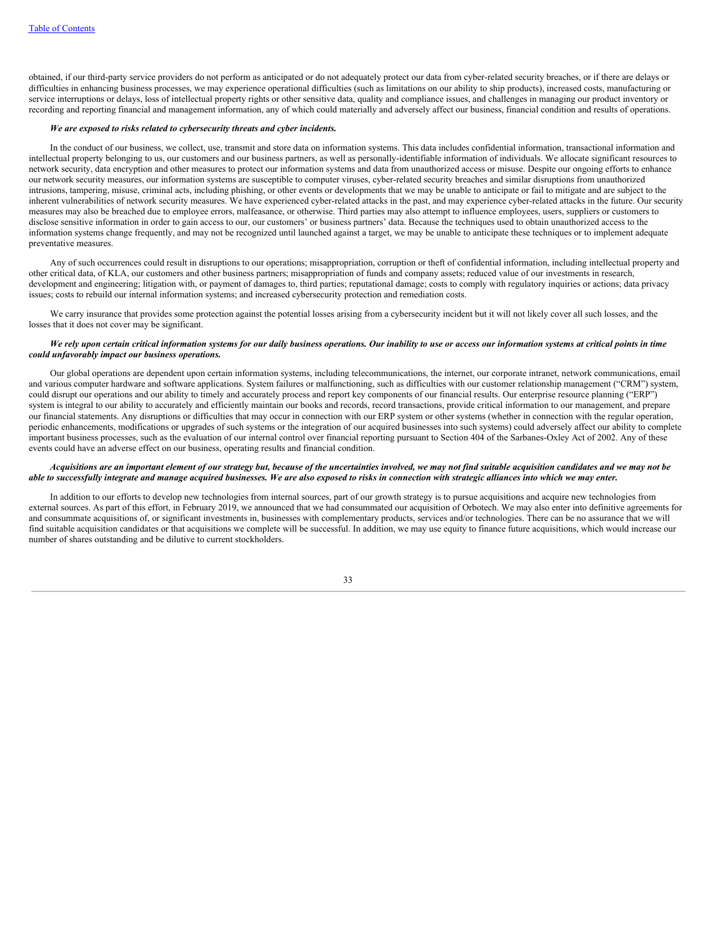obtained, if our third-party service providers do not perform as anticipated or do not adequately protect our data from cyber-related security breaches, or if there are delays or difficulties in enhancing business processes, we may experience operational difficulties (such as limitations on our ability to ship products), increased costs, manufacturing or service interruptions or delays, loss of intellectual property rights or other sensitive data, quality and compliance issues, and challenges in managing our product inventory or recording and reporting financial and management information, any of which could materially and adversely affect our business, financial condition and results of operations.

# *We are exposed to risks related to cybersecurity threats and cyber incidents.*

In the conduct of our business, we collect, use, transmit and store data on information systems. This data includes confidential information, transactional information and intellectual property belonging to us, our customers and our business partners, as well as personally-identifiable information of individuals. We allocate significant resources to network security, data encryption and other measures to protect our information systems and data from unauthorized access or misuse. Despite our ongoing efforts to enhance our network security measures, our information systems are susceptible to computer viruses, cyber-related security breaches and similar disruptions from unauthorized intrusions, tampering, misuse, criminal acts, including phishing, or other events or developments that we may be unable to anticipate or fail to mitigate and are subject to the inherent vulnerabilities of network security measures. We have experienced cyber-related attacks in the past, and may experience cyber-related attacks in the future. Our security measures may also be breached due to employee errors, malfeasance, or otherwise. Third parties may also attempt to influence employees, users, suppliers or customers to disclose sensitive information in order to gain access to our, our customers' or business partners' data. Because the techniques used to obtain unauthorized access to the information systems change frequently, and may not be recognized until launched against a target, we may be unable to anticipate these techniques or to implement adequate preventative measures.

Any of such occurrences could result in disruptions to our operations; misappropriation, corruption or theft of confidential information, including intellectual property and other critical data, of KLA, our customers and other business partners; misappropriation of funds and company assets; reduced value of our investments in research, development and engineering; litigation with, or payment of damages to, third parties; reputational damage; costs to comply with regulatory inquiries or actions; data privacy issues; costs to rebuild our internal information systems; and increased cybersecurity protection and remediation costs.

We carry insurance that provides some protection against the potential losses arising from a cybersecurity incident but it will not likely cover all such losses, and the losses that it does not cover may be significant.

# We rely upon certain critical information systems for our daily business operations. Our inability to use or access our information systems at critical points in time *could unfavorably impact our business operations.*

Our global operations are dependent upon certain information systems, including telecommunications, the internet, our corporate intranet, network communications, email and various computer hardware and software applications. System failures or malfunctioning, such as difficulties with our customer relationship management ("CRM") system, could disrupt our operations and our ability to timely and accurately process and report key components of our financial results. Our enterprise resource planning ("ERP") system is integral to our ability to accurately and efficiently maintain our books and records, record transactions, provide critical information to our management, and prepare our financial statements. Any disruptions or difficulties that may occur in connection with our ERP system or other systems (whether in connection with the regular operation, periodic enhancements, modifications or upgrades of such systems or the integration of our acquired businesses into such systems) could adversely affect our ability to complete important business processes, such as the evaluation of our internal control over financial reporting pursuant to Section 404 of the Sarbanes-Oxley Act of 2002. Any of these events could have an adverse effect on our business, operating results and financial condition.

# Acquisitions are an important element of our strategy but, because of the uncertainties involved, we may not find suitable acquisition candidates and we may not be able to successfully integrate and manage acquired businesses. We are also exposed to risks in connection with strategic alliances into which we may enter.

In addition to our efforts to develop new technologies from internal sources, part of our growth strategy is to pursue acquisitions and acquire new technologies from external sources. As part of this effort, in February 2019, we announced that we had consummated our acquisition of Orbotech. We may also enter into definitive agreements for and consummate acquisitions of, or significant investments in, businesses with complementary products, services and/or technologies. There can be no assurance that we will find suitable acquisition candidates or that acquisitions we complete will be successful. In addition, we may use equity to finance future acquisitions, which would increase our number of shares outstanding and be dilutive to current stockholders.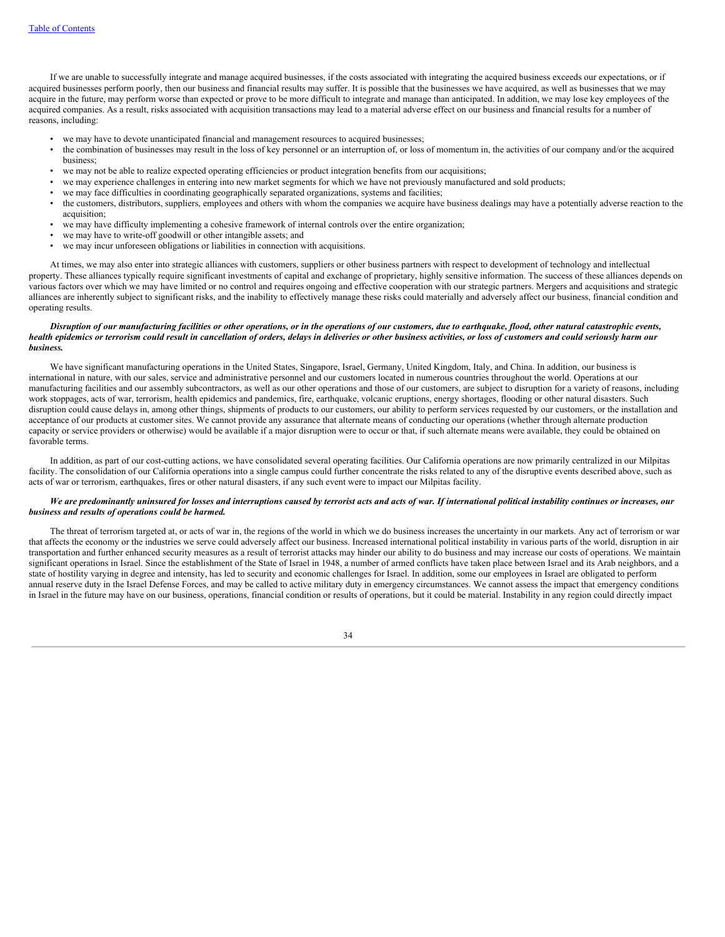If we are unable to successfully integrate and manage acquired businesses, if the costs associated with integrating the acquired business exceeds our expectations, or if acquired businesses perform poorly, then our business and financial results may suffer. It is possible that the businesses we have acquired, as well as businesses that we may acquire in the future, may perform worse than expected or prove to be more difficult to integrate and manage than anticipated. In addition, we may lose key employees of the acquired companies. As a result, risks associated with acquisition transactions may lead to a material adverse effect on our business and financial results for a number of reasons, including:

- we may have to devote unanticipated financial and management resources to acquired businesses;
- the combination of businesses may result in the loss of key personnel or an interruption of, or loss of momentum in, the activities of our company and/or the acquired business;
- we may not be able to realize expected operating efficiencies or product integration benefits from our acquisitions;
- we may experience challenges in entering into new market segments for which we have not previously manufactured and sold products;
- we may face difficulties in coordinating geographically separated organizations, systems and facilities;
- the customers, distributors, suppliers, employees and others with whom the companies we acquire have business dealings may have a potentially adverse reaction to the acquisition;
- we may have difficulty implementing a cohesive framework of internal controls over the entire organization;
- we may have to write-off goodwill or other intangible assets; and
- we may incur unforeseen obligations or liabilities in connection with acquisitions.

At times, we may also enter into strategic alliances with customers, suppliers or other business partners with respect to development of technology and intellectual property. These alliances typically require significant investments of capital and exchange of proprietary, highly sensitive information. The success of these alliances depends on various factors over which we may have limited or no control and requires ongoing and effective cooperation with our strategic partners. Mergers and acquisitions and strategic alliances are inherently subject to significant risks, and the inability to effectively manage these risks could materially and adversely affect our business, financial condition and operating results.

### Disruption of our manufacturing facilities or other operations, or in the operations of our customers, due to earthquake, flood, other natural catastrophic events, health epidemics or terrorism could result in cancellation of orders, delays in deliveries or other business activities, or loss of customers and could seriously harm our *business.*

We have significant manufacturing operations in the United States, Singapore, Israel, Germany, United Kingdom, Italy, and China. In addition, our business is international in nature, with our sales, service and administrative personnel and our customers located in numerous countries throughout the world. Operations at our manufacturing facilities and our assembly subcontractors, as well as our other operations and those of our customers, are subject to disruption for a variety of reasons, including work stoppages, acts of war, terrorism, health epidemics and pandemics, fire, earthquake, volcanic eruptions, energy shortages, flooding or other natural disasters. Such disruption could cause delays in, among other things, shipments of products to our customers, our ability to perform services requested by our customers, or the installation and acceptance of our products at customer sites. We cannot provide any assurance that alternate means of conducting our operations (whether through alternate production capacity or service providers or otherwise) would be available if a major disruption were to occur or that, if such alternate means were available, they could be obtained on favorable terms.

In addition, as part of our cost-cutting actions, we have consolidated several operating facilities. Our California operations are now primarily centralized in our Milpitas facility. The consolidation of our California operations into a single campus could further concentrate the risks related to any of the disruptive events described above, such as acts of war or terrorism, earthquakes, fires or other natural disasters, if any such event were to impact our Milpitas facility.

## We are predominantly uninsured for losses and interruptions caused by terrorist acts and acts of war. If international political instability continues or increases, our *business and results of operations could be harmed.*

The threat of terrorism targeted at, or acts of war in, the regions of the world in which we do business increases the uncertainty in our markets. Any act of terrorism or war that affects the economy or the industries we serve could adversely affect our business. Increased international political instability in various parts of the world, disruption in air transportation and further enhanced security measures as a result of terrorist attacks may hinder our ability to do business and may increase our costs of operations. We maintain significant operations in Israel. Since the establishment of the State of Israel in 1948, a number of armed conflicts have taken place between Israel and its Arab neighbors, and a state of hostility varying in degree and intensity, has led to security and economic challenges for Israel. In addition, some our employees in Israel are obligated to perform annual reserve duty in the Israel Defense Forces, and may be called to active military duty in emergency circumstances. We cannot assess the impact that emergency conditions in Israel in the future may have on our business, operations, financial condition or results of operations, but it could be material. Instability in any region could directly impact

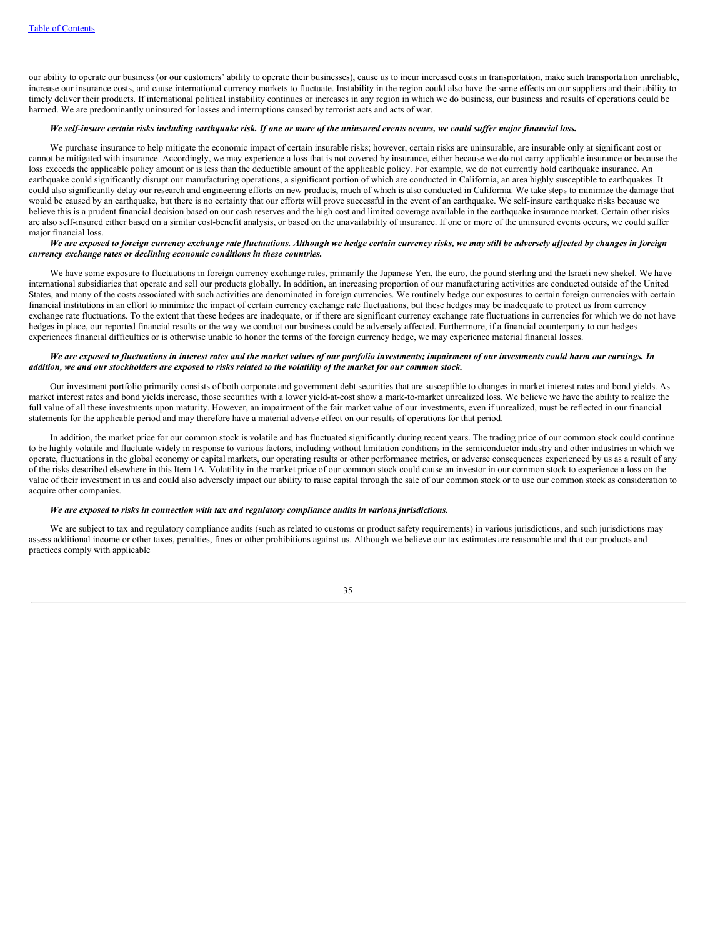our ability to operate our business (or our customers' ability to operate their businesses), cause us to incur increased costs in transportation, make such transportation unreliable, increase our insurance costs, and cause international currency markets to fluctuate. Instability in the region could also have the same effects on our suppliers and their ability to timely deliver their products. If international political instability continues or increases in any region in which we do business, our business and results of operations could be harmed. We are predominantly uninsured for losses and interruptions caused by terrorist acts and acts of war.

## We self-insure certain risks including earthquake risk. If one or more of the uninsured events occurs, we could suffer major financial loss.

We purchase insurance to help mitigate the economic impact of certain insurable risks; however, certain risks are uninsurable, are insurable only at significant cost or cannot be mitigated with insurance. Accordingly, we may experience a loss that is not covered by insurance, either because we do not carry applicable insurance or because the loss exceeds the applicable policy amount or is less than the deductible amount of the applicable policy. For example, we do not currently hold earthquake insurance. An earthquake could significantly disrupt our manufacturing operations, a significant portion of which are conducted in California, an area highly susceptible to earthquakes. It could also significantly delay our research and engineering efforts on new products, much of which is also conducted in California. We take steps to minimize the damage that would be caused by an earthquake, but there is no certainty that our efforts will prove successful in the event of an earthquake. We self-insure earthquake risks because we believe this is a prudent financial decision based on our cash reserves and the high cost and limited coverage available in the earthquake insurance market. Certain other risks are also self-insured either based on a similar cost-benefit analysis, or based on the unavailability of insurance. If one or more of the uninsured events occurs, we could suffer major financial loss.

## We are exposed to foreign currency exchange rate fluctuations. Although we hedge certain currency risks, we may still be adversely affected by changes in foreign *currency exchange rates or declining economic conditions in these countries.*

We have some exposure to fluctuations in foreign currency exchange rates, primarily the Japanese Yen, the euro, the pound sterling and the Israeli new shekel. We have international subsidiaries that operate and sell our products globally. In addition, an increasing proportion of our manufacturing activities are conducted outside of the United States, and many of the costs associated with such activities are denominated in foreign currencies. We routinely hedge our exposures to certain foreign currencies with certain financial institutions in an effort to minimize the impact of certain currency exchange rate fluctuations, but these hedges may be inadequate to protect us from currency exchange rate fluctuations. To the extent that these hedges are inadequate, or if there are significant currency exchange rate fluctuations in currencies for which we do not have hedges in place, our reported financial results or the way we conduct our business could be adversely affected. Furthermore, if a financial counterparty to our hedges experiences financial difficulties or is otherwise unable to honor the terms of the foreign currency hedge, we may experience material financial losses.

## We are exposed to fluctuations in interest rates and the market values of our portfolio investments; impairment of our investments could harm our earnings. In addition, we and our stockholders are exposed to risks related to the volatility of the market for our common stock.

Our investment portfolio primarily consists of both corporate and government debt securities that are susceptible to changes in market interest rates and bond yields. As market interest rates and bond yields increase, those securities with a lower yield-at-cost show a mark-to-market unrealized loss. We believe we have the ability to realize the full value of all these investments upon maturity. However, an impairment of the fair market value of our investments, even if unrealized, must be reflected in our financial statements for the applicable period and may therefore have a material adverse effect on our results of operations for that period.

In addition, the market price for our common stock is volatile and has fluctuated significantly during recent years. The trading price of our common stock could continue to be highly volatile and fluctuate widely in response to various factors, including without limitation conditions in the semiconductor industry and other industries in which we operate, fluctuations in the global economy or capital markets, our operating results or other performance metrics, or adverse consequences experienced by us as a result of any of the risks described elsewhere in this Item 1A. Volatility in the market price of our common stock could cause an investor in our common stock to experience a loss on the value of their investment in us and could also adversely impact our ability to raise capital through the sale of our common stock or to use our common stock as consideration to acquire other companies.

## *We are exposed to risks in connection with tax and regulatory compliance audits in various jurisdictions.*

We are subject to tax and regulatory compliance audits (such as related to customs or product safety requirements) in various jurisdictions, and such jurisdictions may assess additional income or other taxes, penalties, fines or other prohibitions against us. Although we believe our tax estimates are reasonable and that our products and practices comply with applicable

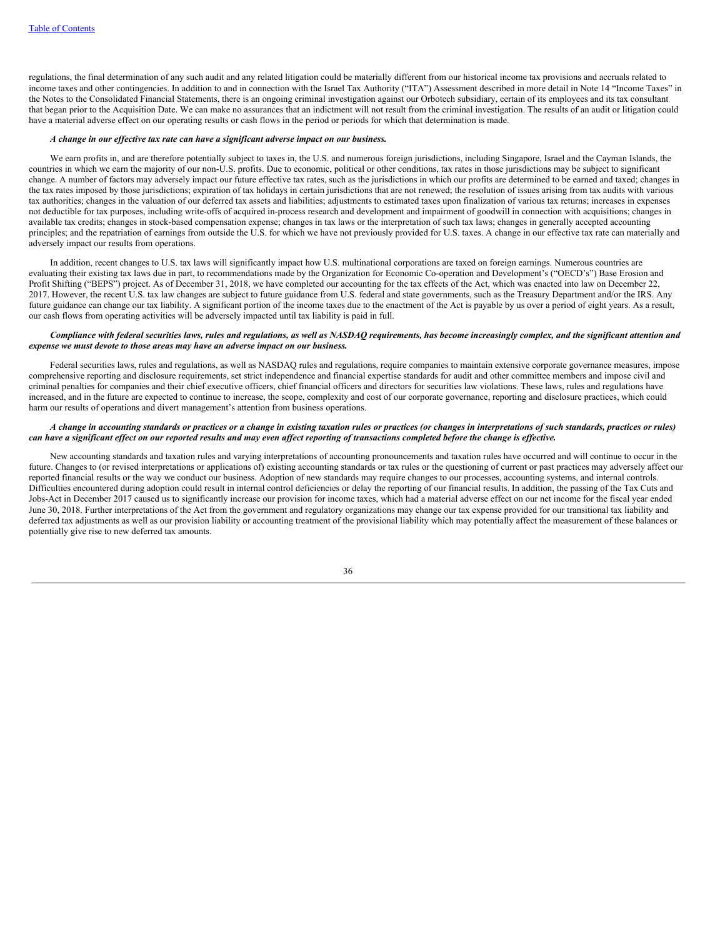regulations, the final determination of any such audit and any related litigation could be materially different from our historical income tax provisions and accruals related to income taxes and other contingencies. In addition to and in connection with the Israel Tax Authority ("ITA") Assessment described in more detail in Note 14 "Income Taxes" in the Notes to the Consolidated Financial Statements, there is an ongoing criminal investigation against our Orbotech subsidiary, certain of its employees and its tax consultant that began prior to the Acquisition Date. We can make no assurances that an indictment will not result from the criminal investigation. The results of an audit or litigation could have a material adverse effect on our operating results or cash flows in the period or periods for which that determination is made.

#### *A change in our ef ective tax rate can have a significant adverse impact on our business.*

We earn profits in, and are therefore potentially subject to taxes in, the U.S. and numerous foreign jurisdictions, including Singapore, Israel and the Cayman Islands, the countries in which we earn the majority of our non-U.S. profits. Due to economic, political or other conditions, tax rates in those jurisdictions may be subject to significant change. A number of factors may adversely impact our future effective tax rates, such as the jurisdictions in which our profits are determined to be earned and taxed; changes in the tax rates imposed by those jurisdictions; expiration of tax holidays in certain jurisdictions that are not renewed; the resolution of issues arising from tax audits with various tax authorities; changes in the valuation of our deferred tax assets and liabilities; adjustments to estimated taxes upon finalization of various tax returns; increases in expenses not deductible for tax purposes, including write-offs of acquired in-process research and development and impairment of goodwill in connection with acquisitions; changes in available tax credits; changes in stock-based compensation expense; changes in tax laws or the interpretation of such tax laws; changes in generally accepted accounting principles; and the repatriation of earnings from outside the U.S. for which we have not previously provided for U.S. taxes. A change in our effective tax rate can materially and adversely impact our results from operations.

In addition, recent changes to U.S. tax laws will significantly impact how U.S. multinational corporations are taxed on foreign earnings. Numerous countries are evaluating their existing tax laws due in part, to recommendations made by the Organization for Economic Co-operation and Development's ("OECD's") Base Erosion and Profit Shifting ("BEPS") project. As of December 31, 2018, we have completed our accounting for the tax effects of the Act, which was enacted into law on December 22, 2017. However, the recent U.S. tax law changes are subject to future guidance from U.S. federal and state governments, such as the Treasury Department and/or the IRS. Any future guidance can change our tax liability. A significant portion of the income taxes due to the enactment of the Act is payable by us over a period of eight years. As a result, our cash flows from operating activities will be adversely impacted until tax liability is paid in full.

#### Compliance with federal securities laws, rules and regulations, as well as NASDAQ requirements, has become increasingly complex, and the significant attention and *expense we must devote to those areas may have an adverse impact on our business.*

Federal securities laws, rules and regulations, as well as NASDAQ rules and regulations, require companies to maintain extensive corporate governance measures, impose comprehensive reporting and disclosure requirements, set strict independence and financial expertise standards for audit and other committee members and impose civil and criminal penalties for companies and their chief executive officers, chief financial officers and directors for securities law violations. These laws, rules and regulations have increased, and in the future are expected to continue to increase, the scope, complexity and cost of our corporate governance, reporting and disclosure practices, which could harm our results of operations and divert management's attention from business operations.

#### A change in accounting standards or practices or a change in existing taxation rules or practices (or changes in interpretations of such standards, practices or rules) can have a significant effect on our reported results and may even affect reporting of transactions completed before the change is effective.

New accounting standards and taxation rules and varying interpretations of accounting pronouncements and taxation rules have occurred and will continue to occur in the future. Changes to (or revised interpretations or applications of) existing accounting standards or tax rules or the questioning of current or past practices may adversely affect our reported financial results or the way we conduct our business. Adoption of new standards may require changes to our processes, accounting systems, and internal controls. Difficulties encountered during adoption could result in internal control deficiencies or delay the reporting of our financial results. In addition, the passing of the Tax Cuts and Jobs-Act in December 2017 caused us to significantly increase our provision for income taxes, which had a material adverse effect on our net income for the fiscal year ended June 30, 2018. Further interpretations of the Act from the government and regulatory organizations may change our tax expense provided for our transitional tax liability and deferred tax adjustments as well as our provision liability or accounting treatment of the provisional liability which may potentially affect the measurement of these balances or potentially give rise to new deferred tax amounts.

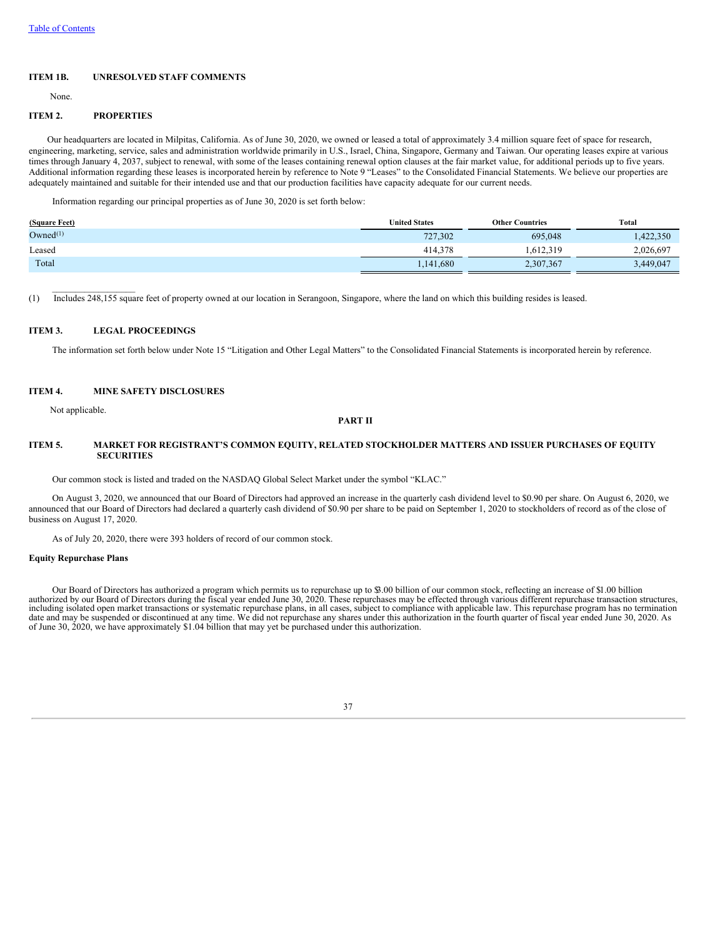### **ITEM 1B. UNRESOLVED STAFF COMMENTS**

None.

## **ITEM 2. PROPERTIES**

Our headquarters are located in Milpitas, California. As of June 30, 2020, we owned or leased a total of approximately 3.4 million square feet of space for research, engineering, marketing, service, sales and administration worldwide primarily in U.S., Israel, China, Singapore, Germany and Taiwan. Our operating leases expire at various times through January 4, 2037, subject to renewal, with some of the leases containing renewal option clauses at the fair market value, for additional periods up to five years. Additional information regarding these leases is incorporated herein by reference to Note 9 "Leases" to the Consolidated Financial Statements. We believe our properties are adequately maintained and suitable for their intended use and that our production facilities have capacity adequate for our current needs.

Information regarding our principal properties as of June 30, 2020 is set forth below:

| (Square Feet)        | <b>United States</b> | <b>Other Countries</b> | Total     |
|----------------------|----------------------|------------------------|-----------|
| Owned <sup>(1)</sup> | 727,302              | 695,048                | .422,350  |
| Leased               | 414,378              | .,612,319              | 2,026,697 |
| Total                | 1,141,680            | 2,307,367              | 3.449.047 |

(1) Includes 248,155 square feet of property owned at our location in Serangoon, Singapore, where the land on which this building resides is leased.

## **ITEM 3. LEGAL PROCEEDINGS**

\_\_\_\_\_\_\_\_\_\_\_\_\_\_\_\_\_\_

The information set forth below under Note 15 "Litigation and Other Legal Matters" to the Consolidated Financial Statements is incorporated herein by reference.

## **ITEM 4. MINE SAFETY DISCLOSURES**

Not applicable.

**PART II**

## **ITEM 5. MARKET FOR REGISTRANT'S COMMON EQUITY, RELATED STOCKHOLDER MATTERS AND ISSUER PURCHASES OF EQUITY SECURITIES**

Our common stock is listed and traded on the NASDAQ Global Select Market under the symbol "KLAC."

On August 3, 2020, we announced that our Board of Directors had approved an increase in the quarterly cash dividend level to \$0.90 per share. On August 6, 2020, we announced that our Board of Directors had declared a quarterly cash dividend of \$0.90 per share to be paid on September 1, 2020 to stockholders of record as of the close of business on August 17, 2020.

As of July 20, 2020, there were 393 holders of record of our common stock.

#### **Equity Repurchase Plans**

Our Board of Directors has authorized a program which permits us to repurchase up to \$3.00 billion of our common stock, reflecting an increase of \$1.00 billion authorized by our Board of Directors during the fiscal year ended June 30, 2020. These repurchases may be effected through various different repurchase transaction structures, including isolated open market transactions or systematic repurchase plans, in all cases, subject to compliance with applicable law. This repurchase program has no termination date and may be suspended or discontinued at any time. We did not repurchase any shares under this authorization in the fourth quarter of fiscal year ended June 30, 2020. As of June 30, 2020, we have approximately \$1.04 billion that may yet be purchased under this authorization.

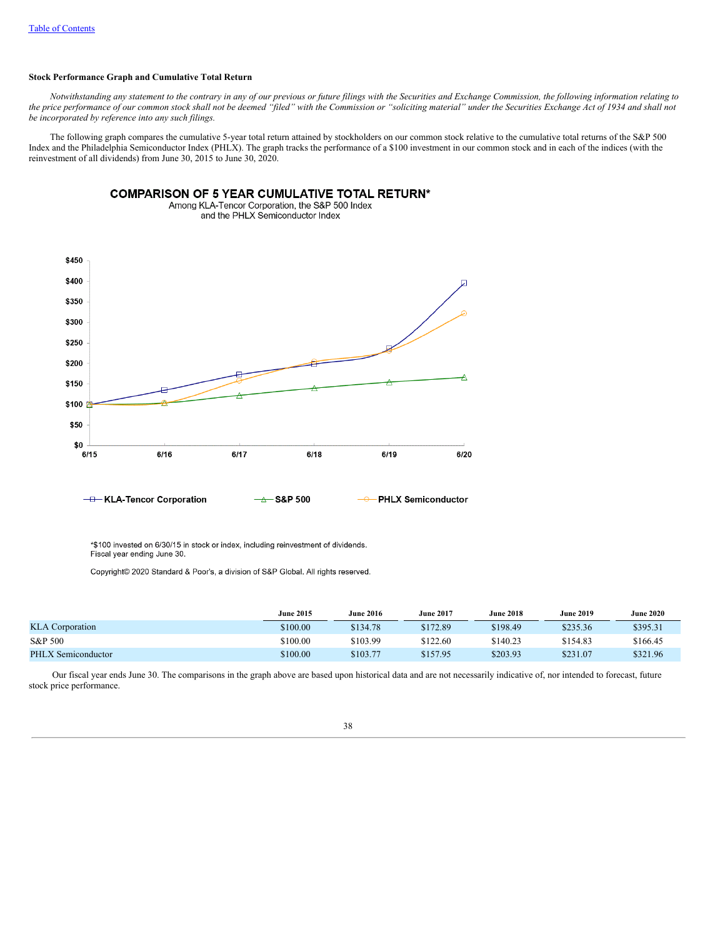## **Stock Performance Graph and Cumulative Total Return**

Notwithstanding any statement to the contrary in any of our previous or future filings with the Securities and Exchange Commission, the following information relating to the price performance of our common stock shall not be deemed "filed" with the Commission or "soliciting material" under the Securities Exchange Act of 1934 and shall not *be incorporated by reference into any such filings.*

The following graph compares the cumulative 5-year total return attained by stockholders on our common stock relative to the cumulative total returns of the S&P 500 Index and the Philadelphia Semiconductor Index (PHLX). The graph tracks the performance of a \$100 investment in our common stock and in each of the indices (with the reinvestment of all dividends) from June 30, 2015 to June 30, 2020.

## **COMPARISON OF 5 YEAR CUMULATIVE TOTAL RETURN\*** Among KLA-Tencor Corporation, the S&P 500 Index and the PHLX Semiconductor Index



\*\$100 invested on 6/30/15 in stock or index, including reinvestment of dividends. Fiscal year ending June 30.

Copyright© 2020 Standard & Poor's, a division of S&P Global. All rights reserved.

|                        | <b>June 2015</b> | <b>June 2016</b> | <b>June 2017</b> | <b>June 2018</b> | <b>June 2019</b> | <b>June 2020</b> |
|------------------------|------------------|------------------|------------------|------------------|------------------|------------------|
| <b>KLA</b> Corporation | \$100.00         | \$134.78         | \$172.89         | \$198.49         | \$235.36         | \$395.31         |
| S&P 500                | \$100.00         | \$103.99         | \$122.60         | \$140.23         | \$154.83         | \$166.45         |
| PHLX Semiconductor     | \$100.00         | \$103.77         | \$157.95         | \$203.93         | \$231.07         | \$321.96         |

Our fiscal year ends June 30. The comparisons in the graph above are based upon historical data and are not necessarily indicative of, nor intended to forecast, future stock price performance.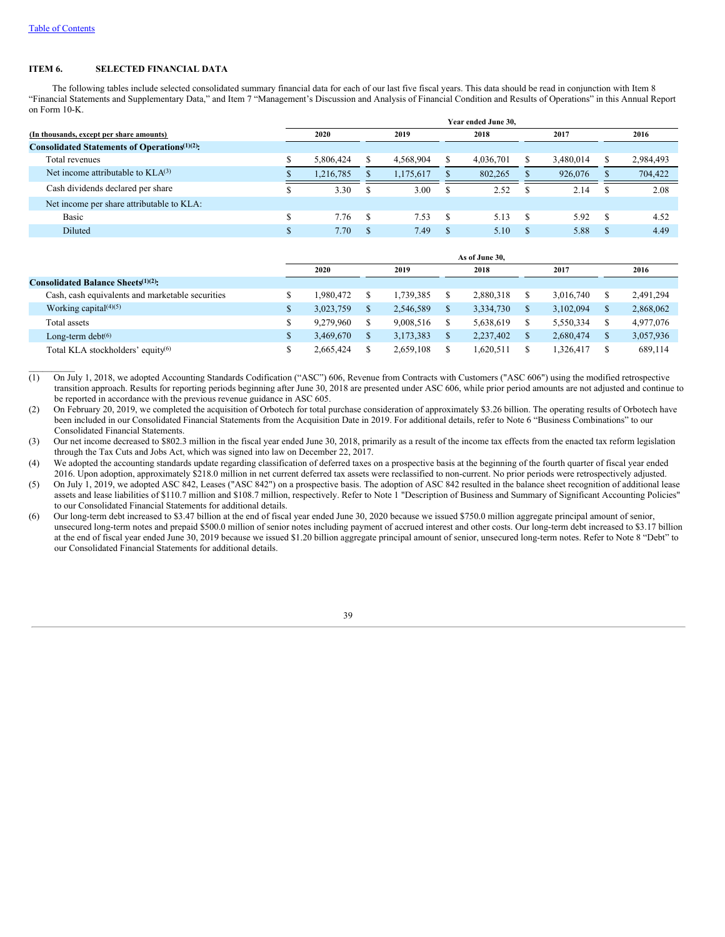$\mathcal{L}=\mathcal{L}$ 

## **ITEM 6. SELECTED FINANCIAL DATA**

The following tables include selected consolidated summary financial data for each of our last five fiscal years. This data should be read in conjunction with Item 8 "Financial Statements and Supplementary Data," and Item 7 "Management's Discussion and Analysis of Financial Condition and Results of Operations" in this Annual Report on Form 10-K.

|                                                     | Year ended June 30, |   |           |          |           |  |           |  |           |  |  |  |
|-----------------------------------------------------|---------------------|---|-----------|----------|-----------|--|-----------|--|-----------|--|--|--|
| (In thousands, except per share amounts)            | 2020                |   | 2019      |          | 2018      |  | 2017      |  | 2016      |  |  |  |
| <b>Consolidated Statements of Operations(1)(2):</b> |                     |   |           |          |           |  |           |  |           |  |  |  |
| Total revenues                                      | 5.806.424           |   | 4.568.904 |          | 4.036.701 |  | 3,480,014 |  | 2,984,493 |  |  |  |
| Net income attributable to $KLA^{(3)}$              | 1.216.785           |   | 1.175.617 |          | 802.265   |  | 926,076   |  | 704,422   |  |  |  |
| Cash dividends declared per share                   | 3.30                |   | 3.00      | <b>S</b> | 2.52      |  | 2.14      |  | 2.08      |  |  |  |
| Net income per share attributable to KLA:           |                     |   |           |          |           |  |           |  |           |  |  |  |
| Basic                                               | 7.76                | S | 7.53      | -S       | 5.13      |  | 5.92      |  | 4.52      |  |  |  |
| Diluted                                             | 7.70                |   | 7.49      |          | 5.10      |  | 5.88      |  | 4.49      |  |  |  |

|                                                        |           |           |   | As of June 30. |           |           |
|--------------------------------------------------------|-----------|-----------|---|----------------|-----------|-----------|
|                                                        | 2020      | 2019      |   | 2018           | 2017      | 2016      |
| <b>Consolidated Balance Sheets</b> <sup>(1)(2)</sup> : |           |           |   |                |           |           |
| Cash, cash equivalents and marketable securities       | 1.980.472 | 1,739,385 |   | 2,880,318      | 3.016.740 | 2,491,294 |
| Working capital $(4)(5)$                               | 3,023,759 | 2,546,589 | S | 3,334,730      | 3,102,094 | 2,868,062 |
| Total assets                                           | 9.279.960 | 9,008,516 |   | 5,638,619      | 5,550,334 | 4,977,076 |
| Long-term $debt(6)$                                    | 3,469,670 | 3,173,383 | S | 2,237,402      | 2,680,474 | 3,057,936 |
| Total KLA stockholders' equity <sup>(6)</sup>          | 2.665.424 | 2.659.108 |   | 1.620.511      | 1,326,417 | 689,114   |

(1) On July 1, 2018, we adopted Accounting Standards Codification ("ASC") 606, Revenue from Contracts with Customers ("ASC 606") using the modified retrospective transition approach. Results for reporting periods beginning after June 30, 2018 are presented under ASC 606, while prior period amounts are not adjusted and continue to be reported in accordance with the previous revenue guidance in ASC 605.

(2) On February 20, 2019, we completed the acquisition of Orbotech for total purchase consideration of approximately \$3.26 billion. The operating results of Orbotech have been included in our Consolidated Financial Statements from the Acquisition Date in 2019. For additional details, refer to Note 6 "Business Combinations" to our Consolidated Financial Statements.

(3) Our net income decreased to \$802.3 million in the fiscal year ended June 30, 2018, primarily as a result of the income tax effects from the enacted tax reform legislation through the Tax Cuts and Jobs Act, which was signed into law on December 22, 2017.

(4) We adopted the accounting standards update regarding classification of deferred taxes on a prospective basis at the beginning of the fourth quarter of fiscal year ended 2016. Upon adoption, approximately \$218.0 million in net current deferred tax assets were reclassified to non-current. No prior periods were retrospectively adjusted.

(5) On July 1, 2019, we adopted ASC 842, Leases ("ASC 842") on a prospective basis. The adoption of ASC 842 resulted in the balance sheet recognition of additional lease assets and lease liabilities of \$110.7 million and \$108.7 million, respectively. Refer to Note 1 "Description of Business and Summary of Significant Accounting Policies" to our Consolidated Financial Statements for additional details.

(6) Our long-term debt increased to \$3.47 billion at the end of fiscal year ended June 30, 2020 because we issued \$750.0 million aggregate principal amount of senior, unsecured long-term notes and prepaid \$500.0 million of senior notes including payment of accrued interest and other costs. Our long-term debt increased to \$3.17 billion at the end of fiscal year ended June 30, 2019 because we issued \$1.20 billion aggregate principal amount of senior, unsecured long-term notes. Refer to Note 8 "Debt" to our Consolidated Financial Statements for additional details.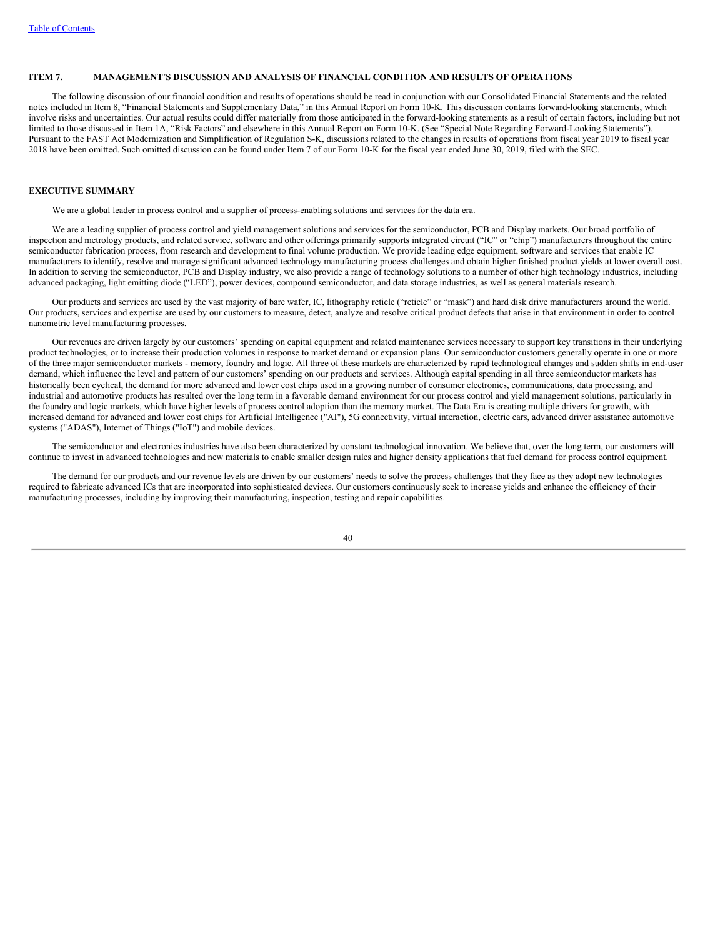#### **ITEM 7. MANAGEMENT**'**S DISCUSSION AND ANALYSIS OF FINANCIAL CONDITION AND RESULTS OF OPERATIONS**

The following discussion of our financial condition and results of operations should be read in conjunction with our Consolidated Financial Statements and the related notes included in Item 8, "Financial Statements and Supplementary Data," in this Annual Report on Form 10-K. This discussion contains forward-looking statements, which involve risks and uncertainties. Our actual results could differ materially from those anticipated in the forward-looking statements as a result of certain factors, including but not limited to those discussed in Item 1A, "Risk Factors" and elsewhere in this Annual Report on Form 10-K. (See "Special Note Regarding Forward-Looking Statements"). Pursuant to the FAST Act Modernization and Simplification of Regulation S-K, discussions related to the changes in results of operations from fiscal year 2019 to fiscal year 2018 have been omitted. Such omitted discussion can be found under Item 7 of our Form 10-K for the fiscal year ended June 30, 2019, filed with the SEC.

### **EXECUTIVE SUMMARY**

We are a global leader in process control and a supplier of process-enabling solutions and services for the data era.

We are a leading supplier of process control and yield management solutions and services for the semiconductor, PCB and Display markets. Our broad portfolio of inspection and metrology products, and related service, software and other offerings primarily supports integrated circuit ("IC" or "chip") manufacturers throughout the entire semiconductor fabrication process, from research and development to final volume production. We provide leading edge equipment, software and services that enable IC manufacturers to identify, resolve and manage significant advanced technology manufacturing process challenges and obtain higher finished product yields at lower overall cost. In addition to serving the semiconductor, PCB and Display industry, we also provide a range of technology solutions to a number of other high technology industries, including advanced packaging, light emitting diode ("LED"), power devices, compound semiconductor, and data storage industries, as well as general materials research.

Our products and services are used by the vast majority of bare wafer, IC, lithography reticle ("reticle" or "mask") and hard disk drive manufacturers around the world. Our products, services and expertise are used by our customers to measure, detect, analyze and resolve critical product defects that arise in that environment in order to control nanometric level manufacturing processes.

Our revenues are driven largely by our customers' spending on capital equipment and related maintenance services necessary to support key transitions in their underlying product technologies, or to increase their production volumes in response to market demand or expansion plans. Our semiconductor customers generally operate in one or more of the three major semiconductor markets - memory, foundry and logic. All three of these markets are characterized by rapid technological changes and sudden shifts in end-user demand, which influence the level and pattern of our customers' spending on our products and services. Although capital spending in all three semiconductor markets has historically been cyclical, the demand for more advanced and lower cost chips used in a growing number of consumer electronics, communications, data processing, and industrial and automotive products has resulted over the long term in a favorable demand environment for our process control and yield management solutions, particularly in the foundry and logic markets, which have higher levels of process control adoption than the memory market. The Data Era is creating multiple drivers for growth, with increased demand for advanced and lower cost chips for Artificial Intelligence ("AI"), 5G connectivity, virtual interaction, electric cars, advanced driver assistance automotive systems ("ADAS"), Internet of Things ("IoT") and mobile devices.

The semiconductor and electronics industries have also been characterized by constant technological innovation. We believe that, over the long term, our customers will continue to invest in advanced technologies and new materials to enable smaller design rules and higher density applications that fuel demand for process control equipment.

The demand for our products and our revenue levels are driven by our customers' needs to solve the process challenges that they face as they adopt new technologies required to fabricate advanced ICs that are incorporated into sophisticated devices. Our customers continuously seek to increase yields and enhance the efficiency of their manufacturing processes, including by improving their manufacturing, inspection, testing and repair capabilities.

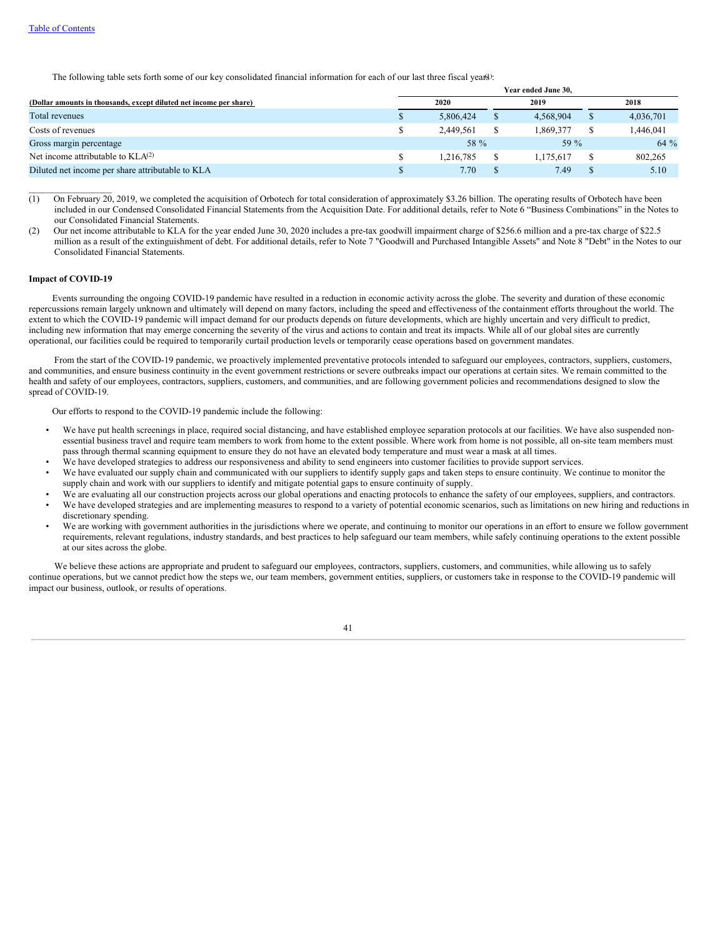The following table sets forth some of our key consolidated financial information for each of our last three fiscal years):

|                                                                    | Year ended June 30. |  |           |        |           |  |  |  |  |  |  |  |
|--------------------------------------------------------------------|---------------------|--|-----------|--------|-----------|--|--|--|--|--|--|--|
| (Dollar amounts in thousands, except diluted net income per share) | 2020                |  | 2019      |        | 2018      |  |  |  |  |  |  |  |
| Total revenues                                                     | 5.806.424           |  | 4.568.904 |        | 4,036,701 |  |  |  |  |  |  |  |
| Costs of revenues                                                  | 2.449.561           |  | 1.869.377 |        | 1.446.041 |  |  |  |  |  |  |  |
| Gross margin percentage                                            | 58 %                |  | 59 %      | $64\%$ |           |  |  |  |  |  |  |  |
| Net income attributable to KLA(2)                                  | .216.785            |  | 1.175.617 |        | 802,265   |  |  |  |  |  |  |  |
| Diluted net income per share attributable to KLA                   | 7.70                |  | 7.49      |        | 5.10      |  |  |  |  |  |  |  |

(1) On February 20, 2019, we completed the acquisition of Orbotech for total consideration of approximately \$3.26 billion. The operating results of Orbotech have been included in our Condensed Consolidated Financial Statements from the Acquisition Date. For additional details, refer to Note 6 "Business Combinations" in the Notes to our Consolidated Financial Statements.

(2) Our net income attributable to KLA for the year ended June 30, 2020 includes a pre-tax goodwill impairment charge of \$256.6 million and a pre-tax charge of \$22.5 million as a result of the extinguishment of debt. For additional details, refer to Note 7 "Goodwill and Purchased Intangible Assets" and Note 8 "Debt" in the Notes to our Consolidated Financial Statements.

## **Impact of COVID-19**

 $\mathcal{L}=\mathcal{L}^{\mathcal{L}}$  , where  $\mathcal{L}^{\mathcal{L}}$ 

Events surrounding the ongoing COVID-19 pandemic have resulted in a reduction in economic activity across the globe. The severity and duration of these economic repercussions remain largely unknown and ultimately will depend on many factors, including the speed and effectiveness of the containment efforts throughout the world. The extent to which the COVID-19 pandemic will impact demand for our products depends on future developments, which are highly uncertain and very difficult to predict, including new information that may emerge concerning the severity of the virus and actions to contain and treat its impacts. While all of our global sites are currently operational, our facilities could be required to temporarily curtail production levels or temporarily cease operations based on government mandates.

From the start of the COVID-19 pandemic, we proactively implemented preventative protocols intended to safeguard our employees, contractors, suppliers, customers, and communities, and ensure business continuity in the event government restrictions or severe outbreaks impact our operations at certain sites. We remain committed to the health and safety of our employees, contractors, suppliers, customers, and communities, and are following government policies and recommendations designed to slow the spread of COVID-19.

Our efforts to respond to the COVID-19 pandemic include the following:

- We have put health screenings in place, required social distancing, and have established employee separation protocols at our facilities. We have also suspended nonessential business travel and require team members to work from home to the extent possible. Where work from home is not possible, all on-site team members must pass through thermal scanning equipment to ensure they do not have an elevated body temperature and must wear a mask at all times.
- We have developed strategies to address our responsiveness and ability to send engineers into customer facilities to provide support services.
- We have evaluated our supply chain and communicated with our suppliers to identify supply gaps and taken steps to ensure continuity. We continue to monitor the supply chain and work with our suppliers to identify and mitigate potential gaps to ensure continuity of supply.
- We are evaluating all our construction projects across our global operations and enacting protocols to enhance the safety of our employees, suppliers, and contractors.
- We have developed strategies and are implementing measures to respond to a variety of potential economic scenarios, such as limitations on new hiring and reductions in discretionary spending.
- We are working with government authorities in the jurisdictions where we operate, and continuing to monitor our operations in an effort to ensure we follow government requirements, relevant regulations, industry standards, and best practices to help safeguard our team members, while safely continuing operations to the extent possible at our sites across the globe.

We believe these actions are appropriate and prudent to safeguard our employees, contractors, suppliers, customers, and communities, while allowing us to safely continue operations, but we cannot predict how the steps we, our team members, government entities, suppliers, or customers take in response to the COVID-19 pandemic will impact our business, outlook, or results of operations.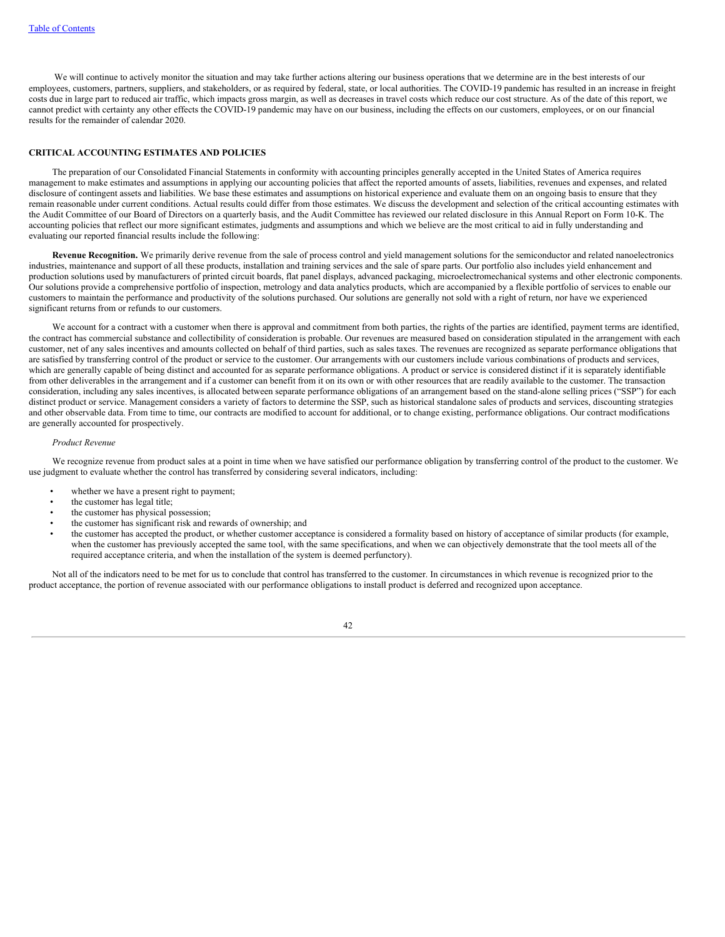We will continue to actively monitor the situation and may take further actions altering our business operations that we determine are in the best interests of our employees, customers, partners, suppliers, and stakeholders, or as required by federal, state, or local authorities. The COVID-19 pandemic has resulted in an increase in freight costs due in large part to reduced air traffic, which impacts gross margin, as well as decreases in travel costs which reduce our cost structure. As of the date of this report, we cannot predict with certainty any other effects the COVID-19 pandemic may have on our business, including the effects on our customers, employees, or on our financial results for the remainder of calendar 2020.

## **CRITICAL ACCOUNTING ESTIMATES AND POLICIES**

The preparation of our Consolidated Financial Statements in conformity with accounting principles generally accepted in the United States of America requires management to make estimates and assumptions in applying our accounting policies that affect the reported amounts of assets, liabilities, revenues and expenses, and related disclosure of contingent assets and liabilities. We base these estimates and assumptions on historical experience and evaluate them on an ongoing basis to ensure that they remain reasonable under current conditions. Actual results could differ from those estimates. We discuss the development and selection of the critical accounting estimates with the Audit Committee of our Board of Directors on a quarterly basis, and the Audit Committee has reviewed our related disclosure in this Annual Report on Form 10-K. The accounting policies that reflect our more significant estimates, judgments and assumptions and which we believe are the most critical to aid in fully understanding and evaluating our reported financial results include the following:

**Revenue Recognition.** We primarily derive revenue from the sale of process control and yield management solutions for the semiconductor and related nanoelectronics industries, maintenance and support of all these products, installation and training services and the sale of spare parts. Our portfolio also includes yield enhancement and production solutions used by manufacturers of printed circuit boards, flat panel displays, advanced packaging, microelectromechanical systems and other electronic components. Our solutions provide a comprehensive portfolio of inspection, metrology and data analytics products, which are accompanied by a flexible portfolio of services to enable our customers to maintain the performance and productivity of the solutions purchased. Our solutions are generally not sold with a right of return, nor have we experienced significant returns from or refunds to our customers.

We account for a contract with a customer when there is approval and commitment from both parties, the rights of the parties are identified, payment terms are identified, the contract has commercial substance and collectibility of consideration is probable. Our revenues are measured based on consideration stipulated in the arrangement with each customer, net of any sales incentives and amounts collected on behalf of third parties, such as sales taxes. The revenues are recognized as separate performance obligations that are satisfied by transferring control of the product or service to the customer. Our arrangements with our customers include various combinations of products and services, which are generally capable of being distinct and accounted for as separate performance obligations. A product or service is considered distinct if it is separately identifiable from other deliverables in the arrangement and if a customer can benefit from it on its own or with other resources that are readily available to the customer. The transaction consideration, including any sales incentives, is allocated between separate performance obligations of an arrangement based on the stand-alone selling prices ("SSP") for each distinct product or service. Management considers a variety of factors to determine the SSP, such as historical standalone sales of products and services, discounting strategies and other observable data. From time to time, our contracts are modified to account for additional, or to change existing, performance obligations. Our contract modifications are generally accounted for prospectively.

#### *Product Revenue*

We recognize revenue from product sales at a point in time when we have satisfied our performance obligation by transferring control of the product to the customer. We use judgment to evaluate whether the control has transferred by considering several indicators, including:

- whether we have a present right to payment;
- the customer has legal title;<br>• the customer has physical po
- the customer has physical possession;
- the customer has significant risk and rewards of ownership; and
- the customer has accepted the product, or whether customer acceptance is considered a formality based on history of acceptance of similar products (for example, when the customer has previously accepted the same tool, with the same specifications, and when we can objectively demonstrate that the tool meets all of the required acceptance criteria, and when the installation of the system is deemed perfunctory).

Not all of the indicators need to be met for us to conclude that control has transferred to the customer. In circumstances in which revenue is recognized prior to the product acceptance, the portion of revenue associated with our performance obligations to install product is deferred and recognized upon acceptance.

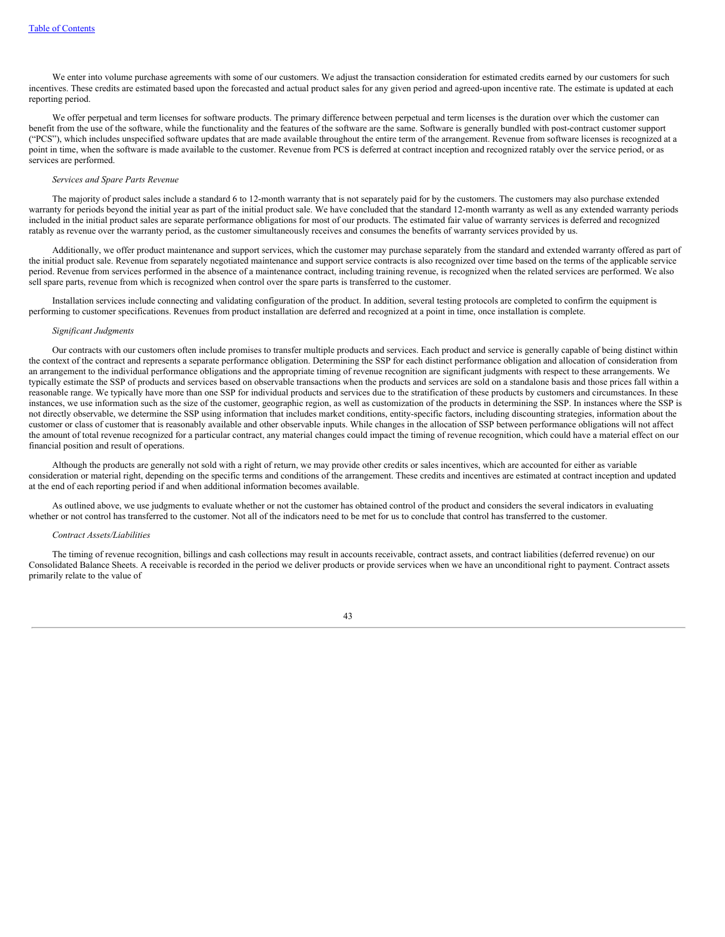We enter into volume purchase agreements with some of our customers. We adjust the transaction consideration for estimated credits earned by our customers for such incentives. These credits are estimated based upon the forecasted and actual product sales for any given period and agreed-upon incentive rate. The estimate is updated at each reporting period.

We offer perpetual and term licenses for software products. The primary difference between perpetual and term licenses is the duration over which the customer can benefit from the use of the software, while the functionality and the features of the software are the same. Software is generally bundled with post-contract customer support ("PCS"), which includes unspecified software updates that are made available throughout the entire term of the arrangement. Revenue from software licenses is recognized at a point in time, when the software is made available to the customer. Revenue from PCS is deferred at contract inception and recognized ratably over the service period, or as services are performed.

## *Services and Spare Parts Revenue*

The majority of product sales include a standard 6 to 12-month warranty that is not separately paid for by the customers. The customers may also purchase extended warranty for periods beyond the initial year as part of the initial product sale. We have concluded that the standard 12-month warranty as well as any extended warranty periods included in the initial product sales are separate performance obligations for most of our products. The estimated fair value of warranty services is deferred and recognized ratably as revenue over the warranty period, as the customer simultaneously receives and consumes the benefits of warranty services provided by us.

Additionally, we offer product maintenance and support services, which the customer may purchase separately from the standard and extended warranty offered as part of the initial product sale. Revenue from separately negotiated maintenance and support service contracts is also recognized over time based on the terms of the applicable service period. Revenue from services performed in the absence of a maintenance contract, including training revenue, is recognized when the related services are performed. We also sell spare parts, revenue from which is recognized when control over the spare parts is transferred to the customer.

Installation services include connecting and validating configuration of the product. In addition, several testing protocols are completed to confirm the equipment is performing to customer specifications. Revenues from product installation are deferred and recognized at a point in time, once installation is complete.

## *Significant Judgments*

Our contracts with our customers often include promises to transfer multiple products and services. Each product and service is generally capable of being distinct within the context of the contract and represents a separate performance obligation. Determining the SSP for each distinct performance obligation and allocation of consideration from an arrangement to the individual performance obligations and the appropriate timing of revenue recognition are significant judgments with respect to these arrangements. We typically estimate the SSP of products and services based on observable transactions when the products and services are sold on a standalone basis and those prices fall within a reasonable range. We typically have more than one SSP for individual products and services due to the stratification of these products by customers and circumstances. In these instances, we use information such as the size of the customer, geographic region, as well as customization of the products in determining the SSP. In instances where the SSP is not directly observable, we determine the SSP using information that includes market conditions, entity-specific factors, including discounting strategies, information about the customer or class of customer that is reasonably available and other observable inputs. While changes in the allocation of SSP between performance obligations will not affect the amount of total revenue recognized for a particular contract, any material changes could impact the timing of revenue recognition, which could have a material effect on our financial position and result of operations.

Although the products are generally not sold with a right of return, we may provide other credits or sales incentives, which are accounted for either as variable consideration or material right, depending on the specific terms and conditions of the arrangement. These credits and incentives are estimated at contract inception and updated at the end of each reporting period if and when additional information becomes available.

As outlined above, we use judgments to evaluate whether or not the customer has obtained control of the product and considers the several indicators in evaluating whether or not control has transferred to the customer. Not all of the indicators need to be met for us to conclude that control has transferred to the customer.

#### *Contract Assets/Liabilities*

The timing of revenue recognition, billings and cash collections may result in accounts receivable, contract assets, and contract liabilities (deferred revenue) on our Consolidated Balance Sheets. A receivable is recorded in the period we deliver products or provide services when we have an unconditional right to payment. Contract assets primarily relate to the value of

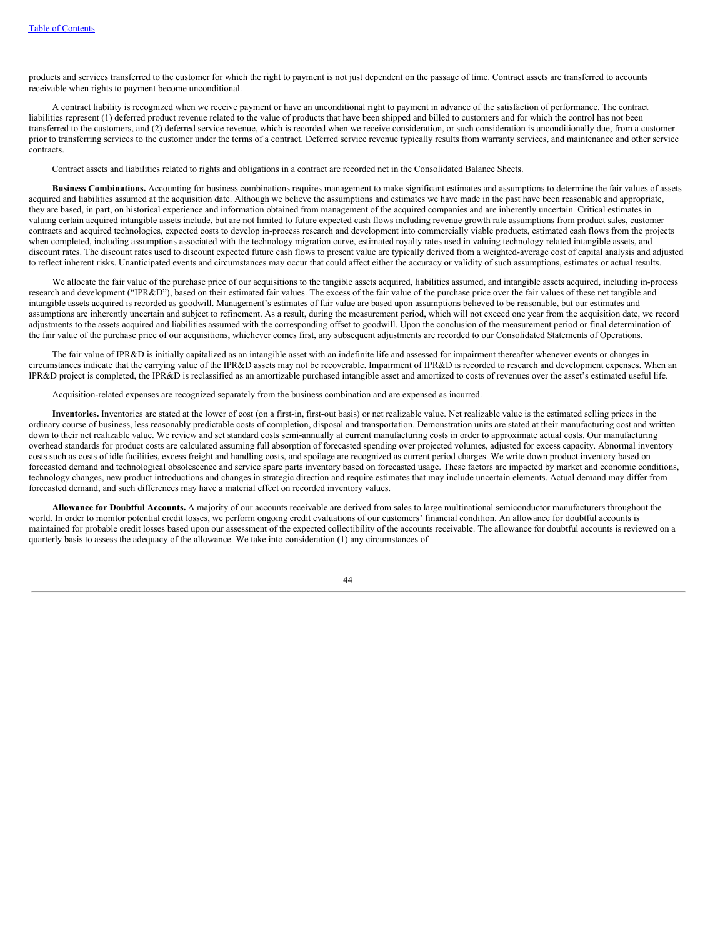products and services transferred to the customer for which the right to payment is not just dependent on the passage of time. Contract assets are transferred to accounts receivable when rights to payment become unconditional.

A contract liability is recognized when we receive payment or have an unconditional right to payment in advance of the satisfaction of performance. The contract liabilities represent (1) deferred product revenue related to the value of products that have been shipped and billed to customers and for which the control has not been transferred to the customers, and (2) deferred service revenue, which is recorded when we receive consideration, or such consideration is unconditionally due, from a customer prior to transferring services to the customer under the terms of a contract. Deferred service revenue typically results from warranty services, and maintenance and other service contracts.

Contract assets and liabilities related to rights and obligations in a contract are recorded net in the Consolidated Balance Sheets.

**Business Combinations.** Accounting for business combinations requires management to make significant estimates and assumptions to determine the fair values of assets acquired and liabilities assumed at the acquisition date. Although we believe the assumptions and estimates we have made in the past have been reasonable and appropriate, they are based, in part, on historical experience and information obtained from management of the acquired companies and are inherently uncertain. Critical estimates in valuing certain acquired intangible assets include, but are not limited to future expected cash flows including revenue growth rate assumptions from product sales, customer contracts and acquired technologies, expected costs to develop in-process research and development into commercially viable products, estimated cash flows from the projects when completed, including assumptions associated with the technology migration curve, estimated royalty rates used in valuing technology related intangible assets, and discount rates. The discount rates used to discount expected future cash flows to present value are typically derived from a weighted-average cost of capital analysis and adjusted to reflect inherent risks. Unanticipated events and circumstances may occur that could affect either the accuracy or validity of such assumptions, estimates or actual results.

We allocate the fair value of the purchase price of our acquisitions to the tangible assets acquired, liabilities assumed, and intangible assets acquired, including in-process research and development ("IPR&D"), based on their estimated fair values. The excess of the fair value of the purchase price over the fair values of these net tangible and intangible assets acquired is recorded as goodwill. Management's estimates of fair value are based upon assumptions believed to be reasonable, but our estimates and assumptions are inherently uncertain and subject to refinement. As a result, during the measurement period, which will not exceed one year from the acquisition date, we record adjustments to the assets acquired and liabilities assumed with the corresponding offset to goodwill. Upon the conclusion of the measurement period or final determination of the fair value of the purchase price of our acquisitions, whichever comes first, any subsequent adjustments are recorded to our Consolidated Statements of Operations.

The fair value of IPR&D is initially capitalized as an intangible asset with an indefinite life and assessed for impairment thereafter whenever events or changes in circumstances indicate that the carrying value of the IPR&D assets may not be recoverable. Impairment of IPR&D is recorded to research and development expenses. When an IPR&D project is completed, the IPR&D is reclassified as an amortizable purchased intangible asset and amortized to costs of revenues over the asset's estimated useful life.

Acquisition-related expenses are recognized separately from the business combination and are expensed as incurred.

**Inventories.** Inventories are stated at the lower of cost (on a first-in, first-out basis) or net realizable value. Net realizable value is the estimated selling prices in the ordinary course of business, less reasonably predictable costs of completion, disposal and transportation. Demonstration units are stated at their manufacturing cost and written down to their net realizable value. We review and set standard costs semi-annually at current manufacturing costs in order to approximate actual costs. Our manufacturing overhead standards for product costs are calculated assuming full absorption of forecasted spending over projected volumes, adjusted for excess capacity. Abnormal inventory costs such as costs of idle facilities, excess freight and handling costs, and spoilage are recognized as current period charges. We write down product inventory based on forecasted demand and technological obsolescence and service spare parts inventory based on forecasted usage. These factors are impacted by market and economic conditions, technology changes, new product introductions and changes in strategic direction and require estimates that may include uncertain elements. Actual demand may differ from forecasted demand, and such differences may have a material effect on recorded inventory values.

**Allowance for Doubtful Accounts.** A majority of our accounts receivable are derived from sales to large multinational semiconductor manufacturers throughout the world. In order to monitor potential credit losses, we perform ongoing credit evaluations of our customers' financial condition. An allowance for doubtful accounts is maintained for probable credit losses based upon our assessment of the expected collectibility of the accounts receivable. The allowance for doubtful accounts is reviewed on a quarterly basis to assess the adequacy of the allowance. We take into consideration (1) any circumstances of

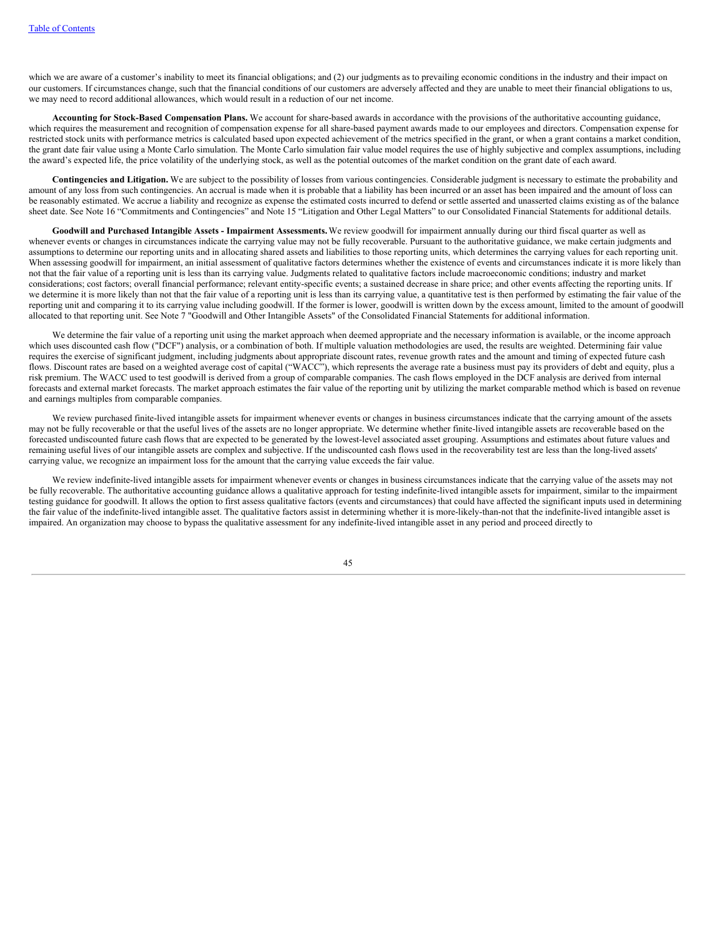which we are aware of a customer's inability to meet its financial obligations; and (2) our judgments as to prevailing economic conditions in the industry and their impact on our customers. If circumstances change, such that the financial conditions of our customers are adversely affected and they are unable to meet their financial obligations to us, we may need to record additional allowances, which would result in a reduction of our net income.

**Accounting for Stock-Based Compensation Plans.** We account for share-based awards in accordance with the provisions of the authoritative accounting guidance, which requires the measurement and recognition of compensation expense for all share-based payment awards made to our employees and directors. Compensation expense for restricted stock units with performance metrics is calculated based upon expected achievement of the metrics specified in the grant, or when a grant contains a market condition, the grant date fair value using a Monte Carlo simulation. The Monte Carlo simulation fair value model requires the use of highly subjective and complex assumptions, including the award's expected life, the price volatility of the underlying stock, as well as the potential outcomes of the market condition on the grant date of each award.

**Contingencies and Litigation.** We are subject to the possibility of losses from various contingencies. Considerable judgment is necessary to estimate the probability and amount of any loss from such contingencies. An accrual is made when it is probable that a liability has been incurred or an asset has been impaired and the amount of loss can be reasonably estimated. We accrue a liability and recognize as expense the estimated costs incurred to defend or settle asserted and unasserted claims existing as of the balance sheet date. See Note 16 "Commitments and Contingencies" and Note 15 "Litigation and Other Legal Matters" to our Consolidated Financial Statements for additional details.

**Goodwill and Purchased Intangible Assets - Impairment Assessments.**We review goodwill for impairment annually during our third fiscal quarter as well as whenever events or changes in circumstances indicate the carrying value may not be fully recoverable. Pursuant to the authoritative guidance, we make certain judgments and assumptions to determine our reporting units and in allocating shared assets and liabilities to those reporting units, which determines the carrying values for each reporting unit. When assessing goodwill for impairment, an initial assessment of qualitative factors determines whether the existence of events and circumstances indicate it is more likely than not that the fair value of a reporting unit is less than its carrying value. Judgments related to qualitative factors include macroeconomic conditions; industry and market considerations; cost factors; overall financial performance; relevant entity-specific events; a sustained decrease in share price; and other events affecting the reporting units. If we determine it is more likely than not that the fair value of a reporting unit is less than its carrying value, a quantitative test is then performed by estimating the fair value of the reporting unit and comparing it to its carrying value including goodwill. If the former is lower, goodwill is written down by the excess amount, limited to the amount of goodwill allocated to that reporting unit. See Note 7 "Goodwill and Other Intangible Assets" of the Consolidated Financial Statements for additional information.

We determine the fair value of a reporting unit using the market approach when deemed appropriate and the necessary information is available, or the income approach which uses discounted cash flow ("DCF") analysis, or a combination of both. If multiple valuation methodologies are used, the results are weighted. Determining fair value requires the exercise of significant judgment, including judgments about appropriate discount rates, revenue growth rates and the amount and timing of expected future cash flows. Discount rates are based on a weighted average cost of capital ("WACC"), which represents the average rate a business must pay its providers of debt and equity, plus a risk premium. The WACC used to test goodwill is derived from a group of comparable companies. The cash flows employed in the DCF analysis are derived from internal forecasts and external market forecasts. The market approach estimates the fair value of the reporting unit by utilizing the market comparable method which is based on revenue and earnings multiples from comparable companies.

We review purchased finite-lived intangible assets for impairment whenever events or changes in business circumstances indicate that the carrying amount of the assets may not be fully recoverable or that the useful lives of the assets are no longer appropriate. We determine whether finite-lived intangible assets are recoverable based on the forecasted undiscounted future cash flows that are expected to be generated by the lowest-level associated asset grouping. Assumptions and estimates about future values and remaining useful lives of our intangible assets are complex and subjective. If the undiscounted cash flows used in the recoverability test are less than the long-lived assets' carrying value, we recognize an impairment loss for the amount that the carrying value exceeds the fair value.

We review indefinite-lived intangible assets for impairment whenever events or changes in business circumstances indicate that the carrying value of the assets may not be fully recoverable. The authoritative accounting guidance allows a qualitative approach for testing indefinite-lived intangible assets for impairment, similar to the impairment testing guidance for goodwill. It allows the option to first assess qualitative factors (events and circumstances) that could have affected the significant inputs used in determining the fair value of the indefinite-lived intangible asset. The qualitative factors assist in determining whether it is more-likely-than-not that the indefinite-lived intangible asset is impaired. An organization may choose to bypass the qualitative assessment for any indefinite-lived intangible asset in any period and proceed directly to

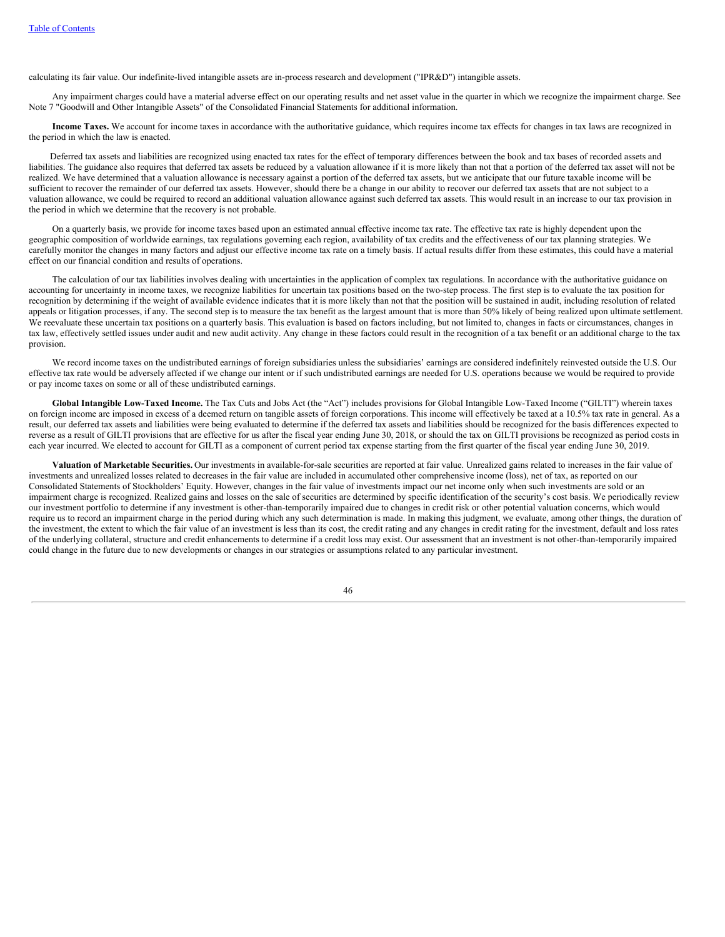calculating its fair value. Our indefinite-lived intangible assets are in-process research and development ("IPR&D") intangible assets.

Any impairment charges could have a material adverse effect on our operating results and net asset value in the quarter in which we recognize the impairment charge. See Note 7 "Goodwill and Other Intangible Assets" of the Consolidated Financial Statements for additional information.

**Income Taxes.** We account for income taxes in accordance with the authoritative guidance, which requires income tax effects for changes in tax laws are recognized in the period in which the law is enacted.

Deferred tax assets and liabilities are recognized using enacted tax rates for the effect of temporary differences between the book and tax bases of recorded assets and liabilities. The guidance also requires that deferred tax assets be reduced by a valuation allowance if it is more likely than not that a portion of the deferred tax asset will not be realized. We have determined that a valuation allowance is necessary against a portion of the deferred tax assets, but we anticipate that our future taxable income will be sufficient to recover the remainder of our deferred tax assets. However, should there be a change in our ability to recover our deferred tax assets that are not subject to a valuation allowance, we could be required to record an additional valuation allowance against such deferred tax assets. This would result in an increase to our tax provision in the period in which we determine that the recovery is not probable.

On a quarterly basis, we provide for income taxes based upon an estimated annual effective income tax rate. The effective tax rate is highly dependent upon the geographic composition of worldwide earnings, tax regulations governing each region, availability of tax credits and the effectiveness of our tax planning strategies. We carefully monitor the changes in many factors and adjust our effective income tax rate on a timely basis. If actual results differ from these estimates, this could have a material effect on our financial condition and results of operations.

The calculation of our tax liabilities involves dealing with uncertainties in the application of complex tax regulations. In accordance with the authoritative guidance on accounting for uncertainty in income taxes, we recognize liabilities for uncertain tax positions based on the two-step process. The first step is to evaluate the tax position for recognition by determining if the weight of available evidence indicates that it is more likely than not that the position will be sustained in audit, including resolution of related appeals or litigation processes, if any. The second step is to measure the tax benefit as the largest amount that is more than 50% likely of being realized upon ultimate settlement. We reevaluate these uncertain tax positions on a quarterly basis. This evaluation is based on factors including, but not limited to, changes in facts or circumstances, changes in tax law, effectively settled issues under audit and new audit activity. Any change in these factors could result in the recognition of a tax benefit or an additional charge to the tax provision.

We record income taxes on the undistributed earnings of foreign subsidiaries unless the subsidiaries' earnings are considered indefinitely reinvested outside the U.S. Our effective tax rate would be adversely affected if we change our intent or if such undistributed earnings are needed for U.S. operations because we would be required to provide or pay income taxes on some or all of these undistributed earnings.

**Global Intangible Low-Taxed Income.** The Tax Cuts and Jobs Act (the "Act") includes provisions for Global Intangible Low-Taxed Income ("GILTI") wherein taxes on foreign income are imposed in excess of a deemed return on tangible assets of foreign corporations. This income will effectively be taxed at a 10.5% tax rate in general. As a result, our deferred tax assets and liabilities were being evaluated to determine if the deferred tax assets and liabilities should be recognized for the basis differences expected to reverse as a result of GILTI provisions that are effective for us after the fiscal year ending June 30, 2018, or should the tax on GILTI provisions be recognized as period costs in each year incurred. We elected to account for GILTI as a component of current period tax expense starting from the first quarter of the fiscal year ending June 30, 2019.

**Valuation of Marketable Securities.** Our investments in available-for-sale securities are reported at fair value. Unrealized gains related to increases in the fair value of investments and unrealized losses related to decreases in the fair value are included in accumulated other comprehensive income (loss), net of tax, as reported on our Consolidated Statements of Stockholders' Equity. However, changes in the fair value of investments impact our net income only when such investments are sold or an impairment charge is recognized. Realized gains and losses on the sale of securities are determined by specific identification of the security's cost basis. We periodically review our investment portfolio to determine if any investment is other-than-temporarily impaired due to changes in credit risk or other potential valuation concerns, which would require us to record an impairment charge in the period during which any such determination is made. In making this judgment, we evaluate, among other things, the duration of the investment, the extent to which the fair value of an investment is less than its cost, the credit rating and any changes in credit rating for the investment, default and loss rates of the underlying collateral, structure and credit enhancements to determine if a credit loss may exist. Our assessment that an investment is not other-than-temporarily impaired could change in the future due to new developments or changes in our strategies or assumptions related to any particular investment.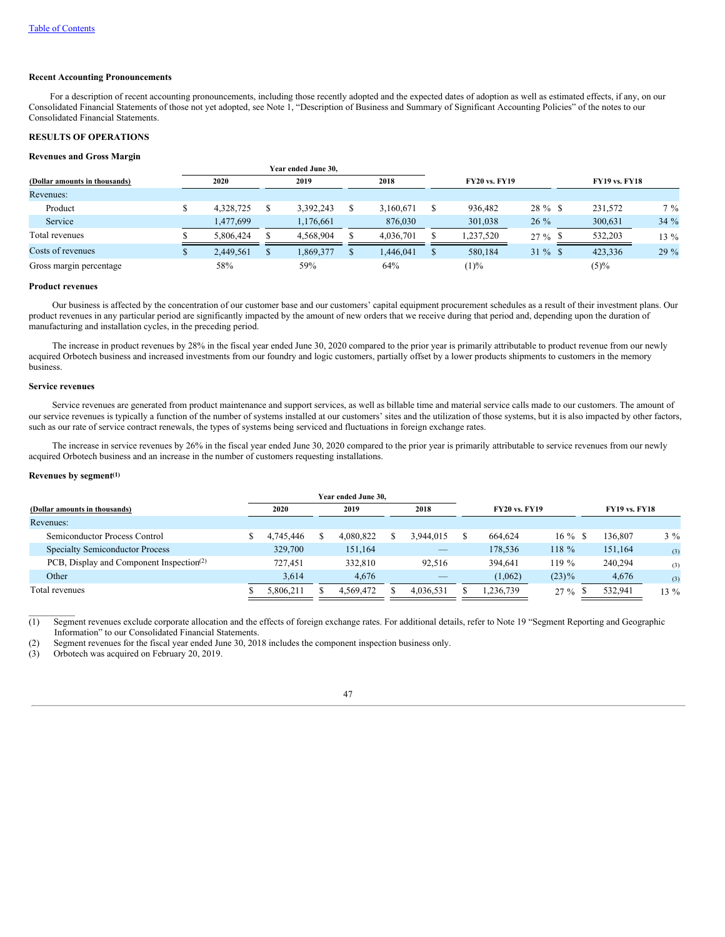## **Recent Accounting Pronouncements**

For a description of recent accounting pronouncements, including those recently adopted and the expected dates of adoption as well as estimated effects, if any, on our Consolidated Financial Statements of those not yet adopted, see Note 1, "Description of Business and Summary of Significant Accounting Policies" of the notes to our Consolidated Financial Statements.

## **RESULTS OF OPERATIONS**

## **Revenues and Gross Margin**

|                               |           | Year ended June 30. |           |   |                      |            |                      |        |
|-------------------------------|-----------|---------------------|-----------|---|----------------------|------------|----------------------|--------|
| (Dollar amounts in thousands) | 2020      | 2019                | 2018      |   | <b>FY20 vs. FY19</b> |            | <b>FY19 vs. FY18</b> |        |
| Revenues:                     |           |                     |           |   |                      |            |                      |        |
| Product                       | 4,328,725 | 3,392,243           | 3.160.671 |   | 936,482              | 28 % \$    | 231,572              | $7\%$  |
| Service                       | 1.477.699 | 1,176,661           | 876,030   |   | 301,038              | $26\%$     | 300,631              | 34%    |
| Total revenues                | 5.806.424 | 4.568.904           | 4,036,701 |   | 1,237,520            | $27 \%$ \$ | 532,203              | 13 %   |
| Costs of revenues             | 2,449,561 | 1,869,377           | 446,041   | S | 580.184              | $31\%$ \$  | 423,336              | $29\%$ |
| Gross margin percentage       | 58%       | 59%                 | 64%       |   | (1)%                 |            | $(5)\%$              |        |

#### **Product revenues**

Our business is affected by the concentration of our customer base and our customers' capital equipment procurement schedules as a result of their investment plans. Our product revenues in any particular period are significantly impacted by the amount of new orders that we receive during that period and, depending upon the duration of manufacturing and installation cycles, in the preceding period.

The increase in product revenues by 28% in the fiscal year ended June 30, 2020 compared to the prior year is primarily attributable to product revenue from our newly acquired Orbotech business and increased investments from our foundry and logic customers, partially offset by a lower products shipments to customers in the memory business.

#### **Service revenues**

Service revenues are generated from product maintenance and support services, as well as billable time and material service calls made to our customers. The amount of our service revenues is typically a function of the number of systems installed at our customers' sites and the utilization of those systems, but it is also impacted by other factors, such as our rate of service contract renewals, the types of systems being serviced and fluctuations in foreign exchange rates.

The increase in service revenues by 26% in the fiscal year ended June 30, 2020 compared to the prior year is primarily attributable to service revenues from our newly acquired Orbotech business and an increase in the number of customers requesting installations.

#### **Revenues by segment (1)**

 $\mathcal{L}_\text{max}$ 

| (Dollar amounts in thousands)                        | 2020      | 2019 |           | 2018 |           | <b>FY20 vs. FY19</b> |          |           | <b>FY19 vs. FY18</b> |        |
|------------------------------------------------------|-----------|------|-----------|------|-----------|----------------------|----------|-----------|----------------------|--------|
| Revenues:                                            |           |      |           |      |           |                      |          |           |                      |        |
| Semiconductor Process Control                        | 4.745.446 |      | 4.080.822 |      | 3,944,015 |                      | 664.624  | $16\%$ \$ | 136.807              | $3\%$  |
| Specialty Semiconductor Process                      | 329,700   |      | 151,164   |      | _         |                      | 178,536  | 118 %     | 151,164              | (3)    |
| PCB, Display and Component Inspection <sup>(2)</sup> | 727.451   |      | 332,810   |      | 92.516    |                      | 394.641  | $119\%$   | 240,294              | (3)    |
| Other                                                | 3,614     |      | 4,676     |      | _         |                      | (1,062)  | $(23)\%$  | 4,676                | (3)    |
| Total revenues                                       | 5.806.211 |      | 4.569.472 |      | 4.036.531 |                      | .236.739 | $27\%$    | 532,941              | $13\%$ |

(1) Segment revenues exclude corporate allocation and the effects of foreign exchange rates. For additional details, refer to Note 19 "Segment Reporting and Geographic Information" to our Consolidated Financial Statements.

(2) Segment revenues for the fiscal year ended June 30, 2018 includes the component inspection business only.

(3) Orbotech was acquired on February 20, 2019.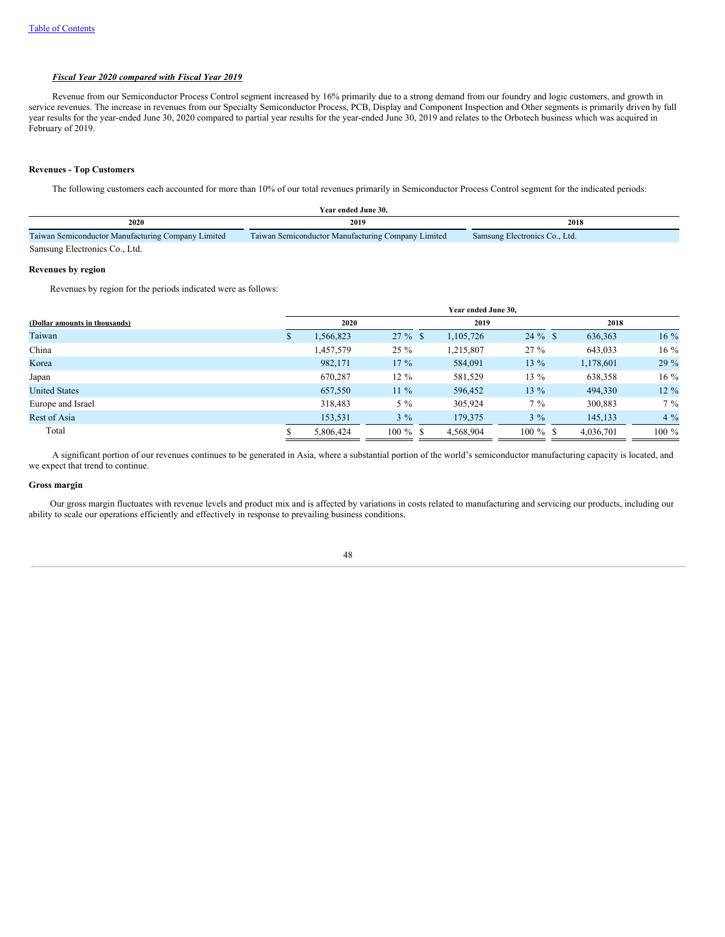## *Fiscal Year 2020 compared with Fiscal Year 2019*

Revenue from our Semiconductor Process Control segment increased by 16% primarily due to a strong demand from our foundry and logic customers, and growth in service revenues. The increase in revenues from our Specialty Semiconductor Process, PCB, Display and Component Inspection and Other segments is primarily driven by full year results for the year-ended June 30, 2020 compared to partial year results for the year-ended June 30, 2019 and relates to the Orbotech business which was acquired in February of 2019.

# **Revenues - Top Customers**

The following customers each accounted for more than 10% of our total revenues primarily in Semiconductor Process Control segment for the indicated periods:

| Year ended June 30.                                |                                                    |                               |  |  |  |  |  |  |  |  |
|----------------------------------------------------|----------------------------------------------------|-------------------------------|--|--|--|--|--|--|--|--|
| 2020                                               | 2019                                               | 2018                          |  |  |  |  |  |  |  |  |
| Taiwan Semiconductor Manufacturing Company Limited | Taiwan Semiconductor Manufacturing Company Limited | Samsung Electronics Co., Ltd. |  |  |  |  |  |  |  |  |
| Samsung Electronics Co., Ltd.                      |                                                    |                               |  |  |  |  |  |  |  |  |

#### **Revenues by region**

Revenues by region for the periods indicated were as follows:

|                               | Year ended June 30. |           |             |  |           |             |  |           |         |  |  |  |  |
|-------------------------------|---------------------|-----------|-------------|--|-----------|-------------|--|-----------|---------|--|--|--|--|
| (Dollar amounts in thousands) |                     | 2020      |             |  | 2019      |             |  | 2018      |         |  |  |  |  |
| Taiwan                        |                     | 1,566,823 | $27 \%$ \$  |  | 1,105,726 | $24 \%$ \$  |  | 636, 363  | 16 %    |  |  |  |  |
| China                         |                     | 1,457,579 | $25\%$      |  | 1,215,807 | $27 \%$     |  | 643,033   | $16\%$  |  |  |  |  |
| Korea                         |                     | 982,171   | $17\%$      |  | 584,091   | $13\%$      |  | 1,178,601 | 29 %    |  |  |  |  |
| Japan                         |                     | 670,287   | $12\%$      |  | 581,529   | $13\%$      |  | 638,358   | $16\%$  |  |  |  |  |
| <b>United States</b>          |                     | 657,550   | $11\%$      |  | 596,452   | $13\%$      |  | 494,330   | $12\%$  |  |  |  |  |
| Europe and Israel             |                     | 318,483   | $5\%$       |  | 305,924   | $7\%$       |  | 300,883   | $7\%$   |  |  |  |  |
| Rest of Asia                  |                     | 153,531   | $3\%$       |  | 179,375   | $3\%$       |  | 145,133   | $4\%$   |  |  |  |  |
| Total                         |                     | 5,806,424 | $100 \%$ \$ |  | 4,568,904 | $100 \%$ \$ |  | 4,036,701 | $100\%$ |  |  |  |  |

A significant portion of our revenues continues to be generated in Asia, where a substantial portion of the world's semiconductor manufacturing capacity is located, and we expect that trend to continue.

### **Gross margin**

Our gross margin fluctuates with revenue levels and product mix and is affected by variations in costs related to manufacturing and servicing our products, including our ability to scale our operations efficiently and effectively in response to prevailing business conditions.

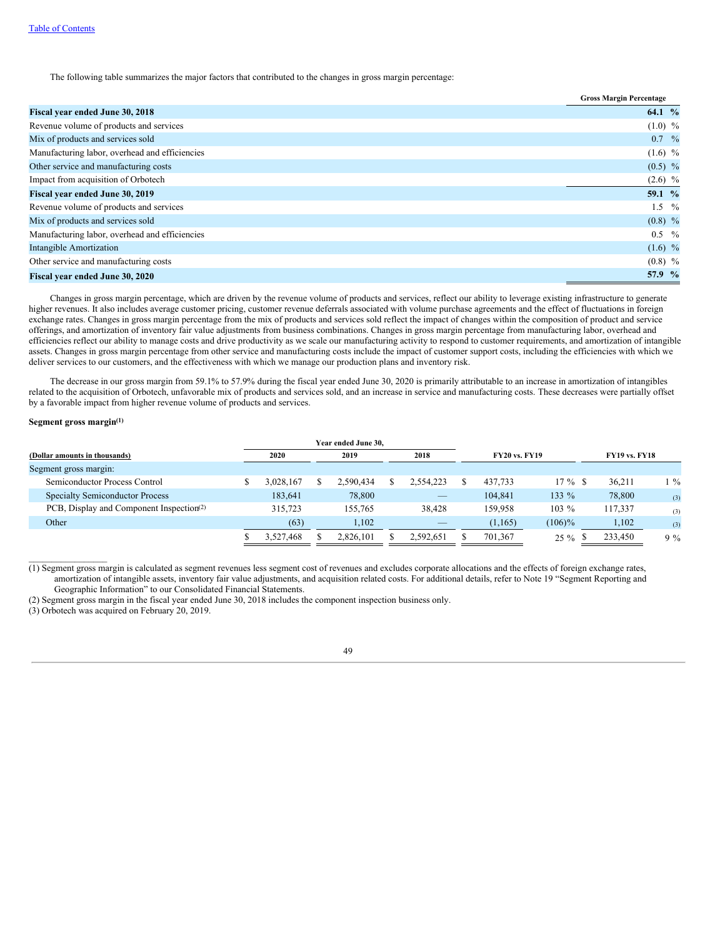The following table summarizes the major factors that contributed to the changes in gross margin percentage:

|                                                | <b>Gross Margin Percentage</b> |
|------------------------------------------------|--------------------------------|
| Fiscal year ended June 30, 2018                | $64.1\%$                       |
| Revenue volume of products and services        | $(1.0)$ %                      |
| Mix of products and services sold              | $0.7 \frac{9}{6}$              |
| Manufacturing labor, overhead and efficiencies | $(1.6)$ %                      |
| Other service and manufacturing costs          | $(0.5)$ %                      |
| Impact from acquisition of Orbotech            | $(2.6)$ %                      |
| Fiscal year ended June 30, 2019                | 59.1 %                         |
| Revenue volume of products and services        | 1.5<br>$\%$                    |
| Mix of products and services sold              | $(0.8)$ %                      |
| Manufacturing labor, overhead and efficiencies | $0.5\%$                        |
| <b>Intangible Amortization</b>                 | $(1.6)$ %                      |
| Other service and manufacturing costs          | $(0.8)$ %                      |
| Fiscal year ended June 30, 2020                | 57.9 $\%$                      |

Changes in gross margin percentage, which are driven by the revenue volume of products and services, reflect our ability to leverage existing infrastructure to generate higher revenues. It also includes average customer pricing, customer revenue deferrals associated with volume purchase agreements and the effect of fluctuations in foreign exchange rates. Changes in gross margin percentage from the mix of products and services sold reflect the impact of changes within the composition of product and service offerings, and amortization of inventory fair value adjustments from business combinations. Changes in gross margin percentage from manufacturing labor, overhead and efficiencies reflect our ability to manage costs and drive productivity as we scale our manufacturing activity to respond to customer requirements, and amortization of intangible assets. Changes in gross margin percentage from other service and manufacturing costs include the impact of customer support costs, including the efficiencies with which we deliver services to our customers, and the effectiveness with which we manage our production plans and inventory risk.

The decrease in our gross margin from 59.1% to 57.9% during the fiscal year ended June 30, 2020 is primarily attributable to an increase in amortization of intangibles related to the acquisition of Orbotech, unfavorable mix of products and services sold, and an increase in service and manufacturing costs. These decreases were partially offset by a favorable impact from higher revenue volume of products and services.

## **Segment gross margin(1)**

 $\mathcal{L}=\mathcal{L}^{\mathcal{L}}$  , where  $\mathcal{L}^{\mathcal{L}}$ 

| Year ended June 30. |                                                      |  |           |  |           |  |                          |  |                      |            |                      |       |
|---------------------|------------------------------------------------------|--|-----------|--|-----------|--|--------------------------|--|----------------------|------------|----------------------|-------|
|                     | (Dollar amounts in thousands)                        |  | 2020      |  | 2019      |  | 2018                     |  | <b>FY20 vs. FY19</b> |            | <b>FY19 vs. FY18</b> |       |
|                     | Segment gross margin:                                |  |           |  |           |  |                          |  |                      |            |                      |       |
|                     | Semiconductor Process Control                        |  | 3,028,167 |  | 2.590.434 |  | 2,554,223                |  | 437.733              | $17 \%$ \$ | 36.211               | $1\%$ |
|                     | <b>Specialty Semiconductor Process</b>               |  | 183.641   |  | 78,800    |  | $\overline{\phantom{a}}$ |  | 104.841              | $133\%$    | 78,800               | (3)   |
|                     | PCB, Display and Component Inspection <sup>(2)</sup> |  | 315,723   |  | 155,765   |  | 38.428                   |  | 159.958              | $103\%$    | 117,337              | (3)   |
|                     | Other                                                |  | (63)      |  | 1,102     |  | $\overline{\phantom{a}}$ |  | (1, 165)             | $(106)\%$  | 1,102                | (3)   |
|                     |                                                      |  | 3,527,468 |  | 2.826.101 |  | 2,592,651                |  | 701,367              | $25\%$ \$  | 233,450              | $9\%$ |

(1) Segment gross margin is calculated as segment revenues less segment cost of revenues and excludes corporate allocations and the effects of foreign exchange rates, amortization of intangible assets, inventory fair value adjustments, and acquisition related costs. For additional details, refer to Note 19 "Segment Reporting and Geographic Information" to our Consolidated Financial Statements.

(2) Segment gross margin in the fiscal year ended June 30, 2018 includes the component inspection business only.

(3) Orbotech was acquired on February 20, 2019.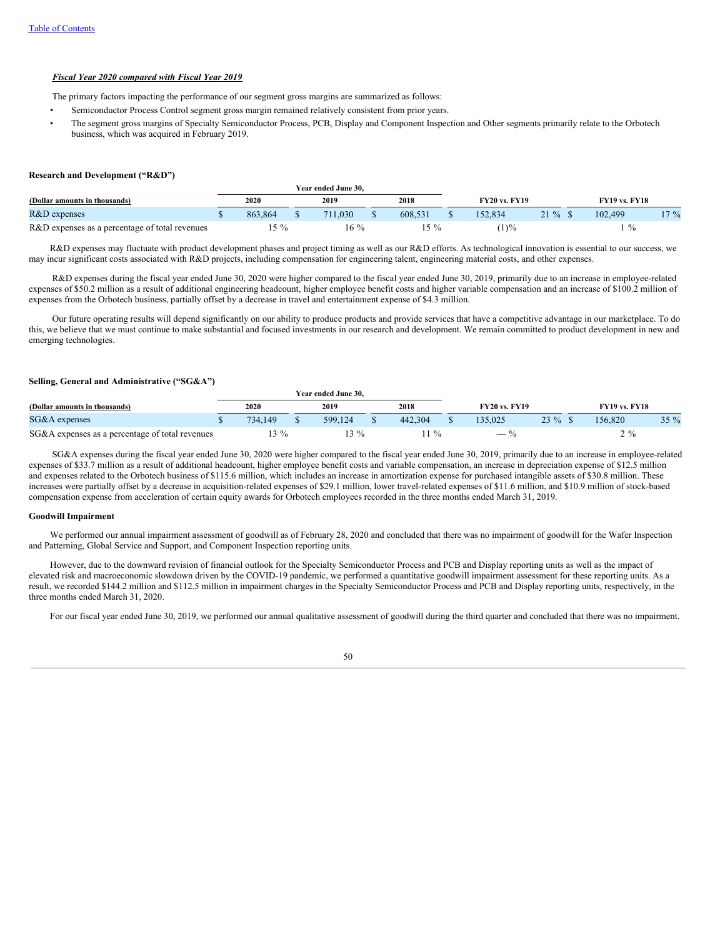### *Fiscal Year 2020 compared with Fiscal Year 2019*

The primary factors impacting the performance of our segment gross margins are summarized as follows:

- Semiconductor Process Control segment gross margin remained relatively consistent from prior years.
- The segment gross margins of Specialty Semiconductor Process, PCB, Display and Component Inspection and Other segments primarily relate to the Orbotech business, which was acquired in February 2019.

## **Research and Development ("R&D")**

|                                                |         | Year ended June 30. |         |                      |           |                      |        |
|------------------------------------------------|---------|---------------------|---------|----------------------|-----------|----------------------|--------|
| (Dollar amounts in thousands)                  | 2020    | 2019                | 2018    | <b>FY20 vs. FY19</b> |           | <b>FY19 vs. FY18</b> |        |
| R&D expenses                                   | 863.864 | 711.030             | 608.531 | 152.834              | $21\%$ \$ | 102,499              | $.7\%$ |
| R&D expenses as a percentage of total revenues | $5\%$   | 16 %                | $15\%$  | 1)%                  |           |                      |        |

R&D expenses may fluctuate with product development phases and project timing as well as our R&D efforts. As technological innovation is essential to our success, we may incur significant costs associated with R&D projects, including compensation for engineering talent, engineering material costs, and other expenses.

R&D expenses during the fiscal year ended June 30, 2020 were higher compared to the fiscal year ended June 30, 2019, primarily due to an increase in employee-related expenses of \$50.2 million as a result of additional engineering headcount, higher employee benefit costs and higher variable compensation and an increase of \$100.2 million of expenses from the Orbotech business, partially offset by a decrease in travel and entertainment expense of \$4.3 million.

Our future operating results will depend significantly on our ability to produce products and provide services that have a competitive advantage in our marketplace. To do this, we believe that we must continue to make substantial and focused investments in our research and development. We remain committed to product development in new and emerging technologies.

#### **Selling, General and Administrative ("SG&A")**

| (Dollar amounts in thousands)                   |  | 2020<br>2018<br>2019 |  | <b>FY20 vs. FY19</b> | <b>FY19 vs. FY18</b> |               |  |         |            |         |      |
|-------------------------------------------------|--|----------------------|--|----------------------|----------------------|---------------|--|---------|------------|---------|------|
| SG&A expenses                                   |  | 734.149              |  | 599,124              |                      | 442,304       |  | 135.025 | $23 \%$ \$ | 156,820 | 35 % |
| SG&A expenses as a percentage of total revenues |  |                      |  | $3\%$                |                      | $\frac{0}{0}$ |  | $-$ %   |            | $2\%$   |      |

SG&A expenses during the fiscal year ended June 30, 2020 were higher compared to the fiscal year ended June 30, 2019, primarily due to an increase in employee-related expenses of \$33.7 million as a result of additional headcount, higher employee benefit costs and variable compensation, an increase in depreciation expense of \$12.5 million and expenses related to the Orbotech business of \$115.6 million, which includes an increase in amortization expense for purchased intangible assets of \$30.8 million. These increases were partially offset by a decrease in acquisition-related expenses of \$29.1 million, lower travel-related expenses of \$11.6 million, and \$10.9 million of stock-based compensation expense from acceleration of certain equity awards for Orbotech employees recorded in the three months ended March 31, 2019.

#### **Goodwill Impairment**

We performed our annual impairment assessment of goodwill as of February 28, 2020 and concluded that there was no impairment of goodwill for the Wafer Inspection and Patterning, Global Service and Support, and Component Inspection reporting units.

However, due to the downward revision of financial outlook for the Specialty Semiconductor Process and PCB and Display reporting units as well as the impact of elevated risk and macroeconomic slowdown driven by the COVID-19 pandemic, we performed a quantitative goodwill impairment assessment for these reporting units. As a result, we recorded \$144.2 million and \$112.5 million in impairment charges in the Specialty Semiconductor Process and PCB and Display reporting units, respectively, in the three months ended March 31, 2020.

For our fiscal year ended June 30, 2019, we performed our annual qualitative assessment of goodwill during the third quarter and concluded that there was no impairment.

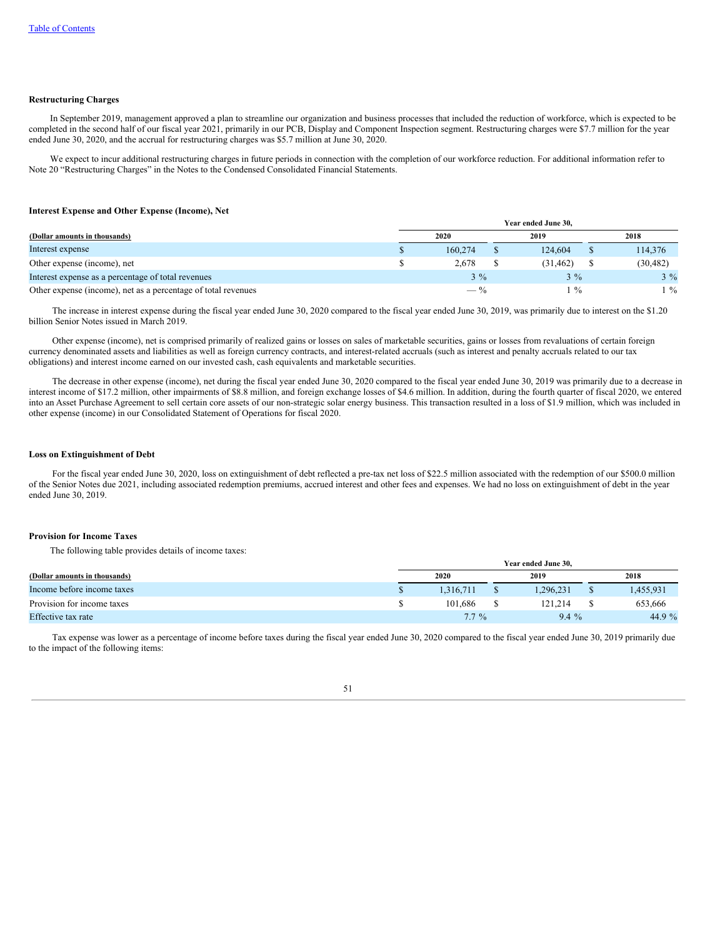### **Restructuring Charges**

In September 2019, management approved a plan to streamline our organization and business processes that included the reduction of workforce, which is expected to be completed in the second half of our fiscal year 2021, primarily in our PCB, Display and Component Inspection segment. Restructuring charges were \$7.7 million for the year ended June 30, 2020, and the accrual for restructuring charges was \$5.7 million at June 30, 2020.

We expect to incur additional restructuring charges in future periods in connection with the completion of our workforce reduction. For additional information refer to Note 20 "Restructuring Charges" in the Notes to the Condensed Consolidated Financial Statements.

#### **Interest Expense and Other Expense (Income), Net**

|                                                               |  | Year ended June 30.                  |  |          |  |               |  |  |  |  |  |  |
|---------------------------------------------------------------|--|--------------------------------------|--|----------|--|---------------|--|--|--|--|--|--|
| (Dollar amounts in thousands)                                 |  | 2020                                 |  | 2019     |  | 2018          |  |  |  |  |  |  |
| Interest expense                                              |  | 160,274                              |  | 124,604  |  | 114,376       |  |  |  |  |  |  |
| Other expense (income), net                                   |  | 2.678                                |  | (31.462) |  | (30.482)      |  |  |  |  |  |  |
| Interest expense as a percentage of total revenues            |  | $3\%$                                |  | $3\%$    |  | $3\%$         |  |  |  |  |  |  |
| Other expense (income), net as a percentage of total revenues |  | $^{0/2}$<br>$\overline{\phantom{0}}$ |  |          |  | $\frac{0}{0}$ |  |  |  |  |  |  |

The increase in interest expense during the fiscal year ended June 30, 2020 compared to the fiscal year ended June 30, 2019, was primarily due to interest on the \$1.20 billion Senior Notes issued in March 2019.

Other expense (income), net is comprised primarily of realized gains or losses on sales of marketable securities, gains or losses from revaluations of certain foreign currency denominated assets and liabilities as well as foreign currency contracts, and interest-related accruals (such as interest and penalty accruals related to our tax obligations) and interest income earned on our invested cash, cash equivalents and marketable securities.

The decrease in other expense (income), net during the fiscal year ended June 30, 2020 compared to the fiscal year ended June 30, 2019 was primarily due to a decrease in interest income of \$17.2 million, other impairments of \$8.8 million, and foreign exchange losses of \$4.6 million. In addition, during the fourth quarter of fiscal 2020, we entered into an Asset Purchase Agreement to sell certain core assets of our non-strategic solar energy business. This transaction resulted in a loss of \$1.9 million, which was included in other expense (income) in our Consolidated Statement of Operations for fiscal 2020.

#### **Loss on Extinguishment of Debt**

For the fiscal year ended June 30, 2020, loss on extinguishment of debt reflected a pre-tax net loss of \$22.5 million associated with the redemption of our \$500.0 million of the Senior Notes due 2021, including associated redemption premiums, accrued interest and other fees and expenses. We had no loss on extinguishment of debt in the year ended June 30, 2019.

#### **Provision for Income Taxes**

The following table provides details of income taxes:

|                               | Year ended June 30. |           |  |           |  |           |  |  |  |  |  |
|-------------------------------|---------------------|-----------|--|-----------|--|-----------|--|--|--|--|--|
| (Dollar amounts in thousands) |                     | 2020      |  | 2019      |  | 2018      |  |  |  |  |  |
| Income before income taxes    |                     | 1.316.711 |  | 1.296.231 |  | 1,455,931 |  |  |  |  |  |
| Provision for income taxes    |                     | 101.686   |  | 121.214   |  | 653,666   |  |  |  |  |  |
| Effective tax rate            | $7.7\%$             |           |  | $9.4\%$   |  | 44.9 %    |  |  |  |  |  |

Tax expense was lower as a percentage of income before taxes during the fiscal year ended June 30, 2020 compared to the fiscal year ended June 30, 2019 primarily due to the impact of the following items: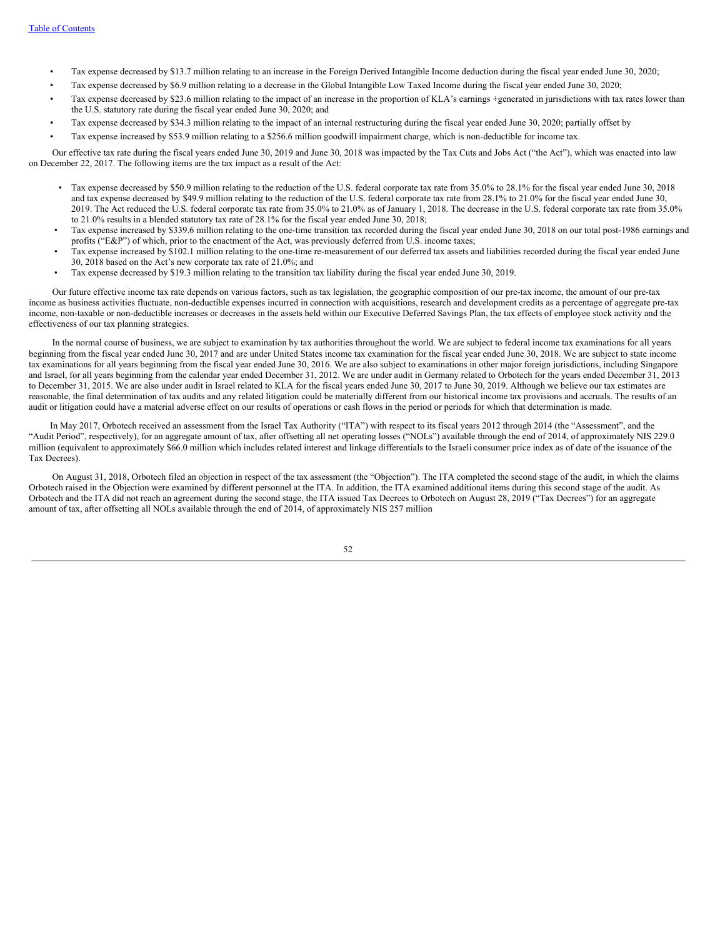- Tax expense decreased by \$13.7 million relating to an increase in the Foreign Derived Intangible Income deduction during the fiscal year ended June 30, 2020;
- Tax expense decreased by \$6.9 million relating to a decrease in the Global Intangible Low Taxed Income during the fiscal year ended June 30, 2020;
- Tax expense decreased by \$23.6 million relating to the impact of an increase in the proportion of KLA's earnings +generated in jurisdictions with tax rates lower than the U.S. statutory rate during the fiscal year ended June 30, 2020; and
- Tax expense decreased by \$34.3 million relating to the impact of an internal restructuring during the fiscal year ended June 30, 2020; partially offset by
- Tax expense increased by \$53.9 million relating to a \$256.6 million goodwill impairment charge, which is non-deductible for income tax.

Our effective tax rate during the fiscal years ended June 30, 2019 and June 30, 2018 was impacted by the Tax Cuts and Jobs Act ("the Act"), which was enacted into law on December 22, 2017. The following items are the tax impact as a result of the Act:

- Tax expense decreased by \$50.9 million relating to the reduction of the U.S. federal corporate tax rate from 35.0% to 28.1% for the fiscal year ended June 30, 2018 and tax expense decreased by \$49.9 million relating to the reduction of the U.S. federal corporate tax rate from 28.1% to 21.0% for the fiscal year ended June 30, 2019. The Act reduced the U.S. federal corporate tax rate from 35.0% to 21.0% as of January 1, 2018. The decrease in the U.S. federal corporate tax rate from 35.0% to 21.0% results in a blended statutory tax rate of 28.1% for the fiscal year ended June 30, 2018;
- Tax expense increased by \$339.6 million relating to the one-time transition tax recorded during the fiscal year ended June 30, 2018 on our total post-1986 earnings and profits ("E&P") of which, prior to the enactment of the Act, was previously deferred from U.S. income taxes;
- Tax expense increased by \$102.1 million relating to the one-time re-measurement of our deferred tax assets and liabilities recorded during the fiscal year ended June 30, 2018 based on the Act's new corporate tax rate of 21.0%; and
- Tax expense decreased by \$19.3 million relating to the transition tax liability during the fiscal year ended June 30, 2019.

Our future effective income tax rate depends on various factors, such as tax legislation, the geographic composition of our pre-tax income, the amount of our pre-tax income as business activities fluctuate, non-deductible expenses incurred in connection with acquisitions, research and development credits as a percentage of aggregate pre-tax income, non-taxable or non-deductible increases or decreases in the assets held within our Executive Deferred Savings Plan, the tax effects of employee stock activity and the effectiveness of our tax planning strategies.

In the normal course of business, we are subject to examination by tax authorities throughout the world. We are subject to federal income tax examinations for all years beginning from the fiscal year ended June 30, 2017 and are under United States income tax examination for the fiscal year ended June 30, 2018. We are subject to state income tax examinations for all years beginning from the fiscal year ended June 30, 2016. We are also subject to examinations in other major foreign jurisdictions, including Singapore and Israel, for all years beginning from the calendar year ended December 31, 2012. We are under audit in Germany related to Orbotech for the years ended December 31, 2013 to December 31, 2015. We are also under audit in Israel related to KLA for the fiscal years ended June 30, 2017 to June 30, 2019. Although we believe our tax estimates are reasonable, the final determination of tax audits and any related litigation could be materially different from our historical income tax provisions and accruals. The results of an audit or litigation could have a material adverse effect on our results of operations or cash flows in the period or periods for which that determination is made.

In May 2017, Orbotech received an assessment from the Israel Tax Authority ("ITA") with respect to its fiscal years 2012 through 2014 (the "Assessment", and the "Audit Period", respectively), for an aggregate amount of tax, after offsetting all net operating losses ("NOLs") available through the end of 2014, of approximately NIS 229.0 million (equivalent to approximately \$66.0 million which includes related interest and linkage differentials to the Israeli consumer price index as of date of the issuance of the Tax Decrees).

On August 31, 2018, Orbotech filed an objection in respect of the tax assessment (the "Objection"). The ITA completed the second stage of the audit, in which the claims Orbotech raised in the Objection were examined by different personnel at the ITA. In addition, the ITA examined additional items during this second stage of the audit. As Orbotech and the ITA did not reach an agreement during the second stage, the ITA issued Tax Decrees to Orbotech on August 28, 2019 ("Tax Decrees") for an aggregate amount of tax, after offsetting all NOLs available through the end of 2014, of approximately NIS 257 million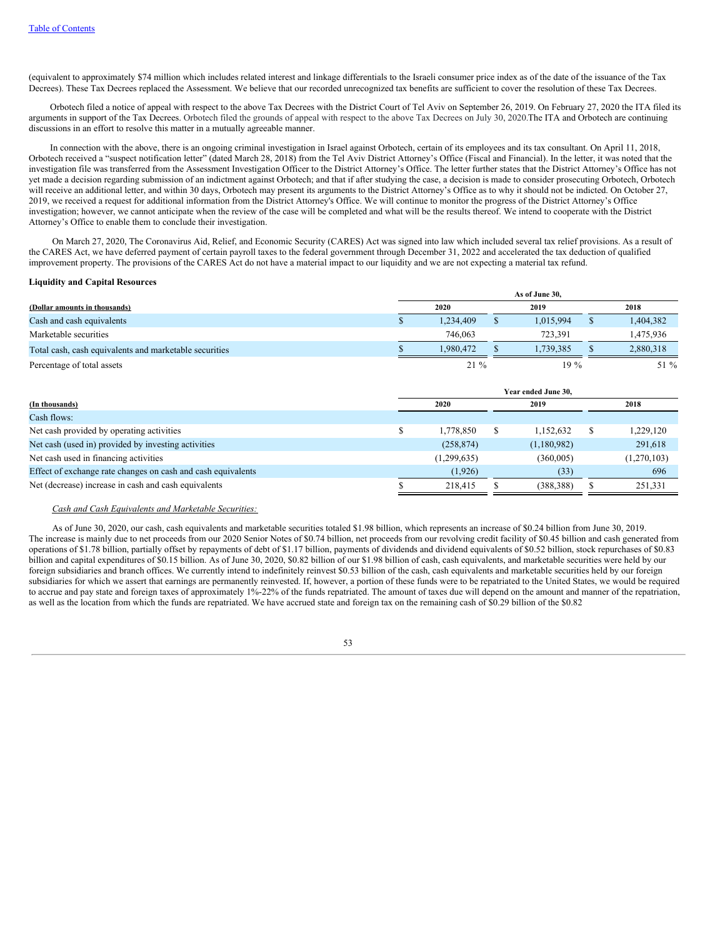(equivalent to approximately \$74 million which includes related interest and linkage differentials to the Israeli consumer price index as of the date of the issuance of the Tax Decrees). These Tax Decrees replaced the Assessment. We believe that our recorded unrecognized tax benefits are sufficient to cover the resolution of these Tax Decrees.

Orbotech filed a notice of appeal with respect to the above Tax Decrees with the District Court of Tel Aviv on September 26, 2019. On February 27, 2020 the ITA filed its arguments in support of the Tax Decrees. Orbotech filed the grounds of appeal with respect to the above Tax Decrees on July 30, 2020. The ITA and Orbotech are continuing discussions in an effort to resolve this matter in a mutually agreeable manner.

In connection with the above, there is an ongoing criminal investigation in Israel against Orbotech, certain of its employees and its tax consultant. On April 11, 2018, Orbotech received a "suspect notification letter" (dated March 28, 2018) from the Tel Aviv District Attorney's Office (Fiscal and Financial). In the letter, it was noted that the investigation file was transferred from the Assessment Investigation Officer to the District Attorney's Office. The letter further states that the District Attorney's Office has not yet made a decision regarding submission of an indictment against Orbotech; and that if after studying the case, a decision is made to consider prosecuting Orbotech, Orbotech will receive an additional letter, and within 30 days, Orbotech may present its arguments to the District Attorney's Office as to why it should not be indicted. On October 27, 2019, we received a request for additional information from the District Attorney's Office. We will continue to monitor the progress of the District Attorney's Office investigation; however, we cannot anticipate when the review of the case will be completed and what will be the results thereof. We intend to cooperate with the District Attorney's Office to enable them to conclude their investigation.

On March 27, 2020, The Coronavirus Aid, Relief, and Economic Security (CARES) Act was signed into law which included several tax relief provisions. As a result of the CARES Act, we have deferred payment of certain payroll taxes to the federal government through December 31, 2022 and accelerated the tax deduction of qualified improvement property. The provisions of the CARES Act do not have a material impact to our liquidity and we are not expecting a material tax refund.

## **Liquidity and Capital Resources**

|                                                        | As of June 30. |  |           |  |           |  |  |  |  |  |  |
|--------------------------------------------------------|----------------|--|-----------|--|-----------|--|--|--|--|--|--|
| (Dollar amounts in thousands)                          | 2020           |  | 2019      |  | 2018      |  |  |  |  |  |  |
| Cash and cash equivalents                              | 1.234.409      |  | 1.015.994 |  | 1,404,382 |  |  |  |  |  |  |
| Marketable securities                                  | 746,063        |  | 723.391   |  | 1,475,936 |  |  |  |  |  |  |
| Total cash, cash equivalents and marketable securities | 1.980.472      |  | 1.739.385 |  | 2,880,318 |  |  |  |  |  |  |
| Percentage of total assets                             | $21\%$         |  | $19\%$    |  | 51 %      |  |  |  |  |  |  |

|                                                              | Year ended June 30. |  |             |  |             |  |  |  |  |
|--------------------------------------------------------------|---------------------|--|-------------|--|-------------|--|--|--|--|
| (In thousands)                                               | 2020                |  | 2019        |  | 2018        |  |  |  |  |
| Cash flows:                                                  |                     |  |             |  |             |  |  |  |  |
| Net cash provided by operating activities                    | 1.778.850           |  | 1.152.632   |  | 1,229,120   |  |  |  |  |
| Net cash (used in) provided by investing activities          | (258, 874)          |  | (1,180,982) |  | 291,618     |  |  |  |  |
| Net cash used in financing activities                        | (1,299,635)         |  | (360,005)   |  | (1,270,103) |  |  |  |  |
| Effect of exchange rate changes on cash and cash equivalents | (1,926)             |  | (33)        |  | 696         |  |  |  |  |
| Net (decrease) increase in cash and cash equivalents         | 218,415             |  | (388, 388)  |  | 251,331     |  |  |  |  |

## *Cash and Cash Equivalents and Marketable Securities:*

As of June 30, 2020, our cash, cash equivalents and marketable securities totaled \$1.98 billion, which represents an increase of \$0.24 billion from June 30, 2019. The increase is mainly due to net proceeds from our 2020 Senior Notes of \$0.74 billion, net proceeds from our revolving credit facility of \$0.45 billion and cash generated from operations of \$1.78 billion, partially offset by repayments of debt of \$1.17 billion, payments of dividends and dividend equivalents of \$0.52 billion, stock repurchases of \$0.83 billion and capital expenditures of \$0.15 billion. As of June 30, 2020, \$0.82 billion of our \$1.98 billion of cash, cash equivalents, and marketable securities were held by our foreign subsidiaries and branch offices. We currently intend to indefinitely reinvest \$0.53 billion of the cash, cash equivalents and marketable securities held by our foreign subsidiaries for which we assert that earnings are permanently reinvested. If, however, a portion of these funds were to be repatriated to the United States, we would be required to accrue and pay state and foreign taxes of approximately 1%-22% of the funds repatriated. The amount of taxes due will depend on the amount and manner of the repatriation, as well as the location from which the funds are repatriated. We have accrued state and foreign tax on the remaining cash of \$0.29 billion of the \$0.82

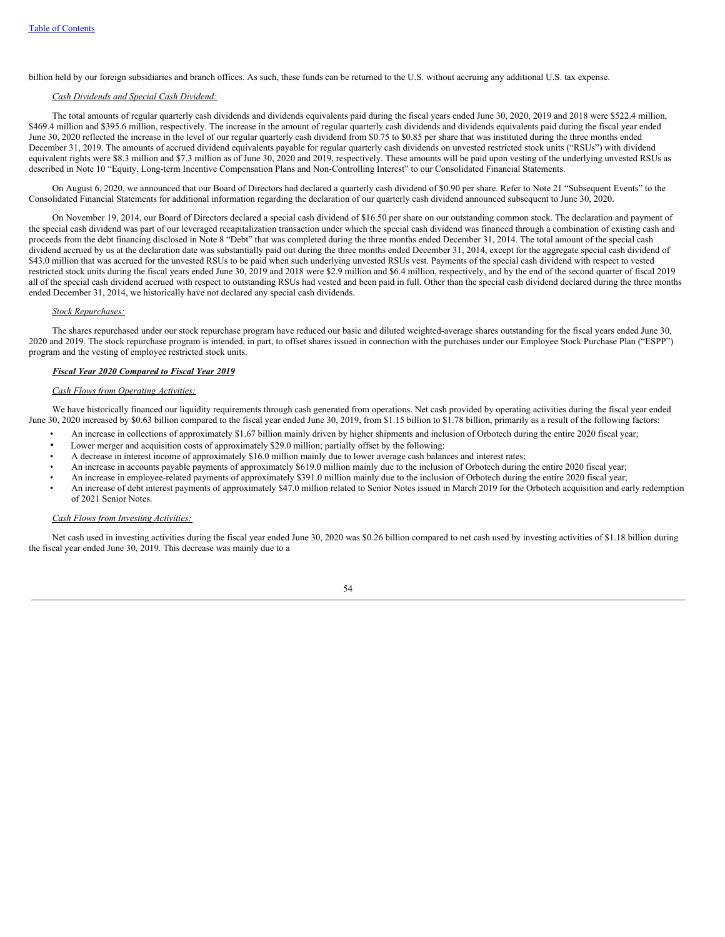billion held by our foreign subsidiaries and branch offices. As such, these funds can be returned to the U.S. without accruing any additional U.S. tax expense.

## *Cash Dividends and Special Cash Dividend:*

The total amounts of regular quarterly cash dividends and dividends equivalents paid during the fiscal years ended June 30, 2020, 2019 and 2018 were \$522.4 million, \$469.4 million and \$395.6 million, respectively. The increase in the amount of regular quarterly cash dividends and dividends equivalents paid during the fiscal year ended June 30, 2020 reflected the increase in the level of our regular quarterly cash dividend from \$0.75 to \$0.85 per share that was instituted during the three months ended December 31, 2019. The amounts of accrued dividend equivalents payable for regular quarterly cash dividends on unvested restricted stock units ("RSUs") with dividend equivalent rights were \$8.3 million and \$7.3 million as of June 30, 2020 and 2019, respectively. These amounts will be paid upon vesting of the underlying unvested RSUs as described in Note 10 "Equity, Long-term Incentive Compensation Plans and Non-Controlling Interest" to our Consolidated Financial Statements.

On August 6, 2020, we announced that our Board of Directors had declared a quarterly cash dividend of \$0.90 per share. Refer to Note 21 "Subsequent Events" to the Consolidated Financial Statements for additional information regarding the declaration of our quarterly cash dividend announced subsequent to June 30, 2020.

On November 19, 2014, our Board of Directors declared a special cash dividend of \$16.50 per share on our outstanding common stock. The declaration and payment of the special cash dividend was part of our leveraged recapitalization transaction under which the special cash dividend was financed through a combination of existing cash and proceeds from the debt financing disclosed in Note 8 "Debt" that was completed during the three months ended December 31, 2014. The total amount of the special cash dividend accrued by us at the declaration date was substantially paid out during the three months ended December 31, 2014, except for the aggregate special cash dividend of \$43.0 million that was accrued for the unvested RSUs to be paid when such underlying unvested RSUs vest. Payments of the special cash dividend with respect to vested restricted stock units during the fiscal years ended June 30, 2019 and 2018 were \$2.9 million and \$6.4 million, respectively, and by the end of the second quarter of fiscal 2019 all of the special cash dividend accrued with respect to outstanding RSUs had vested and been paid in full. Other than the special cash dividend declared during the three months ended December 31, 2014, we historically have not declared any special cash dividends.

### *Stock Repurchases:*

The shares repurchased under our stock repurchase program have reduced our basic and diluted weighted-average shares outstanding for the fiscal years ended June 30, 2020 and 2019. The stock repurchase program is intended, in part, to offset shares issued in connection with the purchases under our Employee Stock Purchase Plan ("ESPP") program and the vesting of employee restricted stock units.

### *Fiscal Year 2020 Compared to Fiscal Year 2019*

#### *Cash Flows from Operating Activities:*

We have historically financed our liquidity requirements through cash generated from operations. Net cash provided by operating activities during the fiscal year ended June 30, 2020 increased by \$0.63 billion compared to the fiscal year ended June 30, 2019, from \$1.15 billion to \$1.78 billion, primarily as a result of the following factors:

- An increase in collections of approximately \$1.67 billion mainly driven by higher shipments and inclusion of Orbotech during the entire 2020 fiscal year;
- Lower merger and acquisition costs of approximately \$29.0 million; partially offset by the following:
- A decrease in interest income of approximately \$16.0 million mainly due to lower average cash balances and interest rates;
- An increase in accounts payable payments of approximately \$619.0 million mainly due to the inclusion of Orbotech during the entire 2020 fiscal year;
- An increase in employee-related payments of approximately \$391.0 million mainly due to the inclusion of Orbotech during the entire 2020 fiscal year;
- An increase of debt interest payments of approximately \$47.0 million related to Senior Notes issued in March 2019 for the Orbotech acquisition and early redemption of 2021 Senior Notes.

### *Cash Flows from Investing Activities:*

Net cash used in investing activities during the fiscal year ended June 30, 2020 was \$0.26 billion compared to net cash used by investing activities of \$1.18 billion during the fiscal year ended June 30, 2019. This decrease was mainly due to a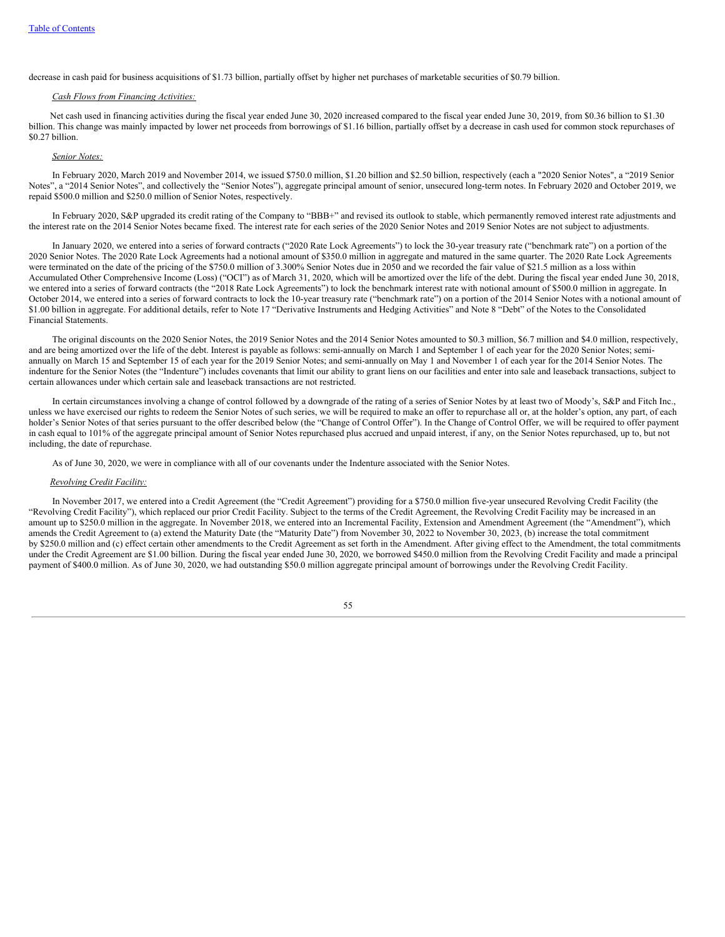decrease in cash paid for business acquisitions of \$1.73 billion, partially offset by higher net purchases of marketable securities of \$0.79 billion.

## *Cash Flows from Financing Activities:*

Net cash used in financing activities during the fiscal year ended June 30, 2020 increased compared to the fiscal year ended June 30, 2019, from \$0.36 billion to \$1.30 billion. This change was mainly impacted by lower net proceeds from borrowings of \$1.16 billion, partially offset by a decrease in cash used for common stock repurchases of \$0.27 billion.

## *Senior Notes:*

In February 2020, March 2019 and November 2014, we issued \$750.0 million, \$1.20 billion and \$2.50 billion, respectively (each a "2020 Senior Notes", a "2019 Senior Notes", a "2014 Senior Notes", and collectively the "Senior Notes"), aggregate principal amount of senior, unsecured long-term notes. In February 2020 and October 2019, we repaid \$500.0 million and \$250.0 million of Senior Notes, respectively.

In February 2020, S&P upgraded its credit rating of the Company to "BBB+" and revised its outlook to stable, which permanently removed interest rate adjustments and the interest rate on the 2014 Senior Notes became fixed. The interest rate for each series of the 2020 Senior Notes and 2019 Senior Notes are not subject to adjustments.

In January 2020, we entered into a series of forward contracts ("2020 Rate Lock Agreements") to lock the 30-year treasury rate ("benchmark rate") on a portion of the 2020 Senior Notes. The 2020 Rate Lock Agreements had a notional amount of \$350.0 million in aggregate and matured in the same quarter. The 2020 Rate Lock Agreements were terminated on the date of the pricing of the \$750.0 million of 3.300% Senior Notes due in 2050 and we recorded the fair value of \$21.5 million as a loss within Accumulated Other Comprehensive Income (Loss) ("OCI") as of March 31, 2020, which will be amortized over the life of the debt. During the fiscal year ended June 30, 2018, we entered into a series of forward contracts (the "2018 Rate Lock Agreements") to lock the benchmark interest rate with notional amount of \$500.0 million in aggregate. In October 2014, we entered into a series of forward contracts to lock the 10-year treasury rate ("benchmark rate") on a portion of the 2014 Senior Notes with a notional amount of \$1.00 billion in aggregate. For additional details, refer to Note 17 "Derivative Instruments and Hedging Activities" and Note 8 "Debt" of the Notes to the Consolidated Financial Statements.

The original discounts on the 2020 Senior Notes, the 2019 Senior Notes and the 2014 Senior Notes amounted to \$0.3 million, \$6.7 million and \$4.0 million, respectively, and are being amortized over the life of the debt. Interest is payable as follows: semi-annually on March 1 and September 1 of each year for the 2020 Senior Notes; semiannually on March 15 and September 15 of each year for the 2019 Senior Notes; and semi-annually on May 1 and November 1 of each year for the 2014 Senior Notes. The indenture for the Senior Notes (the "Indenture") includes covenants that limit our ability to grant liens on our facilities and enter into sale and leaseback transactions, subject to certain allowances under which certain sale and leaseback transactions are not restricted.

In certain circumstances involving a change of control followed by a downgrade of the rating of a series of Senior Notes by at least two of Moody's, S&P and Fitch Inc., unless we have exercised our rights to redeem the Senior Notes of such series, we will be required to make an offer to repurchase all or, at the holder's option, any part, of each holder's Senior Notes of that series pursuant to the offer described below (the "Change of Control Offer"). In the Change of Control Offer, we will be required to offer payment in cash equal to 101% of the aggregate principal amount of Senior Notes repurchased plus accrued and unpaid interest, if any, on the Senior Notes repurchased, up to, but not including, the date of repurchase.

As of June 30, 2020, we were in compliance with all of our covenants under the Indenture associated with the Senior Notes.

## *Revolving Credit Facility:*

In November 2017, we entered into a Credit Agreement (the "Credit Agreement") providing for a \$750.0 million five-year unsecured Revolving Credit Facility (the "Revolving Credit Facility"), which replaced our prior Credit Facility. Subject to the terms of the Credit Agreement, the Revolving Credit Facility may be increased in an amount up to \$250.0 million in the aggregate. In November 2018, we entered into an Incremental Facility, Extension and Amendment Agreement (the "Amendment"), which amends the Credit Agreement to (a) extend the Maturity Date (the "Maturity Date") from November 30, 2022 to November 30, 2023, (b) increase the total commitment by \$250.0 million and (c) effect certain other amendments to the Credit Agreement as set forth in the Amendment. After giving effect to the Amendment, the total commitments under the Credit Agreement are \$1.00 billion. During the fiscal year ended June 30, 2020, we borrowed \$450.0 million from the Revolving Credit Facility and made a principal payment of \$400.0 million. As of June 30, 2020, we had outstanding \$50.0 million aggregate principal amount of borrowings under the Revolving Credit Facility.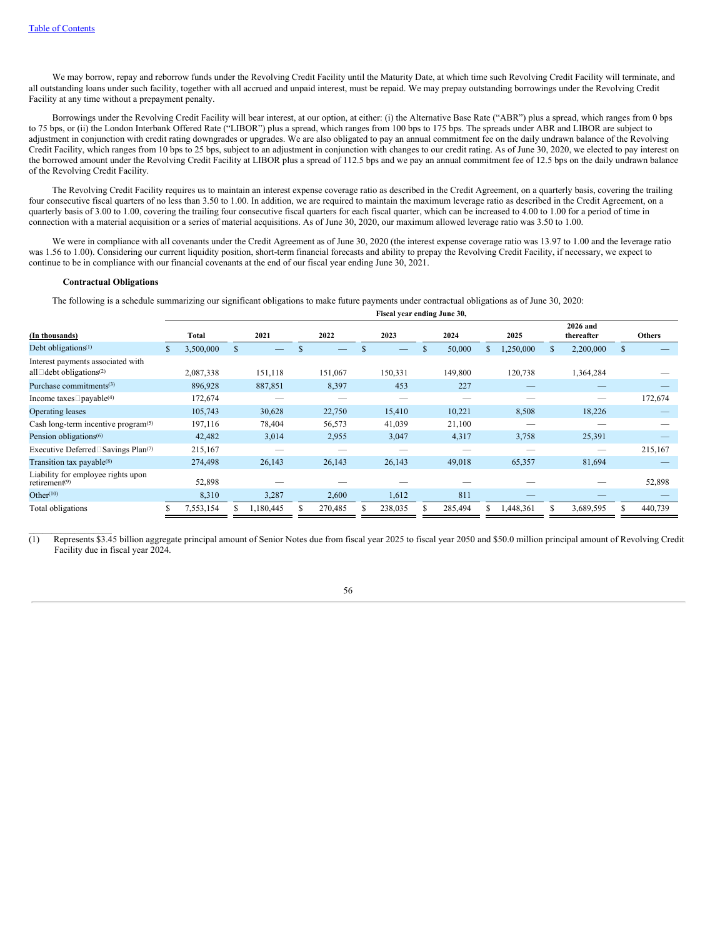We may borrow, repay and reborrow funds under the Revolving Credit Facility until the Maturity Date, at which time such Revolving Credit Facility will terminate, and all outstanding loans under such facility, together with all accrued and unpaid interest, must be repaid. We may prepay outstanding borrowings under the Revolving Credit Facility at any time without a prepayment penalty.

Borrowings under the Revolving Credit Facility will bear interest, at our option, at either: (i) the Alternative Base Rate ("ABR") plus a spread, which ranges from 0 bps to 75 bps, or (ii) the London Interbank Offered Rate ("LIBOR") plus a spread, which ranges from 100 bps to 175 bps. The spreads under ABR and LIBOR are subject to adjustment in conjunction with credit rating downgrades or upgrades. We are also obligated to pay an annual commitment fee on the daily undrawn balance of the Revolving Credit Facility, which ranges from 10 bps to 25 bps, subject to an adjustment in conjunction with changes to our credit rating. As of June 30, 2020, we elected to pay interest on the borrowed amount under the Revolving Credit Facility at LIBOR plus a spread of 112.5 bps and we pay an annual commitment fee of 12.5 bps on the daily undrawn balance of the Revolving Credit Facility.

The Revolving Credit Facility requires us to maintain an interest expense coverage ratio as described in the Credit Agreement, on a quarterly basis, covering the trailing four consecutive fiscal quarters of no less than 3.50 to 1.00. In addition, we are required to maintain the maximum leverage ratio as described in the Credit Agreement, on a quarterly basis of 3.00 to 1.00, covering the trailing four consecutive fiscal quarters for each fiscal quarter, which can be increased to 4.00 to 1.00 for a period of time in connection with a material acquisition or a series of material acquisitions. As of June 30, 2020, our maximum allowed leverage ratio was 3.50 to 1.00.

We were in compliance with all covenants under the Credit Agreement as of June 30, 2020 (the interest expense coverage ratio was 13.97 to 1.00 and the leverage ratio was 1.56 to 1.00). Considering our current liquidity position, short-term financial forecasts and ability to prepay the Revolving Credit Facility, if necessary, we expect to continue to be in compliance with our financial covenants at the end of our fiscal year ending June 30, 2021.

**Fiscal year ending June 30,**

## **Contractual Obligations**

 $\mathcal{L}=\mathcal{L}^{\mathcal{L}}$  , where  $\mathcal{L}^{\mathcal{L}}$ 

The following is a schedule summarizing our significant obligations to make future payments under contractual obligations as of June 30, 2020:

|                                                                                 | PISCAL YEAL CHUING JUNE JU, |           |  |          |  |         |  |         |  |         |      |           |     |                        |          |               |
|---------------------------------------------------------------------------------|-----------------------------|-----------|--|----------|--|---------|--|---------|--|---------|------|-----------|-----|------------------------|----------|---------------|
| (In thousands)                                                                  |                             | Total     |  | 2021     |  | 2022    |  | 2023    |  | 2024    | 2025 |           |     | 2026 and<br>thereafter |          | <b>Others</b> |
| Debt obligations <sup>(1)</sup>                                                 |                             | 3,500,000 |  |          |  |         |  |         |  | 50,000  |      | 1,250,000 | \$. | 2,200,000              | <b>S</b> |               |
| Interest payments associated with<br>all $\Box$ debt obligations <sup>(2)</sup> |                             | 2,087,338 |  | 151,118  |  | 151,067 |  | 150,331 |  | 149,800 |      | 120,738   |     | 1,364,284              |          |               |
| Purchase commitments <sup>(3)</sup>                                             |                             | 896,928   |  | 887,851  |  | 8,397   |  | 453     |  | 227     |      |           |     |                        |          |               |
| Income taxes $\Box$ payable <sup>(4)</sup>                                      |                             | 172,674   |  |          |  |         |  |         |  |         |      |           |     |                        |          | 172,674       |
| Operating leases                                                                |                             | 105,743   |  | 30,628   |  | 22,750  |  | 15,410  |  | 10,221  |      | 8,508     |     | 18,226                 |          |               |
| Cash long-term incentive program <sup>(5)</sup>                                 |                             | 197,116   |  | 78,404   |  | 56,573  |  | 41,039  |  | 21,100  |      |           |     |                        |          |               |
| Pension obligations <sup>(6)</sup>                                              |                             | 42,482    |  | 3,014    |  | 2,955   |  | 3,047   |  | 4,317   |      | 3,758     |     | 25,391                 |          |               |
| Executive Deferred□Savings Plan <sup>(7)</sup>                                  |                             | 215,167   |  |          |  |         |  |         |  |         |      |           |     |                        |          | 215,167       |
| Transition tax payable <sup>(8)</sup>                                           |                             | 274,498   |  | 26,143   |  | 26,143  |  | 26,143  |  | 49,018  |      | 65,357    |     | 81,694                 |          |               |
| Liability for employee rights upon<br>retirement <sup>(9)</sup>                 |                             | 52,898    |  |          |  |         |  |         |  |         |      |           |     |                        |          | 52,898        |
| Other $(10)$                                                                    |                             | 8,310     |  | 3,287    |  | 2,600   |  | 1,612   |  | 811     |      |           |     |                        |          |               |
| Total obligations                                                               |                             | 7,553,154 |  | ,180,445 |  | 270,485 |  | 238,035 |  | 285,494 |      | ,448,361  |     | 3,689,595              |          | 440,739       |

(1) Represents \$3.45 billion aggregate principal amount of Senior Notes due from fiscal year 2025 to fiscal year 2050 and \$50.0 million principal amount of Revolving Credit Facility due in fiscal year 2024.

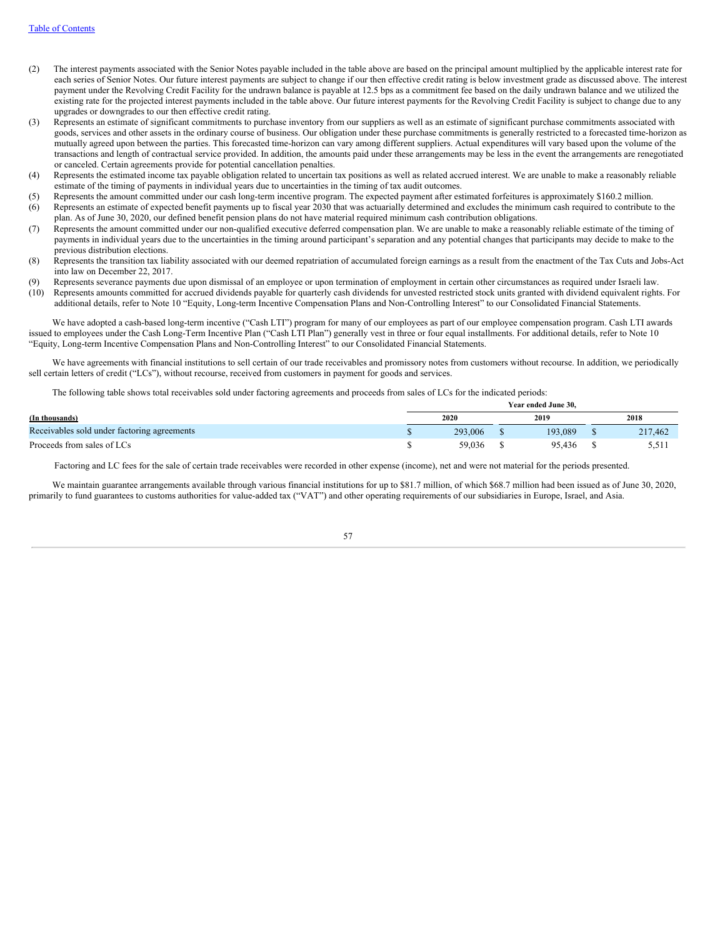- (2) The interest payments associated with the Senior Notes payable included in the table above are based on the principal amount multiplied by the applicable interest rate for each series of Senior Notes. Our future interest payments are subject to change if our then effective credit rating is below investment grade as discussed above. The interest payment under the Revolving Credit Facility for the undrawn balance is payable at 12.5 bps as a commitment fee based on the daily undrawn balance and we utilized the existing rate for the projected interest payments included in the table above. Our future interest payments for the Revolving Credit Facility is subject to change due to any upgrades or downgrades to our then effective credit rating.
- (3) Represents an estimate of significant commitments to purchase inventory from our suppliers as well as an estimate of significant purchase commitments associated with goods, services and other assets in the ordinary course of business. Our obligation under these purchase commitments is generally restricted to a forecasted time-horizon as mutually agreed upon between the parties. This forecasted time-horizon can vary among different suppliers. Actual expenditures will vary based upon the volume of the transactions and length of contractual service provided. In addition, the amounts paid under these arrangements may be less in the event the arrangements are renegotiated or canceled. Certain agreements provide for potential cancellation penalties.
- (4) Represents the estimated income tax payable obligation related to uncertain tax positions as well as related accrued interest. We are unable to make a reasonably reliable estimate of the timing of payments in individual years due to uncertainties in the timing of tax audit outcomes.
- (5) Represents the amount committed under our cash long-term incentive program. The expected payment after estimated forfeitures is approximately \$160.2 million.
- (6) Represents an estimate of expected benefit payments up to fiscal year 2030 that was actuarially determined and excludes the minimum cash required to contribute to the plan. As of June 30, 2020, our defined benefit pension plans do not have material required minimum cash contribution obligations.
- (7) Represents the amount committed under our non-qualified executive deferred compensation plan. We are unable to make a reasonably reliable estimate of the timing of payments in individual years due to the uncertainties in the timing around participant's separation and any potential changes that participants may decide to make to the previous distribution elections.
- (8) Represents the transition tax liability associated with our deemed repatriation of accumulated foreign earnings as a result from the enactment of the Tax Cuts and Jobs-Act into law on December 22, 2017.
- (9) Represents severance payments due upon dismissal of an employee or upon termination of employment in certain other circumstances as required under Israeli law.
- (10) Represents amounts committed for accrued dividends payable for quarterly cash dividends for unvested restricted stock units granted with dividend equivalent rights. For additional details, refer to Note 10 "Equity, Long-term Incentive Compensation Plans and Non-Controlling Interest" to our Consolidated Financial Statements.

We have adopted a cash-based long-term incentive ("Cash LTI") program for many of our employees as part of our employee compensation program. Cash LTI awards issued to employees under the Cash Long-Term Incentive Plan ("Cash LTI Plan") generally vest in three or four equal installments. For additional details, refer to Note 10 "Equity, Long-term Incentive Compensation Plans and Non-Controlling Interest" to our Consolidated Financial Statements.

We have agreements with financial institutions to sell certain of our trade receivables and promissory notes from customers without recourse. In addition, we periodically sell certain letters of credit ("LCs"), without recourse, received from customers in payment for goods and services.

The following table shows total receivables sold under factoring agreements and proceeds from sales of LCs for the indicated periods:

|                                             |  | Year ended June 30. |  |         |      |                   |  |  |  |  |  |
|---------------------------------------------|--|---------------------|--|---------|------|-------------------|--|--|--|--|--|
| (In thousands)                              |  | 2020                |  | 2019    | 2018 |                   |  |  |  |  |  |
| Receivables sold under factoring agreements |  | 293,006             |  | 193.089 |      | 217,462           |  |  |  |  |  |
| Proceeds from sales of LCs                  |  | 59,036              |  | 95.436  |      | 5.51 <sub>1</sub> |  |  |  |  |  |

Factoring and LC fees for the sale of certain trade receivables were recorded in other expense (income), net and were not material for the periods presented.

We maintain guarantee arrangements available through various financial institutions for up to \$81.7 million, of which \$68.7 million had been issued as of June 30, 2020, primarily to fund guarantees to customs authorities for value-added tax ("VAT") and other operating requirements of our subsidiaries in Europe, Israel, and Asia.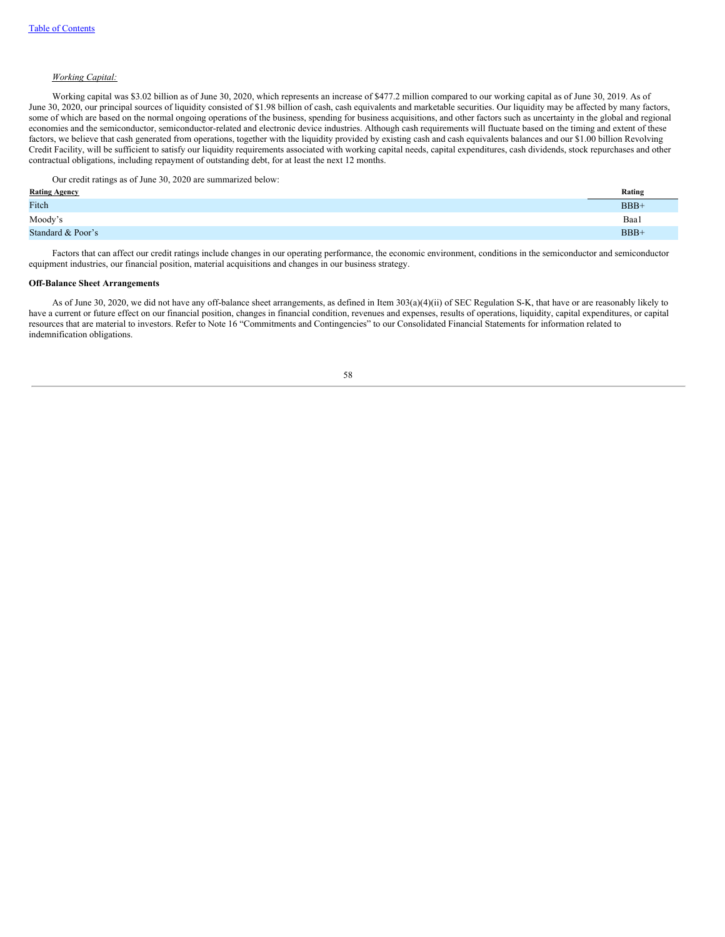## *Working Capital:*

Working capital was \$3.02 billion as of June 30, 2020, which represents an increase of \$477.2 million compared to our working capital as of June 30, 2019. As of June 30, 2020, our principal sources of liquidity consisted of \$1.98 billion of cash, cash equivalents and marketable securities. Our liquidity may be affected by many factors, some of which are based on the normal ongoing operations of the business, spending for business acquisitions, and other factors such as uncertainty in the global and regional economies and the semiconductor, semiconductor-related and electronic device industries. Although cash requirements will fluctuate based on the timing and extent of these factors, we believe that cash generated from operations, together with the liquidity provided by existing cash and cash equivalents balances and our \$1.00 billion Revolving Credit Facility, will be sufficient to satisfy our liquidity requirements associated with working capital needs, capital expenditures, cash dividends, stock repurchases and other contractual obligations, including repayment of outstanding debt, for at least the next 12 months.

Our credit ratings as of June 30, 2020 are summarized below:

| <b>Rating Agency</b> | Rating |
|----------------------|--------|
| Fitch                | $BBB+$ |
| Moody's              | Baa1   |
| Standard & Poor's    | $BBB+$ |

Factors that can affect our credit ratings include changes in our operating performance, the economic environment, conditions in the semiconductor and semiconductor equipment industries, our financial position, material acquisitions and changes in our business strategy.

#### **Off-Balance Sheet Arrangements**

As of June 30, 2020, we did not have any off-balance sheet arrangements, as defined in Item 303(a)(4)(ii) of SEC Regulation S-K, that have or are reasonably likely to have a current or future effect on our financial position, changes in financial condition, revenues and expenses, results of operations, liquidity, capital expenditures, or capital resources that are material to investors. Refer to Note 16 "Commitments and Contingencies" to our Consolidated Financial Statements for information related to indemnification obligations.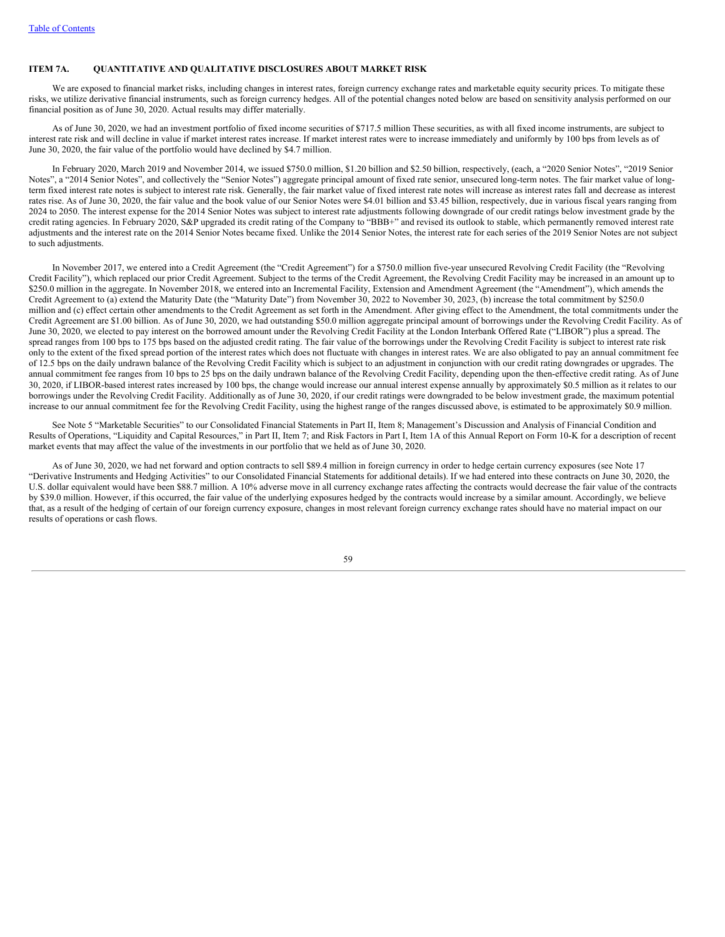## **ITEM 7A. QUANTITATIVE AND QUALITATIVE DISCLOSURES ABOUT MARKET RISK**

We are exposed to financial market risks, including changes in interest rates, foreign currency exchange rates and marketable equity security prices. To mitigate these risks, we utilize derivative financial instruments, such as foreign currency hedges. All of the potential changes noted below are based on sensitivity analysis performed on our financial position as of June 30, 2020. Actual results may differ materially.

As of June 30, 2020, we had an investment portfolio of fixed income securities of \$717.5 million These securities, as with all fixed income instruments, are subject to interest rate risk and will decline in value if market interest rates increase. If market interest rates were to increase immediately and uniformly by 100 bps from levels as of June 30, 2020, the fair value of the portfolio would have declined by \$4.7 million.

In February 2020, March 2019 and November 2014, we issued \$750.0 million, \$1.20 billion and \$2.50 billion, respectively, (each, a "2020 Senior Notes", "2019 Senior Notes", a "2014 Senior Notes", and collectively the "Senior Notes") aggregate principal amount of fixed rate senior, unsecured long-term notes. The fair market value of longterm fixed interest rate notes is subject to interest rate risk. Generally, the fair market value of fixed interest rate notes will increase as interest rates fall and decrease as interest rates rise. As of June 30, 2020, the fair value and the book value of our Senior Notes were \$4.01 billion and \$3.45 billion, respectively, due in various fiscal years ranging from 2024 to 2050. The interest expense for the 2014 Senior Notes was subject to interest rate adjustments following downgrade of our credit ratings below investment grade by the credit rating agencies. In February 2020, S&P upgraded its credit rating of the Company to "BBB+" and revised its outlook to stable, which permanently removed interest rate adjustments and the interest rate on the 2014 Senior Notes became fixed. Unlike the 2014 Senior Notes, the interest rate for each series of the 2019 Senior Notes are not subject to such adjustments.

In November 2017, we entered into a Credit Agreement (the "Credit Agreement") for a \$750.0 million five-year unsecured Revolving Credit Facility (the "Revolving Credit Facility"), which replaced our prior Credit Agreement. Subject to the terms of the Credit Agreement, the Revolving Credit Facility may be increased in an amount up to \$250.0 million in the aggregate. In November 2018, we entered into an Incremental Facility, Extension and Amendment Agreement (the "Amendment"), which amends the Credit Agreement to (a) extend the Maturity Date (the "Maturity Date") from November 30, 2022 to November 30, 2023, (b) increase the total commitment by \$250.0 million and (c) effect certain other amendments to the Credit Agreement as set forth in the Amendment. After giving effect to the Amendment, the total commitments under the Credit Agreement are \$1.00 billion. As of June 30, 2020, we had outstanding \$50.0 million aggregate principal amount of borrowings under the Revolving Credit Facility. As of June 30, 2020, we elected to pay interest on the borrowed amount under the Revolving Credit Facility at the London Interbank Offered Rate ("LIBOR") plus a spread. The spread ranges from 100 bps to 175 bps based on the adjusted credit rating. The fair value of the borrowings under the Revolving Credit Facility is subject to interest rate risk only to the extent of the fixed spread portion of the interest rates which does not fluctuate with changes in interest rates. We are also obligated to pay an annual commitment fee of 12.5 bps on the daily undrawn balance of the Revolving Credit Facility which is subject to an adjustment in conjunction with our credit rating downgrades or upgrades. The annual commitment fee ranges from 10 bps to 25 bps on the daily undrawn balance of the Revolving Credit Facility, depending upon the then-effective credit rating. As of June 30, 2020, if LIBOR-based interest rates increased by 100 bps, the change would increase our annual interest expense annually by approximately \$0.5 million as it relates to our borrowings under the Revolving Credit Facility. Additionally as of June 30, 2020, if our credit ratings were downgraded to be below investment grade, the maximum potential increase to our annual commitment fee for the Revolving Credit Facility, using the highest range of the ranges discussed above, is estimated to be approximately \$0.9 million.

See Note 5 "Marketable Securities" to our Consolidated Financial Statements in Part II, Item 8; Management's Discussion and Analysis of Financial Condition and Results of Operations, "Liquidity and Capital Resources," in Part II, Item 7; and Risk Factors in Part I, Item 1A of this Annual Report on Form 10-K for a description of recent market events that may affect the value of the investments in our portfolio that we held as of June 30, 2020.

As of June 30, 2020, we had net forward and option contracts to sell \$89.4 million in foreign currency in order to hedge certain currency exposures (see Note 17 "Derivative Instruments and Hedging Activities" to our Consolidated Financial Statements for additional details). If we had entered into these contracts on June 30, 2020, the U.S. dollar equivalent would have been \$88.7 million. A 10% adverse move in all currency exchange rates affecting the contracts would decrease the fair value of the contracts by \$39.0 million. However, if this occurred, the fair value of the underlying exposures hedged by the contracts would increase by a similar amount. Accordingly, we believe that, as a result of the hedging of certain of our foreign currency exposure, changes in most relevant foreign currency exchange rates should have no material impact on our results of operations or cash flows.

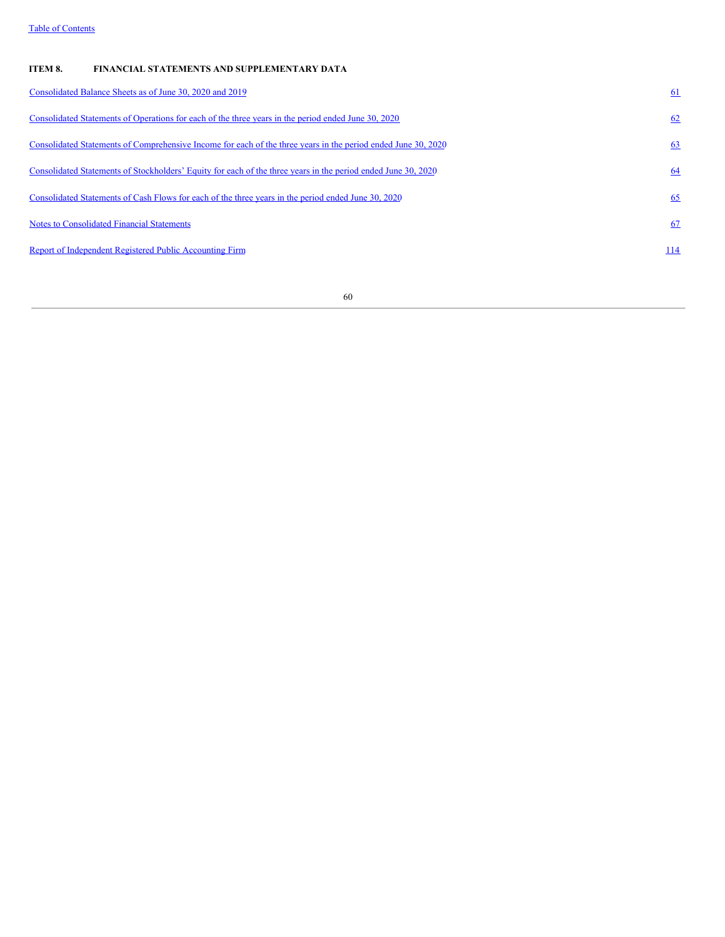## **ITEM 8. FINANCIAL STATEMENTS AND SUPPLEMENTARY DATA**

<span id="page-62-0"></span>

| Consolidated Balance Sheets as of June 30, 2020 and 2019                                                      | <u>61</u> |
|---------------------------------------------------------------------------------------------------------------|-----------|
| Consolidated Statements of Operations for each of the three years in the period ended June 30, 2020           | 62        |
| Consolidated Statements of Comprehensive Income for each of the three years in the period ended June 30, 2020 | 63        |
| Consolidated Statements of Stockholders' Equity for each of the three years in the period ended June 30, 2020 | <u>64</u> |
| Consolidated Statements of Cash Flows for each of the three years in the period ended June 30, 2020           | 65        |
| <b>Notes to Consolidated Financial Statements</b>                                                             | 67        |
| Report of Independent Registered Public Accounting Firm                                                       | 114       |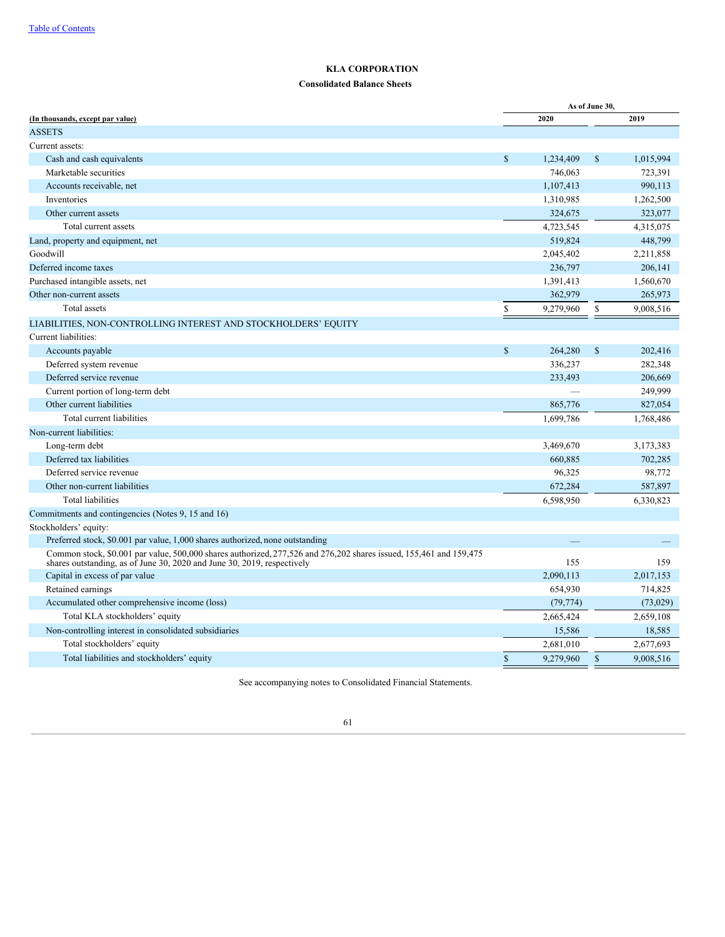## **Consolidated Balance Sheets**

|                                                                                                                                                                                               | As of June 30. |           |              |           |
|-----------------------------------------------------------------------------------------------------------------------------------------------------------------------------------------------|----------------|-----------|--------------|-----------|
| (In thousands, except par value)                                                                                                                                                              |                | 2020      |              | 2019      |
| <b>ASSETS</b>                                                                                                                                                                                 |                |           |              |           |
| Current assets:                                                                                                                                                                               |                |           |              |           |
| Cash and cash equivalents                                                                                                                                                                     | $\mathbf S$    | 1,234,409 | $\mathbb{S}$ | 1,015,994 |
| Marketable securities                                                                                                                                                                         |                | 746,063   |              | 723,391   |
| Accounts receivable, net                                                                                                                                                                      |                | 1,107,413 |              | 990,113   |
| Inventories                                                                                                                                                                                   |                | 1,310,985 |              | 1,262,500 |
| Other current assets                                                                                                                                                                          |                | 324,675   |              | 323,077   |
| Total current assets                                                                                                                                                                          |                | 4,723,545 |              | 4,315,075 |
| Land, property and equipment, net                                                                                                                                                             |                | 519,824   |              | 448,799   |
| Goodwill                                                                                                                                                                                      |                | 2,045,402 |              | 2,211,858 |
| Deferred income taxes                                                                                                                                                                         |                | 236,797   |              | 206,141   |
| Purchased intangible assets, net                                                                                                                                                              |                | 1,391,413 |              | 1,560,670 |
| Other non-current assets                                                                                                                                                                      |                | 362,979   |              | 265,973   |
| Total assets                                                                                                                                                                                  | \$             | 9,279,960 | \$           | 9,008,516 |
| LIABILITIES, NON-CONTROLLING INTEREST AND STOCKHOLDERS' EQUITY                                                                                                                                |                |           |              |           |
| Current liabilities:                                                                                                                                                                          |                |           |              |           |
| Accounts payable                                                                                                                                                                              | $\mathbb{S}$   | 264,280   | $\mathbb{S}$ | 202,416   |
| Deferred system revenue                                                                                                                                                                       |                | 336,237   |              | 282,348   |
| Deferred service revenue                                                                                                                                                                      |                | 233,493   |              | 206,669   |
| Current portion of long-term debt                                                                                                                                                             |                |           |              | 249,999   |
| Other current liabilities                                                                                                                                                                     |                | 865,776   |              | 827,054   |
| Total current liabilities                                                                                                                                                                     |                | 1,699,786 |              | 1,768,486 |
| Non-current liabilities:                                                                                                                                                                      |                |           |              |           |
| Long-term debt                                                                                                                                                                                |                | 3,469,670 |              | 3,173,383 |
| Deferred tax liabilities                                                                                                                                                                      |                | 660,885   |              | 702,285   |
| Deferred service revenue                                                                                                                                                                      |                | 96,325    |              | 98,772    |
| Other non-current liabilities                                                                                                                                                                 |                | 672,284   |              | 587,897   |
| <b>Total liabilities</b>                                                                                                                                                                      |                | 6,598,950 |              | 6,330,823 |
| Commitments and contingencies (Notes 9, 15 and 16)                                                                                                                                            |                |           |              |           |
| Stockholders' equity:                                                                                                                                                                         |                |           |              |           |
| Preferred stock, \$0.001 par value, 1,000 shares authorized, none outstanding                                                                                                                 |                |           |              |           |
| Common stock, \$0.001 par value, 500,000 shares authorized, 277,526 and 276,202 shares issued, 155,461 and 159,475<br>shares outstanding, as of June 30, 2020 and June 30, 2019, respectively |                | 155       |              | 159       |
| Capital in excess of par value                                                                                                                                                                |                | 2,090,113 |              | 2,017,153 |
| Retained earnings                                                                                                                                                                             |                | 654,930   |              | 714,825   |
| Accumulated other comprehensive income (loss)                                                                                                                                                 |                | (79, 774) |              | (73, 029) |
| Total KLA stockholders' equity                                                                                                                                                                |                | 2,665,424 |              | 2,659,108 |
| Non-controlling interest in consolidated subsidiaries                                                                                                                                         |                | 15,586    |              | 18,585    |
| Total stockholders' equity                                                                                                                                                                    |                | 2,681,010 |              | 2,677,693 |
| Total liabilities and stockholders' equity                                                                                                                                                    | $\mathbf S$    | 9.279.960 | $\mathbb{S}$ | 9,008,516 |

<span id="page-63-0"></span>See accompanying notes to Consolidated Financial Statements.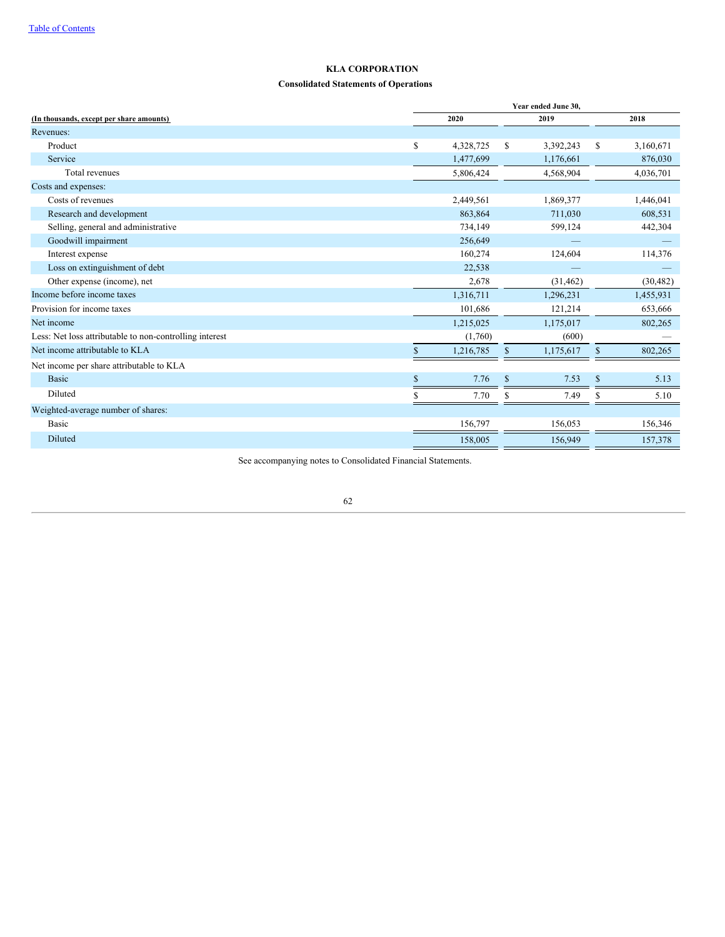## **Consolidated Statements of Operations**

|                                                         |     | Year ended June 30, |    |           |               |           |  |  |
|---------------------------------------------------------|-----|---------------------|----|-----------|---------------|-----------|--|--|
| (In thousands, except per share amounts)                |     | 2020                |    | 2019      |               | 2018      |  |  |
| Revenues:                                               |     |                     |    |           |               |           |  |  |
| Product                                                 | \$  | 4,328,725           | \$ | 3,392,243 | \$            | 3,160,671 |  |  |
| Service                                                 |     | 1,477,699           |    | 1,176,661 |               | 876,030   |  |  |
| Total revenues                                          |     | 5,806,424           |    | 4,568,904 |               | 4,036,701 |  |  |
| Costs and expenses:                                     |     |                     |    |           |               |           |  |  |
| Costs of revenues                                       |     | 2,449,561           |    | 1,869,377 |               | 1,446,041 |  |  |
| Research and development                                |     | 863,864             |    | 711,030   |               | 608,531   |  |  |
| Selling, general and administrative                     |     | 734,149             |    | 599,124   |               | 442,304   |  |  |
| Goodwill impairment                                     |     | 256,649             |    |           |               |           |  |  |
| Interest expense                                        |     | 160,274             |    | 124,604   |               | 114,376   |  |  |
| Loss on extinguishment of debt                          |     | 22,538              |    |           |               |           |  |  |
| Other expense (income), net                             |     | 2,678               |    | (31, 462) |               | (30, 482) |  |  |
| Income before income taxes                              |     | 1,316,711           |    | 1,296,231 |               | 1,455,931 |  |  |
| Provision for income taxes                              |     | 101,686             |    | 121,214   |               | 653,666   |  |  |
| Net income                                              |     | 1,215,025           |    | 1,175,017 |               | 802,265   |  |  |
| Less: Net loss attributable to non-controlling interest |     | (1,760)             |    | (600)     |               |           |  |  |
| Net income attributable to KLA                          | S   | 1,216,785           |    | 1,175,617 | \$            | 802,265   |  |  |
| Net income per share attributable to KLA                |     |                     |    |           |               |           |  |  |
| <b>Basic</b>                                            | \$. | 7.76                |    | 7.53      | <sup>\$</sup> | 5.13      |  |  |
| Diluted                                                 |     | 7.70                |    | 7.49      |               | 5.10      |  |  |
| Weighted-average number of shares:                      |     |                     |    |           |               |           |  |  |
| Basic                                                   |     | 156,797             |    | 156,053   |               | 156,346   |  |  |
| Diluted                                                 |     | 158,005             |    | 156,949   |               | 157,378   |  |  |
|                                                         |     |                     |    |           |               |           |  |  |

<span id="page-64-0"></span>See accompanying notes to Consolidated Financial Statements.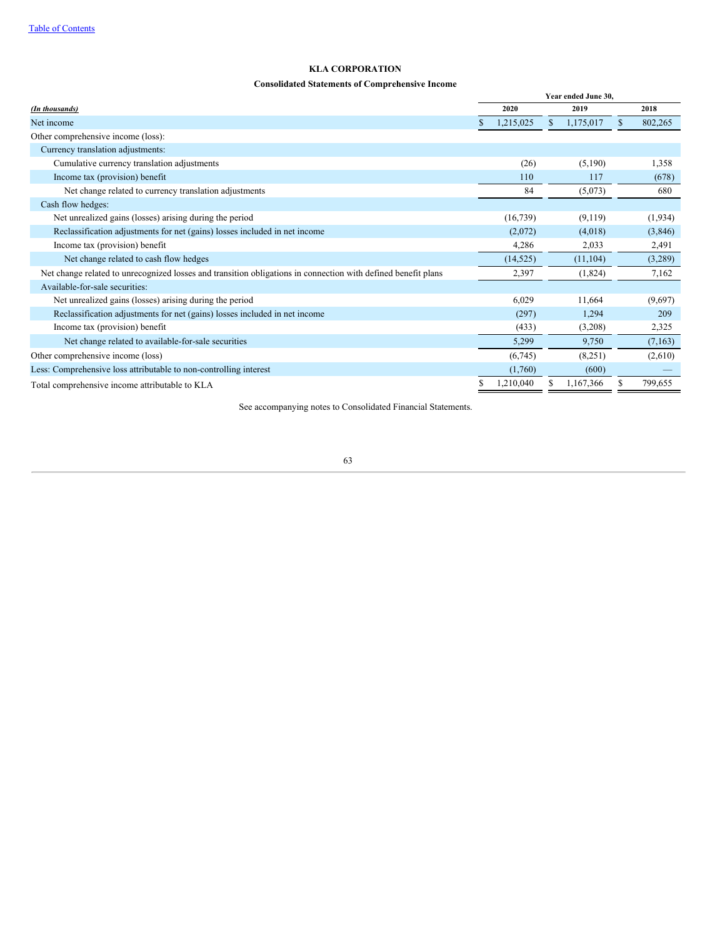## **Consolidated Statements of Comprehensive Income**

|                                                                                                               | Year ended June 30, |           |               |           |  |          |
|---------------------------------------------------------------------------------------------------------------|---------------------|-----------|---------------|-----------|--|----------|
| (In thousands)                                                                                                |                     | 2020      |               | 2019      |  | 2018     |
| Net income                                                                                                    |                     | 1,215,025 | <sup>\$</sup> | 1,175,017 |  | 802,265  |
| Other comprehensive income (loss):                                                                            |                     |           |               |           |  |          |
| Currency translation adjustments:                                                                             |                     |           |               |           |  |          |
| Cumulative currency translation adjustments                                                                   |                     | (26)      |               | (5,190)   |  | 1,358    |
| Income tax (provision) benefit                                                                                |                     | 110       |               | 117       |  | (678)    |
| Net change related to currency translation adjustments                                                        |                     | 84        |               | (5,073)   |  | 680      |
| Cash flow hedges:                                                                                             |                     |           |               |           |  |          |
| Net unrealized gains (losses) arising during the period                                                       |                     | (16, 739) |               | (9,119)   |  | (1,934)  |
| Reclassification adjustments for net (gains) losses included in net income                                    |                     | (2,072)   |               | (4,018)   |  | (3,846)  |
| Income tax (provision) benefit                                                                                |                     | 4,286     |               | 2,033     |  | 2,491    |
| Net change related to cash flow hedges                                                                        |                     | (14, 525) |               | (11, 104) |  | (3,289)  |
| Net change related to unrecognized losses and transition obligations in connection with defined benefit plans |                     | 2,397     |               | (1,824)   |  | 7,162    |
| Available-for-sale securities:                                                                                |                     |           |               |           |  |          |
| Net unrealized gains (losses) arising during the period                                                       |                     | 6,029     |               | 11,664    |  | (9,697)  |
| Reclassification adjustments for net (gains) losses included in net income                                    |                     | (297)     |               | 1,294     |  | 209      |
| Income tax (provision) benefit                                                                                |                     | (433)     |               | (3,208)   |  | 2,325    |
| Net change related to available-for-sale securities                                                           |                     | 5,299     |               | 9,750     |  | (7, 163) |
| Other comprehensive income (loss)                                                                             |                     | (6,745)   |               | (8,251)   |  | (2,610)  |
| Less: Comprehensive loss attributable to non-controlling interest                                             |                     | (1,760)   |               | (600)     |  |          |
| Total comprehensive income attributable to KLA                                                                |                     | 1,210,040 |               | 1,167,366 |  | 799,655  |

<span id="page-65-0"></span>See accompanying notes to Consolidated Financial Statements.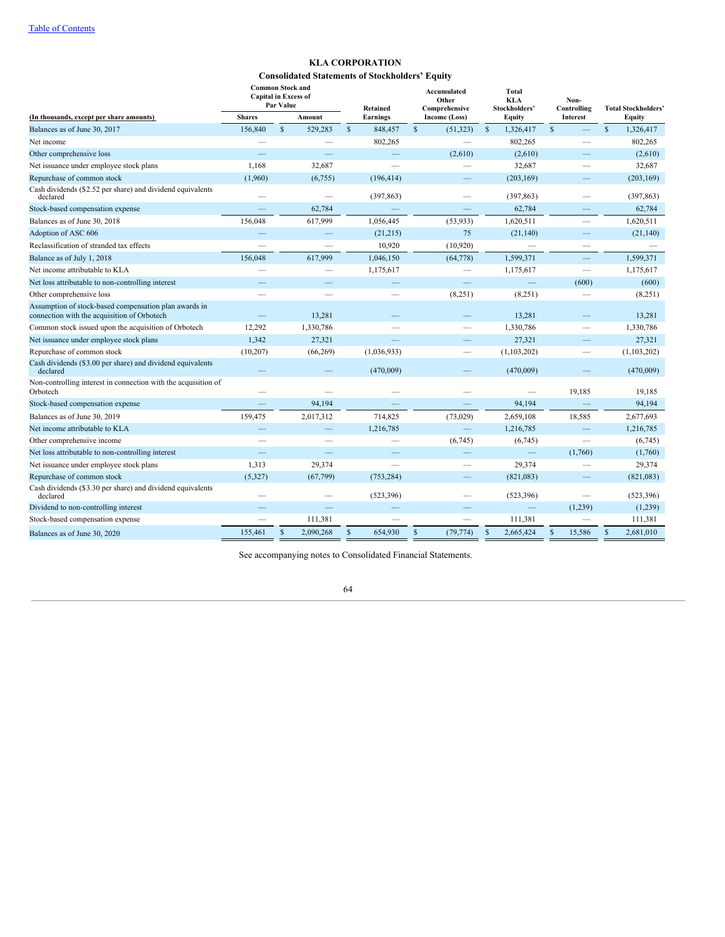|                                                                                                      |                                                                     |             |                          |               | <b>Consolidated Statements of Stockholders' Equity</b> |                                       |                          |                                      |             |                     |                          |                            |               |
|------------------------------------------------------------------------------------------------------|---------------------------------------------------------------------|-------------|--------------------------|---------------|--------------------------------------------------------|---------------------------------------|--------------------------|--------------------------------------|-------------|---------------------|--------------------------|----------------------------|---------------|
|                                                                                                      | <b>Common Stock and</b><br><b>Capital in Excess of</b><br>Par Value |             |                          |               | <b>Retained</b>                                        | Accumulated<br>Other<br>Comprehensive |                          | <b>Total</b><br>KLA<br>Stockholders' |             | Non-<br>Controlling |                          | <b>Total Stockholders'</b> |               |
| (In thousands, except per share amounts)                                                             | <b>Shares</b>                                                       |             | Amount                   |               | Earnings                                               |                                       | Income (Loss)            |                                      | Equity      |                     | <b>Interest</b>          |                            | Equity        |
| Balances as of June 30, 2017                                                                         | 156,840                                                             | $\mathbf S$ | 529.283                  | $\mathbf S$   | 848,457                                                | $\mathbf S$                           | (51, 323)                | $\mathbf{s}$                         | 1,326,417   | $\mathbf S$         |                          | $\mathbb{S}$               | 1,326,417     |
| Net income                                                                                           |                                                                     |             |                          |               | 802,265                                                |                                       |                          |                                      | 802,265     |                     |                          |                            | 802,265       |
| Other comprehensive loss                                                                             |                                                                     |             |                          |               |                                                        |                                       | (2,610)                  |                                      | (2,610)     |                     |                          |                            | (2,610)       |
| Net issuance under employee stock plans                                                              | 1,168                                                               |             | 32,687                   |               |                                                        |                                       | $\qquad \qquad$          |                                      | 32,687      |                     | $\overline{\phantom{a}}$ |                            | 32,687        |
| Repurchase of common stock                                                                           | (1,960)                                                             |             | (6,755)                  |               | (196, 414)                                             |                                       |                          |                                      | (203, 169)  |                     |                          |                            | (203, 169)    |
| Cash dividends (\$2.52 per share) and dividend equivalents<br>declared                               |                                                                     |             | $\overline{\phantom{0}}$ |               | (397, 863)                                             |                                       |                          |                                      | (397, 863)  |                     |                          |                            | (397, 863)    |
| Stock-based compensation expense                                                                     |                                                                     |             | 62,784                   |               |                                                        |                                       |                          |                                      | 62,784      |                     |                          |                            | 62,784        |
| Balances as of June 30, 2018                                                                         | 156,048                                                             |             | 617,999                  |               | 1,056,445                                              |                                       | (53, 933)                |                                      | 1,620,511   |                     | $\overline{\phantom{0}}$ |                            | 1,620,511     |
| Adoption of ASC 606                                                                                  |                                                                     |             |                          |               | (21,215)                                               |                                       | 75                       |                                      | (21, 140)   |                     |                          |                            | (21, 140)     |
| Reclassification of stranded tax effects                                                             |                                                                     |             |                          |               | 10,920                                                 |                                       | (10, 920)                |                                      |             |                     |                          |                            |               |
| Balance as of July 1, 2018                                                                           | 156,048                                                             |             | 617,999                  |               | 1,046,150                                              |                                       | (64, 778)                |                                      | 1,599,371   |                     |                          |                            | 1,599,371     |
| Net income attributable to KLA                                                                       |                                                                     |             | $\overline{\phantom{0}}$ |               | 1,175,617                                              |                                       | $\qquad \qquad$          |                                      | 1,175,617   |                     | $\overline{\phantom{0}}$ |                            | 1,175,617     |
| Net loss attributable to non-controlling interest                                                    |                                                                     |             | —                        |               |                                                        |                                       | $\overline{\phantom{0}}$ |                                      |             |                     | (600)                    |                            | (600)         |
| Other comprehensive loss                                                                             |                                                                     |             | $\overline{\phantom{0}}$ |               | $\overline{\phantom{0}}$                               |                                       | (8,251)                  |                                      | (8,251)     |                     | $\overline{\phantom{0}}$ |                            | (8,251)       |
| Assumption of stock-based compensation plan awards in<br>connection with the acquisition of Orbotech |                                                                     |             | 13,281                   |               |                                                        |                                       |                          |                                      | 13,281      |                     |                          |                            | 13,281        |
| Common stock issued upon the acquisition of Orbotech                                                 | 12,292                                                              |             | 1,330,786                |               |                                                        |                                       |                          |                                      | 1,330,786   |                     |                          |                            | 1,330,786     |
| Net issuance under employee stock plans                                                              | 1,342                                                               |             | 27,321                   |               |                                                        |                                       |                          |                                      | 27,321      |                     |                          |                            | 27,321        |
| Repurchase of common stock                                                                           | (10,207)                                                            |             | (66, 269)                |               | (1,036,933)                                            |                                       |                          |                                      | (1,103,202) |                     |                          |                            | (1, 103, 202) |
| Cash dividends (\$3.00 per share) and dividend equivalents<br>declared                               |                                                                     |             |                          |               | (470,009)                                              |                                       |                          |                                      | (470,009)   |                     |                          |                            | (470,009)     |
| Non-controlling interest in connection with the acquisition of<br>Orbotech                           |                                                                     |             |                          |               |                                                        |                                       |                          |                                      |             |                     | 19,185                   |                            | 19,185        |
| Stock-based compensation expense                                                                     |                                                                     |             | 94,194                   |               |                                                        |                                       |                          |                                      | 94,194      |                     |                          |                            | 94,194        |
| Balances as of June 30, 2019                                                                         | 159,475                                                             |             | 2,017,312                |               | 714,825                                                |                                       | (73, 029)                |                                      | 2,659,108   |                     | 18,585                   |                            | 2,677,693     |
| Net income attributable to KLA                                                                       | -                                                                   |             | $\overline{\phantom{0}}$ |               | 1,216,785                                              |                                       | $\overline{\phantom{0}}$ |                                      | 1,216,785   |                     | $\qquad \qquad -$        |                            | 1,216,785     |
| Other comprehensive income                                                                           |                                                                     |             |                          |               |                                                        |                                       | (6,745)                  |                                      | (6,745)     |                     | $\overline{\phantom{0}}$ |                            | (6,745)       |
| Net loss attributable to non-controlling interest                                                    | $\overline{\phantom{0}}$                                            |             | $\equiv$                 |               | $\overline{\phantom{a}}$                               |                                       | $\overline{\phantom{0}}$ |                                      |             |                     | (1,760)                  |                            | (1,760)       |
| Net issuance under employee stock plans                                                              | 1,313                                                               |             | 29,374                   |               |                                                        |                                       |                          |                                      | 29,374      |                     | $\overline{\phantom{0}}$ |                            | 29,374        |
| Repurchase of common stock                                                                           | (5,327)                                                             |             | (67, 799)                |               | (753, 284)                                             |                                       |                          |                                      | (821,083)   |                     |                          |                            | (821,083)     |
| Cash dividends (\$3.30 per share) and dividend equivalents<br>declared                               |                                                                     |             |                          |               | (523, 396)                                             |                                       |                          |                                      | (523, 396)  |                     | $\overline{\phantom{0}}$ |                            | (523, 396)    |
| Dividend to non-controlling interest                                                                 |                                                                     |             |                          |               |                                                        |                                       |                          |                                      |             |                     | (1,239)                  |                            | (1,239)       |
| Stock-based compensation expense                                                                     |                                                                     |             | 111,381                  |               |                                                        |                                       |                          |                                      | 111,381     |                     |                          |                            | 111,381       |
| Balances as of June 30, 2020                                                                         | 155,461                                                             | \$          | 2,090,268                | $\mathsf{\$}$ | 654,930                                                | $\mathbb{S}$                          | (79, 774)                | $\mathbb{S}$                         | 2,665,424   | $\mathbb{S}$        | 15,586                   | $\mathsf{\$}$              | 2,681,010     |

<span id="page-66-0"></span>See accompanying notes to Consolidated Financial Statements.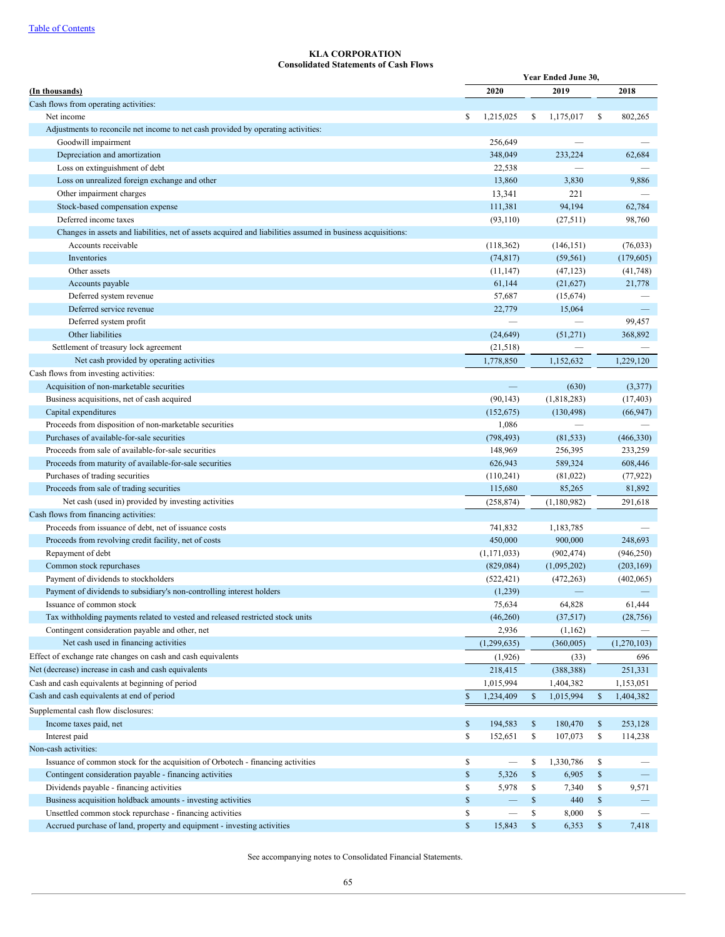## **KLA CORPORATION Consolidated Statements of Cash Flows**

|                                                                                                             | Year Ended June 30, |                          |              |             |              |                          |
|-------------------------------------------------------------------------------------------------------------|---------------------|--------------------------|--------------|-------------|--------------|--------------------------|
| (In thousands)                                                                                              |                     | 2020                     |              | 2019        |              | 2018                     |
| Cash flows from operating activities:                                                                       |                     |                          |              |             |              |                          |
| Net income                                                                                                  | \$                  | 1,215,025                | S            | 1,175,017   | S            | 802,265                  |
| Adjustments to reconcile net income to net cash provided by operating activities:                           |                     |                          |              |             |              |                          |
| Goodwill impairment                                                                                         |                     | 256,649                  |              |             |              |                          |
| Depreciation and amortization                                                                               |                     | 348,049                  |              | 233,224     |              | 62,684                   |
| Loss on extinguishment of debt                                                                              |                     | 22,538                   |              |             |              |                          |
| Loss on unrealized foreign exchange and other                                                               |                     | 13,860                   |              | 3,830       |              | 9,886                    |
| Other impairment charges                                                                                    |                     | 13,341                   |              | 221         |              |                          |
| Stock-based compensation expense                                                                            |                     | 111,381                  |              | 94,194      |              | 62,784                   |
| Deferred income taxes                                                                                       |                     | (93, 110)                |              | (27, 511)   |              | 98,760                   |
| Changes in assets and liabilities, net of assets acquired and liabilities assumed in business acquisitions: |                     |                          |              |             |              |                          |
| Accounts receivable                                                                                         |                     | (118, 362)               |              | (146, 151)  |              | (76, 033)                |
| Inventories                                                                                                 |                     | (74, 817)                |              | (59, 561)   |              | (179, 605)               |
| Other assets                                                                                                |                     | (11, 147)                |              | (47, 123)   |              | (41, 748)                |
| Accounts payable                                                                                            |                     | 61,144                   |              | (21,627)    |              | 21,778                   |
| Deferred system revenue                                                                                     |                     | 57,687                   |              | (15,674)    |              |                          |
| Deferred service revenue                                                                                    |                     | 22,779                   |              | 15,064      |              |                          |
| Deferred system profit                                                                                      |                     |                          |              |             |              | 99,457                   |
| Other liabilities                                                                                           |                     | (24, 649)                |              | (51, 271)   |              | 368,892                  |
| Settlement of treasury lock agreement                                                                       |                     | (21,518)                 |              |             |              |                          |
| Net cash provided by operating activities                                                                   |                     | 1,778,850                |              | 1,152,632   |              | 1,229,120                |
| Cash flows from investing activities:                                                                       |                     |                          |              |             |              |                          |
| Acquisition of non-marketable securities                                                                    |                     |                          |              | (630)       |              | (3,377)                  |
| Business acquisitions, net of cash acquired                                                                 |                     | (90, 143)                |              | (1,818,283) |              | (17, 403)                |
| Capital expenditures                                                                                        |                     | (152, 675)               |              | (130, 498)  |              | (66, 947)                |
| Proceeds from disposition of non-marketable securities                                                      |                     | 1,086                    |              |             |              |                          |
| Purchases of available-for-sale securities                                                                  |                     | (798, 493)               |              | (81, 533)   |              | (466, 330)               |
| Proceeds from sale of available-for-sale securities                                                         |                     | 148,969                  |              | 256,395     |              | 233,259                  |
| Proceeds from maturity of available-for-sale securities                                                     |                     | 626,943                  |              | 589,324     |              | 608,446                  |
| Purchases of trading securities                                                                             |                     | (110,241)                |              | (81, 022)   |              | (77, 922)                |
| Proceeds from sale of trading securities                                                                    |                     | 115,680                  |              | 85,265      |              | 81,892                   |
| Net cash (used in) provided by investing activities                                                         |                     | (258, 874)               |              | (1,180,982) |              | 291,618                  |
| Cash flows from financing activities:                                                                       |                     |                          |              |             |              |                          |
| Proceeds from issuance of debt, net of issuance costs                                                       |                     | 741,832                  |              | 1,183,785   |              |                          |
|                                                                                                             |                     |                          |              |             |              |                          |
| Proceeds from revolving credit facility, net of costs                                                       |                     | 450,000                  |              | 900,000     |              | 248,693                  |
| Repayment of debt                                                                                           |                     | (1, 171, 033)            |              | (902, 474)  |              | (946, 250)               |
| Common stock repurchases                                                                                    |                     | (829, 084)               |              | (1,095,202) |              | (203, 169)               |
| Payment of dividends to stockholders                                                                        |                     | (522, 421)               |              | (472, 263)  |              | (402,065)                |
| Payment of dividends to subsidiary's non-controlling interest holders                                       |                     | (1,239)                  |              |             |              |                          |
| Issuance of common stock                                                                                    |                     | 75,634                   |              | 64,828      |              | 61,444                   |
| Tax withholding payments related to vested and released restricted stock units                              |                     | (46,260)                 |              | (37, 517)   |              | (28, 756)                |
| Contingent consideration payable and other, net                                                             |                     | 2,936                    |              | (1,162)     |              |                          |
| Net cash used in financing activities                                                                       |                     | (1,299,635)              |              | (360,005)   |              | (1,270,103)              |
| Effect of exchange rate changes on cash and cash equivalents                                                |                     | (1,926)                  |              | (33)        |              | 696                      |
| Net (decrease) increase in cash and cash equivalents                                                        |                     | 218,415                  |              | (388, 388)  |              | 251,331                  |
| Cash and cash equivalents at beginning of period                                                            |                     | 1,015,994                |              | 1,404,382   |              | 1,153,051                |
| Cash and cash equivalents at end of period                                                                  | $\mathbb{S}$        | 1,234,409                | \$           | 1,015,994   | $\mathbb S$  | 1,404,382                |
| Supplemental cash flow disclosures:                                                                         |                     |                          |              |             |              |                          |
| Income taxes paid, net                                                                                      | \$                  | 194,583                  | \$           | 180,470     | \$           | 253,128                  |
| Interest paid                                                                                               | \$                  | 152,651                  | \$           | 107,073     | \$           | 114,238                  |
| Non-cash activities:                                                                                        |                     |                          |              |             |              |                          |
| Issuance of common stock for the acquisition of Orbotech - financing activities                             | \$                  | $\qquad \qquad$          | \$           | 1,330,786   | \$           |                          |
| Contingent consideration payable - financing activities                                                     | $\mathbb{S}$        | 5,326                    | \$           | 6,905       | $\mathbb{S}$ | $\qquad \qquad -$        |
| Dividends payable - financing activities                                                                    | \$                  | 5,978                    | \$           | 7,340       | \$           | 9,571                    |
| Business acquisition holdback amounts - investing activities                                                | \$                  | $\overline{\phantom{0}}$ | \$           | 440         | \$           | $\overline{\phantom{0}}$ |
| Unsettled common stock repurchase - financing activities                                                    | \$                  |                          | \$           | 8,000       | \$           |                          |
| Accrued purchase of land, property and equipment - investing activities                                     | $\mathbb{S}$        | 15,843                   | $\mathbb{S}$ | 6,353       | $\mathbb{S}$ | 7,418                    |

<span id="page-67-0"></span>See accompanying notes to Consolidated Financial Statements.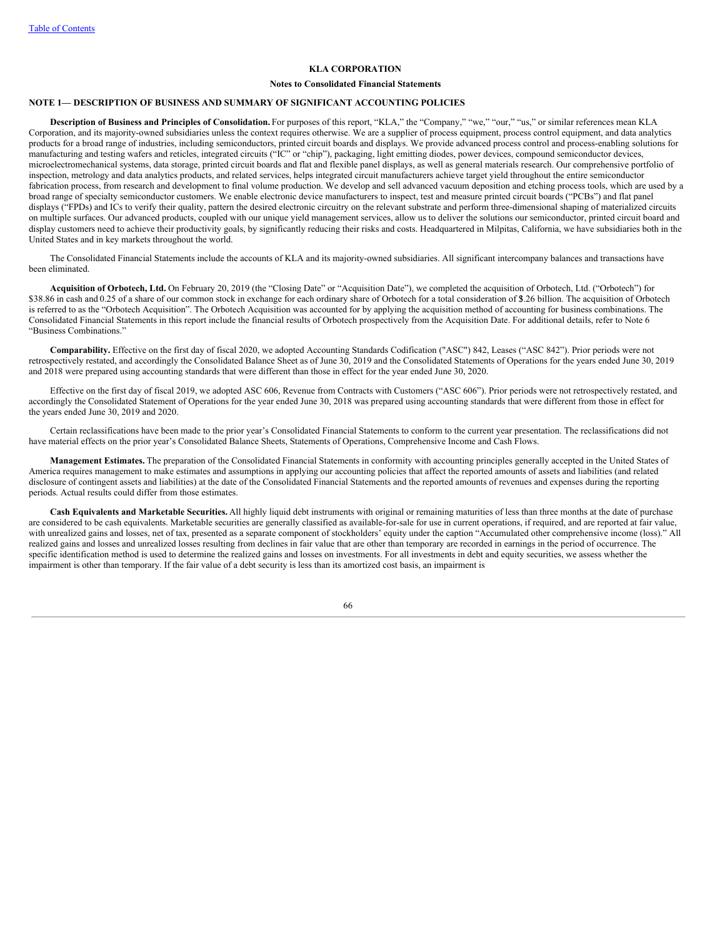## **Notes to Consolidated Financial Statements**

## **NOTE 1— DESCRIPTION OF BUSINESS AND SUMMARY OF SIGNIFICANT ACCOUNTING POLICIES**

**Description of Business and Principles of Consolidation.** For purposes of this report, "KLA," the "Company," "we," "our," "us," or similar references mean KLA Corporation, and its majority-owned subsidiaries unless the context requires otherwise. We are a supplier of process equipment, process control equipment, and data analytics products for a broad range of industries, including semiconductors, printed circuit boards and displays. We provide advanced process control and process-enabling solutions for manufacturing and testing wafers and reticles, integrated circuits ("IC" or "chip"), packaging, light emitting diodes, power devices, compound semiconductor devices, microelectromechanical systems, data storage, printed circuit boards and flat and flexible panel displays, as well as general materials research. Our comprehensive portfolio of inspection, metrology and data analytics products, and related services, helps integrated circuit manufacturers achieve target yield throughout the entire semiconductor fabrication process, from research and development to final volume production. We develop and sell advanced vacuum deposition and etching process tools, which are used by a broad range of specialty semiconductor customers. We enable electronic device manufacturers to inspect, test and measure printed circuit boards ("PCBs") and flat panel displays ("FPDs) and ICs to verify their quality, pattern the desired electronic circuitry on the relevant substrate and perform three-dimensional shaping of materialized circuits on multiple surfaces. Our advanced products, coupled with our unique yield management services, allow us to deliver the solutions our semiconductor, printed circuit board and display customers need to achieve their productivity goals, by significantly reducing their risks and costs. Headquartered in Milpitas, California, we have subsidiaries both in the United States and in key markets throughout the world.

The Consolidated Financial Statements include the accounts of KLA and its majority-owned subsidiaries. All significant intercompany balances and transactions have been eliminated.

**Acquisition of Orbotech, Ltd.** On February 20, 2019 (the "Closing Date" or "Acquisition Date"), we completed the acquisition of Orbotech, Ltd. ("Orbotech") for \$38.86 in cash and 0.25 of a share of our common stock in exchange for each ordinary share of Orbotech for a total consideration of \$.26 billion. The acquisition of Orbotech is referred to as the "Orbotech Acquisition". The Orbotech Acquisition was accounted for by applying the acquisition method of accounting for business combinations. The Consolidated Financial Statements in this report include the financial results of Orbotech prospectively from the Acquisition Date. For additional details, refer to Note 6 "Business Combinations."

**Comparability.** Effective on the first day of fiscal 2020, we adopted Accounting Standards Codification ("ASC") 842, Leases ("ASC 842"). Prior periods were not retrospectively restated, and accordingly the Consolidated Balance Sheet as of June 30, 2019 and the Consolidated Statements of Operations for the years ended June 30, 2019 and 2018 were prepared using accounting standards that were different than those in effect for the year ended June 30, 2020.

Effective on the first day of fiscal 2019, we adopted ASC 606, Revenue from Contracts with Customers ("ASC 606"). Prior periods were not retrospectively restated, and accordingly the Consolidated Statement of Operations for the year ended June 30, 2018 was prepared using accounting standards that were different from those in effect for the years ended June 30, 2019 and 2020.

Certain reclassifications have been made to the prior year's Consolidated Financial Statements to conform to the current year presentation. The reclassifications did not have material effects on the prior year's Consolidated Balance Sheets, Statements of Operations, Comprehensive Income and Cash Flows.

**Management Estimates.** The preparation of the Consolidated Financial Statements in conformity with accounting principles generally accepted in the United States of America requires management to make estimates and assumptions in applying our accounting policies that affect the reported amounts of assets and liabilities (and related disclosure of contingent assets and liabilities) at the date of the Consolidated Financial Statements and the reported amounts of revenues and expenses during the reporting periods. Actual results could differ from those estimates.

**Cash Equivalents and Marketable Securities.** All highly liquid debt instruments with original or remaining maturities of less than three months at the date of purchase are considered to be cash equivalents. Marketable securities are generally classified as available-for-sale for use in current operations, if required, and are reported at fair value, with unrealized gains and losses, net of tax, presented as a separate component of stockholders' equity under the caption "Accumulated other comprehensive income (loss)." All realized gains and losses and unrealized losses resulting from declines in fair value that are other than temporary are recorded in earnings in the period of occurrence. The specific identification method is used to determine the realized gains and losses on investments. For all investments in debt and equity securities, we assess whether the impairment is other than temporary. If the fair value of a debt security is less than its amortized cost basis, an impairment is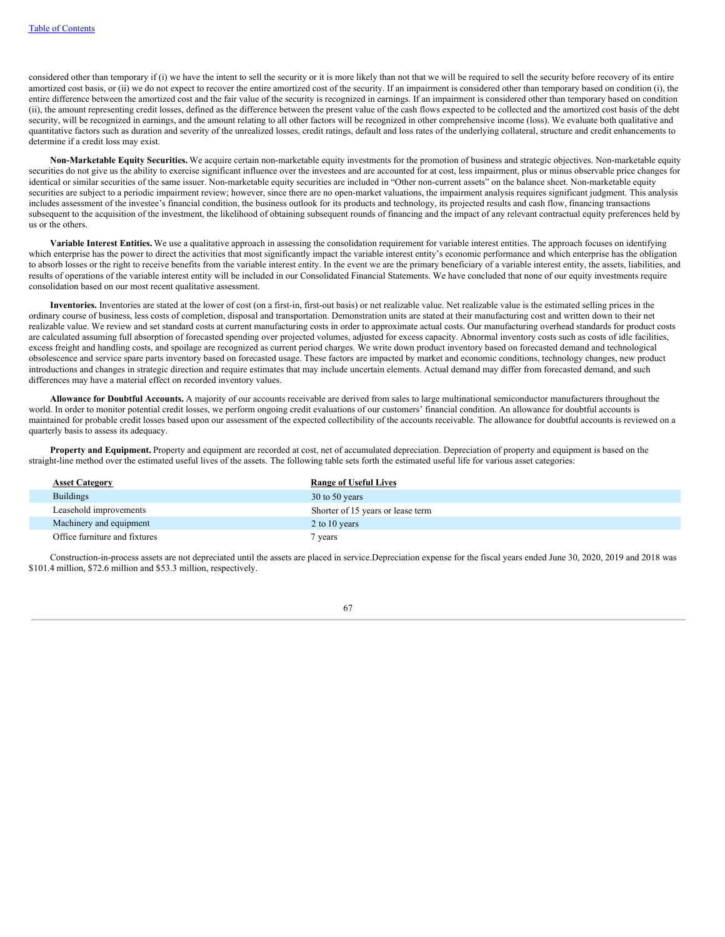considered other than temporary if (i) we have the intent to sell the security or it is more likely than not that we will be required to sell the security before recovery of its entire amortized cost basis, or (ii) we do not expect to recover the entire amortized cost of the security. If an impairment is considered other than temporary based on condition (i), the entire difference between the amortized cost and the fair value of the security is recognized in earnings. If an impairment is considered other than temporary based on condition (ii), the amount representing credit losses, defined as the difference between the present value of the cash flows expected to be collected and the amortized cost basis of the debt security, will be recognized in earnings, and the amount relating to all other factors will be recognized in other comprehensive income (loss). We evaluate both qualitative and quantitative factors such as duration and severity of the unrealized losses, credit ratings, default and loss rates of the underlying collateral, structure and credit enhancements to determine if a credit loss may exist.

**Non-Marketable Equity Securities.** We acquire certain non-marketable equity investments for the promotion of business and strategic objectives. Non-marketable equity securities do not give us the ability to exercise significant influence over the investees and are accounted for at cost, less impairment, plus or minus observable price changes for identical or similar securities of the same issuer. Non-marketable equity securities are included in "Other non-current assets" on the balance sheet. Non-marketable equity securities are subject to a periodic impairment review; however, since there are no open-market valuations, the impairment analysis requires significant judgment. This analysis includes assessment of the investee's financial condition, the business outlook for its products and technology, its projected results and cash flow, financing transactions subsequent to the acquisition of the investment, the likelihood of obtaining subsequent rounds of financing and the impact of any relevant contractual equity preferences held by us or the others.

**Variable Interest Entities.** We use a qualitative approach in assessing the consolidation requirement for variable interest entities. The approach focuses on identifying which enterprise has the power to direct the activities that most significantly impact the variable interest entity's economic performance and which enterprise has the obligation to absorb losses or the right to receive benefits from the variable interest entity. In the event we are the primary beneficiary of a variable interest entity, the assets, liabilities, and results of operations of the variable interest entity will be included in our Consolidated Financial Statements. We have concluded that none of our equity investments require consolidation based on our most recent qualitative assessment.

**Inventories.** Inventories are stated at the lower of cost (on a first-in, first-out basis) or net realizable value. Net realizable value is the estimated selling prices in the ordinary course of business, less costs of completion, disposal and transportation. Demonstration units are stated at their manufacturing cost and written down to their net realizable value. We review and set standard costs at current manufacturing costs in order to approximate actual costs. Our manufacturing overhead standards for product costs are calculated assuming full absorption of forecasted spending over projected volumes, adjusted for excess capacity. Abnormal inventory costs such as costs of idle facilities, excess freight and handling costs, and spoilage are recognized as current period charges. We write down product inventory based on forecasted demand and technological obsolescence and service spare parts inventory based on forecasted usage. These factors are impacted by market and economic conditions, technology changes, new product introductions and changes in strategic direction and require estimates that may include uncertain elements. Actual demand may differ from forecasted demand, and such differences may have a material effect on recorded inventory values.

**Allowance for Doubtful Accounts.** A majority of our accounts receivable are derived from sales to large multinational semiconductor manufacturers throughout the world. In order to monitor potential credit losses, we perform ongoing credit evaluations of our customers' financial condition. An allowance for doubtful accounts is maintained for probable credit losses based upon our assessment of the expected collectibility of the accounts receivable. The allowance for doubtful accounts is reviewed on a quarterly basis to assess its adequacy.

**Property and Equipment.** Property and equipment are recorded at cost, net of accumulated depreciation. Depreciation of property and equipment is based on the straight-line method over the estimated useful lives of the assets. The following table sets forth the estimated useful life for various asset categories:

| <b>Asset Category</b>         | <b>Range of Useful Lives</b>      |  |
|-------------------------------|-----------------------------------|--|
| <b>Buildings</b>              | $30$ to 50 years                  |  |
| Leasehold improvements        | Shorter of 15 years or lease term |  |
| Machinery and equipment       | 2 to 10 years                     |  |
| Office furniture and fixtures | vears                             |  |

Construction-in-process assets are not depreciated until the assets are placed in service.Depreciation expense for the fiscal years ended June 30, 2020, 2019 and 2018 was \$101.4 million, \$72.6 million and \$53.3 million, respectively.

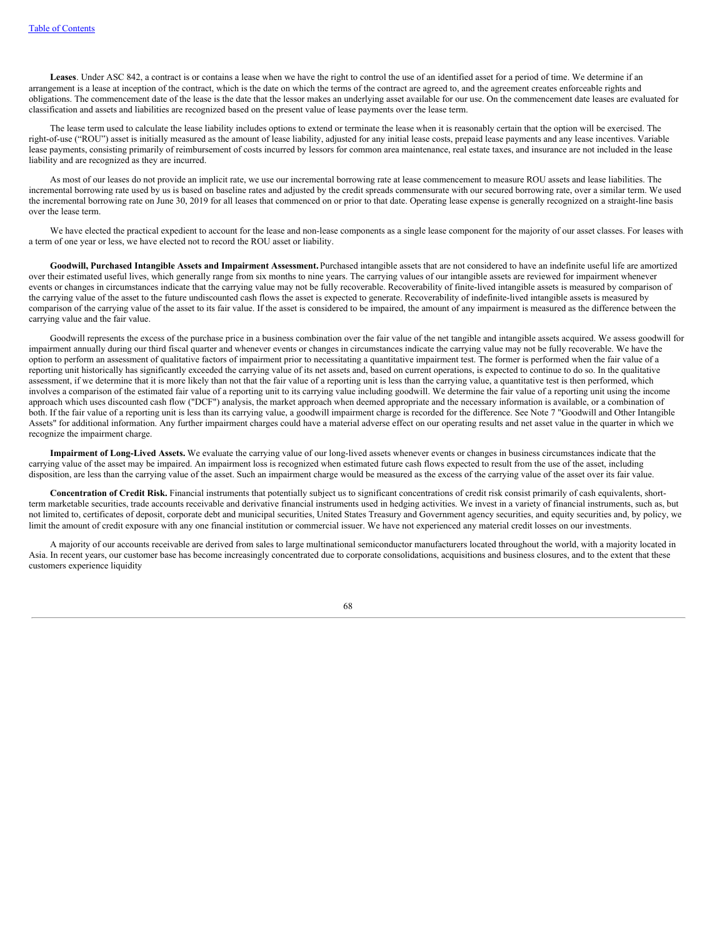**Leases**. Under ASC 842, a contract is or contains a lease when we have the right to control the use of an identified asset for a period of time. We determine if an arrangement is a lease at inception of the contract, which is the date on which the terms of the contract are agreed to, and the agreement creates enforceable rights and obligations. The commencement date of the lease is the date that the lessor makes an underlying asset available for our use. On the commencement date leases are evaluated for classification and assets and liabilities are recognized based on the present value of lease payments over the lease term.

The lease term used to calculate the lease liability includes options to extend or terminate the lease when it is reasonably certain that the option will be exercised. The right-of-use ("ROU") asset is initially measured as the amount of lease liability, adjusted for any initial lease costs, prepaid lease payments and any lease incentives. Variable lease payments, consisting primarily of reimbursement of costs incurred by lessors for common area maintenance, real estate taxes, and insurance are not included in the lease liability and are recognized as they are incurred.

As most of our leases do not provide an implicit rate, we use our incremental borrowing rate at lease commencement to measure ROU assets and lease liabilities. The incremental borrowing rate used by us is based on baseline rates and adjusted by the credit spreads commensurate with our secured borrowing rate, over a similar term. We used the incremental borrowing rate on June 30, 2019 for all leases that commenced on or prior to that date. Operating lease expense is generally recognized on a straight-line basis over the lease term.

We have elected the practical expedient to account for the lease and non-lease components as a single lease component for the majority of our asset classes. For leases with a term of one year or less, we have elected not to record the ROU asset or liability.

**Goodwill, Purchased Intangible Assets and Impairment Assessment.** Purchased intangible assets that are not considered to have an indefinite useful life are amortized over their estimated useful lives, which generally range from six months to nine years. The carrying values of our intangible assets are reviewed for impairment whenever events or changes in circumstances indicate that the carrying value may not be fully recoverable. Recoverability of finite-lived intangible assets is measured by comparison of the carrying value of the asset to the future undiscounted cash flows the asset is expected to generate. Recoverability of indefinite-lived intangible assets is measured by comparison of the carrying value of the asset to its fair value. If the asset is considered to be impaired, the amount of any impairment is measured as the difference between the carrying value and the fair value.

Goodwill represents the excess of the purchase price in a business combination over the fair value of the net tangible and intangible assets acquired. We assess goodwill for impairment annually during our third fiscal quarter and whenever events or changes in circumstances indicate the carrying value may not be fully recoverable. We have the option to perform an assessment of qualitative factors of impairment prior to necessitating a quantitative impairment test. The former is performed when the fair value of a reporting unit historically has significantly exceeded the carrying value of its net assets and, based on current operations, is expected to continue to do so. In the qualitative assessment, if we determine that it is more likely than not that the fair value of a reporting unit is less than the carrying value, a quantitative test is then performed, which involves a comparison of the estimated fair value of a reporting unit to its carrying value including goodwill. We determine the fair value of a reporting unit using the income approach which uses discounted cash flow ("DCF") analysis, the market approach when deemed appropriate and the necessary information is available, or a combination of both. If the fair value of a reporting unit is less than its carrying value, a goodwill impairment charge is recorded for the difference. See Note 7 "Goodwill and Other Intangible Assets" for additional information. Any further impairment charges could have a material adverse effect on our operating results and net asset value in the quarter in which we recognize the impairment charge.

**Impairment of Long-Lived Assets.** We evaluate the carrying value of our long-lived assets whenever events or changes in business circumstances indicate that the carrying value of the asset may be impaired. An impairment loss is recognized when estimated future cash flows expected to result from the use of the asset, including disposition, are less than the carrying value of the asset. Such an impairment charge would be measured as the excess of the carrying value of the asset over its fair value.

**Concentration of Credit Risk.** Financial instruments that potentially subject us to significant concentrations of credit risk consist primarily of cash equivalents, shortterm marketable securities, trade accounts receivable and derivative financial instruments used in hedging activities. We invest in a variety of financial instruments, such as, but not limited to, certificates of deposit, corporate debt and municipal securities, United States Treasury and Government agency securities, and equity securities and, by policy, we limit the amount of credit exposure with any one financial institution or commercial issuer. We have not experienced any material credit losses on our investments.

A majority of our accounts receivable are derived from sales to large multinational semiconductor manufacturers located throughout the world, with a majority located in Asia. In recent years, our customer base has become increasingly concentrated due to corporate consolidations, acquisitions and business closures, and to the extent that these customers experience liquidity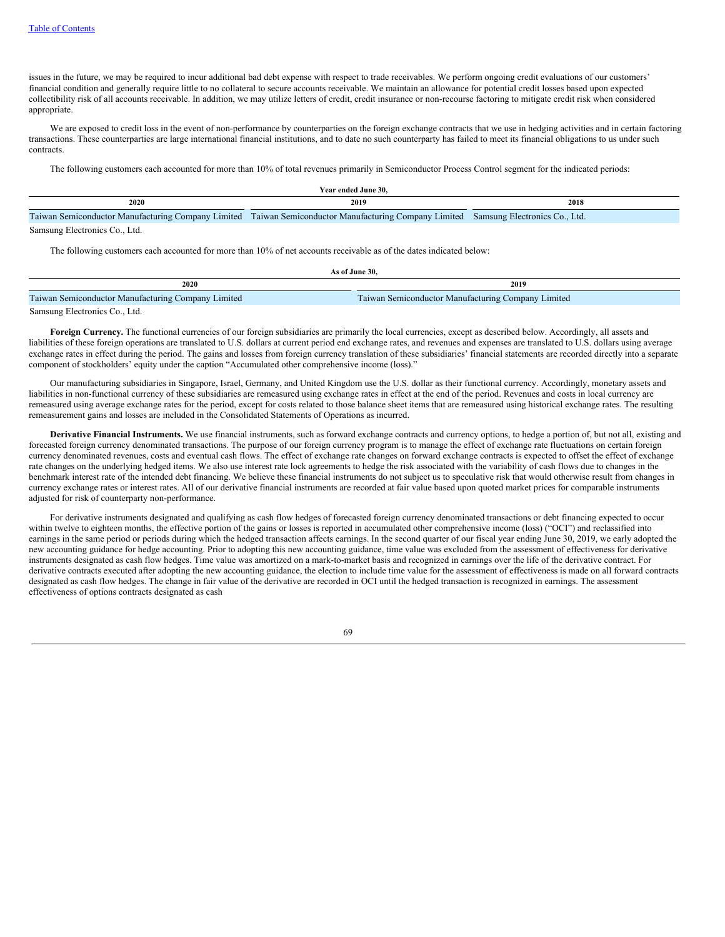issues in the future, we may be required to incur additional bad debt expense with respect to trade receivables. We perform ongoing credit evaluations of our customers' financial condition and generally require little to no collateral to secure accounts receivable. We maintain an allowance for potential credit losses based upon expected collectibility risk of all accounts receivable. In addition, we may utilize letters of credit, credit insurance or non-recourse factoring to mitigate credit risk when considered appropriate.

We are exposed to credit loss in the event of non-performance by counterparties on the foreign exchange contracts that we use in hedging activities and in certain factoring transactions. These counterparties are large international financial institutions, and to date no such counterparty has failed to meet its financial obligations to us under such contracts.

The following customers each accounted for more than 10% of total revenues primarily in Semiconductor Process Control segment for the indicated periods:

| Year ended June 30.           |                                                                                                                                     |      |  |  |  |  |
|-------------------------------|-------------------------------------------------------------------------------------------------------------------------------------|------|--|--|--|--|
| 2020                          | 2019                                                                                                                                | 2018 |  |  |  |  |
|                               | Taiwan Semiconductor Manufacturing Company Limited Taiwan Semiconductor Manufacturing Company Limited Samsung Electronics Co., Ltd. |      |  |  |  |  |
| Samsung Electronics Co., Ltd. |                                                                                                                                     |      |  |  |  |  |

The following customers each accounted for more than 10% of net accounts receivable as of the dates indicated below:

| As of June 30.                                     |                                                    |  |  |  |  |
|----------------------------------------------------|----------------------------------------------------|--|--|--|--|
| 2020                                               | 2019                                               |  |  |  |  |
| Taiwan Semiconductor Manufacturing Company Limited | Taiwan Semiconductor Manufacturing Company Limited |  |  |  |  |

Samsung Electronics Co., Ltd.

Foreign Currency. The functional currencies of our foreign subsidiaries are primarily the local currencies, except as described below. Accordingly, all assets and liabilities of these foreign operations are translated to U.S. dollars at current period end exchange rates, and revenues and expenses are translated to U.S. dollars using average exchange rates in effect during the period. The gains and losses from foreign currency translation of these subsidiaries' financial statements are recorded directly into a separate component of stockholders' equity under the caption "Accumulated other comprehensive income (loss)."

Our manufacturing subsidiaries in Singapore, Israel, Germany, and United Kingdom use the U.S. dollar as their functional currency. Accordingly, monetary assets and liabilities in non-functional currency of these subsidiaries are remeasured using exchange rates in effect at the end of the period. Revenues and costs in local currency are remeasured using average exchange rates for the period, except for costs related to those balance sheet items that are remeasured using historical exchange rates. The resulting remeasurement gains and losses are included in the Consolidated Statements of Operations as incurred.

**Derivative Financial Instruments.** We use financial instruments, such as forward exchange contracts and currency options, to hedge a portion of, but not all, existing and forecasted foreign currency denominated transactions. The purpose of our foreign currency program is to manage the effect of exchange rate fluctuations on certain foreign currency denominated revenues, costs and eventual cash flows. The effect of exchange rate changes on forward exchange contracts is expected to offset the effect of exchange rate changes on the underlying hedged items. We also use interest rate lock agreements to hedge the risk associated with the variability of cash flows due to changes in the benchmark interest rate of the intended debt financing. We believe these financial instruments do not subject us to speculative risk that would otherwise result from changes in currency exchange rates or interest rates. All of our derivative financial instruments are recorded at fair value based upon quoted market prices for comparable instruments adjusted for risk of counterparty non-performance.

For derivative instruments designated and qualifying as cash flow hedges of forecasted foreign currency denominated transactions or debt financing expected to occur within twelve to eighteen months, the effective portion of the gains or losses is reported in accumulated other comprehensive income (loss) ("OCI") and reclassified into earnings in the same period or periods during which the hedged transaction affects earnings. In the second quarter of our fiscal year ending June 30, 2019, we early adopted the new accounting guidance for hedge accounting. Prior to adopting this new accounting guidance, time value was excluded from the assessment of effectiveness for derivative instruments designated as cash flow hedges. Time value was amortized on a mark-to-market basis and recognized in earnings over the life of the derivative contract. For derivative contracts executed after adopting the new accounting guidance, the election to include time value for the assessment of effectiveness is made on all forward contracts designated as cash flow hedges. The change in fair value of the derivative are recorded in OCI until the hedged transaction is recognized in earnings. The assessment effectiveness of options contracts designated as cash

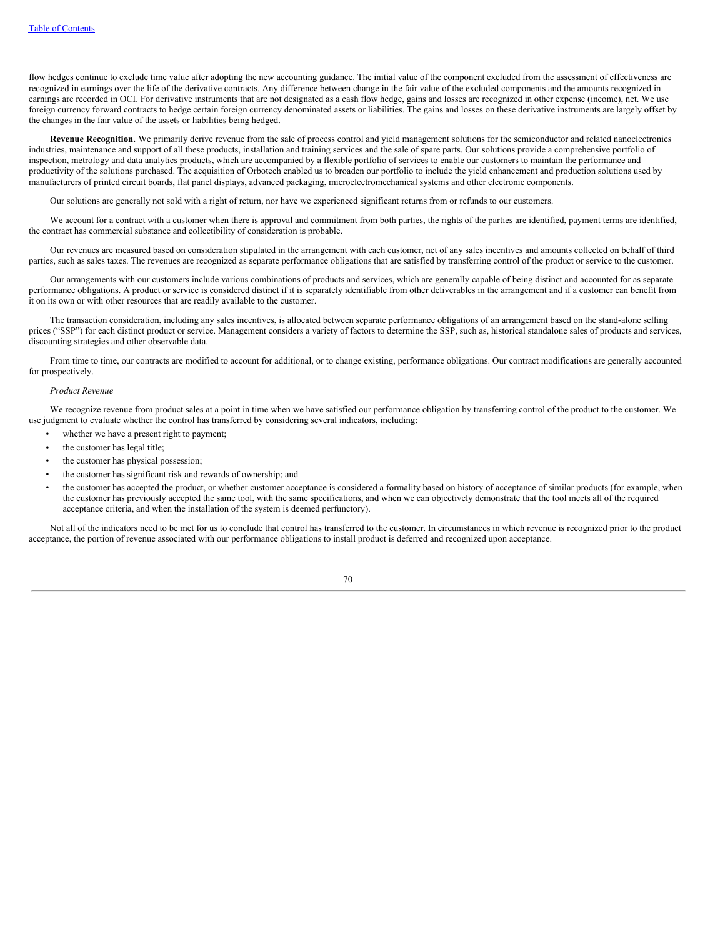flow hedges continue to exclude time value after adopting the new accounting guidance. The initial value of the component excluded from the assessment of effectiveness are recognized in earnings over the life of the derivative contracts. Any difference between change in the fair value of the excluded components and the amounts recognized in earnings are recorded in OCI. For derivative instruments that are not designated as a cash flow hedge, gains and losses are recognized in other expense (income), net. We use foreign currency forward contracts to hedge certain foreign currency denominated assets or liabilities. The gains and losses on these derivative instruments are largely offset by the changes in the fair value of the assets or liabilities being hedged.

**Revenue Recognition.** We primarily derive revenue from the sale of process control and yield management solutions for the semiconductor and related nanoelectronics industries, maintenance and support of all these products, installation and training services and the sale of spare parts. Our solutions provide a comprehensive portfolio of inspection, metrology and data analytics products, which are accompanied by a flexible portfolio of services to enable our customers to maintain the performance and productivity of the solutions purchased. The acquisition of Orbotech enabled us to broaden our portfolio to include the yield enhancement and production solutions used by manufacturers of printed circuit boards, flat panel displays, advanced packaging, microelectromechanical systems and other electronic components.

Our solutions are generally not sold with a right of return, nor have we experienced significant returns from or refunds to our customers.

We account for a contract with a customer when there is approval and commitment from both parties, the rights of the parties are identified, payment terms are identified, the contract has commercial substance and collectibility of consideration is probable.

Our revenues are measured based on consideration stipulated in the arrangement with each customer, net of any sales incentives and amounts collected on behalf of third parties, such as sales taxes. The revenues are recognized as separate performance obligations that are satisfied by transferring control of the product or service to the customer.

Our arrangements with our customers include various combinations of products and services, which are generally capable of being distinct and accounted for as separate performance obligations. A product or service is considered distinct if it is separately identifiable from other deliverables in the arrangement and if a customer can benefit from it on its own or with other resources that are readily available to the customer.

The transaction consideration, including any sales incentives, is allocated between separate performance obligations of an arrangement based on the stand-alone selling prices ("SSP") for each distinct product or service. Management considers a variety of factors to determine the SSP, such as, historical standalone sales of products and services, discounting strategies and other observable data.

From time to time, our contracts are modified to account for additional, or to change existing, performance obligations. Our contract modifications are generally accounted for prospectively.

#### *Product Revenue*

We recognize revenue from product sales at a point in time when we have satisfied our performance obligation by transferring control of the product to the customer. We use judgment to evaluate whether the control has transferred by considering several indicators, including:

- whether we have a present right to payment;
- the customer has legal title;
- the customer has physical possession;
- the customer has significant risk and rewards of ownership; and
- the customer has accepted the product, or whether customer acceptance is considered a formality based on history of acceptance of similar products (for example, when the customer has previously accepted the same tool, with the same specifications, and when we can objectively demonstrate that the tool meets all of the required acceptance criteria, and when the installation of the system is deemed perfunctory).

Not all of the indicators need to be met for us to conclude that control has transferred to the customer. In circumstances in which revenue is recognized prior to the product acceptance, the portion of revenue associated with our performance obligations to install product is deferred and recognized upon acceptance.

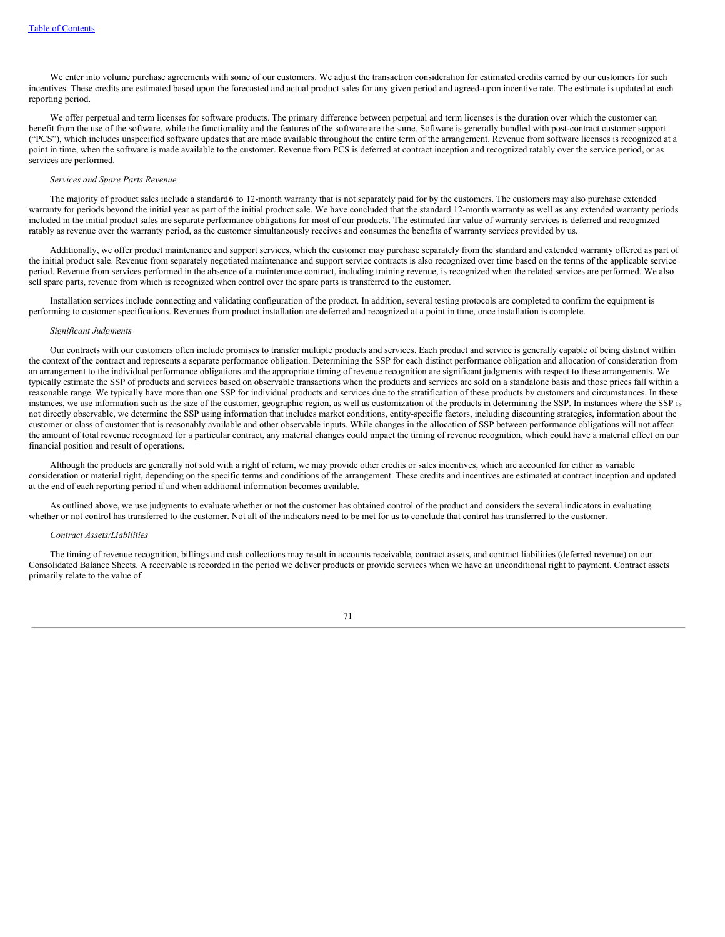We enter into volume purchase agreements with some of our customers. We adjust the transaction consideration for estimated credits earned by our customers for such incentives. These credits are estimated based upon the forecasted and actual product sales for any given period and agreed-upon incentive rate. The estimate is updated at each reporting period.

We offer perpetual and term licenses for software products. The primary difference between perpetual and term licenses is the duration over which the customer can benefit from the use of the software, while the functionality and the features of the software are the same. Software is generally bundled with post-contract customer support ("PCS"), which includes unspecified software updates that are made available throughout the entire term of the arrangement. Revenue from software licenses is recognized at a point in time, when the software is made available to the customer. Revenue from PCS is deferred at contract inception and recognized ratably over the service period, or as services are performed.

# *Services and Spare Parts Revenue*

The majority of product sales include a standard6 to 12-month warranty that is not separately paid for by the customers. The customers may also purchase extended warranty for periods beyond the initial year as part of the initial product sale. We have concluded that the standard 12-month warranty as well as any extended warranty periods included in the initial product sales are separate performance obligations for most of our products. The estimated fair value of warranty services is deferred and recognized ratably as revenue over the warranty period, as the customer simultaneously receives and consumes the benefits of warranty services provided by us.

Additionally, we offer product maintenance and support services, which the customer may purchase separately from the standard and extended warranty offered as part of the initial product sale. Revenue from separately negotiated maintenance and support service contracts is also recognized over time based on the terms of the applicable service period. Revenue from services performed in the absence of a maintenance contract, including training revenue, is recognized when the related services are performed. We also sell spare parts, revenue from which is recognized when control over the spare parts is transferred to the customer.

Installation services include connecting and validating configuration of the product. In addition, several testing protocols are completed to confirm the equipment is performing to customer specifications. Revenues from product installation are deferred and recognized at a point in time, once installation is complete.

#### *Significant Judgments*

Our contracts with our customers often include promises to transfer multiple products and services. Each product and service is generally capable of being distinct within the context of the contract and represents a separate performance obligation. Determining the SSP for each distinct performance obligation and allocation of consideration from an arrangement to the individual performance obligations and the appropriate timing of revenue recognition are significant judgments with respect to these arrangements. We typically estimate the SSP of products and services based on observable transactions when the products and services are sold on a standalone basis and those prices fall within a reasonable range. We typically have more than one SSP for individual products and services due to the stratification of these products by customers and circumstances. In these instances, we use information such as the size of the customer, geographic region, as well as customization of the products in determining the SSP. In instances where the SSP is not directly observable, we determine the SSP using information that includes market conditions, entity-specific factors, including discounting strategies, information about the customer or class of customer that is reasonably available and other observable inputs. While changes in the allocation of SSP between performance obligations will not affect the amount of total revenue recognized for a particular contract, any material changes could impact the timing of revenue recognition, which could have a material effect on our financial position and result of operations.

Although the products are generally not sold with a right of return, we may provide other credits or sales incentives, which are accounted for either as variable consideration or material right, depending on the specific terms and conditions of the arrangement. These credits and incentives are estimated at contract inception and updated at the end of each reporting period if and when additional information becomes available.

As outlined above, we use judgments to evaluate whether or not the customer has obtained control of the product and considers the several indicators in evaluating whether or not control has transferred to the customer. Not all of the indicators need to be met for us to conclude that control has transferred to the customer.

#### *Contract Assets/Liabilities*

The timing of revenue recognition, billings and cash collections may result in accounts receivable, contract assets, and contract liabilities (deferred revenue) on our Consolidated Balance Sheets. A receivable is recorded in the period we deliver products or provide services when we have an unconditional right to payment. Contract assets primarily relate to the value of

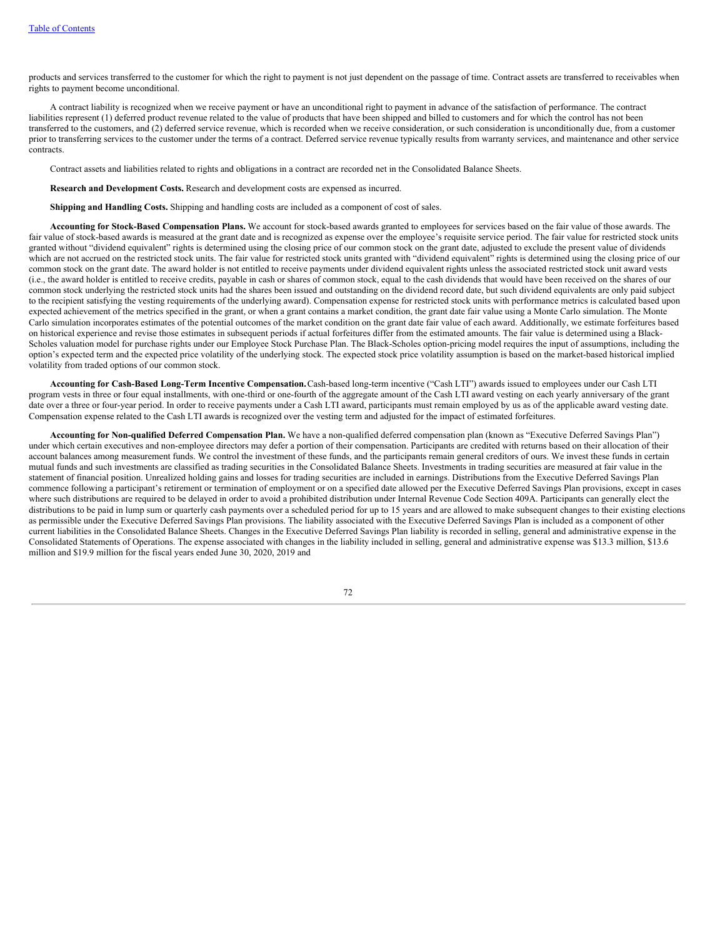products and services transferred to the customer for which the right to payment is not just dependent on the passage of time. Contract assets are transferred to receivables when rights to payment become unconditional.

A contract liability is recognized when we receive payment or have an unconditional right to payment in advance of the satisfaction of performance. The contract liabilities represent (1) deferred product revenue related to the value of products that have been shipped and billed to customers and for which the control has not been transferred to the customers, and (2) deferred service revenue, which is recorded when we receive consideration, or such consideration is unconditionally due, from a customer prior to transferring services to the customer under the terms of a contract. Deferred service revenue typically results from warranty services, and maintenance and other service contracts.

Contract assets and liabilities related to rights and obligations in a contract are recorded net in the Consolidated Balance Sheets.

**Research and Development Costs.** Research and development costs are expensed as incurred.

**Shipping and Handling Costs.** Shipping and handling costs are included as a component of cost of sales.

**Accounting for Stock-Based Compensation Plans.** We account for stock-based awards granted to employees for services based on the fair value of those awards. The fair value of stock-based awards is measured at the grant date and is recognized as expense over the employee's requisite service period. The fair value for restricted stock units granted without "dividend equivalent" rights is determined using the closing price of our common stock on the grant date, adjusted to exclude the present value of dividends which are not accrued on the restricted stock units. The fair value for restricted stock units granted with "dividend equivalent" rights is determined using the closing price of our common stock on the grant date. The award holder is not entitled to receive payments under dividend equivalent rights unless the associated restricted stock unit award vests (i.e., the award holder is entitled to receive credits, payable in cash or shares of common stock, equal to the cash dividends that would have been received on the shares of our common stock underlying the restricted stock units had the shares been issued and outstanding on the dividend record date, but such dividend equivalents are only paid subject to the recipient satisfying the vesting requirements of the underlying award). Compensation expense for restricted stock units with performance metrics is calculated based upon expected achievement of the metrics specified in the grant, or when a grant contains a market condition, the grant date fair value using a Monte Carlo simulation. The Monte Carlo simulation incorporates estimates of the potential outcomes of the market condition on the grant date fair value of each award. Additionally, we estimate forfeitures based on historical experience and revise those estimates in subsequent periods if actual forfeitures differ from the estimated amounts. The fair value is determined using a Black-Scholes valuation model for purchase rights under our Employee Stock Purchase Plan. The Black-Scholes option-pricing model requires the input of assumptions, including the option's expected term and the expected price volatility of the underlying stock. The expected stock price volatility assumption is based on the market-based historical implied volatility from traded options of our common stock.

**Accounting for Cash-Based Long-Term Incentive Compensation.**Cash-based long-term incentive ("Cash LTI") awards issued to employees under our Cash LTI program vests in three or four equal installments, with one-third or one-fourth of the aggregate amount of the Cash LTI award vesting on each yearly anniversary of the grant date over a three or four-year period. In order to receive payments under a Cash LTI award, participants must remain employed by us as of the applicable award vesting date. Compensation expense related to the Cash LTI awards is recognized over the vesting term and adjusted for the impact of estimated forfeitures.

**Accounting for Non-qualified Deferred Compensation Plan.** We have a non-qualified deferred compensation plan (known as "Executive Deferred Savings Plan") under which certain executives and non-employee directors may defer a portion of their compensation. Participants are credited with returns based on their allocation of their account balances among measurement funds. We control the investment of these funds, and the participants remain general creditors of ours. We invest these funds in certain mutual funds and such investments are classified as trading securities in the Consolidated Balance Sheets. Investments in trading securities are measured at fair value in the statement of financial position. Unrealized holding gains and losses for trading securities are included in earnings. Distributions from the Executive Deferred Savings Plan commence following a participant's retirement or termination of employment or on a specified date allowed per the Executive Deferred Savings Plan provisions, except in cases where such distributions are required to be delayed in order to avoid a prohibited distribution under Internal Revenue Code Section 409A. Participants can generally elect the distributions to be paid in lump sum or quarterly cash payments over a scheduled period for up to 15 years and are allowed to make subsequent changes to their existing elections as permissible under the Executive Deferred Savings Plan provisions. The liability associated with the Executive Deferred Savings Plan is included as a component of other current liabilities in the Consolidated Balance Sheets. Changes in the Executive Deferred Savings Plan liability is recorded in selling, general and administrative expense in the Consolidated Statements of Operations. The expense associated with changes in the liability included in selling, general and administrative expense was \$13.3 million, \$13.6 million and \$19.9 million for the fiscal years ended June 30, 2020, 2019 and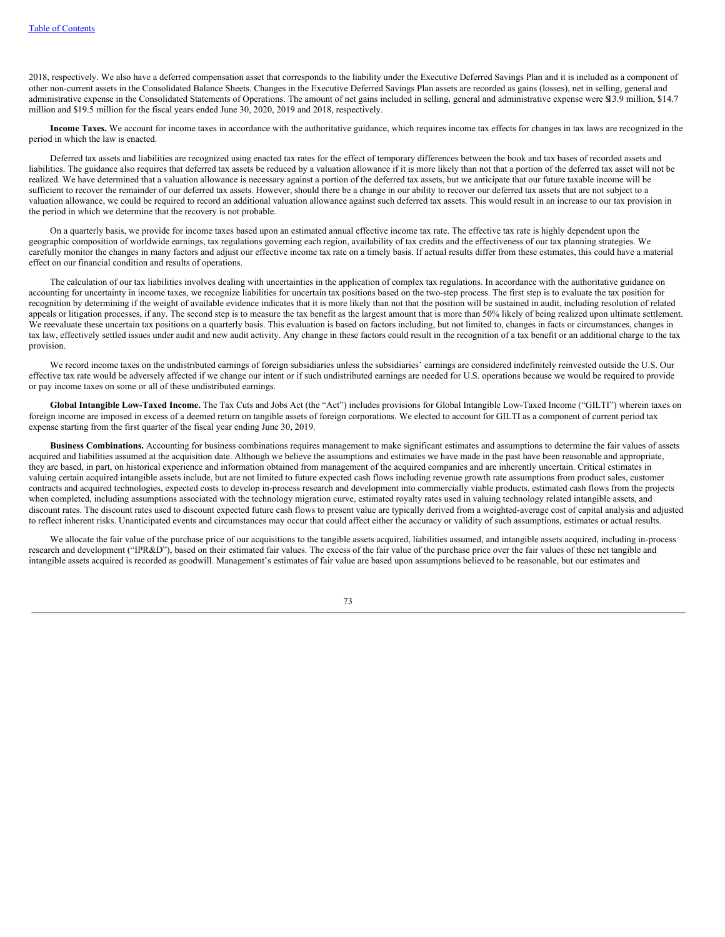2018, respectively. We also have a deferred compensation asset that corresponds to the liability under the Executive Deferred Savings Plan and it is included as a component of other non-current assets in the Consolidated Balance Sheets. Changes in the Executive Deferred Savings Plan assets are recorded as gains (losses), net in selling, general and administrative expense in the Consolidated Statements of Operations. The amount of net gains included in selling, general and administrative expense were \$13.9 million, \$14.7 million and \$19.5 million for the fiscal years ended June 30, 2020, 2019 and 2018, respectively.

**Income Taxes.** We account for income taxes in accordance with the authoritative guidance, which requires income tax effects for changes in tax laws are recognized in the period in which the law is enacted.

Deferred tax assets and liabilities are recognized using enacted tax rates for the effect of temporary differences between the book and tax bases of recorded assets and liabilities. The guidance also requires that deferred tax assets be reduced by a valuation allowance if it is more likely than not that a portion of the deferred tax asset will not be realized. We have determined that a valuation allowance is necessary against a portion of the deferred tax assets, but we anticipate that our future taxable income will be sufficient to recover the remainder of our deferred tax assets. However, should there be a change in our ability to recover our deferred tax assets that are not subject to a valuation allowance, we could be required to record an additional valuation allowance against such deferred tax assets. This would result in an increase to our tax provision in the period in which we determine that the recovery is not probable.

On a quarterly basis, we provide for income taxes based upon an estimated annual effective income tax rate. The effective tax rate is highly dependent upon the geographic composition of worldwide earnings, tax regulations governing each region, availability of tax credits and the effectiveness of our tax planning strategies. We carefully monitor the changes in many factors and adjust our effective income tax rate on a timely basis. If actual results differ from these estimates, this could have a material effect on our financial condition and results of operations.

The calculation of our tax liabilities involves dealing with uncertainties in the application of complex tax regulations. In accordance with the authoritative guidance on accounting for uncertainty in income taxes, we recognize liabilities for uncertain tax positions based on the two-step process. The first step is to evaluate the tax position for recognition by determining if the weight of available evidence indicates that it is more likely than not that the position will be sustained in audit, including resolution of related appeals or litigation processes, if any. The second step is to measure the tax benefit as the largest amount that is more than 50% likely of being realized upon ultimate settlement. We reevaluate these uncertain tax positions on a quarterly basis. This evaluation is based on factors including, but not limited to, changes in facts or circumstances, changes in tax law, effectively settled issues under audit and new audit activity. Any change in these factors could result in the recognition of a tax benefit or an additional charge to the tax provision.

We record income taxes on the undistributed earnings of foreign subsidiaries unless the subsidiaries' earnings are considered indefinitely reinvested outside the U.S. Our effective tax rate would be adversely affected if we change our intent or if such undistributed earnings are needed for U.S. operations because we would be required to provide or pay income taxes on some or all of these undistributed earnings.

**Global Intangible Low-Taxed Income.** The Tax Cuts and Jobs Act (the "Act") includes provisions for Global Intangible Low-Taxed Income ("GILTI") wherein taxes on foreign income are imposed in excess of a deemed return on tangible assets of foreign corporations. We elected to account for GILTI as a component of current period tax expense starting from the first quarter of the fiscal year ending June 30, 2019.

**Business Combinations.** Accounting for business combinations requires management to make significant estimates and assumptions to determine the fair values of assets acquired and liabilities assumed at the acquisition date. Although we believe the assumptions and estimates we have made in the past have been reasonable and appropriate, they are based, in part, on historical experience and information obtained from management of the acquired companies and are inherently uncertain. Critical estimates in valuing certain acquired intangible assets include, but are not limited to future expected cash flows including revenue growth rate assumptions from product sales, customer contracts and acquired technologies, expected costs to develop in-process research and development into commercially viable products, estimated cash flows from the projects when completed, including assumptions associated with the technology migration curve, estimated royalty rates used in valuing technology related intangible assets, and discount rates. The discount rates used to discount expected future cash flows to present value are typically derived from a weighted-average cost of capital analysis and adjusted to reflect inherent risks. Unanticipated events and circumstances may occur that could affect either the accuracy or validity of such assumptions, estimates or actual results.

We allocate the fair value of the purchase price of our acquisitions to the tangible assets acquired, liabilities assumed, and intangible assets acquired, including in-process research and development ("IPR&D"), based on their estimated fair values. The excess of the fair value of the purchase price over the fair values of these net tangible and intangible assets acquired is recorded as goodwill. Management's estimates of fair value are based upon assumptions believed to be reasonable, but our estimates and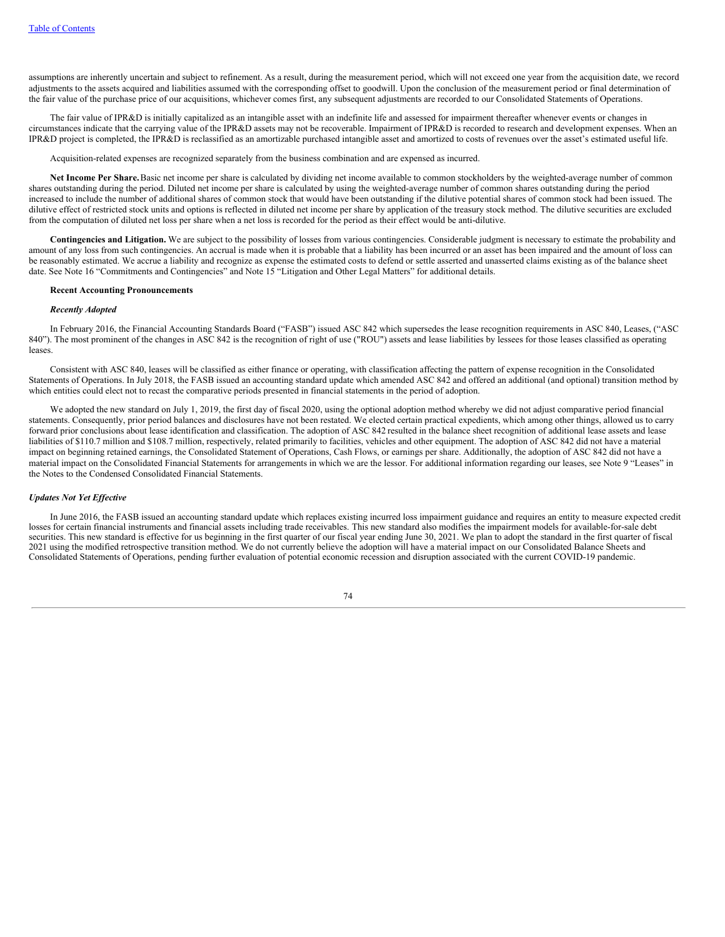assumptions are inherently uncertain and subject to refinement. As a result, during the measurement period, which will not exceed one year from the acquisition date, we record adjustments to the assets acquired and liabilities assumed with the corresponding offset to goodwill. Upon the conclusion of the measurement period or final determination of the fair value of the purchase price of our acquisitions, whichever comes first, any subsequent adjustments are recorded to our Consolidated Statements of Operations.

The fair value of IPR&D is initially capitalized as an intangible asset with an indefinite life and assessed for impairment thereafter whenever events or changes in circumstances indicate that the carrying value of the IPR&D assets may not be recoverable. Impairment of IPR&D is recorded to research and development expenses. When an IPR&D project is completed, the IPR&D is reclassified as an amortizable purchased intangible asset and amortized to costs of revenues over the asset's estimated useful life.

Acquisition-related expenses are recognized separately from the business combination and are expensed as incurred.

**Net Income Per Share.**Basic net income per share is calculated by dividing net income available to common stockholders by the weighted-average number of common shares outstanding during the period. Diluted net income per share is calculated by using the weighted-average number of common shares outstanding during the period increased to include the number of additional shares of common stock that would have been outstanding if the dilutive potential shares of common stock had been issued. The dilutive effect of restricted stock units and options is reflected in diluted net income per share by application of the treasury stock method. The dilutive securities are excluded from the computation of diluted net loss per share when a net loss is recorded for the period as their effect would be anti-dilutive.

**Contingencies and Litigation.** We are subject to the possibility of losses from various contingencies. Considerable judgment is necessary to estimate the probability and amount of any loss from such contingencies. An accrual is made when it is probable that a liability has been incurred or an asset has been impaired and the amount of loss can be reasonably estimated. We accrue a liability and recognize as expense the estimated costs to defend or settle asserted and unasserted claims existing as of the balance sheet date. See Note 16 "Commitments and Contingencies" and Note 15 "Litigation and Other Legal Matters" for additional details.

### **Recent Accounting Pronouncements**

#### *Recently Adopted*

In February 2016, the Financial Accounting Standards Board ("FASB") issued ASC 842 which supersedes the lease recognition requirements in ASC 840, Leases, ("ASC 840"). The most prominent of the changes in ASC 842 is the recognition of right of use ("ROU") assets and lease liabilities by lessees for those leases classified as operating leases.

Consistent with ASC 840, leases will be classified as either finance or operating, with classification affecting the pattern of expense recognition in the Consolidated Statements of Operations. In July 2018, the FASB issued an accounting standard update which amended ASC 842 and offered an additional (and optional) transition method by which entities could elect not to recast the comparative periods presented in financial statements in the period of adoption.

We adopted the new standard on July 1, 2019, the first day of fiscal 2020, using the optional adoption method whereby we did not adjust comparative period financial statements. Consequently, prior period balances and disclosures have not been restated. We elected certain practical expedients, which among other things, allowed us to carry forward prior conclusions about lease identification and classification. The adoption of ASC 842 resulted in the balance sheet recognition of additional lease assets and lease liabilities of \$110.7 million and \$108.7 million, respectively, related primarily to facilities, vehicles and other equipment. The adoption of ASC 842 did not have a material impact on beginning retained earnings, the Consolidated Statement of Operations, Cash Flows, or earnings per share. Additionally, the adoption of ASC 842 did not have a material impact on the Consolidated Financial Statements for arrangements in which we are the lessor. For additional information regarding our leases, see Note 9 "Leases" in the Notes to the Condensed Consolidated Financial Statements.

#### *Updates Not Yet Ef ective*

In June 2016, the FASB issued an accounting standard update which replaces existing incurred loss impairment guidance and requires an entity to measure expected credit losses for certain financial instruments and financial assets including trade receivables. This new standard also modifies the impairment models for available-for-sale debt securities. This new standard is effective for us beginning in the first quarter of our fiscal year ending June 30, 2021. We plan to adopt the standard in the first quarter of fiscal 2021 using the modified retrospective transition method. We do not currently believe the adoption will have a material impact on our Consolidated Balance Sheets and Consolidated Statements of Operations, pending further evaluation of potential economic recession and disruption associated with the current COVID-19 pandemic.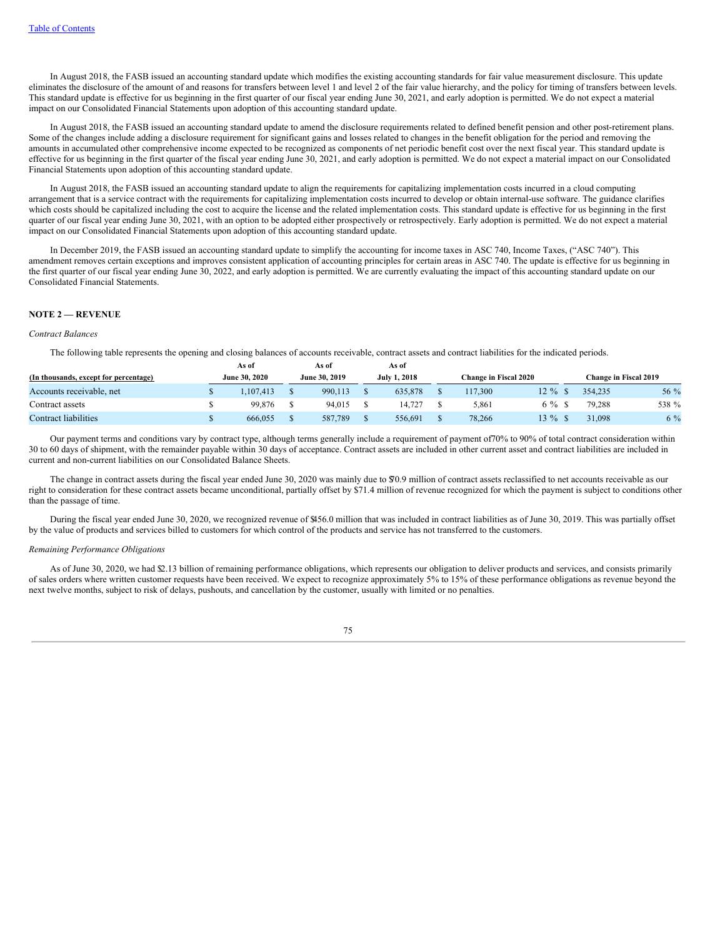In August 2018, the FASB issued an accounting standard update which modifies the existing accounting standards for fair value measurement disclosure. This update eliminates the disclosure of the amount of and reasons for transfers between level 1 and level 2 of the fair value hierarchy, and the policy for timing of transfers between levels. This standard update is effective for us beginning in the first quarter of our fiscal year ending June 30, 2021, and early adoption is permitted. We do not expect a material impact on our Consolidated Financial Statements upon adoption of this accounting standard update.

In August 2018, the FASB issued an accounting standard update to amend the disclosure requirements related to defined benefit pension and other post-retirement plans. Some of the changes include adding a disclosure requirement for significant gains and losses related to changes in the benefit obligation for the period and removing the amounts in accumulated other comprehensive income expected to be recognized as components of net periodic benefit cost over the next fiscal year. This standard update is effective for us beginning in the first quarter of the fiscal year ending June 30, 2021, and early adoption is permitted. We do not expect a material impact on our Consolidated Financial Statements upon adoption of this accounting standard update.

In August 2018, the FASB issued an accounting standard update to align the requirements for capitalizing implementation costs incurred in a cloud computing arrangement that is a service contract with the requirements for capitalizing implementation costs incurred to develop or obtain internal-use software. The guidance clarifies which costs should be capitalized including the cost to acquire the license and the related implementation costs. This standard update is effective for us beginning in the first quarter of our fiscal year ending June 30, 2021, with an option to be adopted either prospectively or retrospectively. Early adoption is permitted. We do not expect a material impact on our Consolidated Financial Statements upon adoption of this accounting standard update.

In December 2019, the FASB issued an accounting standard update to simplify the accounting for income taxes in ASC 740, Income Taxes, ("ASC 740"). This amendment removes certain exceptions and improves consistent application of accounting principles for certain areas in ASC 740. The update is effective for us beginning in the first quarter of our fiscal year ending June 30, 2022, and early adoption is permitted. We are currently evaluating the impact of this accounting standard update on our Consolidated Financial Statements.

#### **NOTE 2 — REVENUE**

## *Contract Balances*

The following table represents the opening and closing balances of accounts receivable, contract assets and contract liabilities for the indicated periods.

|                                       | As of         | As of         | As of               |                              |         |            |                       |         |       |
|---------------------------------------|---------------|---------------|---------------------|------------------------------|---------|------------|-----------------------|---------|-------|
| (In thousands, except for percentage) | June 30, 2020 | June 30, 2019 | <b>July 1, 2018</b> | <b>Change in Fiscal 2020</b> |         |            | Change in Fiscal 2019 |         |       |
| Accounts receivable, net              | .107.413      | 990,113       | 635,878             |                              | 117,300 | $12 \%$ \$ |                       | 354,235 | 56 %  |
| Contract assets                       | 99.876        | 94.015        | 14.727              |                              | 5.861   | $6\%$ \$   |                       | 79.288  | 538 % |
| <b>Contract liabilities</b>           | 666,055       | 587,789       | 556,691             |                              | 78.266  | 13 % \$    |                       | 31,098  | $6\%$ |

Our payment terms and conditions vary by contract type, although terms generally include a requirement of payment of70% to 90% of total contract consideration within 30 to 60 days of shipment, with the remainder payable within 30 days of acceptance. Contract assets are included in other current asset and contract liabilities are included in current and non-current liabilities on our Consolidated Balance Sheets.

The change in contract assets during the fiscal year ended June 30, 2020 was mainly due to \$0.9 million of contract assets reclassified to net accounts receivable as our right to consideration for these contract assets became unconditional, partially offset by \$71.4 million of revenue recognized for which the payment is subject to conditions other than the passage of time.

During the fiscal year ended June 30, 2020, we recognized revenue of \$456.0 million that was included in contract liabilities as of June 30, 2019. This was partially offset by the value of products and services billed to customers for which control of the products and service has not transferred to the customers.

#### *Remaining Performance Obligations*

As of June 30, 2020, we had \$2.13 billion of remaining performance obligations, which represents our obligation to deliver products and services, and consists primarily of sales orders where written customer requests have been received. We expect to recognize approximately 5% to 15% of these performance obligations as revenue beyond the next twelve months, subject to risk of delays, pushouts, and cancellation by the customer, usually with limited or no penalties.

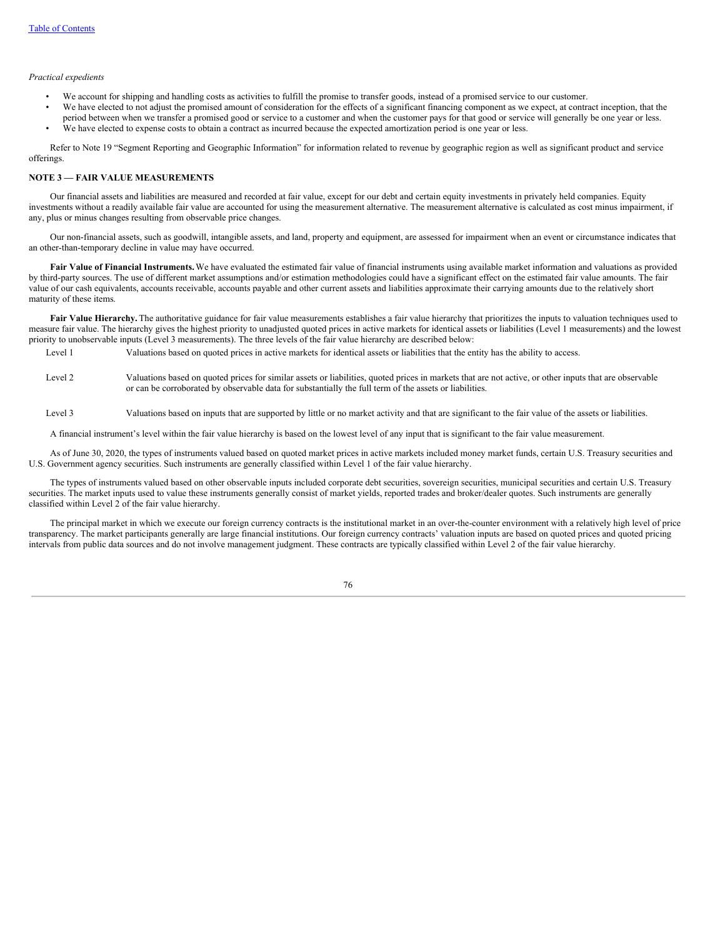*Practical expedients*

- We account for shipping and handling costs as activities to fulfill the promise to transfer goods, instead of a promised service to our customer.
- We have elected to not adjust the promised amount of consideration for the effects of a significant financing component as we expect, at contract inception, that the period between when we transfer a promised good or service to a customer and when the customer pays for that good or service will generally be one year or less. We have elected to expense costs to obtain a contract as incurred because the expected amortization period is one year or less.

Refer to Note 19 "Segment Reporting and Geographic Information" for information related to revenue by geographic region as well as significant product and service offerings.

#### **NOTE 3 — FAIR VALUE MEASUREMENTS**

Our financial assets and liabilities are measured and recorded at fair value, except for our debt and certain equity investments in privately held companies. Equity investments without a readily available fair value are accounted for using the measurement alternative. The measurement alternative is calculated as cost minus impairment, if any, plus or minus changes resulting from observable price changes.

Our non-financial assets, such as goodwill, intangible assets, and land, property and equipment, are assessed for impairment when an event or circumstance indicates that an other-than-temporary decline in value may have occurred.

**Fair Value of Financial Instruments.**We have evaluated the estimated fair value of financial instruments using available market information and valuations as provided by third-party sources. The use of different market assumptions and/or estimation methodologies could have a significant effect on the estimated fair value amounts. The fair value of our cash equivalents, accounts receivable, accounts payable and other current assets and liabilities approximate their carrying amounts due to the relatively short maturity of these items.

**Fair Value Hierarchy.** The authoritative guidance for fair value measurements establishes a fair value hierarchy that prioritizes the inputs to valuation techniques used to measure fair value. The hierarchy gives the highest priority to unadjusted quoted prices in active markets for identical assets or liabilities (Level 1 measurements) and the lowest priority to unobservable inputs (Level 3 measurements). The three levels of the fair value hierarchy are described below:

Level 1 Valuations based on quoted prices in active markets for identical assets or liabilities that the entity has the ability to access.

Level 2 Valuations based on quoted prices for similar assets or liabilities, quoted prices in markets that are not active, or other inputs that are observable or can be corroborated by observable data for substantially the full term of the assets or liabilities.

Level 3 Valuations based on inputs that are supported by little or no market activity and that are significant to the fair value of the assets or liabilities.

A financial instrument's level within the fair value hierarchy is based on the lowest level of any input that is significant to the fair value measurement.

As of June 30, 2020, the types of instruments valued based on quoted market prices in active markets included money market funds, certain U.S. Treasury securities and U.S. Government agency securities. Such instruments are generally classified within Level 1 of the fair value hierarchy.

The types of instruments valued based on other observable inputs included corporate debt securities, sovereign securities, municipal securities and certain U.S. Treasury securities. The market inputs used to value these instruments generally consist of market yields, reported trades and broker/dealer quotes. Such instruments are generally classified within Level 2 of the fair value hierarchy.

The principal market in which we execute our foreign currency contracts is the institutional market in an over-the-counter environment with a relatively high level of price transparency. The market participants generally are large financial institutions. Our foreign currency contracts' valuation inputs are based on quoted prices and quoted pricing intervals from public data sources and do not involve management judgment. These contracts are typically classified within Level 2 of the fair value hierarchy.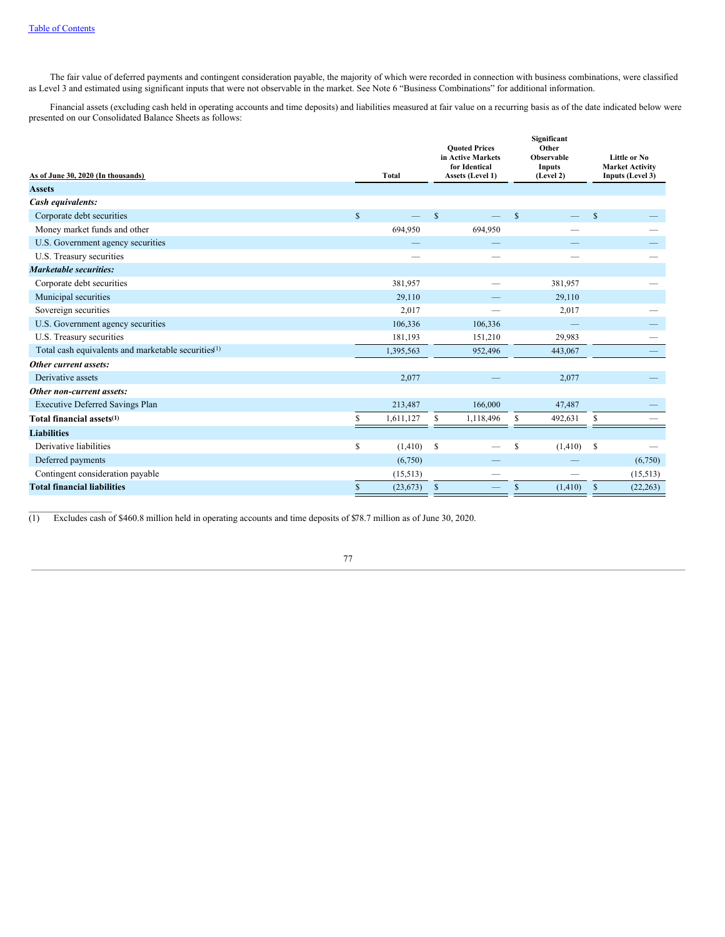\_\_\_\_\_\_\_\_\_\_\_\_\_\_\_\_\_\_

The fair value of deferred payments and contingent consideration payable, the majority of which were recorded in connection with business combinations, were classified as Level 3 and estimated using significant inputs that were not observable in the market. See Note 6 "Business Combinations" for additional information.

Financial assets (excluding cash held in operating accounts and time deposits) and liabilities measured at fair value on a recurring basis as of the date indicated below were presented on our Consolidated Balance Sheets as follows:

| As of June 30, 2020 (In thousands)                             | <b>Total</b> |           |              | <b>Ouoted Prices</b><br>in Active Markets<br>for Identical<br><b>Assets (Level 1)</b> |              | Significant<br>Other<br><b>Observable</b><br><b>Inputs</b><br>(Level 2) |               | Little or No<br><b>Market Activity</b><br>Inputs (Level 3) |
|----------------------------------------------------------------|--------------|-----------|--------------|---------------------------------------------------------------------------------------|--------------|-------------------------------------------------------------------------|---------------|------------------------------------------------------------|
| <b>Assets</b>                                                  |              |           |              |                                                                                       |              |                                                                         |               |                                                            |
| Cash equivalents:                                              |              |           |              |                                                                                       |              |                                                                         |               |                                                            |
| Corporate debt securities                                      | $\mathbb{S}$ |           | $\mathbf S$  |                                                                                       | $\mathbb{S}$ |                                                                         | <sup>\$</sup> |                                                            |
| Money market funds and other                                   |              | 694,950   |              | 694,950                                                                               |              |                                                                         |               |                                                            |
| U.S. Government agency securities                              |              |           |              |                                                                                       |              |                                                                         |               |                                                            |
| U.S. Treasury securities                                       |              |           |              |                                                                                       |              |                                                                         |               |                                                            |
| <b>Marketable securities:</b>                                  |              |           |              |                                                                                       |              |                                                                         |               |                                                            |
| Corporate debt securities                                      |              | 381,957   |              |                                                                                       |              | 381,957                                                                 |               |                                                            |
| Municipal securities                                           |              | 29,110    |              |                                                                                       |              | 29,110                                                                  |               |                                                            |
| Sovereign securities                                           |              | 2,017     |              |                                                                                       |              | 2,017                                                                   |               |                                                            |
| U.S. Government agency securities                              |              | 106,336   |              | 106,336                                                                               |              |                                                                         |               |                                                            |
| U.S. Treasury securities                                       |              | 181,193   |              | 151,210                                                                               |              | 29,983                                                                  |               |                                                            |
| Total cash equivalents and marketable securities <sup>1)</sup> |              | 1,395,563 |              | 952,496                                                                               |              | 443,067                                                                 |               |                                                            |
| Other current assets:                                          |              |           |              |                                                                                       |              |                                                                         |               |                                                            |
| Derivative assets                                              |              | 2,077     |              |                                                                                       |              | 2,077                                                                   |               |                                                            |
| Other non-current assets:                                      |              |           |              |                                                                                       |              |                                                                         |               |                                                            |
| <b>Executive Deferred Savings Plan</b>                         |              | 213,487   |              | 166,000                                                                               |              | 47,487                                                                  |               |                                                            |
| Total financial assets <sup>(1)</sup>                          | \$           | 1,611,127 | \$           | 1,118,496                                                                             | \$           | 492,631                                                                 | \$            |                                                            |
| <b>Liabilities</b>                                             |              |           |              |                                                                                       |              |                                                                         |               |                                                            |
| Derivative liabilities                                         | $\mathbb{S}$ | (1, 410)  | <b>S</b>     |                                                                                       | \$           | (1, 410)                                                                | $\mathbb{S}$  |                                                            |
| Deferred payments                                              |              | (6,750)   |              |                                                                                       |              |                                                                         |               | (6,750)                                                    |
| Contingent consideration payable                               |              | (15,513)  |              |                                                                                       |              |                                                                         |               | (15, 513)                                                  |
| <b>Total financial liabilities</b>                             | $\mathbb{S}$ | (23, 673) | $\mathbb{S}$ |                                                                                       | \$           | (1, 410)                                                                | $\mathbb{S}$  | (22, 263)                                                  |

(1) Excludes cash of \$460.8 million held in operating accounts and time deposits of \$78.7 million as of June 30, 2020.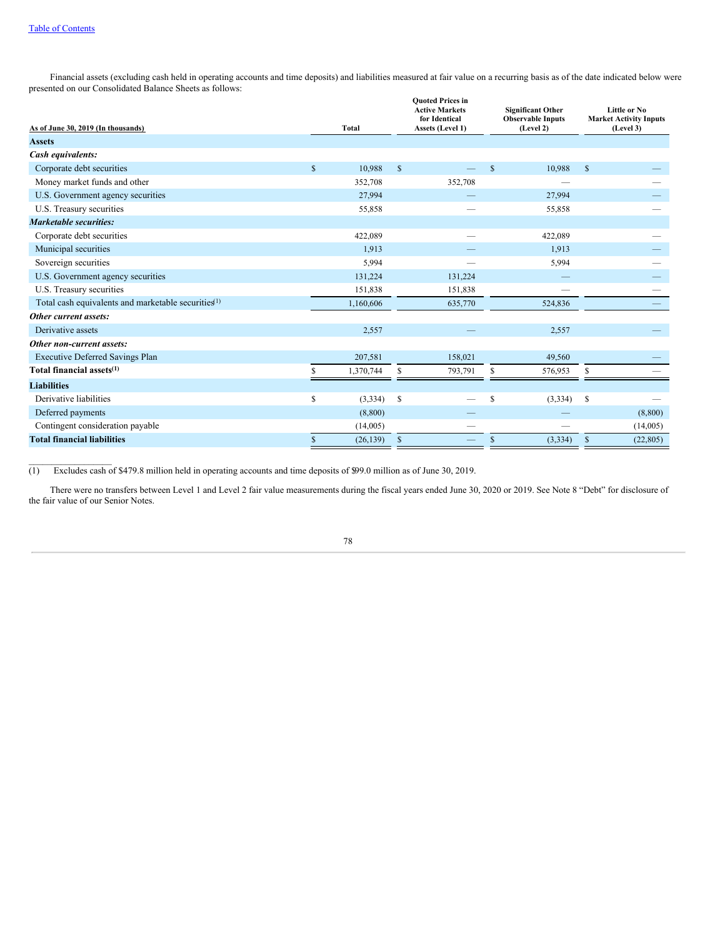\_\_\_\_\_\_\_\_\_\_\_\_\_\_\_\_\_\_

Financial assets (excluding cash held in operating accounts and time deposits) and liabilities measured at fair value on a recurring basis as of the date indicated below were presented on our Consolidated Balance Sheets as follows: **Quoted Prices in**

| As of June 30, 2019 (In thousands)                              |              | Total     |               | Quoted Prices in<br><b>Active Markets</b><br>for Identical<br><b>Assets (Level 1)</b> |               | <b>Significant Other</b><br><b>Observable Inputs</b><br>(Level 2) |              | <b>Little or No</b><br><b>Market Activity Inputs</b><br>(Level 3) |  |  |
|-----------------------------------------------------------------|--------------|-----------|---------------|---------------------------------------------------------------------------------------|---------------|-------------------------------------------------------------------|--------------|-------------------------------------------------------------------|--|--|
| <b>Assets</b>                                                   |              |           |               |                                                                                       |               |                                                                   |              |                                                                   |  |  |
| Cash equivalents:                                               |              |           |               |                                                                                       |               |                                                                   |              |                                                                   |  |  |
| Corporate debt securities                                       | $\mathbb{S}$ | 10,988    | $\mathbb{S}$  |                                                                                       | <sup>\$</sup> | 10,988                                                            | $\mathbb{S}$ |                                                                   |  |  |
| Money market funds and other                                    |              | 352,708   |               | 352,708                                                                               |               |                                                                   |              |                                                                   |  |  |
| U.S. Government agency securities                               |              | 27,994    |               |                                                                                       |               | 27,994                                                            |              |                                                                   |  |  |
| U.S. Treasury securities                                        |              | 55,858    |               |                                                                                       |               | 55,858                                                            |              |                                                                   |  |  |
| <b>Marketable securities:</b>                                   |              |           |               |                                                                                       |               |                                                                   |              |                                                                   |  |  |
| Corporate debt securities                                       |              | 422,089   |               |                                                                                       |               | 422,089                                                           |              |                                                                   |  |  |
| Municipal securities                                            |              | 1,913     |               |                                                                                       |               | 1,913                                                             |              |                                                                   |  |  |
| Sovereign securities                                            |              | 5,994     |               |                                                                                       |               | 5,994                                                             |              |                                                                   |  |  |
| U.S. Government agency securities                               |              | 131,224   |               | 131,224                                                                               |               |                                                                   |              |                                                                   |  |  |
| U.S. Treasury securities                                        |              | 151,838   |               | 151,838                                                                               |               |                                                                   |              |                                                                   |  |  |
| Total cash equivalents and marketable securities <sup>(1)</sup> |              | 1,160,606 |               | 635,770                                                                               |               | 524,836                                                           |              |                                                                   |  |  |
| Other current assets:                                           |              |           |               |                                                                                       |               |                                                                   |              |                                                                   |  |  |
| Derivative assets                                               |              | 2,557     |               |                                                                                       |               | 2,557                                                             |              |                                                                   |  |  |
| Other non-current assets:                                       |              |           |               |                                                                                       |               |                                                                   |              |                                                                   |  |  |
| <b>Executive Deferred Savings Plan</b>                          |              | 207,581   |               | 158,021                                                                               |               | 49,560                                                            |              |                                                                   |  |  |
| Total financial assets <sup>(1)</sup>                           | S            | 1,370,744 | S             | 793,791                                                                               | \$            | 576,953                                                           | S            |                                                                   |  |  |
| <b>Liabilities</b>                                              |              |           |               |                                                                                       |               |                                                                   |              |                                                                   |  |  |
| Derivative liabilities                                          | $\mathbb{S}$ | (3, 334)  | <sup>\$</sup> |                                                                                       | <sup>\$</sup> | (3,334)                                                           | <b>S</b>     |                                                                   |  |  |
| Deferred payments                                               |              | (8,800)   |               |                                                                                       |               |                                                                   |              | (8,800)                                                           |  |  |
| Contingent consideration payable                                |              | (14,005)  |               |                                                                                       |               |                                                                   |              | (14,005)                                                          |  |  |
| <b>Total financial liabilities</b>                              | S            | (26, 139) | \$            |                                                                                       | \$            | (3, 334)                                                          | $\mathbb{S}$ | (22, 805)                                                         |  |  |
|                                                                 |              |           |               |                                                                                       |               |                                                                   |              |                                                                   |  |  |

(1) Excludes cash of \$479.8 million held in operating accounts and time deposits of \$99.0 million as of June 30, 2019.

There were no transfers between Level 1 and Level 2 fair value measurements during the fiscal years ended June 30, 2020 or 2019. See Note 8 "Debt" for disclosure of the fair value of our Senior Notes.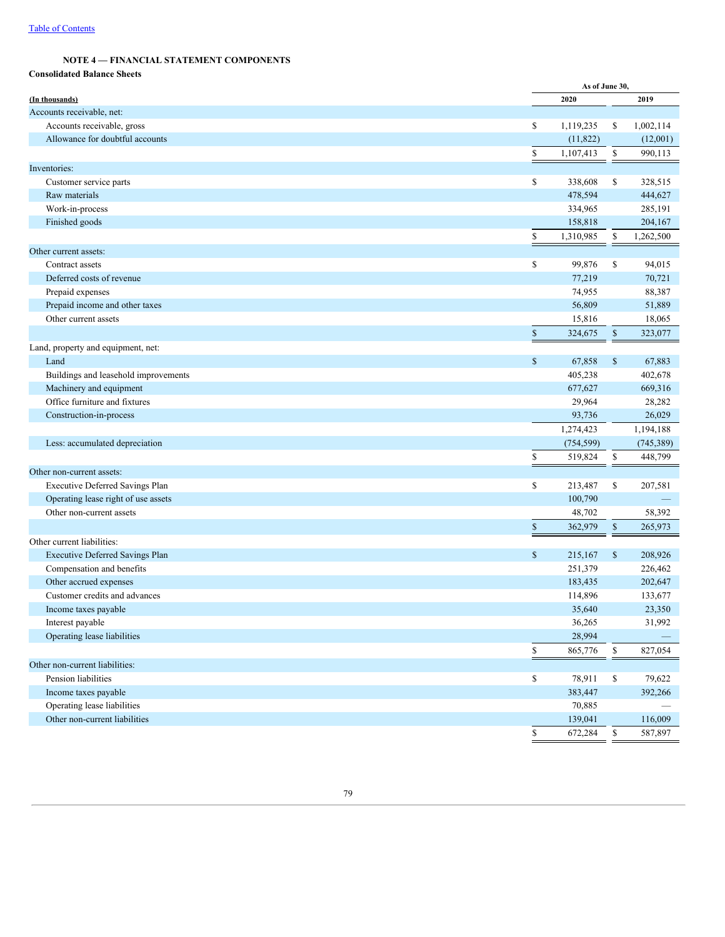# **NOTE 4 — FINANCIAL STATEMENT COMPONENTS**

# **Consolidated Balance Sheets**

|                                        |              | As of June 30, |              |            |
|----------------------------------------|--------------|----------------|--------------|------------|
| (In thousands)                         |              | 2020           |              | 2019       |
| Accounts receivable, net:              |              |                |              |            |
| Accounts receivable, gross             | \$           | 1,119,235      | \$           | 1,002,114  |
| Allowance for doubtful accounts        |              | (11,822)       |              | (12,001)   |
|                                        | \$           | 1,107,413      | \$           | 990,113    |
| Inventories:                           |              |                |              |            |
| Customer service parts                 | \$           | 338,608        | \$           | 328,515    |
| Raw materials                          |              | 478,594        |              | 444,627    |
| Work-in-process                        |              | 334,965        |              | 285,191    |
| Finished goods                         |              | 158,818        |              | 204,167    |
|                                        | \$           | 1,310,985      | $\mathbb{S}$ | 1,262,500  |
|                                        |              |                |              |            |
| Other current assets:                  |              |                |              |            |
| Contract assets                        | \$           | 99,876         | \$           | 94,015     |
| Deferred costs of revenue              |              | 77,219         |              | 70,721     |
| Prepaid expenses                       |              | 74,955         |              | 88,387     |
| Prepaid income and other taxes         |              | 56,809         |              | 51,889     |
| Other current assets                   |              | 15,816         |              | 18,065     |
|                                        | $\mathbb S$  | 324,675        | \$           | 323,077    |
| Land, property and equipment, net:     |              |                |              |            |
| Land                                   | $\mathbb{S}$ | 67,858         | $\mathbb{S}$ | 67,883     |
| Buildings and leasehold improvements   |              | 405,238        |              | 402,678    |
| Machinery and equipment                |              | 677,627        |              | 669,316    |
| Office furniture and fixtures          |              | 29,964         |              | 28,282     |
| Construction-in-process                |              | 93,736         |              | 26,029     |
|                                        |              | 1,274,423      |              | 1,194,188  |
| Less: accumulated depreciation         |              | (754, 599)     |              | (745, 389) |
|                                        | \$           | 519,824        | $\mathbb{S}$ | 448,799    |
| Other non-current assets:              |              |                |              |            |
| <b>Executive Deferred Savings Plan</b> | \$           | 213,487        | \$           | 207,581    |
| Operating lease right of use assets    |              | 100,790        |              |            |
| Other non-current assets               |              | 48,702         |              | 58,392     |
|                                        | $\mathbb S$  | 362,979        | $\mathbb{S}$ | 265,973    |
| Other current liabilities:             |              |                |              |            |
| <b>Executive Deferred Savings Plan</b> | $\mathbb{S}$ | 215,167        | $\mathbb{S}$ | 208,926    |
| Compensation and benefits              |              | 251,379        |              | 226,462    |
| Other accrued expenses                 |              | 183,435        |              | 202,647    |
| Customer credits and advances          |              |                |              |            |
|                                        |              | 114,896        |              | 133,677    |
| Income taxes payable                   |              | 35,640         |              | 23,350     |
| Interest payable                       |              | 36,265         |              | 31,992     |
| Operating lease liabilities            |              | 28,994         |              |            |
|                                        | $\mathbb S$  | 865,776        | \$           | 827,054    |
| Other non-current liabilities:         |              |                |              |            |
| Pension liabilities                    | \$           | 78,911         | \$           | 79,622     |
| Income taxes payable                   |              | 383,447        |              | 392,266    |
| Operating lease liabilities            |              | 70,885         |              |            |
| Other non-current liabilities          |              | 139,041        |              | 116,009    |
|                                        | $\mathbb S$  | 672,284        | \$           | 587,897    |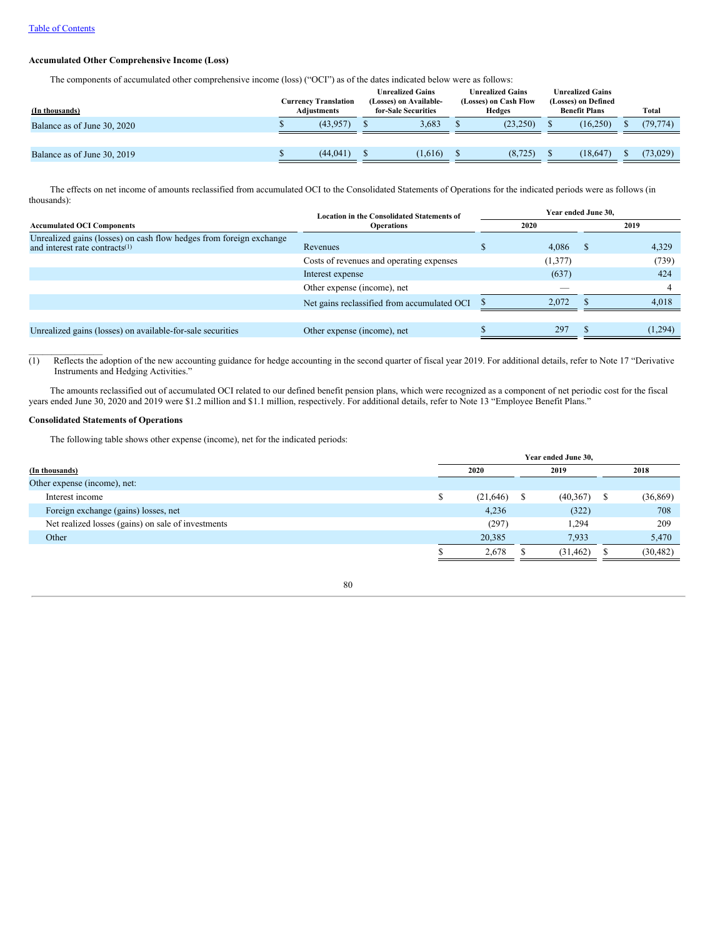# **Accumulated Other Comprehensive Income (Loss)**

The components of accumulated other comprehensive income (loss) ("OCI") as of the dates indicated below were as follows:

| (In thousands)              | <b>Currency Translation</b><br>Adiustments | Unrealized Gains<br>(Losses) on Available-<br>for-Sale Securities |         | <b>Unrealized Gains</b><br>(Losses) on Cash Flow<br>Hedges | <b>Unrealized Gains</b><br>(Losses) on Defined<br><b>Benefit Plans</b> |  | Total     |
|-----------------------------|--------------------------------------------|-------------------------------------------------------------------|---------|------------------------------------------------------------|------------------------------------------------------------------------|--|-----------|
| Balance as of June 30, 2020 | (43.957)                                   |                                                                   | 3.683   | (23.250)                                                   | (16.250)                                                               |  | (79, 774) |
|                             |                                            |                                                                   |         |                                                            |                                                                        |  |           |
| Balance as of June 30, 2019 | (44, 041)                                  |                                                                   | (1,616) | (8, 725)                                                   | (18, 647)                                                              |  | (73,029)  |

The effects on net income of amounts reclassified from accumulated OCI to the Consolidated Statements of Operations for the indicated periods were as follows (in thousands):

|                                                                                                          | <b>Location in the Consolidated Statements of</b> | Year ended June 30. |          |          |         |  |  |  |
|----------------------------------------------------------------------------------------------------------|---------------------------------------------------|---------------------|----------|----------|---------|--|--|--|
| <b>Accumulated OCI Components</b>                                                                        | <b>Operations</b>                                 |                     | 2020     |          | 2019    |  |  |  |
| Unrealized gains (losses) on cash flow hedges from foreign exchange<br>and interest rate contracts $(1)$ | Revenues                                          |                     | 4,086    | <b>S</b> | 4,329   |  |  |  |
|                                                                                                          | Costs of revenues and operating expenses          |                     | (1, 377) |          | (739)   |  |  |  |
|                                                                                                          | Interest expense                                  |                     | (637)    |          | 424     |  |  |  |
|                                                                                                          | Other expense (income), net                       |                     |          |          |         |  |  |  |
|                                                                                                          | Net gains reclassified from accumulated OCI       |                     | 2.072    |          | 4,018   |  |  |  |
|                                                                                                          |                                                   |                     |          |          |         |  |  |  |
| Unrealized gains (losses) on available-for-sale securities                                               | Other expense (income), net                       |                     | 297      |          | (1,294) |  |  |  |

 $\overline{(1)}$  Reflects the adoption of the new accounting guidance for hedge accounting in the second quarter of fiscal year 2019. For additional details, refer to Note 17 "Derivative Instruments and Hedging Activities."

The amounts reclassified out of accumulated OCI related to our defined benefit pension plans, which were recognized as a component of net periodic cost for the fiscal years ended June 30, 2020 and 2019 were \$1.2 million and \$1.1 million, respectively. For additional details, refer to Note 13 "Employee Benefit Plans."

## **Consolidated Statements of Operations**

 $\mathcal{L}=\mathcal{L}^{\mathcal{L}}$  , where  $\mathcal{L}^{\mathcal{L}}$ 

The following table shows other expense (income), net for the indicated periods:

|                                                    | Year ended June 30, |               |  |           |   |           |  |  |
|----------------------------------------------------|---------------------|---------------|--|-----------|---|-----------|--|--|
| (In thousands)                                     |                     | 2020          |  | 2019      |   | 2018      |  |  |
| Other expense (income), net:                       |                     |               |  |           |   |           |  |  |
| Interest income                                    |                     | $(21,646)$ \$ |  | (40,367)  | S | (36, 869) |  |  |
| Foreign exchange (gains) losses, net               |                     | 4,236         |  | (322)     |   | 708       |  |  |
| Net realized losses (gains) on sale of investments |                     | (297)         |  | 1,294     |   | 209       |  |  |
| Other                                              |                     | 20,385        |  | 7,933     |   | 5,470     |  |  |
|                                                    |                     | 2,678         |  | (31, 462) | Э | (30, 482) |  |  |
|                                                    |                     |               |  |           |   |           |  |  |

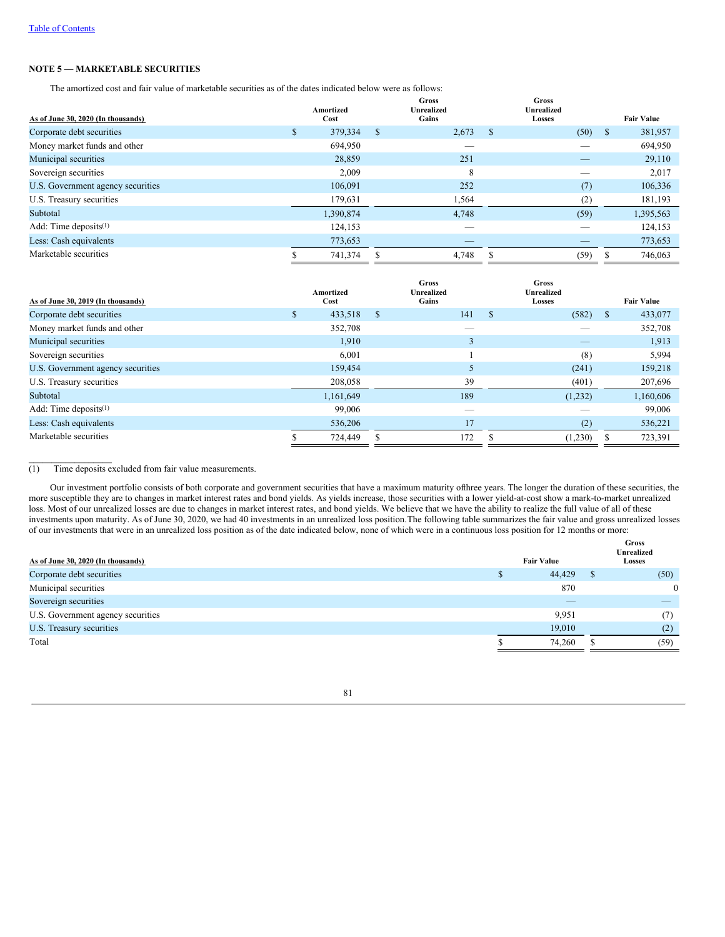# **NOTE 5 — MARKETABLE SECURITIES**

The amortized cost and fair value of marketable securities as of the dates indicated below were as follows:

|                                    | Amortized     |              | Gross<br><b>Unrealized</b> |               | Gross<br>Unrealized |                   |
|------------------------------------|---------------|--------------|----------------------------|---------------|---------------------|-------------------|
| As of June 30, 2020 (In thousands) | Cost          |              | Gains                      |               | <b>Losses</b>       | <b>Fair Value</b> |
| Corporate debt securities          | \$<br>379,334 | <sup>S</sup> | 2,673                      | <sup>\$</sup> | (50)                | \$<br>381,957     |
| Money market funds and other       | 694,950       |              | $\overline{\phantom{a}}$   |               |                     | 694,950           |
| Municipal securities               | 28,859        |              | 251                        |               |                     | 29,110            |
| Sovereign securities               | 2,009         |              | 8                          |               |                     | 2,017             |
| U.S. Government agency securities  | 106,091       |              | 252                        |               | (7)                 | 106,336           |
| U.S. Treasury securities           | 179,631       |              | 1,564                      |               | (2)                 | 181,193           |
| Subtotal                           | 1,390,874     |              | 4,748                      |               | (59)                | 1,395,563         |
| Add: Time deposits $(1)$           | 124,153       |              |                            |               |                     | 124,153           |
| Less: Cash equivalents             | 773,653       |              | $\overline{\phantom{a}}$   |               |                     | 773,653           |
| Marketable securities              | 741,374       |              | 4,748                      |               | (59)                | 746,063           |

| As of June 30, 2019 (In thousands) | Amortized<br>Cost |               | <b>Gross</b><br><b>Unrealized</b><br>Gains |               | <b>Gross</b><br><b>Unrealized</b><br><b>Losses</b> |    | <b>Fair Value</b> |
|------------------------------------|-------------------|---------------|--------------------------------------------|---------------|----------------------------------------------------|----|-------------------|
| Corporate debt securities          | \$<br>433,518     | <sup>\$</sup> | 141                                        | <sup>\$</sup> | (582)                                              | -S | 433,077           |
| Money market funds and other       | 352,708           |               |                                            |               |                                                    |    | 352,708           |
| Municipal securities               | 1,910             |               |                                            |               | _                                                  |    | 1,913             |
| Sovereign securities               | 6,001             |               |                                            |               | (8)                                                |    | 5,994             |
| U.S. Government agency securities  | 159,454           |               |                                            |               | (241)                                              |    | 159,218           |
| U.S. Treasury securities           | 208,058           |               | 39                                         |               | (401)                                              |    | 207,696           |
| Subtotal                           | 1,161,649         |               | 189                                        |               | (1,232)                                            |    | 1,160,606         |
| Add: Time deposits $(1)$           | 99,006            |               | $\overline{\phantom{a}}$                   |               |                                                    |    | 99,006            |
| Less: Cash equivalents             | 536,206           |               | 17                                         |               | (2)                                                |    | 536,221           |
| Marketable securities              | 724,449           |               | 172                                        |               | (1,230)                                            |    | 723,391           |
|                                    |                   |               |                                            |               |                                                    |    |                   |

(1) Time deposits excluded from fair value measurements.

\_\_\_\_\_\_\_\_\_\_\_\_\_\_\_\_\_\_

Our investment portfolio consists of both corporate and government securities that have a maximum maturity ofthree years. The longer the duration of these securities, the more susceptible they are to changes in market interest rates and bond yields. As yields increase, those securities with a lower yield-at-cost show a mark-to-market unrealized loss. Most of our unrealized losses are due to changes in market interest rates, and bond yields. We believe that we have the ability to realize the full value of all of these investments upon maturity. As of June 30, 2020, we had 40 investments in an unrealized loss position.The following table summarizes the fair value and gross unrealized losses of our investments that were in an unrealized loss position as of the date indicated below, none of which were in a continuous loss position for 12 months or more:

**Gross**

| As of June 30, 2020 (In thousands) | <b>Fair Value</b> | <b>ULUSS</b><br>Unrealized<br>Losses |
|------------------------------------|-------------------|--------------------------------------|
| Corporate debt securities          | 44,429            | (50)                                 |
| Municipal securities               | 870               | $\overline{0}$                       |
| Sovereign securities               | _                 |                                      |
| U.S. Government agency securities  | 9,951             |                                      |
| U.S. Treasury securities           | 19,010            | (2)                                  |
| Total                              | 74.260            | (59)                                 |
|                                    |                   |                                      |

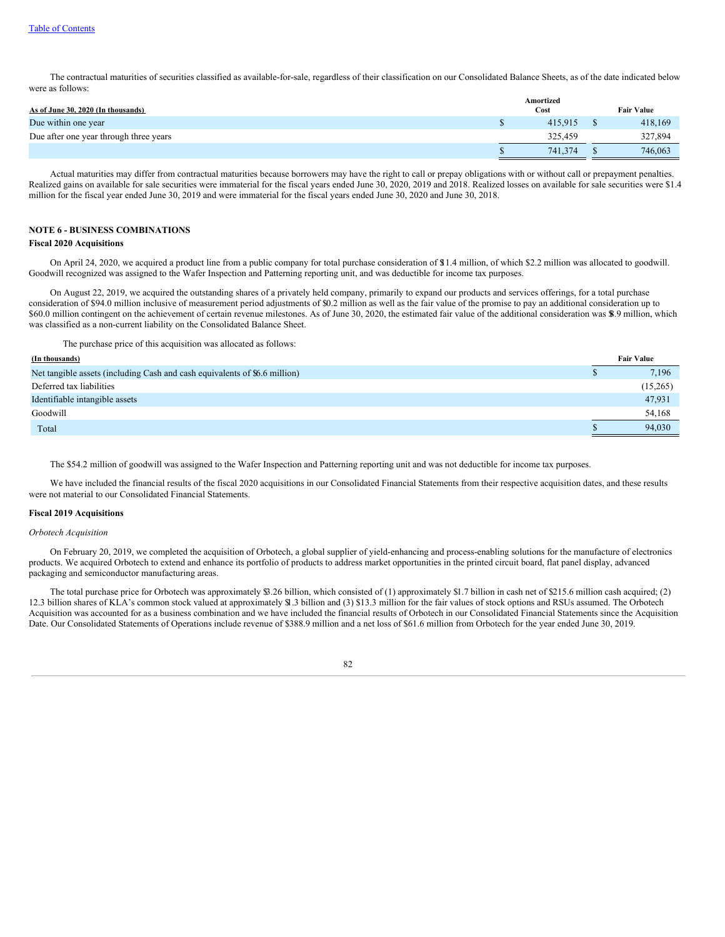The contractual maturities of securities classified as available-for-sale, regardless of their classification on our Consolidated Balance Sheets, as of the date indicated below were as follows:

|                                        | Amortized |                   |
|----------------------------------------|-----------|-------------------|
| As of June 30, 2020 (In thousands)     | Cost      | <b>Fair Value</b> |
| Due within one year                    | 415.915   | 418,169           |
| Due after one year through three years | 325,459   | 327,894           |
|                                        | 741.374   | 746,063           |

Actual maturities may differ from contractual maturities because borrowers may have the right to call or prepay obligations with or without call or prepayment penalties. Realized gains on available for sale securities were immaterial for the fiscal years ended June 30, 2020, 2019 and 2018. Realized losses on available for sale securities were \$1.4 million for the fiscal year ended June 30, 2019 and were immaterial for the fiscal years ended June 30, 2020 and June 30, 2018.

## **NOTE 6 - BUSINESS COMBINATIONS**

## **Fiscal 2020 Acquisitions**

On April 24, 2020, we acquired a product line from a public company for total purchase consideration of \$11.4 million, of which \$2.2 million was allocated to goodwill. Goodwill recognized was assigned to the Wafer Inspection and Patterning reporting unit, and was deductible for income tax purposes.

On August 22, 2019, we acquired the outstanding shares of a privately held company, primarily to expand our products and services offerings, for a total purchase consideration of \$94.0 million inclusive of measurement period adjustments of \$0.2 million as well as the fair value of the promise to pay an additional consideration up to \$60.0 million contingent on the achievement of certain revenue milestones. As of June 30, 2020, the estimated fair value of the additional consideration was \$8.9 million, which was classified as a non-current liability on the Consolidated Balance Sheet.

The purchase price of this acquisition was allocated as follows:

| (In thousands)                                                             | <b>Fair Value</b> |
|----------------------------------------------------------------------------|-------------------|
| Net tangible assets (including Cash and cash equivalents of \$6.6 million) | 7,196             |
| Deferred tax liabilities                                                   | (15,265)          |
| Identifiable intangible assets                                             | 47,931            |
| Goodwill                                                                   | 54,168            |
| Total                                                                      | 94,030            |

The \$54.2 million of goodwill was assigned to the Wafer Inspection and Patterning reporting unit and was not deductible for income tax purposes.

We have included the financial results of the fiscal 2020 acquisitions in our Consolidated Financial Statements from their respective acquisition dates, and these results were not material to our Consolidated Financial Statements.

#### **Fiscal 2019 Acquisitions**

#### *Orbotech Acquisition*

On February 20, 2019, we completed the acquisition of Orbotech, a global supplier of yield-enhancing and process-enabling solutions for the manufacture of electronics products. We acquired Orbotech to extend and enhance its portfolio of products to address market opportunities in the printed circuit board, flat panel display, advanced packaging and semiconductor manufacturing areas.

The total purchase price for Orbotech was approximately \$3.26 billion, which consisted of (1) approximately \$1.7 billion in cash net of \$215.6 million cash acquired; (2) 12.3 billion shares of KLA's common stock valued at approximately \$1.3 billion and (3) \$13.3 million for the fair values of stock options and RSUs assumed. The Orbotech Acquisition was accounted for as a business combination and we have included the financial results of Orbotech in our Consolidated Financial Statements since the Acquisition Date. Our Consolidated Statements of Operations include revenue of \$388.9 million and a net loss of \$61.6 million from Orbotech for the year ended June 30, 2019.

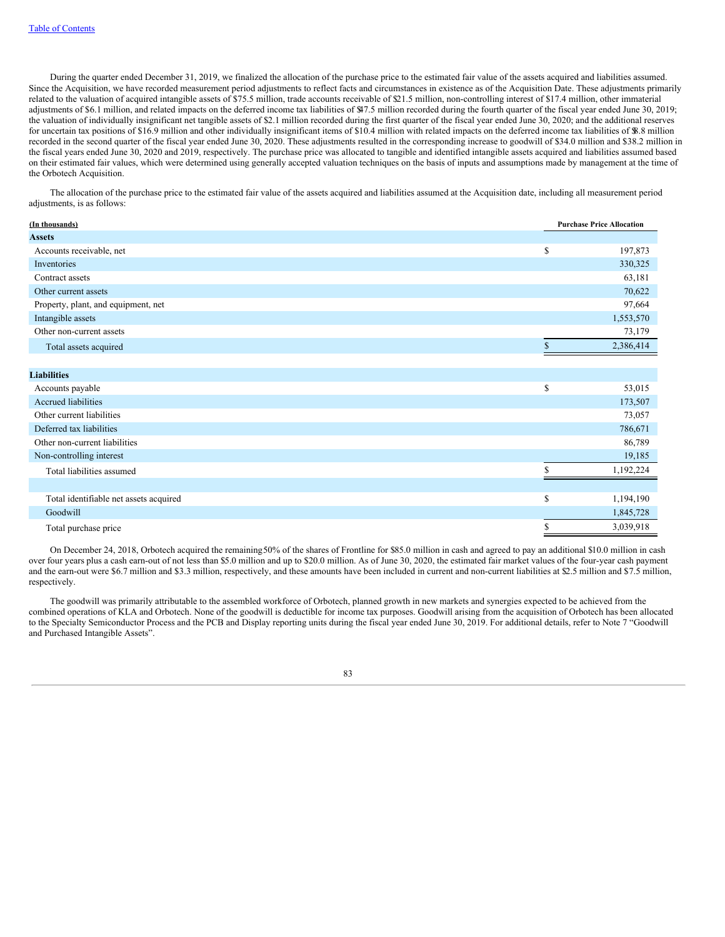During the quarter ended December 31, 2019, we finalized the allocation of the purchase price to the estimated fair value of the assets acquired and liabilities assumed. Since the Acquisition, we have recorded measurement period adjustments to reflect facts and circumstances in existence as of the Acquisition Date. These adjustments primarily related to the valuation of acquired intangible assets of \$75.5 million, trade accounts receivable of \$21.5 million, non-controlling interest of \$17.4 million, other immaterial adjustments of \$6.1 million, and related impacts on the deferred income tax liabilities of \$47.5 million recorded during the fourth quarter of the fiscal year ended June 30, 2019; the valuation of individually insignificant net tangible assets of \$2.1 million recorded during the first quarter of the fiscal year ended June 30, 2020; and the additional reserves for uncertain tax positions of \$16.9 million and other individually insignificant items of \$10.4 million with related impacts on the deferred income tax liabilities of \$8.8 million recorded in the second quarter of the fiscal year ended June 30, 2020. These adjustments resulted in the corresponding increase to goodwill of \$34.0 million and \$38.2 million in the fiscal years ended June 30, 2020 and 2019, respectively. The purchase price was allocated to tangible and identified intangible assets acquired and liabilities assumed based on their estimated fair values, which were determined using generally accepted valuation techniques on the basis of inputs and assumptions made by management at the time of the Orbotech Acquisition.

The allocation of the purchase price to the estimated fair value of the assets acquired and liabilities assumed at the Acquisition date, including all measurement period adjustments, is as follows:

| (In thousands)                         |    | <b>Purchase Price Allocation</b> |
|----------------------------------------|----|----------------------------------|
| <b>Assets</b>                          |    |                                  |
| Accounts receivable, net               | \$ | 197,873                          |
| Inventories                            |    | 330,325                          |
| Contract assets                        |    | 63,181                           |
| Other current assets                   |    | 70,622                           |
| Property, plant, and equipment, net    |    | 97,664                           |
| Intangible assets                      |    | 1,553,570                        |
| Other non-current assets               |    | 73,179                           |
| Total assets acquired                  | S. | 2,386,414                        |
|                                        |    |                                  |
| <b>Liabilities</b>                     |    |                                  |
| Accounts payable                       | \$ | 53,015                           |
| <b>Accrued liabilities</b>             |    | 173,507                          |
| Other current liabilities              |    | 73,057                           |
| Deferred tax liabilities               |    | 786,671                          |
| Other non-current liabilities          |    | 86,789                           |
| Non-controlling interest               |    | 19,185                           |
| Total liabilities assumed              |    | 1,192,224                        |
|                                        |    |                                  |
| Total identifiable net assets acquired | \$ | 1,194,190                        |
| Goodwill                               |    | 1,845,728                        |
| Total purchase price                   | \$ | 3,039,918                        |

On December 24, 2018, Orbotech acquired the remaining50% of the shares of Frontline for \$85.0 million in cash and agreed to pay an additional \$10.0 million in cash over four years plus a cash earn-out of not less than \$5.0 million and up to \$20.0 million. As of June 30, 2020, the estimated fair market values of the four-year cash payment and the earn-out were \$6.7 million and \$3.3 million, respectively, and these amounts have been included in current and non-current liabilities at \$2.5 million and \$7.5 million, respectively.

The goodwill was primarily attributable to the assembled workforce of Orbotech, planned growth in new markets and synergies expected to be achieved from the combined operations of KLA and Orbotech. None of the goodwill is deductible for income tax purposes. Goodwill arising from the acquisition of Orbotech has been allocated to the Specialty Semiconductor Process and the PCB and Display reporting units during the fiscal year ended June 30, 2019. For additional details, refer to Note 7 "Goodwill and Purchased Intangible Assets".

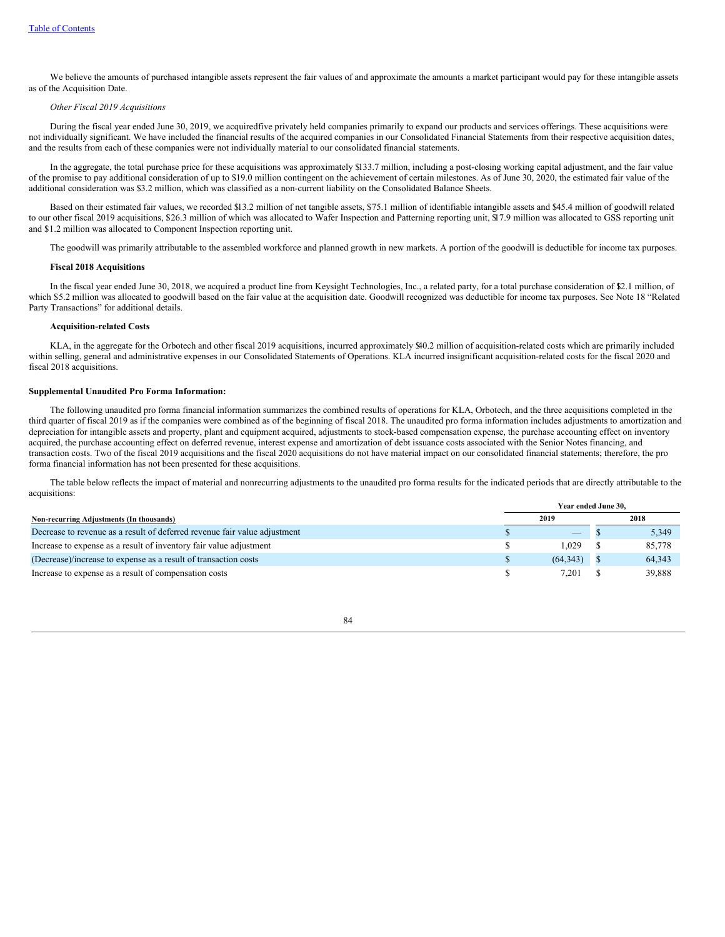We believe the amounts of purchased intangible assets represent the fair values of and approximate the amounts a market participant would pay for these intangible assets as of the Acquisition Date.

#### *Other Fiscal 2019 Acquisitions*

During the fiscal year ended June 30, 2019, we acquiredfive privately held companies primarily to expand our products and services offerings. These acquisitions were not individually significant. We have included the financial results of the acquired companies in our Consolidated Financial Statements from their respective acquisition dates, and the results from each of these companies were not individually material to our consolidated financial statements.

In the aggregate, the total purchase price for these acquisitions was approximately \$133.7 million, including a post-closing working capital adjustment, and the fair value of the promise to pay additional consideration of up to \$19.0 million contingent on the achievement of certain milestones. As of June 30, 2020, the estimated fair value of the additional consideration was \$3.2 million, which was classified as a non-current liability on the Consolidated Balance Sheets.

Based on their estimated fair values, we recorded \$13.2 million of net tangible assets, \$75.1 million of identifiable intangible assets and \$45.4 million of goodwill related to our other fiscal 2019 acquisitions, \$26.3 million of which was allocated to Wafer Inspection and Patterning reporting unit, \$17.9 million was allocated to GSS reporting unit and \$1.2 million was allocated to Component Inspection reporting unit.

The goodwill was primarily attributable to the assembled workforce and planned growth in new markets. A portion of the goodwill is deductible for income tax purposes.

#### **Fiscal 2018 Acquisitions**

In the fiscal year ended June 30, 2018, we acquired a product line from Keysight Technologies, Inc., a related party, for a total purchase consideration of 1\$2.1 million, of which \$5.2 million was allocated to goodwill based on the fair value at the acquisition date. Goodwill recognized was deductible for income tax purposes. See Note 18 "Related Party Transactions" for additional details.

#### **Acquisition-related Costs**

KLA, in the aggregate for the Orbotech and other fiscal 2019 acquisitions, incurred approximately \$40.2 million of acquisition-related costs which are primarily included within selling, general and administrative expenses in our Consolidated Statements of Operations. KLA incurred insignificant acquisition-related costs for the fiscal 2020 and fiscal 2018 acquisitions.

## **Supplemental Unaudited Pro Forma Information:**

The following unaudited pro forma financial information summarizes the combined results of operations for KLA, Orbotech, and the three acquisitions completed in the third quarter of fiscal 2019 as if the companies were combined as of the beginning of fiscal 2018. The unaudited pro forma information includes adjustments to amortization and depreciation for intangible assets and property, plant and equipment acquired, adjustments to stock-based compensation expense, the purchase accounting effect on inventory acquired, the purchase accounting effect on deferred revenue, interest expense and amortization of debt issuance costs associated with the Senior Notes financing, and transaction costs. Two of the fiscal 2019 acquisitions and the fiscal 2020 acquisitions do not have material impact on our consolidated financial statements; therefore, the pro forma financial information has not been presented for these acquisitions.

The table below reflects the impact of material and nonrecurring adjustments to the unaudited pro forma results for the indicated periods that are directly attributable to the acquisitions:

|                                                                           |  | Year ended June 30.             |  |        |
|---------------------------------------------------------------------------|--|---------------------------------|--|--------|
| <b>Non-recurring Adjustments (In thousands)</b>                           |  | 2019                            |  | 2018   |
| Decrease to revenue as a result of deferred revenue fair value adjustment |  | $\hspace{0.1mm}-\hspace{0.1mm}$ |  | 5,349  |
| Increase to expense as a result of inventory fair value adjustment        |  | 1.029                           |  | 85,778 |
| (Decrease)/increase to expense as a result of transaction costs           |  | (64, 343)                       |  | 64,343 |
| Increase to expense as a result of compensation costs                     |  | 7.201                           |  | 39,888 |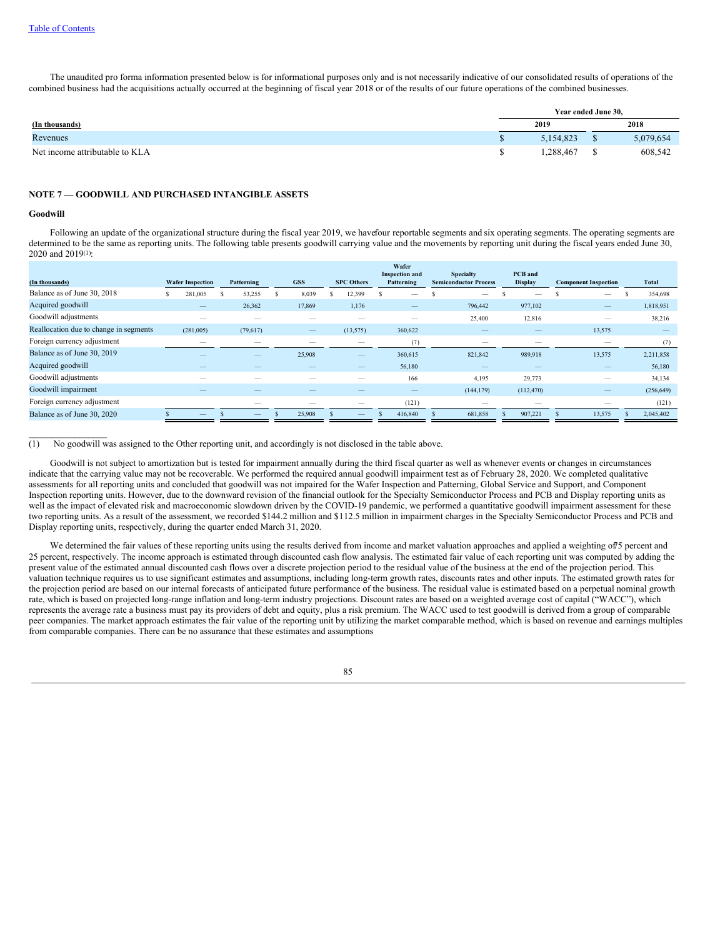The unaudited pro forma information presented below is for informational purposes only and is not necessarily indicative of our consolidated results of operations of the combined business had the acquisitions actually occurred at the beginning of fiscal year 2018 or of the results of our future operations of the combined businesses.

|                                |   | Year ended June 30, |  |           |
|--------------------------------|---|---------------------|--|-----------|
| (In thousands)                 |   | 2019                |  | 2018      |
| Revenues                       | ω | 5.154.823           |  | 5,079,654 |
| Net income attributable to KLA |   | .288.467            |  | 608,542   |

# **NOTE 7 — GOODWILL AND PURCHASED INTANGIBLE ASSETS**

## **Goodwill**

 $\mathcal{L}=\mathcal{L}^{\mathcal{L}}$  , where  $\mathcal{L}^{\mathcal{L}}$ 

Following an update of the organizational structure during the fiscal year 2019, we havefour reportable segments and six operating segments. The operating segments are determined to be the same as reporting units. The following table presents goodwill carrying value and the movements by reporting unit during the fiscal years ended June 30, 2020 and  $2019^{(1)}$ 

| (In thousands)                         | <b>Wafer Inspection</b> | Patterning               | <b>GSS</b>                                                                                                                                                                                                                                                                                                                                                                                        | <b>SPC</b> Others | Wafer<br><b>Inspection and</b><br>Patterning | <b>Specialty</b><br><b>Semiconductor Process</b> | PCB and<br><b>Display</b> | <b>Component Inspection</b> | <b>Total</b> |
|----------------------------------------|-------------------------|--------------------------|---------------------------------------------------------------------------------------------------------------------------------------------------------------------------------------------------------------------------------------------------------------------------------------------------------------------------------------------------------------------------------------------------|-------------------|----------------------------------------------|--------------------------------------------------|---------------------------|-----------------------------|--------------|
| Balance as of June 30, 2018            | 281,005                 | 53,255                   | 8,039                                                                                                                                                                                                                                                                                                                                                                                             | 12,399            |                                              | $\overline{\phantom{a}}$                         |                           | $\overline{\phantom{a}}$    | 354,698      |
| Acquired goodwill                      | $\qquad \qquad -$       | 26,362                   | 17,869                                                                                                                                                                                                                                                                                                                                                                                            | 1,176             |                                              | 796,442                                          | 977,102                   | $\overline{\phantom{0}}$    | 1,818,951    |
| Goodwill adjustments                   |                         | --                       |                                                                                                                                                                                                                                                                                                                                                                                                   | -                 | --                                           | 25,400                                           | 12,816                    |                             | 38,216       |
| Reallocation due to change in segments | (281,005)               | (79,617)                 | $\hspace{1.0cm} \overline{\hspace{1.0cm} \hspace{1.0cm} \hspace{1.0cm} } \hspace{1.0cm} \hspace{1.0cm} \overline{\hspace{1.0cm} \hspace{1.0cm} \hspace{1.0cm} } \hspace{1.0cm} \hspace{1.0cm} \hspace{1.0cm} \hspace{1.0cm} } \hspace{1.0cm} \hspace{1.0cm} \overline{\hspace{1.0cm} \hspace{1.0cm} \hspace{1.0cm} } \hspace{1.0cm} \hspace{1.0cm} \hspace{1.0cm} \hspace{1.0cm} } \hspace{1.0cm$ | (13, 575)         | 360,622                                      |                                                  | $\overline{\phantom{a}}$  | 13,575                      |              |
| Foreign currency adjustment            | -                       | $\overline{\phantom{a}}$ |                                                                                                                                                                                                                                                                                                                                                                                                   |                   | (7)                                          | $\overline{\phantom{a}}$                         |                           | $\overline{\phantom{0}}$    | (7)          |
| Balance as of June 30, 2019            |                         |                          | 25,908                                                                                                                                                                                                                                                                                                                                                                                            |                   | 360,615                                      | 821,842                                          | 989,918                   | 13,575                      | 2,211,858    |
| Acquired goodwill                      |                         |                          |                                                                                                                                                                                                                                                                                                                                                                                                   |                   | 56,180                                       |                                                  |                           |                             | 56,180       |
| Goodwill adjustments                   |                         |                          |                                                                                                                                                                                                                                                                                                                                                                                                   |                   | 166                                          | 4,195                                            | 29,773                    |                             | 34,134       |
| Goodwill impairment                    |                         |                          |                                                                                                                                                                                                                                                                                                                                                                                                   |                   |                                              | (144, 179)                                       | (112, 470)                |                             | (256, 649)   |
| Foreign currency adjustment            |                         | $\overline{\phantom{m}}$ |                                                                                                                                                                                                                                                                                                                                                                                                   |                   | (121)                                        | $\overline{\phantom{a}}$                         |                           |                             | (121)        |
| Balance as of June 30, 2020            |                         |                          | 25,908                                                                                                                                                                                                                                                                                                                                                                                            |                   | 416,840                                      | 681,858                                          | 907,221                   | 13,575                      | 2,045,402    |

(1) No goodwill was assigned to the Other reporting unit, and accordingly is not disclosed in the table above.

Goodwill is not subject to amortization but is tested for impairment annually during the third fiscal quarter as well as whenever events or changes in circumstances indicate that the carrying value may not be recoverable. We performed the required annual goodwill impairment test as of February 28, 2020. We completed qualitative assessments for all reporting units and concluded that goodwill was not impaired for the Wafer Inspection and Patterning, Global Service and Support, and Component Inspection reporting units. However, due to the downward revision of the financial outlook for the Specialty Semiconductor Process and PCB and Display reporting units as well as the impact of elevated risk and macroeconomic slowdown driven by the COVID-19 pandemic, we performed a quantitative goodwill impairment assessment for these two reporting units. As a result of the assessment, we recorded \$144.2 million and \$112.5 million in impairment charges in the Specialty Semiconductor Process and PCB and Display reporting units, respectively, during the quarter ended March 31, 2020.

We determined the fair values of these reporting units using the results derived from income and market valuation approaches and applied a weighting of 5 percent and 25 percent, respectively. The income approach is estimated through discounted cash flow analysis. The estimated fair value of each reporting unit was computed by adding the present value of the estimated annual discounted cash flows over a discrete projection period to the residual value of the business at the end of the projection period. This valuation technique requires us to use significant estimates and assumptions, including long-term growth rates, discounts rates and other inputs. The estimated growth rates for the projection period are based on our internal forecasts of anticipated future performance of the business. The residual value is estimated based on a perpetual nominal growth rate, which is based on projected long-range inflation and long-term industry projections. Discount rates are based on a weighted average cost of capital ("WACC"), which represents the average rate a business must pay its providers of debt and equity, plus a risk premium. The WACC used to test goodwill is derived from a group of comparable peer companies. The market approach estimates the fair value of the reporting unit by utilizing the market comparable method, which is based on revenue and earnings multiples from comparable companies. There can be no assurance that these estimates and assumptions

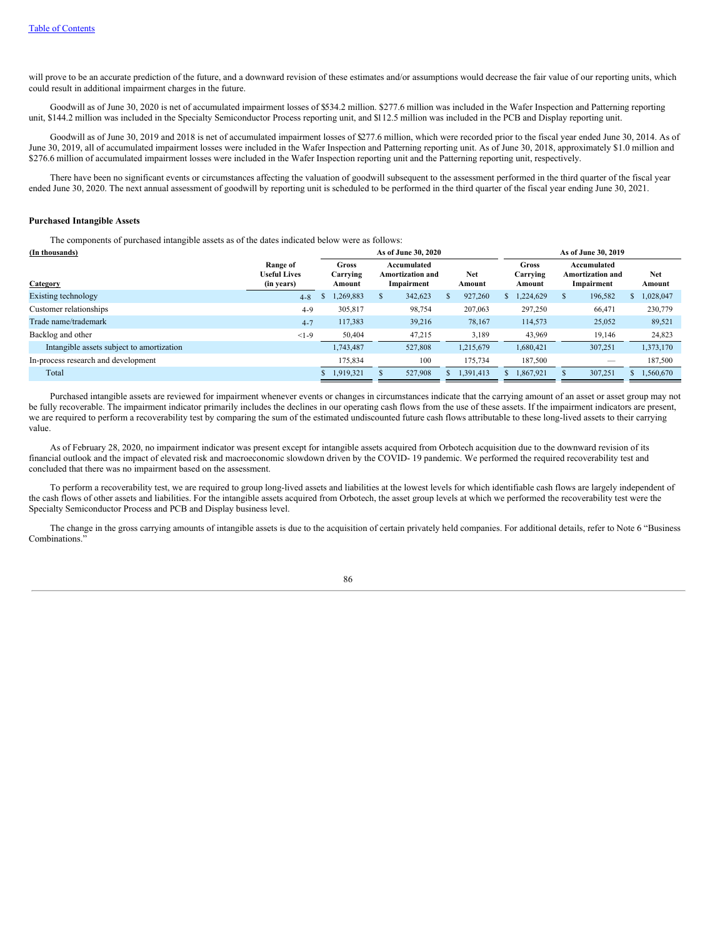will prove to be an accurate prediction of the future, and a downward revision of these estimates and/or assumptions would decrease the fair value of our reporting units, which could result in additional impairment charges in the future.

Goodwill as of June 30, 2020 is net of accumulated impairment losses of \$534.2 million. \$277.6 million was included in the Wafer Inspection and Patterning reporting unit, \$144.2 million was included in the Specialty Semiconductor Process reporting unit, and \$112.5 million was included in the PCB and Display reporting unit.

Goodwill as of June 30, 2019 and 2018 is net of accumulated impairment losses of \$277.6 million, which were recorded prior to the fiscal year ended June 30, 2014. As of June 30, 2019, all of accumulated impairment losses were included in the Wafer Inspection and Patterning reporting unit. As of June 30, 2018, approximately \$1.0 million and \$276.6 million of accumulated impairment losses were included in the Wafer Inspection reporting unit and the Patterning reporting unit, respectively.

There have been no significant events or circumstances affecting the valuation of goodwill subsequent to the assessment performed in the third quarter of the fiscal year ended June 30, 2020. The next annual assessment of goodwill by reporting unit is scheduled to be performed in the third quarter of the fiscal year ending June 30, 2021.

## **Purchased Intangible Assets**

The components of purchased intangible assets as of the dates indicated below were as follows:

| (In thousands)                            |                                               | As of June 30, 2020         |    |                                                      |  | As of June 30, 2019  |  |                                    |                                               |         |  |                      |
|-------------------------------------------|-----------------------------------------------|-----------------------------|----|------------------------------------------------------|--|----------------------|--|------------------------------------|-----------------------------------------------|---------|--|----------------------|
| <b>Category</b>                           | Range of<br><b>Useful Lives</b><br>(in years) | Gross<br>Carrying<br>Amount |    | Accumulated<br><b>Amortization and</b><br>Impairment |  | <b>Net</b><br>Amount |  | <b>Gross</b><br>Carrying<br>Amount | Accumulated<br>Amortization and<br>Impairment |         |  | <b>Net</b><br>Amount |
| Existing technology                       | $4 - 8$                                       | ,269,883                    | \$ | 342,623                                              |  | 927,260              |  | 1,224,629                          | S                                             | 196,582 |  | 1,028,047            |
| Customer relationships                    | $4 - 9$                                       | 305,817                     |    | 98,754                                               |  | 207,063              |  | 297,250                            |                                               | 66,471  |  | 230,779              |
| Trade name/trademark                      | $4 - 7$                                       | 117,383                     |    | 39,216                                               |  | 78,167               |  | 114,573                            |                                               | 25,052  |  | 89,521               |
| Backlog and other                         | $<1-9$                                        | 50,404                      |    | 47,215                                               |  | 3,189                |  | 43,969                             |                                               | 19.146  |  | 24,823               |
| Intangible assets subject to amortization |                                               | 1,743,487                   |    | 527,808                                              |  | 1,215,679            |  | 1,680,421                          |                                               | 307,251 |  | 1,373,170            |
| In-process research and development       |                                               | 175,834                     |    | 100                                                  |  | 175,734              |  | 187,500                            |                                               | __      |  | 187,500              |
| Total                                     |                                               | \$1,919,321                 |    | 527,908                                              |  | 1,391,413            |  | 1,867,921                          |                                               | 307,251 |  | 1,560,670            |

Purchased intangible assets are reviewed for impairment whenever events or changes in circumstances indicate that the carrying amount of an asset or asset group may not be fully recoverable. The impairment indicator primarily includes the declines in our operating cash flows from the use of these assets. If the impairment indicators are present, we are required to perform a recoverability test by comparing the sum of the estimated undiscounted future cash flows attributable to these long-lived assets to their carrying value.

As of February 28, 2020, no impairment indicator was present except for intangible assets acquired from Orbotech acquisition due to the downward revision of its financial outlook and the impact of elevated risk and macroeconomic slowdown driven by the COVID- 19 pandemic. We performed the required recoverability test and concluded that there was no impairment based on the assessment.

To perform a recoverability test, we are required to group long-lived assets and liabilities at the lowest levels for which identifiable cash flows are largely independent of the cash flows of other assets and liabilities. For the intangible assets acquired from Orbotech, the asset group levels at which we performed the recoverability test were the Specialty Semiconductor Process and PCB and Display business level.

The change in the gross carrying amounts of intangible assets is due to the acquisition of certain privately held companies. For additional details, refer to Note 6 "Business Combinations."

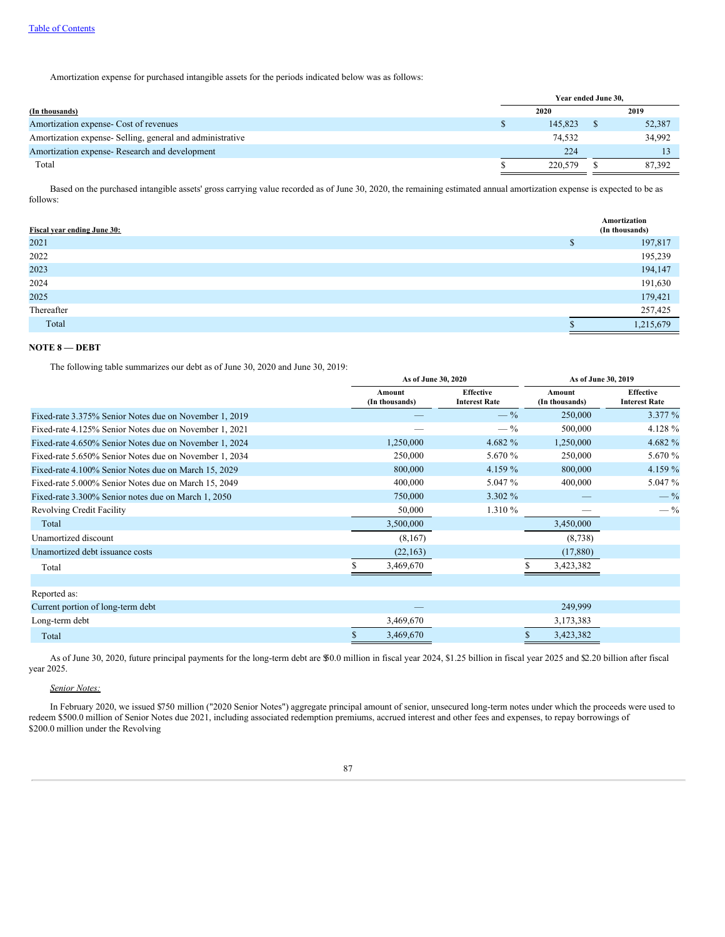Amortization expense for purchased intangible assets for the periods indicated below was as follows:

|                                                           | Year ended June 30, |         |  |        |  |
|-----------------------------------------------------------|---------------------|---------|--|--------|--|
| (In thousands)                                            |                     | 2020    |  | 2019   |  |
| Amortization expense- Cost of revenues                    |                     | 145,823 |  | 52,387 |  |
| Amortization expense- Selling, general and administrative |                     | 74.532  |  | 34,992 |  |
| Amortization expense-Research and development             |                     | 224     |  |        |  |
| Total                                                     |                     | 220,579 |  | 87.392 |  |

Based on the purchased intangible assets' gross carrying value recorded as of June 30, 2020, the remaining estimated annual amortization expense is expected to be as follows:

| Fiscal year ending June 30: |        | Amortization<br>(In thousands) |
|-----------------------------|--------|--------------------------------|
| 2021                        | ¢<br>Ф | 197,817                        |
| 2022                        |        | 195,239                        |
| 2023                        |        | 194,147                        |
| 2024                        |        | 191,630                        |
| 2025                        |        | 179,421                        |
| Thereafter                  |        | 257,425                        |
| Total                       |        | 1,215,679                      |

## **NOTE 8 — DEBT**

The following table summarizes our debt as of June 30, 2020 and June 30, 2019:

|                                                        |                          | As of June 30, 2020                      | As of June 30, 2019      |                                          |  |  |  |
|--------------------------------------------------------|--------------------------|------------------------------------------|--------------------------|------------------------------------------|--|--|--|
|                                                        | Amount<br>(In thousands) | <b>Effective</b><br><b>Interest Rate</b> | Amount<br>(In thousands) | <b>Effective</b><br><b>Interest Rate</b> |  |  |  |
| Fixed-rate 3.375% Senior Notes due on November 1, 2019 |                          | $-$ %                                    | 250,000                  | 3.377 %                                  |  |  |  |
| Fixed-rate 4.125% Senior Notes due on November 1, 2021 |                          | $-\frac{9}{6}$                           | 500,000                  | 4.128 %                                  |  |  |  |
| Fixed-rate 4.650% Senior Notes due on November 1, 2024 | 1,250,000                | 4.682 %                                  | 1,250,000                | 4.682 %                                  |  |  |  |
| Fixed-rate 5.650% Senior Notes due on November 1, 2034 | 250,000                  | 5.670 %                                  | 250,000                  | 5.670 %                                  |  |  |  |
| Fixed-rate 4.100% Senior Notes due on March 15, 2029   | 800,000                  | 4.159 %                                  | 800,000                  | 4.159 %                                  |  |  |  |
| Fixed-rate 5.000% Senior Notes due on March 15, 2049   | 400,000                  | 5.047 %                                  | 400,000                  | 5.047 %                                  |  |  |  |
| Fixed-rate 3.300% Senior notes due on March 1, 2050    | 750,000                  | 3.302 %                                  |                          | $-$ %                                    |  |  |  |
| <b>Revolving Credit Facility</b>                       | 50,000                   | 1.310 %                                  |                          | $-$ %                                    |  |  |  |
| Total                                                  | 3,500,000                |                                          | 3,450,000                |                                          |  |  |  |
| Unamortized discount                                   | (8,167)                  |                                          | (8,738)                  |                                          |  |  |  |
| Unamortized debt issuance costs                        | (22, 163)                |                                          | (17,880)                 |                                          |  |  |  |
| Total                                                  | 3,469,670                |                                          | 3,423,382                |                                          |  |  |  |
|                                                        |                          |                                          |                          |                                          |  |  |  |
| Reported as:                                           |                          |                                          |                          |                                          |  |  |  |
| Current portion of long-term debt                      |                          |                                          | 249,999                  |                                          |  |  |  |
| Long-term debt                                         | 3,469,670                |                                          | 3,173,383                |                                          |  |  |  |
| Total                                                  | 3,469,670                |                                          | 3,423,382                |                                          |  |  |  |

As of June 30, 2020, future principal payments for the long-term debt are \$50.0 million in fiscal year 2024, \$1.25 billion in fiscal year 2025 and \$2.20 billion after fiscal year 2025.

# *Senior Notes:*

In February 2020, we issued \$750 million ("2020 Senior Notes") aggregate principal amount of senior, unsecured long-term notes under which the proceeds were used to redeem \$500.0 million of Senior Notes due 2021, including associated redemption premiums, accrued interest and other fees and expenses, to repay borrowings of \$200.0 million under the Revolving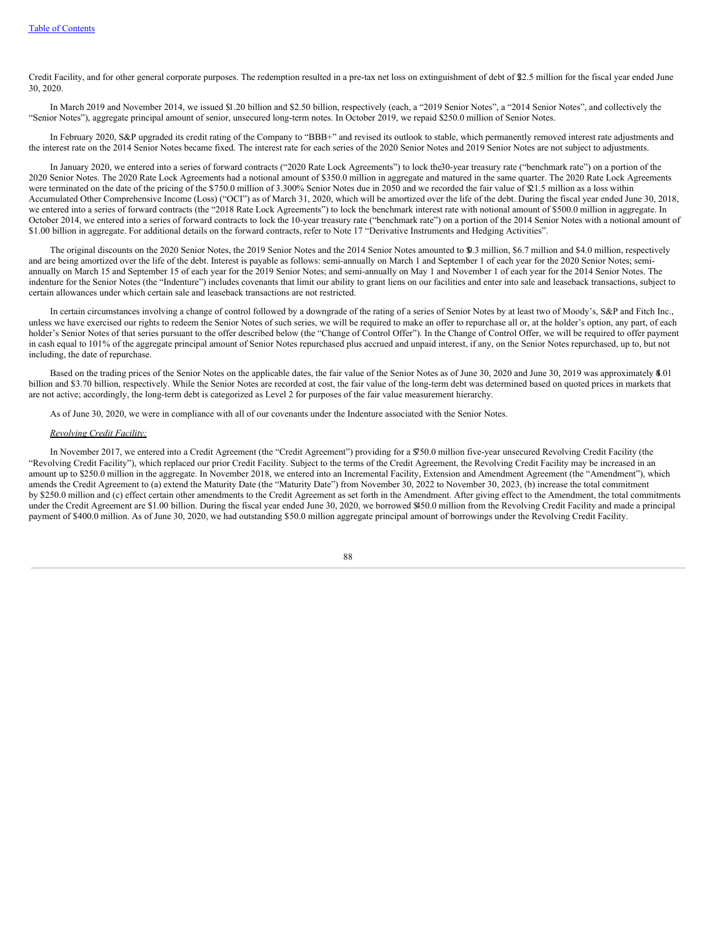Credit Facility, and for other general corporate purposes. The redemption resulted in a pre-tax net loss on extinguishment of debt of \$22.5 million for the fiscal year ended June 30, 2020.

In March 2019 and November 2014, we issued \$1.20 billion and \$2.50 billion, respectively (each, a "2019 Senior Notes", a "2014 Senior Notes", and collectively the "Senior Notes"), aggregate principal amount of senior, unsecured long-term notes. In October 2019, we repaid \$250.0 million of Senior Notes.

In February 2020, S&P upgraded its credit rating of the Company to "BBB+" and revised its outlook to stable, which permanently removed interest rate adjustments and the interest rate on the 2014 Senior Notes became fixed. The interest rate for each series of the 2020 Senior Notes and 2019 Senior Notes are not subject to adjustments.

In January 2020, we entered into a series of forward contracts ("2020 Rate Lock Agreements") to lock the30-year treasury rate ("benchmark rate") on a portion of the 2020 Senior Notes. The 2020 Rate Lock Agreements had a notional amount of \$350.0 million in aggregate and matured in the same quarter. The 2020 Rate Lock Agreements were terminated on the date of the pricing of the \$750.0 million of 3.300% Senior Notes due in 2050 and we recorded the fair value of \$21.5 million as a loss within Accumulated Other Comprehensive Income (Loss) ("OCI") as of March 31, 2020, which will be amortized over the life of the debt. During the fiscal year ended June 30, 2018, we entered into a series of forward contracts (the "2018 Rate Lock Agreements") to lock the benchmark interest rate with notional amount of \$500.0 million in aggregate. In October 2014, we entered into a series of forward contracts to lock the 10-year treasury rate ("benchmark rate") on a portion of the 2014 Senior Notes with a notional amount of \$1.00 billion in aggregate. For additional details on the forward contracts, refer to Note 17 "Derivative Instruments and Hedging Activities".

The original discounts on the 2020 Senior Notes, the 2019 Senior Notes and the 2014 Senior Notes amounted to \$0.3 million, \$6.7 million and \$4.0 million, respectively and are being amortized over the life of the debt. Interest is payable as follows: semi-annually on March 1 and September 1 of each year for the 2020 Senior Notes; semiannually on March 15 and September 15 of each year for the 2019 Senior Notes; and semi-annually on May 1 and November 1 of each year for the 2014 Senior Notes. The indenture for the Senior Notes (the "Indenture") includes covenants that limit our ability to grant liens on our facilities and enter into sale and leaseback transactions, subject to certain allowances under which certain sale and leaseback transactions are not restricted.

In certain circumstances involving a change of control followed by a downgrade of the rating of a series of Senior Notes by at least two of Moody's, S&P and Fitch Inc., unless we have exercised our rights to redeem the Senior Notes of such series, we will be required to make an offer to repurchase all or, at the holder's option, any part, of each holder's Senior Notes of that series pursuant to the offer described below (the "Change of Control Offer"). In the Change of Control Offer, we will be required to offer payment in cash equal to 101% of the aggregate principal amount of Senior Notes repurchased plus accrued and unpaid interest, if any, on the Senior Notes repurchased, up to, but not including, the date of repurchase.

Based on the trading prices of the Senior Notes on the applicable dates, the fair value of the Senior Notes as of June 30, 2020 and June 30, 2019 was approximately \$.01 billion and \$3.70 billion, respectively. While the Senior Notes are recorded at cost, the fair value of the long-term debt was determined based on quoted prices in markets that are not active; accordingly, the long-term debt is categorized as Level 2 for purposes of the fair value measurement hierarchy.

As of June 30, 2020, we were in compliance with all of our covenants under the Indenture associated with the Senior Notes.

## *Revolving Credit Facility:*

In November 2017, we entered into a Credit Agreement (the "Credit Agreement") providing for a \$750.0 million five-year unsecured Revolving Credit Facility (the "Revolving Credit Facility"), which replaced our prior Credit Facility. Subject to the terms of the Credit Agreement, the Revolving Credit Facility may be increased in an amount up to \$250.0 million in the aggregate. In November 2018, we entered into an Incremental Facility, Extension and Amendment Agreement (the "Amendment"), which amends the Credit Agreement to (a) extend the Maturity Date (the "Maturity Date") from November 30, 2022 to November 30, 2023, (b) increase the total commitment by \$250.0 million and (c) effect certain other amendments to the Credit Agreement as set forth in the Amendment. After giving effect to the Amendment, the total commitments under the Credit Agreement are \$1.00 billion. During the fiscal year ended June 30, 2020, we borrowed \$450.0 million from the Revolving Credit Facility and made a principal payment of \$400.0 million. As of June 30, 2020, we had outstanding \$50.0 million aggregate principal amount of borrowings under the Revolving Credit Facility.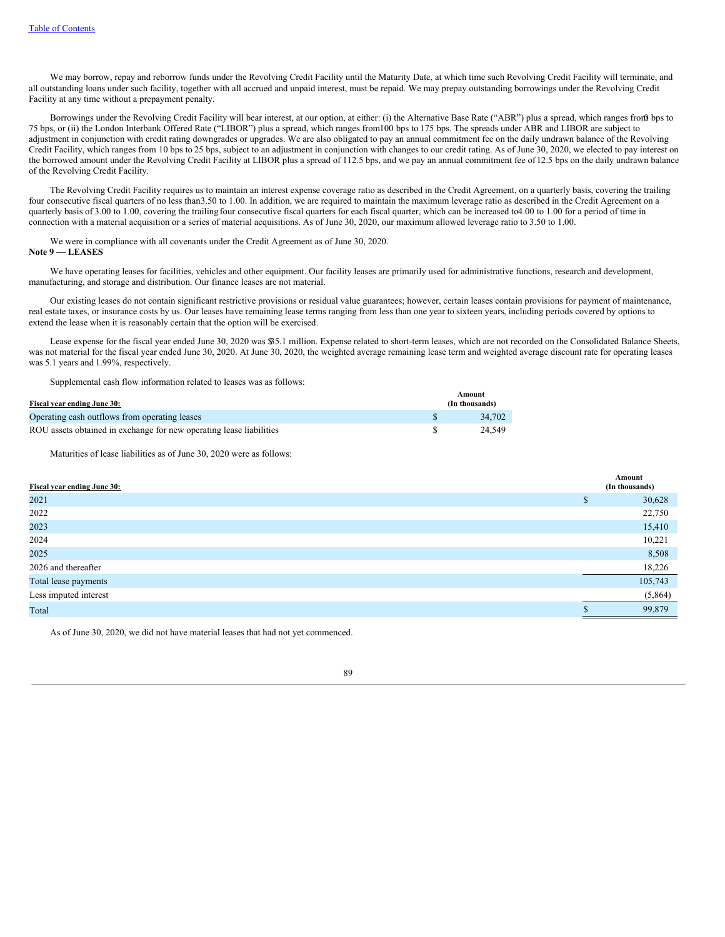We may borrow, repay and reborrow funds under the Revolving Credit Facility until the Maturity Date, at which time such Revolving Credit Facility will terminate, and all outstanding loans under such facility, together with all accrued and unpaid interest, must be repaid. We may prepay outstanding borrowings under the Revolving Credit Facility at any time without a prepayment penalty.

Borrowings under the Revolving Credit Facility will bear interest, at our option, at either: (i) the Alternative Base Rate ("ABR") plus a spread, which ranges from bps to 75 bps, or (ii) the London Interbank Offered Rate ("LIBOR") plus a spread, which ranges from100 bps to 175 bps. The spreads under ABR and LIBOR are subject to adjustment in conjunction with credit rating downgrades or upgrades. We are also obligated to pay an annual commitment fee on the daily undrawn balance of the Revolving Credit Facility, which ranges from 10 bps to 25 bps, subject to an adjustment in conjunction with changes to our credit rating. As of June 30, 2020, we elected to pay interest on the borrowed amount under the Revolving Credit Facility at LIBOR plus a spread of 112.5 bps, and we pay an annual commitment fee of 12.5 bps on the daily undrawn balance of the Revolving Credit Facility.

The Revolving Credit Facility requires us to maintain an interest expense coverage ratio as described in the Credit Agreement, on a quarterly basis, covering the trailing four consecutive fiscal quarters of no less than3.50 to 1.00. In addition, we are required to maintain the maximum leverage ratio as described in the Credit Agreement on a quarterly basis of 3.00 to 1.00, covering the trailing four consecutive fiscal quarters for each fiscal quarter, which can be increased to4.00 to 1.00 for a period of time in connection with a material acquisition or a series of material acquisitions. As of June 30, 2020, our maximum allowed leverage ratio to 3.50 to 1.00.

We were in compliance with all covenants under the Credit Agreement as of June 30, 2020. **Note 9 — LEASES**

We have operating leases for facilities, vehicles and other equipment. Our facility leases are primarily used for administrative functions, research and development, manufacturing, and storage and distribution. Our finance leases are not material.

Our existing leases do not contain significant restrictive provisions or residual value guarantees; however, certain leases contain provisions for payment of maintenance, real estate taxes, or insurance costs by us. Our leases have remaining lease terms ranging from less than one year to sixteen years, including periods covered by options to extend the lease when it is reasonably certain that the option will be exercised.

Lease expense for the fiscal year ended June 30, 2020 was \$35.1 million. Expense related to short-term leases, which are not recorded on the Consolidated Balance Sheets, was not material for the fiscal year ended June 30, 2020. At June 30, 2020, the weighted average remaining lease term and weighted average discount rate for operating leases was 5.1 years and 1.99%, respectively.

Supplemental cash flow information related to leases was as follows:

| <b>Fiscal year ending June 30:</b>                                  | Amount<br>(In thousands) |
|---------------------------------------------------------------------|--------------------------|
| Operating cash outflows from operating leases                       | 34.702                   |
| ROU assets obtained in exchange for new operating lease liabilities | 24.549                   |

Maturities of lease liabilities as of June 30, 2020 were as follows:

| <b>Fiscal year ending June 30:</b> |              | Amount<br>(In thousands) |
|------------------------------------|--------------|--------------------------|
| 2021                               | $\mathbb{S}$ | 30,628                   |
| 2022                               |              | 22,750                   |
| 2023                               |              | 15,410                   |
| 2024                               |              | 10,221                   |
| 2025                               |              | 8,508                    |
| 2026 and thereafter                |              | 18,226                   |
| Total lease payments               |              | 105,743                  |
| Less imputed interest              |              | (5,864)                  |
| Total                              |              | 99,879                   |

As of June 30, 2020, we did not have material leases that had not yet commenced.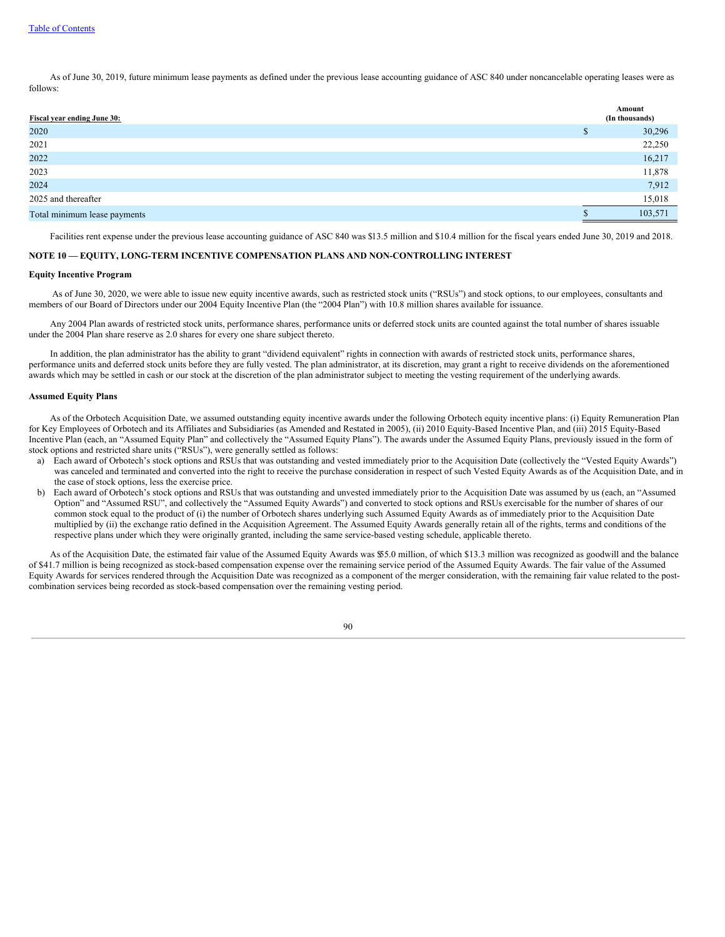As of June 30, 2019, future minimum lease payments as defined under the previous lease accounting guidance of ASC 840 under noncancelable operating leases were as follows:

| <b>Fiscal year ending June 30:</b> |   | Amount<br>(In thousands) |
|------------------------------------|---|--------------------------|
| 2020                               | S | 30,296                   |
| 2021                               |   | 22,250                   |
| 2022                               |   | 16,217                   |
| 2023                               |   | 11,878                   |
| 2024                               |   | 7,912                    |
| 2025 and thereafter                |   | 15,018                   |
| Total minimum lease payments       |   | 103,571                  |

Facilities rent expense under the previous lease accounting guidance of ASC 840 was \$13.5 million and \$10.4 million for the fiscal years ended June 30, 2019 and 2018.

## **NOTE 10 — EQUITY, LONG-TERM INCENTIVE COMPENSATION PLANS AND NON-CONTROLLING INTEREST**

#### **Equity Incentive Program**

As of June 30, 2020, we were able to issue new equity incentive awards, such as restricted stock units ("RSUs") and stock options, to our employees, consultants and members of our Board of Directors under our 2004 Equity Incentive Plan (the "2004 Plan") with 10.8 million shares available for issuance.

Any 2004 Plan awards of restricted stock units, performance shares, performance units or deferred stock units are counted against the total number of shares issuable under the 2004 Plan share reserve as 2.0 shares for every one share subject thereto.

In addition, the plan administrator has the ability to grant "dividend equivalent" rights in connection with awards of restricted stock units, performance shares, performance units and deferred stock units before they are fully vested. The plan administrator, at its discretion, may grant a right to receive dividends on the aforementioned awards which may be settled in cash or our stock at the discretion of the plan administrator subject to meeting the vesting requirement of the underlying awards.

#### **Assumed Equity Plans**

As of the Orbotech Acquisition Date, we assumed outstanding equity incentive awards under the following Orbotech equity incentive plans: (i) Equity Remuneration Plan for Key Employees of Orbotech and its Affiliates and Subsidiaries (as Amended and Restated in 2005), (ii) 2010 Equity-Based Incentive Plan, and (iii) 2015 Equity-Based Incentive Plan (each, an "Assumed Equity Plan" and collectively the "Assumed Equity Plans"). The awards under the Assumed Equity Plans, previously issued in the form of stock options and restricted share units ("RSUs"), were generally settled as follows:

- a) Each award of Orbotech's stock options and RSUs that was outstanding and vested immediately prior to the Acquisition Date (collectively the "Vested Equity Awards") was canceled and terminated and converted into the right to receive the purchase consideration in respect of such Vested Equity Awards as of the Acquisition Date, and in the case of stock options, less the exercise price.
- b) Each award of Orbotech's stock options and RSUs that was outstanding and unvested immediately prior to the Acquisition Date was assumed by us (each, an "Assumed Option" and "Assumed RSU", and collectively the "Assumed Equity Awards") and converted to stock options and RSUs exercisable for the number of shares of our common stock equal to the product of (i) the number of Orbotech shares underlying such Assumed Equity Awards as of immediately prior to the Acquisition Date multiplied by (ii) the exchange ratio defined in the Acquisition Agreement. The Assumed Equity Awards generally retain all of the rights, terms and conditions of the respective plans under which they were originally granted, including the same service-based vesting schedule, applicable thereto.

As of the Acquisition Date, the estimated fair value of the Assumed Equity Awards was \$55.0 million, of which \$13.3 million was recognized as goodwill and the balance of \$41.7 million is being recognized as stock-based compensation expense over the remaining service period of the Assumed Equity Awards. The fair value of the Assumed Equity Awards for services rendered through the Acquisition Date was recognized as a component of the merger consideration, with the remaining fair value related to the postcombination services being recorded as stock-based compensation over the remaining vesting period.

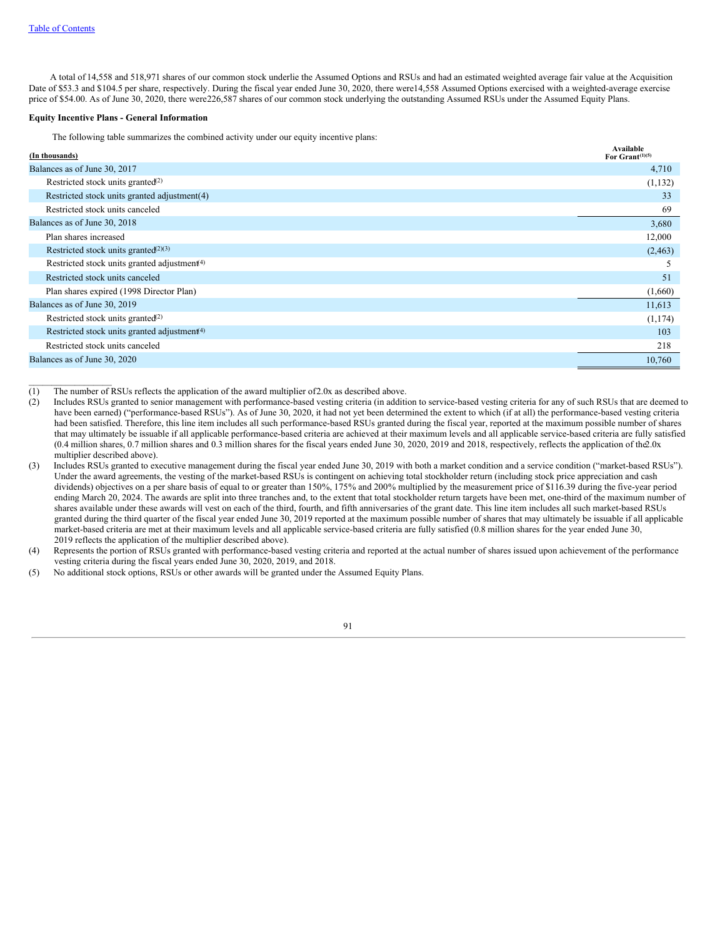$\mathcal{L}_\text{max}$ 

A total of 14,558 and 518,971 shares of our common stock underlie the Assumed Options and RSUs and had an estimated weighted average fair value at the Acquisition Date of \$53.3 and \$104.5 per share, respectively. During the fiscal year ended June 30, 2020, there were14,558 Assumed Options exercised with a weighted-average exercise price of \$54.00. As of June 30, 2020, there were226,587 shares of our common stock underlying the outstanding Assumed RSUs under the Assumed Equity Plans.

#### **Equity Incentive Plans - General Information**

The following table summarizes the combined activity under our equity incentive plans:

|                                                          | Available        |
|----------------------------------------------------------|------------------|
| (In thousands)                                           | For $Gran(1)(5)$ |
| Balances as of June 30, 2017                             | 4,710            |
| Restricted stock units granted <sup>(2)</sup>            | (1, 132)         |
| Restricted stock units granted adjustment(4)             | 33               |
| Restricted stock units canceled                          | 69               |
| Balances as of June 30, 2018                             | 3,680            |
| Plan shares increased                                    | 12,000           |
| Restricted stock units granted <sup>(2)(3)</sup>         | (2, 463)         |
| Restricted stock units granted adjustment <sup>(4)</sup> |                  |
| Restricted stock units canceled                          | 51               |
| Plan shares expired (1998 Director Plan)                 | (1,660)          |
| Balances as of June 30, 2019                             | 11,613           |
| Restricted stock units granted <sup>(2)</sup>            | (1, 174)         |
| Restricted stock units granted adjustment <sup>(4)</sup> | 103              |
| Restricted stock units canceled                          | 218              |
| Balances as of June 30, 2020                             | 10,760           |

(1) The number of RSUs reflects the application of the award multiplier of2.0x as described above.

- (2) Includes RSUs granted to senior management with performance-based vesting criteria (in addition to service-based vesting criteria for any of such RSUs that are deemed to have been earned) ("performance-based RSUs"). As of June 30, 2020, it had not yet been determined the extent to which (if at all) the performance-based vesting criteria had been satisfied. Therefore, this line item includes all such performance-based RSUs granted during the fiscal year, reported at the maximum possible number of shares that may ultimately be issuable if all applicable performance-based criteria are achieved at their maximum levels and all applicable service-based criteria are fully satisfied  $(0.4 \text{ million shares}, 0.7 \text{ million shares}$  and 0.3 million shares for the fiscal years ended June 30, 2020, 2019 and 2018, respectively, reflects the application of the  $2.0x$ multiplier described above).
- (3) Includes RSUs granted to executive management during the fiscal year ended June 30, 2019 with both a market condition and a service condition ("market-based RSUs"). Under the award agreements, the vesting of the market-based RSUs is contingent on achieving total stockholder return (including stock price appreciation and cash dividends) objectives on a per share basis of equal to or greater than 150%, 175% and 200% multiplied by the measurement price of \$116.39 during the five-year period ending March 20, 2024. The awards are split into three tranches and, to the extent that total stockholder return targets have been met, one-third of the maximum number of shares available under these awards will vest on each of the third, fourth, and fifth anniversaries of the grant date. This line item includes all such market-based RSUs granted during the third quarter of the fiscal year ended June 30, 2019 reported at the maximum possible number of shares that may ultimately be issuable if all applicable market-based criteria are met at their maximum levels and all applicable service-based criteria are fully satisfied (0.8 million shares for the year ended June 30, 2019 reflects the application of the multiplier described above).
- (4) Represents the portion of RSUs granted with performance-based vesting criteria and reported at the actual number of shares issued upon achievement of the performance vesting criteria during the fiscal years ended June 30, 2020, 2019, and 2018.
- (5) No additional stock options, RSUs or other awards will be granted under the Assumed Equity Plans.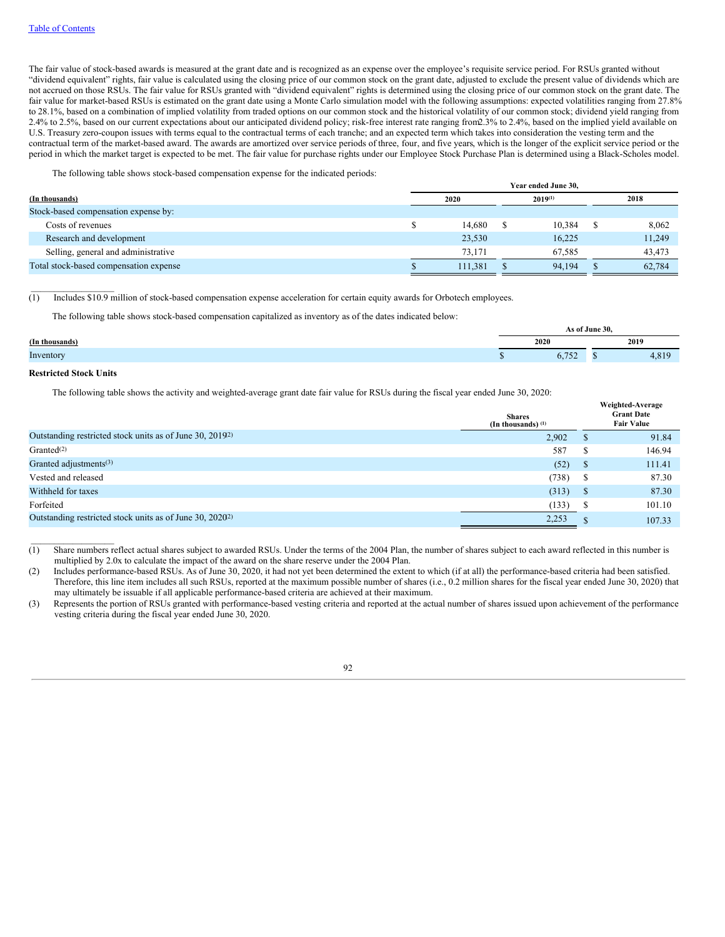The fair value of stock-based awards is measured at the grant date and is recognized as an expense over the employee's requisite service period. For RSUs granted without "dividend equivalent" rights, fair value is calculated using the closing price of our common stock on the grant date, adjusted to exclude the present value of dividends which are not accrued on those RSUs. The fair value for RSUs granted with "dividend equivalent" rights is determined using the closing price of our common stock on the grant date. The fair value for market-based RSUs is estimated on the grant date using a Monte Carlo simulation model with the following assumptions: expected volatilities ranging from 27.8% to 28.1%, based on a combination of implied volatility from traded options on our common stock and the historical volatility of our common stock; dividend yield ranging from 2.4% to 2.5%, based on our current expectations about our anticipated dividend policy; risk-free interest rate ranging from2.3% to 2.4%, based on the implied yield available on U.S. Treasury zero-coupon issues with terms equal to the contractual terms of each tranche; and an expected term which takes into consideration the vesting term and the contractual term of the market-based award. The awards are amortized over service periods of three, four, and five years, which is the longer of the explicit service period or the period in which the market target is expected to be met. The fair value for purchase rights under our Employee Stock Purchase Plan is determined using a Black-Scholes model.

The following table shows stock-based compensation expense for the indicated periods:

| (In thousands)                         |  | 2020    | $2019^{(1)}$ | 2018   |
|----------------------------------------|--|---------|--------------|--------|
| Stock-based compensation expense by:   |  |         |              |        |
| Costs of revenues                      |  | 14.680  | 10.384       | 8,062  |
| Research and development               |  | 23,530  | 16,225       | 11,249 |
| Selling, general and administrative    |  | 73.171  | 67.585       | 43,473 |
| Total stock-based compensation expense |  | 111.381 | 94.194       | 62,784 |

(1) Includes \$10.9 million of stock-based compensation expense acceleration for certain equity awards for Orbotech employees.

The following table shows stock-based compensation capitalized as inventory as of the dates indicated below:

|                |  | As of June 30. |      |  |  |  |  |  |  |
|----------------|--|----------------|------|--|--|--|--|--|--|
| (In thousands) |  | 2020           | 2019 |  |  |  |  |  |  |
| Inventory      |  | 750<br>0.132   | 010  |  |  |  |  |  |  |
|                |  |                |      |  |  |  |  |  |  |

## **Restricted Stock Units**

 $\mathcal{L}=\{1,2,3,4,5\}$ 

 $\mathcal{L}_\text{max}$ 

The following table shows the activity and weighted-average grant date fair value for RSUs during the fiscal year ended June 30, 2020:

|                                                                      | <b>Shares</b><br>(In thousands) $(1)$ |      | Weighted-Average<br><b>Grant Date</b><br><b>Fair Value</b> |
|----------------------------------------------------------------------|---------------------------------------|------|------------------------------------------------------------|
| Outstanding restricted stock units as of June 30, 2019 <sup>2</sup>  | 2,902                                 | -S   | 91.84                                                      |
| Granted <sup>(2)</sup>                                               | 587                                   | S    | 146.94                                                     |
| Granted adjustments <sup>(3)</sup>                                   | (52)                                  | - \$ | 111.41                                                     |
| Vested and released                                                  | (738)                                 | -S   | 87.30                                                      |
| Withheld for taxes                                                   | (313)                                 | - \$ | 87.30                                                      |
| Forfeited                                                            | (133)                                 | -S   | 101.10                                                     |
| Outstanding restricted stock units as of June 30, 2020 <sup>2)</sup> | 2,253                                 |      | 107.33                                                     |

(1) Share numbers reflect actual shares subject to awarded RSUs. Under the terms of the 2004 Plan, the number of shares subject to each award reflected in this number is multiplied by 2.0x to calculate the impact of the award on the share reserve under the 2004 Plan.

(2) Includes performance-based RSUs. As of June 30, 2020, it had not yet been determined the extent to which (if at all) the performance-based criteria had been satisfied. Therefore, this line item includes all such RSUs, reported at the maximum possible number of shares (i.e., 0.2 million shares for the fiscal year ended June 30, 2020) that may ultimately be issuable if all applicable performance-based criteria are achieved at their maximum.

(3) Represents the portion of RSUs granted with performance-based vesting criteria and reported at the actual number of shares issued upon achievement of the performance vesting criteria during the fiscal year ended June 30, 2020.

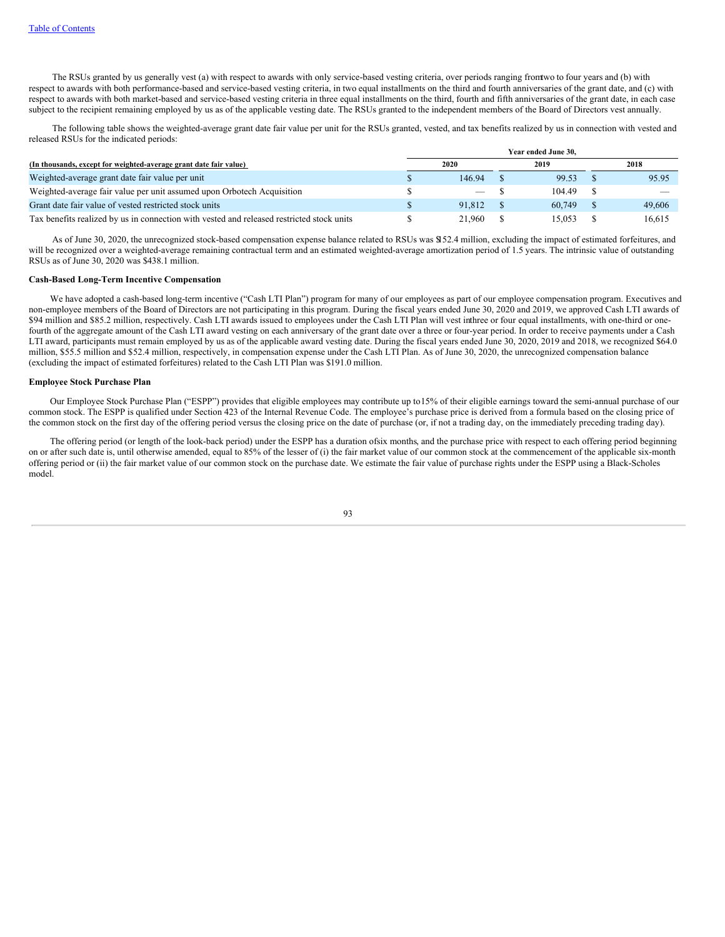The RSUs granted by us generally vest (a) with respect to awards with only service-based vesting criteria, over periods ranging fromtwo to four years and (b) with respect to awards with both performance-based and service-based vesting criteria, in two equal installments on the third and fourth anniversaries of the grant date, and (c) with respect to awards with both market-based and service-based vesting criteria in three equal installments on the third, fourth and fifth anniversaries of the grant date, in each case subject to the recipient remaining employed by us as of the applicable vesting date. The RSUs granted to the independent members of the Board of Directors vest annually.

The following table shows the weighted-average grant date fair value per unit for the RSUs granted, vested, and tax benefits realized by us in connection with vested and released RSUs for the indicated periods:

|                                                                                           | Year ended June 30. |                          |  |        |  |        |  |  |
|-------------------------------------------------------------------------------------------|---------------------|--------------------------|--|--------|--|--------|--|--|
| (In thousands, except for weighted-average grant date fair value)                         |                     | 2020                     |  | 2019   |  | 2018   |  |  |
| Weighted-average grant date fair value per unit                                           |                     | 146.94                   |  | 99.53  |  | 95.95  |  |  |
| Weighted-average fair value per unit assumed upon Orbotech Acquisition                    |                     | $\overline{\phantom{a}}$ |  | 104.49 |  | _      |  |  |
| Grant date fair value of vested restricted stock units                                    |                     | 91.812                   |  | 60.749 |  | 49,606 |  |  |
| Tax benefits realized by us in connection with vested and released restricted stock units |                     | 21,960                   |  | 15.053 |  | 16.615 |  |  |

As of June 30, 2020, the unrecognized stock-based compensation expense balance related to RSUs was \$152.4 million, excluding the impact of estimated forfeitures, and will be recognized over a weighted-average remaining contractual term and an estimated weighted-average amortization period of 1.5 years. The intrinsic value of outstanding RSUs as of June 30, 2020 was \$438.1 million.

#### **Cash-Based Long-Term Incentive Compensation**

We have adopted a cash-based long-term incentive ("Cash LTI Plan") program for many of our employees as part of our employee compensation program. Executives and non-employee members of the Board of Directors are not participating in this program. During the fiscal years ended June 30, 2020 and 2019, we approved Cash LTI awards of \$94 million and \$85.2 million, respectively. Cash LTI awards issued to employees under the Cash LTI Plan will vest inthree or four equal installments, with one-third or onefourth of the aggregate amount of the Cash LTI award vesting on each anniversary of the grant date over a three or four-year period. In order to receive payments under a Cash LTI award, participants must remain employed by us as of the applicable award vesting date. During the fiscal years ended June 30, 2020, 2019 and 2018, we recognized \$64.0 million, \$55.5 million and \$52.4 million, respectively, in compensation expense under the Cash LTI Plan. As of June 30, 2020, the unrecognized compensation balance (excluding the impact of estimated forfeitures) related to the Cash LTI Plan was \$191.0 million.

## **Employee Stock Purchase Plan**

Our Employee Stock Purchase Plan ("ESPP") provides that eligible employees may contribute up to15% of their eligible earnings toward the semi-annual purchase of our common stock. The ESPP is qualified under Section 423 of the Internal Revenue Code. The employee's purchase price is derived from a formula based on the closing price of the common stock on the first day of the offering period versus the closing price on the date of purchase (or, if not a trading day, on the immediately preceding trading day).

The offering period (or length of the look-back period) under the ESPP has a duration ofsix months, and the purchase price with respect to each offering period beginning on or after such date is, until otherwise amended, equal to 85% of the lesser of (i) the fair market value of our common stock at the commencement of the applicable six-month offering period or (ii) the fair market value of our common stock on the purchase date. We estimate the fair value of purchase rights under the ESPP using a Black-Scholes model.

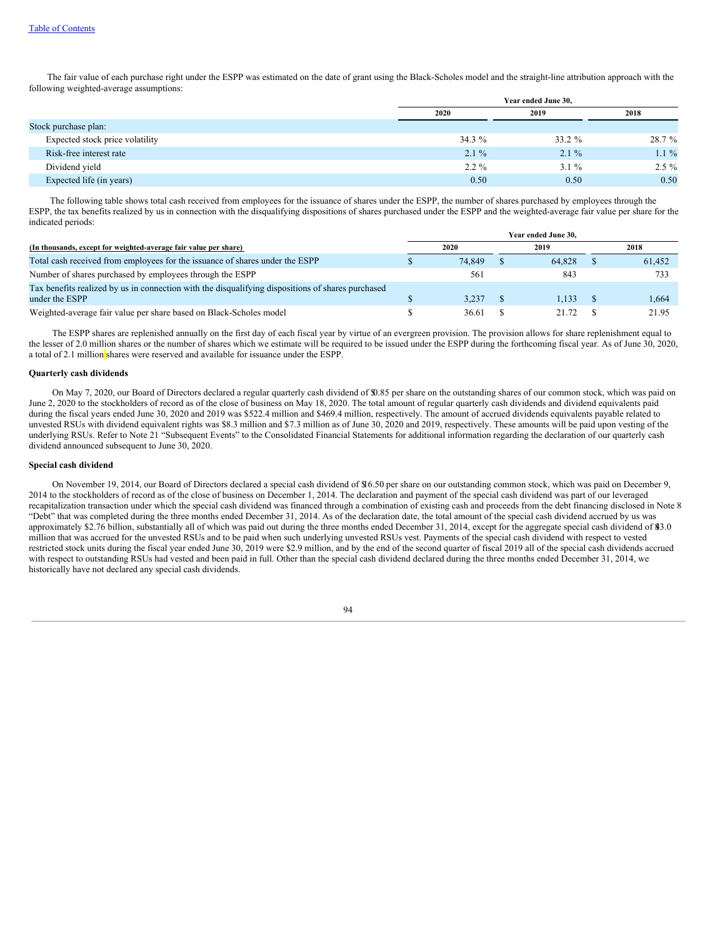The fair value of each purchase right under the ESPP was estimated on the date of grant using the Black-Scholes model and the straight-line attribution approach with the following weighted-average assumptions:

|                                 |          | Year ended June 30. |         |  |  |  |  |
|---------------------------------|----------|---------------------|---------|--|--|--|--|
|                                 | 2020     | 2019                | 2018    |  |  |  |  |
| Stock purchase plan:            |          |                     |         |  |  |  |  |
| Expected stock price volatility | $34.3\%$ | 33.2 %              | 28.7 %  |  |  |  |  |
| Risk-free interest rate         | $2.1\%$  | $2.1\%$             | $1.1\%$ |  |  |  |  |
| Dividend yield                  | $2.2\%$  | $3.1\%$             | $2.5\%$ |  |  |  |  |
| Expected life (in years)        | 0.50     | 0.50                | 0.50    |  |  |  |  |

The following table shows total cash received from employees for the issuance of shares under the ESPP, the number of shares purchased by employees through the ESPP, the tax benefits realized by us in connection with the disqualifying dispositions of shares purchased under the ESPP and the weighted-average fair value per share for the indicated periods:

|                                                                                                                     | Year ended June 30. |        |  |        |  |        |  |  |  |
|---------------------------------------------------------------------------------------------------------------------|---------------------|--------|--|--------|--|--------|--|--|--|
| (In thousands, except for weighted-average fair value per share)                                                    |                     | 2020   |  | 2019   |  | 2018   |  |  |  |
| Total cash received from employees for the issuance of shares under the ESPP                                        |                     | 74.849 |  | 64.828 |  | 61,452 |  |  |  |
| Number of shares purchased by employees through the ESPP                                                            |                     | 561    |  | 843    |  | 733    |  |  |  |
| Tax benefits realized by us in connection with the disqualifying dispositions of shares purchased<br>under the ESPP |                     | 3.237  |  | 1.133  |  | 1.664  |  |  |  |
| Weighted-average fair value per share based on Black-Scholes model                                                  |                     | 36.61  |  | 21.72  |  | 21.95  |  |  |  |

The ESPP shares are replenished annually on the first day of each fiscal year by virtue of an evergreen provision. The provision allows for share replenishment equal to the lesser of 2.0 million shares or the number of shares which we estimate will be required to be issued under the ESPP during the forthcoming fiscal year. As of June 30, 2020, a total of 2.1 million shares were reserved and available for issuance under the ESPP.

#### **Quarterly cash dividends**

On May 7, 2020, our Board of Directors declared a regular quarterly cash dividend of \$0.85 per share on the outstanding shares of our common stock, which was paid on June 2, 2020 to the stockholders of record as of the close of business on May 18, 2020. The total amount of regular quarterly cash dividends and dividend equivalents paid during the fiscal years ended June 30, 2020 and 2019 was \$522.4 million and \$469.4 million, respectively. The amount of accrued dividends equivalents payable related to unvested RSUs with dividend equivalent rights was \$8.3 million and \$7.3 million as of June 30, 2020 and 2019, respectively. These amounts will be paid upon vesting of the underlying RSUs. Refer to Note 21 "Subsequent Events" to the Consolidated Financial Statements for additional information regarding the declaration of our quarterly cash dividend announced subsequent to June 30, 2020.

#### **Special cash dividend**

On November 19, 2014, our Board of Directors declared a special cash dividend of \$16.50 per share on our outstanding common stock, which was paid on December 9, 2014 to the stockholders of record as of the close of business on December 1, 2014. The declaration and payment of the special cash dividend was part of our leveraged recapitalization transaction under which the special cash dividend was financed through a combination of existing cash and proceeds from the debt financing disclosed in Note 8 "Debt" that was completed during the three months ended December 31, 2014. As of the declaration date, the total amount of the special cash dividend accrued by us was approximately \$2.76 billion, substantially all of which was paid out during the three months ended December 31, 2014, except for the aggregate special cash dividend of \$3.0 million that was accrued for the unvested RSUs and to be paid when such underlying unvested RSUs vest. Payments of the special cash dividend with respect to vested restricted stock units during the fiscal year ended June 30, 2019 were \$2.9 million, and by the end of the second quarter of fiscal 2019 all of the special cash dividends accrued with respect to outstanding RSUs had vested and been paid in full. Other than the special cash dividend declared during the three months ended December 31, 2014, we historically have not declared any special cash dividends.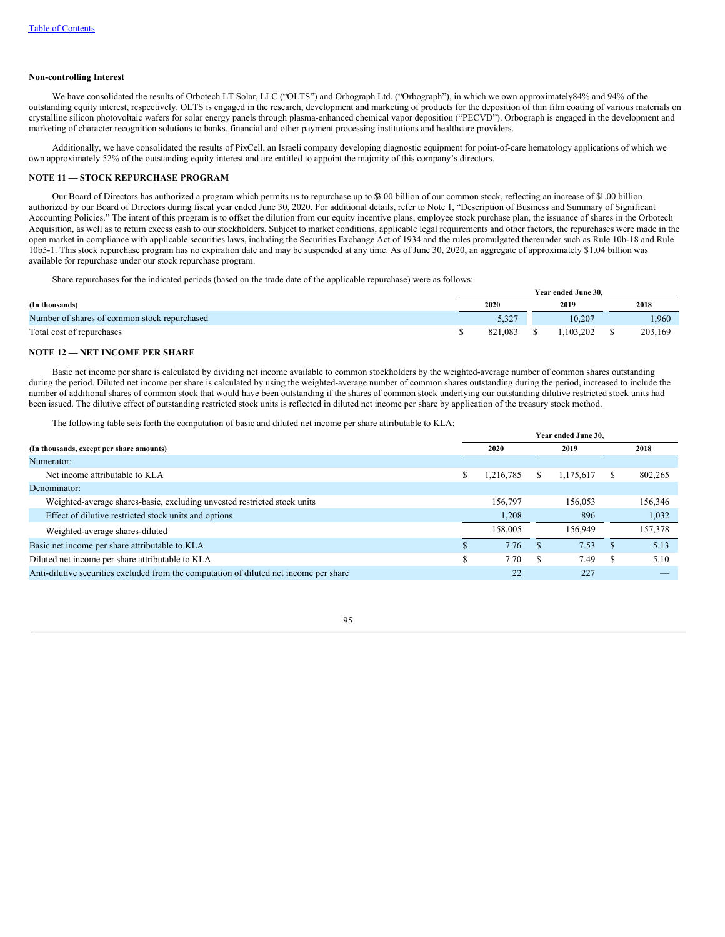## **Non-controlling Interest**

We have consolidated the results of Orbotech LT Solar, LLC ("OLTS") and Orbograph Ltd. ("Orbograph"), in which we own approximately84% and 94% of the outstanding equity interest, respectively. OLTS is engaged in the research, development and marketing of products for the deposition of thin film coating of various materials on crystalline silicon photovoltaic wafers for solar energy panels through plasma-enhanced chemical vapor deposition ("PECVD"). Orbograph is engaged in the development and marketing of character recognition solutions to banks, financial and other payment processing institutions and healthcare providers.

Additionally, we have consolidated the results of PixCell, an Israeli company developing diagnostic equipment for point-of-care hematology applications of which we own approximately 52% of the outstanding equity interest and are entitled to appoint the majority of this company's directors.

### **NOTE 11 — STOCK REPURCHASE PROGRAM**

Our Board of Directors has authorized a program which permits us to repurchase up to \$3.00 billion of our common stock, reflecting an increase of \$1.00 billion authorized by our Board of Directors during fiscal year ended June 30, 2020. For additional details, refer to Note 1, "Description of Business and Summary of Significant Accounting Policies." The intent of this program is to offset the dilution from our equity incentive plans, employee stock purchase plan, the issuance of shares in the Orbotech Acquisition, as well as to return excess cash to our stockholders. Subject to market conditions, applicable legal requirements and other factors, the repurchases were made in the open market in compliance with applicable securities laws, including the Securities Exchange Act of 1934 and the rules promulgated thereunder such as Rule 10b-18 and Rule 10b5-1. This stock repurchase program has no expiration date and may be suspended at any time. As of June 30, 2020, an aggregate of approximately \$1.04 billion was available for repurchase under our stock repurchase program.

Share repurchases for the indicated periods (based on the trade date of the applicable repurchase) were as follows:

|                                              | Year ended June 30, |         |  |          |  |         |
|----------------------------------------------|---------------------|---------|--|----------|--|---------|
| (In thousands)                               |                     | 2020    |  | 2019     |  | 2018    |
| Number of shares of common stock repurchased |                     | 5,327   |  | 10.207   |  | 1.960   |
| Total cost of repurchases                    |                     | 821.083 |  | .103.202 |  | 203,169 |

## **NOTE 12 — NET INCOME PER SHARE**

Basic net income per share is calculated by dividing net income available to common stockholders by the weighted-average number of common shares outstanding during the period. Diluted net income per share is calculated by using the weighted-average number of common shares outstanding during the period, increased to include the number of additional shares of common stock that would have been outstanding if the shares of common stock underlying our outstanding dilutive restricted stock units had been issued. The dilutive effect of outstanding restricted stock units is reflected in diluted net income per share by application of the treasury stock method.

The following table sets forth the computation of basic and diluted net income per share attributable to KLA:

|                                                                                        | Year ended June 30. |           |          |           |          |         |
|----------------------------------------------------------------------------------------|---------------------|-----------|----------|-----------|----------|---------|
| (In thousands, except per share amounts)                                               |                     | 2020      |          | 2019      |          | 2018    |
| Numerator:                                                                             |                     |           |          |           |          |         |
| Net income attributable to KLA                                                         | ъ                   | 1,216,785 | ъ.       | 1,175,617 |          | 802,265 |
| Denominator:                                                                           |                     |           |          |           |          |         |
| Weighted-average shares-basic, excluding unvested restricted stock units               |                     | 156,797   |          | 156,053   |          | 156,346 |
| Effect of dilutive restricted stock units and options                                  |                     | 1,208     |          | 896       |          | 1,032   |
| Weighted-average shares-diluted                                                        |                     | 158,005   |          | 156,949   |          | 157,378 |
| Basic net income per share attributable to KLA                                         | ъ                   | 7.76      | <b>S</b> | 7.53      | <b>S</b> | 5.13    |
| Diluted net income per share attributable to KLA                                       | S                   | 7.70      |          | 7.49      | \$.      | 5.10    |
| Anti-dilutive securities excluded from the computation of diluted net income per share |                     | 22        |          | 227       |          |         |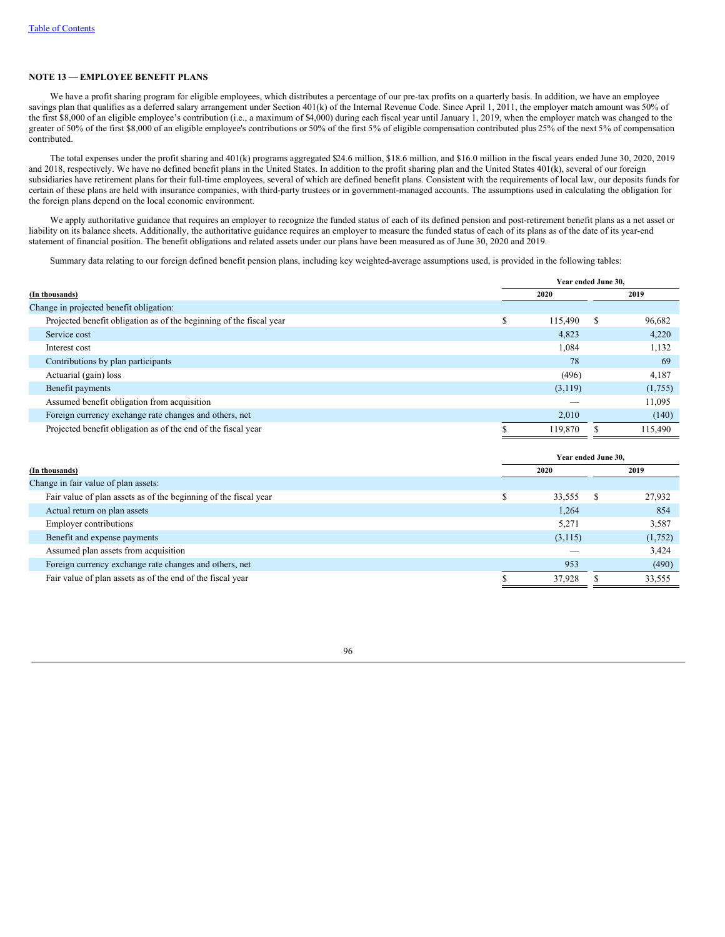#### **NOTE 13 — EMPLOYEE BENEFIT PLANS**

We have a profit sharing program for eligible employees, which distributes a percentage of our pre-tax profits on a quarterly basis. In addition, we have an employee savings plan that qualifies as a deferred salary arrangement under Section 401(k) of the Internal Revenue Code. Since April 1, 2011, the employer match amount was 50% of the first \$8,000 of an eligible employee's contribution (i.e., a maximum of \$4,000) during each fiscal year until January 1, 2019, when the employer match was changed to the greater of 50% of the first \$8,000 of an eligible employee's contributions or 50% of the first 5% of eligible compensation contributed plus 25% of the next 5% of compensation contributed.

The total expenses under the profit sharing and 401(k) programs aggregated \$24.6 million, \$18.6 million, and \$16.0 million in the fiscal years ended June 30, 2020, 2019 and 2018, respectively. We have no defined benefit plans in the United States. In addition to the profit sharing plan and the United States 401(k), several of our foreign subsidiaries have retirement plans for their full-time employees, several of which are defined benefit plans. Consistent with the requirements of local law, our deposits funds for certain of these plans are held with insurance companies, with third-party trustees or in government-managed accounts. The assumptions used in calculating the obligation for the foreign plans depend on the local economic environment.

We apply authoritative guidance that requires an employer to recognize the funded status of each of its defined pension and post-retirement benefit plans as a net asset or liability on its balance sheets. Additionally, the authoritative guidance requires an employer to measure the funded status of each of its plans as of the date of its year-end statement of financial position. The benefit obligations and related assets under our plans have been measured as of June 30, 2020 and 2019.

Summary data relating to our foreign defined benefit pension plans, including key weighted-average assumptions used, is provided in the following tables:

|                                                                     | Year ended June 30, |         |   |         |
|---------------------------------------------------------------------|---------------------|---------|---|---------|
| (In thousands)                                                      |                     | 2020    |   | 2019    |
| Change in projected benefit obligation:                             |                     |         |   |         |
| Projected benefit obligation as of the beginning of the fiscal year | S                   | 115,490 | S | 96,682  |
| Service cost                                                        |                     | 4,823   |   | 4,220   |
| Interest cost                                                       |                     | 1.084   |   | 1,132   |
| Contributions by plan participants                                  |                     | 78      |   | 69      |
| Actuarial (gain) loss                                               |                     | (496)   |   | 4,187   |
| Benefit payments                                                    |                     | (3,119) |   | (1,755) |
| Assumed benefit obligation from acquisition                         |                     |         |   | 11,095  |
| Foreign currency exchange rate changes and others, net              |                     | 2.010   |   | (140)   |
| Projected benefit obligation as of the end of the fiscal year       |                     | 119,870 |   | 115,490 |

|                                                                  |  | Year ended June 30. |    |         |  |
|------------------------------------------------------------------|--|---------------------|----|---------|--|
| (In thousands)                                                   |  | 2020                |    | 2019    |  |
| Change in fair value of plan assets:                             |  |                     |    |         |  |
| Fair value of plan assets as of the beginning of the fiscal year |  | 33,555              | £. | 27,932  |  |
| Actual return on plan assets                                     |  | 1,264               |    | 854     |  |
| <b>Employer contributions</b>                                    |  | 5,271               |    | 3,587   |  |
| Benefit and expense payments                                     |  | (3,115)             |    | (1,752) |  |
| Assumed plan assets from acquisition                             |  |                     |    | 3,424   |  |
| Foreign currency exchange rate changes and others, net           |  | 953                 |    | (490)   |  |
| Fair value of plan assets as of the end of the fiscal year       |  | 37,928              |    | 33,555  |  |
|                                                                  |  |                     |    |         |  |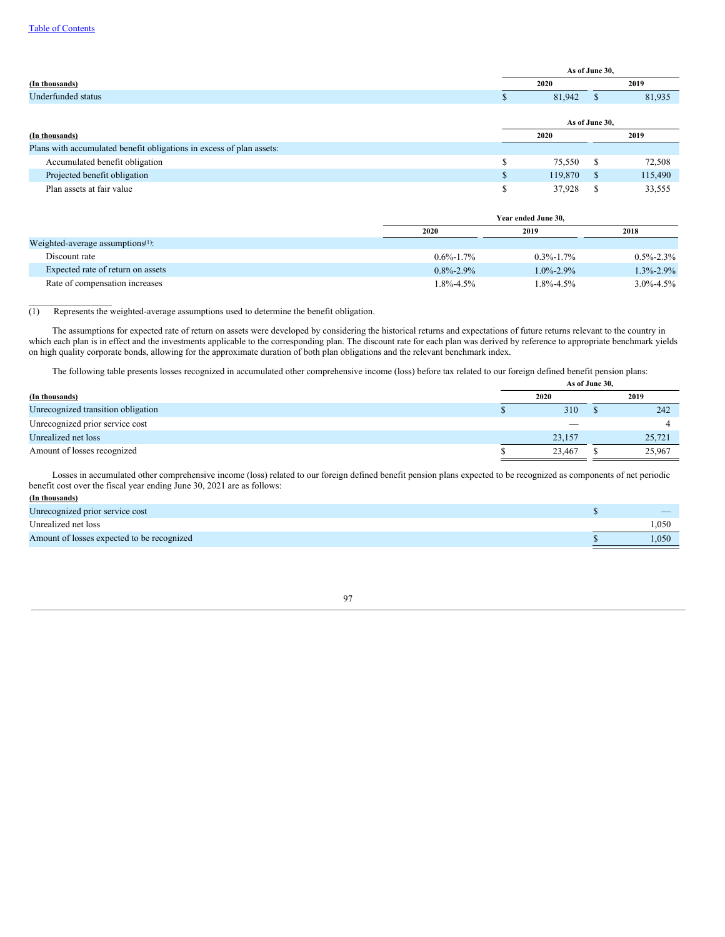$\mathcal{L}_\text{max}$ 

|                                                                      |                |         | As of June 30, |         |  |
|----------------------------------------------------------------------|----------------|---------|----------------|---------|--|
| (In thousands)                                                       | 2020           |         |                | 2019    |  |
| Underfunded status                                                   |                | 81,942  | <sup>S</sup>   | 81,935  |  |
|                                                                      | As of June 30, |         |                |         |  |
| (In thousands)                                                       |                | 2020    |                | 2019    |  |
| Plans with accumulated benefit obligations in excess of plan assets: |                |         |                |         |  |
| Accumulated benefit obligation                                       |                | 75,550  | S              | 72,508  |  |
| Projected benefit obligation                                         | S.             | 119,870 | <sup>\$</sup>  | 115,490 |  |
| Plan assets at fair value                                            | S              | 37,928  | S              | 33,555  |  |

|                                      | Year ended June 30, |                 |                 |  |  |  |
|--------------------------------------|---------------------|-----------------|-----------------|--|--|--|
|                                      | 2020                | 2019            |                 |  |  |  |
| Weighted-average assumptions $(1)$ : |                     |                 |                 |  |  |  |
| Discount rate                        | $0.6\% - 1.7\%$     | $0.3\% - 1.7\%$ | $0.5\% - 2.3\%$ |  |  |  |
| Expected rate of return on assets    | $0.8\% - 2.9\%$     | $1.0\% - 2.9\%$ | $1.3\% - 2.9\%$ |  |  |  |
| Rate of compensation increases       | $1.8\% - 4.5\%$     | 1.8%-4.5%       | $3.0\% - 4.5\%$ |  |  |  |

(1) Represents the weighted-average assumptions used to determine the benefit obligation.

The assumptions for expected rate of return on assets were developed by considering the historical returns and expectations of future returns relevant to the country in which each plan is in effect and the investments applicable to the corresponding plan. The discount rate for each plan was derived by reference to appropriate benchmark yields on high quality corporate bonds, allowing for the approximate duration of both plan obligations and the relevant benchmark index.

The following table presents losses recognized in accumulated other comprehensive income (loss) before tax related to our foreign defined benefit pension plans:

|                                    | As of June 30, |        |  |        |  |  |
|------------------------------------|----------------|--------|--|--------|--|--|
| (In thousands)                     |                | 2020   |  | 2019   |  |  |
| Unrecognized transition obligation |                | 310    |  | 242    |  |  |
| Unrecognized prior service cost    |                | _      |  |        |  |  |
| Unrealized net loss                |                | 23.157 |  | 25,721 |  |  |
| Amount of losses recognized        |                | 23.467 |  | 25,967 |  |  |

Losses in accumulated other comprehensive income (loss) related to our foreign defined benefit pension plans expected to be recognized as components of net periodic benefit cost over the fiscal year ending June 30, 2021 are as follows:

| (In thousands)                             |      |
|--------------------------------------------|------|
| Unrecognized prior service cost            |      |
| Unrealized net loss                        | .050 |
| Amount of losses expected to be recognized | .050 |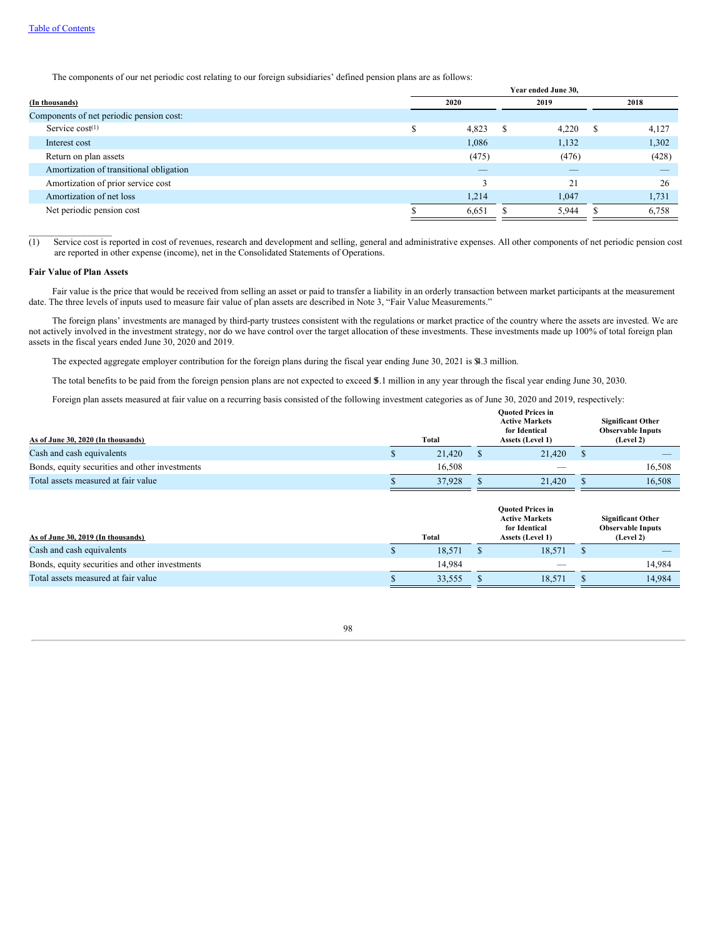The components of our net periodic cost relating to our foreign subsidiaries' defined pension plans are as follows:

|                                          | Year ended June 30, |                          |   |                          |    |       |
|------------------------------------------|---------------------|--------------------------|---|--------------------------|----|-------|
| (In thousands)                           |                     | 2020                     |   | 2019                     |    | 2018  |
| Components of net periodic pension cost: |                     |                          |   |                          |    |       |
| Service $cost^{(1)}$                     |                     | 4,823                    | S | 4,220                    | £. | 4,127 |
| Interest cost                            |                     | 1,086                    |   | 1,132                    |    | 1,302 |
| Return on plan assets                    |                     | (475)                    |   | (476)                    |    | (428) |
| Amortization of transitional obligation  |                     | $\overline{\phantom{a}}$ |   | $\overline{\phantom{a}}$ |    | _     |
| Amortization of prior service cost       |                     | 3                        |   | 21                       |    | 26    |
| Amortization of net loss                 |                     | 1,214                    |   | 1,047                    |    | 1,731 |
| Net periodic pension cost                |                     | 6,651                    |   | 5,944                    |    | 6,758 |
|                                          |                     |                          |   |                          |    |       |

 $\overline{(1)}$  Service cost is reported in cost of revenues, research and development and selling, general and administrative expenses. All other components of net periodic pension cost are reported in other expense (income), net in the Consolidated Statements of Operations.

## **Fair Value of Plan Assets**

 $\mathcal{L}_\text{max}$ 

Fair value is the price that would be received from selling an asset or paid to transfer a liability in an orderly transaction between market participants at the measurement date. The three levels of inputs used to measure fair value of plan assets are described in Note 3, "Fair Value Measurements."

The foreign plans' investments are managed by third-party trustees consistent with the regulations or market practice of the country where the assets are invested. We are not actively involved in the investment strategy, nor do we have control over the target allocation of these investments. These investments made up 100% of total foreign plan assets in the fiscal years ended June 30, 2020 and 2019.

The expected aggregate employer contribution for the foreign plans during the fiscal year ending June 30, 2021 is \$4.3 million.

The total benefits to be paid from the foreign pension plans are not expected to exceed \$5.1 million in any year through the fiscal year ending June 30, 2030.

Foreign plan assets measured at fair value on a recurring basis consisted of the following investment categories as of June 30, 2020 and 2019, respectively:

| As of June 30, 2020 (In thousands)             | Total |        |  | <b>Ouoted Prices in</b><br><b>Active Markets</b><br>for Identical<br><b>Assets (Level 1)</b> | <b>Significant Other</b><br><b>Observable Inputs</b><br>(Level 2) |
|------------------------------------------------|-------|--------|--|----------------------------------------------------------------------------------------------|-------------------------------------------------------------------|
| Cash and cash equivalents                      |       | 21.420 |  | 21,420                                                                                       |                                                                   |
| Bonds, equity securities and other investments |       | 16.508 |  |                                                                                              | 16.508                                                            |
| Total assets measured at fair value            |       | 37,928 |  | 21,420                                                                                       | 16.508                                                            |

| As of June 30, 2019 (In thousands)             | Total    |        |  | <b>Ouoted Prices in</b><br><b>Active Markets</b><br>for Identical<br><b>Assets (Level 1)</b> | <b>Significant Other</b><br><b>Observable Inputs</b><br>(Level 2) |
|------------------------------------------------|----------|--------|--|----------------------------------------------------------------------------------------------|-------------------------------------------------------------------|
| Cash and cash equivalents                      | <b>D</b> | 18.571 |  | 18.571                                                                                       |                                                                   |
| Bonds, equity securities and other investments |          | 14.984 |  | $\overline{\phantom{a}}$                                                                     | 14.984                                                            |
| Total assets measured at fair value            |          | 33.555 |  | 18.571                                                                                       | 14.984                                                            |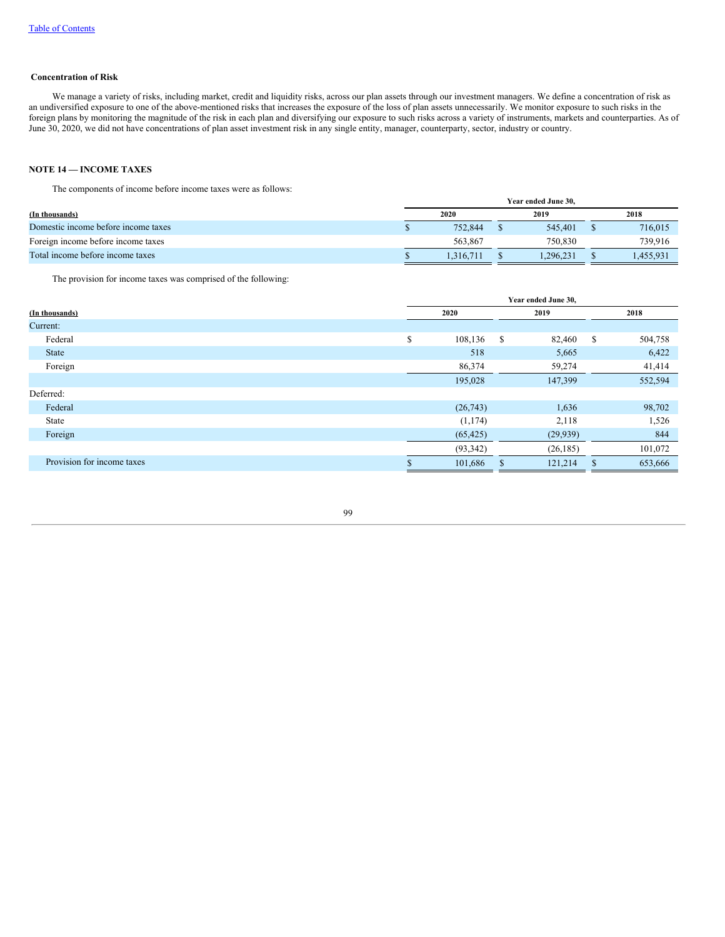## **Concentration of Risk**

We manage a variety of risks, including market, credit and liquidity risks, across our plan assets through our investment managers. We define a concentration of risk as an undiversified exposure to one of the above-mentioned risks that increases the exposure of the loss of plan assets unnecessarily. We monitor exposure to such risks in the foreign plans by monitoring the magnitude of the risk in each plan and diversifying our exposure to such risks across a variety of instruments, markets and counterparties. As of June 30, 2020, we did not have concentrations of plan asset investment risk in any single entity, manager, counterparty, sector, industry or country.

# **NOTE 14 — INCOME TAXES**

The components of income before income taxes were as follows:

| (In thousands)                      | 2020      | 2019      |  | 2018      |
|-------------------------------------|-----------|-----------|--|-----------|
| Domestic income before income taxes | 752,844   | 545,401   |  | 716,015   |
| Foreign income before income taxes  | 563.867   | 750,830   |  | 739,916   |
| Total income before income taxes    | 1.316.711 | 1.296.231 |  | 1,455,931 |

The provision for income taxes was comprised of the following:

|                            | Year ended June 30, |               |           |               |         |
|----------------------------|---------------------|---------------|-----------|---------------|---------|
| (In thousands)             | 2020                |               | 2019      |               | 2018    |
| Current:                   |                     |               |           |               |         |
| Federal                    | \$<br>108,136       | <sup>\$</sup> | 82,460    | \$            | 504,758 |
| <b>State</b>               | 518                 |               | 5,665     |               | 6,422   |
| Foreign                    | 86,374              |               | 59,274    |               | 41,414  |
|                            | 195,028             |               | 147,399   |               | 552,594 |
| Deferred:                  |                     |               |           |               |         |
| Federal                    | (26,743)            |               | 1,636     |               | 98,702  |
| State                      | (1, 174)            |               | 2,118     |               | 1,526   |
| Foreign                    | (65, 425)           |               | (29, 939) |               | 844     |
|                            | (93, 342)           |               | (26, 185) |               | 101,072 |
| Provision for income taxes | 101,686             | <b>S</b>      | 121,214   | <sup>\$</sup> | 653,666 |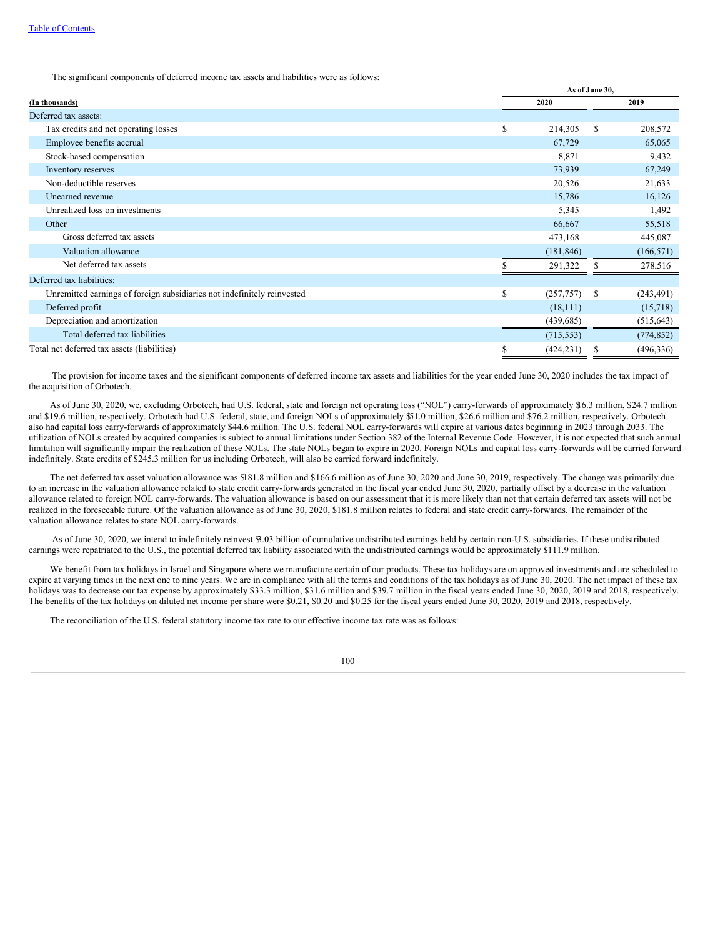The significant components of deferred income tax assets and liabilities were as follows:

|                                                                         |   | As of June 30, |               |            |
|-------------------------------------------------------------------------|---|----------------|---------------|------------|
| (In thousands)                                                          |   | 2020           |               | 2019       |
| Deferred tax assets:                                                    |   |                |               |            |
| Tax credits and net operating losses                                    | S | 214,305        | $\mathbb{S}$  | 208,572    |
| Employee benefits accrual                                               |   | 67,729         |               | 65,065     |
| Stock-based compensation                                                |   | 8,871          |               | 9,432      |
| Inventory reserves                                                      |   | 73,939         |               | 67,249     |
| Non-deductible reserves                                                 |   | 20,526         |               | 21,633     |
| Unearned revenue                                                        |   | 15,786         |               | 16,126     |
| Unrealized loss on investments                                          |   | 5,345          |               | 1,492      |
| Other                                                                   |   | 66,667         |               | 55,518     |
| Gross deferred tax assets                                               |   | 473,168        |               | 445,087    |
| Valuation allowance                                                     |   | (181, 846)     |               | (166, 571) |
| Net deferred tax assets                                                 |   | 291,322        | S             | 278,516    |
| Deferred tax liabilities:                                               |   |                |               |            |
| Unremitted earnings of foreign subsidiaries not indefinitely reinvested | S | (257, 757)     | <sup>\$</sup> | (243, 491) |
| Deferred profit                                                         |   | (18, 111)      |               | (15,718)   |
| Depreciation and amortization                                           |   | (439, 685)     |               | (515, 643) |
| Total deferred tax liabilities                                          |   | (715, 553)     |               | (774, 852) |
| Total net deferred tax assets (liabilities)                             | S | (424, 231)     | \$            | (496, 336) |

The provision for income taxes and the significant components of deferred income tax assets and liabilities for the year ended June 30, 2020 includes the tax impact of the acquisition of Orbotech.

As of June 30, 2020, we, excluding Orbotech, had U.S. federal, state and foreign net operating loss ("NOL") carry-forwards of approximately \$16.3 million, \$24.7 million and \$19.6 million, respectively. Orbotech had U.S. federal, state, and foreign NOLs of approximately \$51.0 million, \$26.6 million and \$76.2 million, respectively. Orbotech also had capital loss carry-forwards of approximately \$44.6 million. The U.S. federal NOL carry-forwards will expire at various dates beginning in 2023 through 2033. The utilization of NOLs created by acquired companies is subject to annual limitations under Section 382 of the Internal Revenue Code. However, it is not expected that such annual limitation will significantly impair the realization of these NOLs. The state NOLs began to expire in 2020. Foreign NOLs and capital loss carry-forwards will be carried forward indefinitely. State credits of \$245.3 million for us including Orbotech, will also be carried forward indefinitely.

The net deferred tax asset valuation allowance was \$181.8 million and \$166.6 million as of June 30, 2020 and June 30, 2019, respectively. The change was primarily due to an increase in the valuation allowance related to state credit carry-forwards generated in the fiscal year ended June 30, 2020, partially offset by a decrease in the valuation allowance related to foreign NOL carry-forwards. The valuation allowance is based on our assessment that it is more likely than not that certain deferred tax assets will not be realized in the foreseeable future. Of the valuation allowance as of June 30, 2020, \$181.8 million relates to federal and state credit carry-forwards. The remainder of the valuation allowance relates to state NOL carry-forwards.

As of June 30, 2020, we intend to indefinitely reinvest \$3.03 billion of cumulative undistributed earnings held by certain non-U.S. subsidiaries. If these undistributed earnings were repatriated to the U.S., the potential deferred tax liability associated with the undistributed earnings would be approximately \$111.9 million.

We benefit from tax holidays in Israel and Singapore where we manufacture certain of our products. These tax holidays are on approved investments and are scheduled to expire at varying times in the next one to nine years. We are in compliance with all the terms and conditions of the tax holidays as of June 30, 2020. The net impact of these tax holidays was to decrease our tax expense by approximately \$33.3 million, \$31.6 million and \$39.7 million in the fiscal years ended June 30, 2020, 2019 and 2018, respectively. The benefits of the tax holidays on diluted net income per share were \$0.21, \$0.20 and \$0.25 for the fiscal years ended June 30, 2020, 2019 and 2018, respectively.

The reconciliation of the U.S. federal statutory income tax rate to our effective income tax rate was as follows: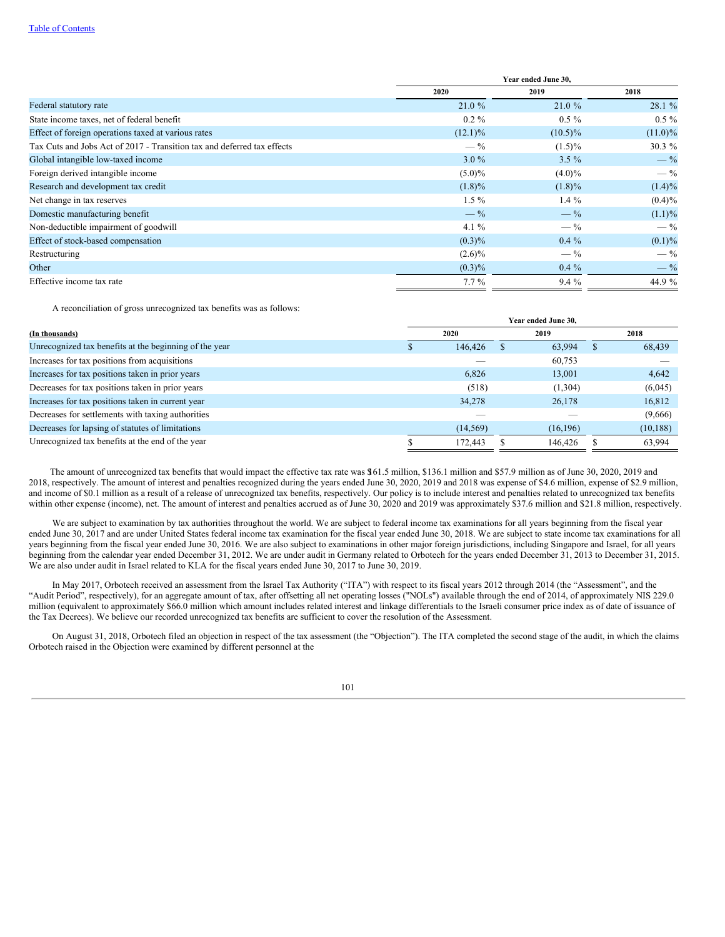|                                                                         | Year ended June 30, |                 |                |  |  |  |
|-------------------------------------------------------------------------|---------------------|-----------------|----------------|--|--|--|
|                                                                         | 2020                | 2019            | 2018           |  |  |  |
| Federal statutory rate                                                  | 21.0 %              | 21.0%           | 28.1 %         |  |  |  |
| State income taxes, net of federal benefit                              | $0.2\%$             | $0.5 \%$        | $0.5 \%$       |  |  |  |
| Effect of foreign operations taxed at various rates                     | $(12.1)\%$          | $(10.5)\%$      | $(11.0)\%$     |  |  |  |
| Tax Cuts and Jobs Act of 2017 - Transition tax and deferred tax effects | $-\frac{9}{6}$      | $(1.5)\%$       | 30.3 $%$       |  |  |  |
| Global intangible low-taxed income                                      | $3.0\%$             | $3.5\%$         | $-$ %          |  |  |  |
| Foreign derived intangible income                                       | $(5.0)\%$           | $(4.0)\%$       | $-$ %          |  |  |  |
| Research and development tax credit                                     | $(1.8)\%$           | $(1.8)\%$       | $(1.4)\%$      |  |  |  |
| Net change in tax reserves                                              | $1.5\%$             | $1.4\%$         | $(0.4)\%$      |  |  |  |
| Domestic manufacturing benefit                                          | $-\frac{9}{6}$      | $- \frac{9}{6}$ | $(1.1)\%$      |  |  |  |
| Non-deductible impairment of goodwill                                   | 4.1 $%$             | $- \frac{9}{6}$ | $-\frac{9}{6}$ |  |  |  |
| Effect of stock-based compensation                                      | $(0.3)\%$           | $0.4\%$         | $(0.1)\%$      |  |  |  |
| Restructuring                                                           | $(2.6)\%$           | $-$ %           | $-\frac{9}{6}$ |  |  |  |
| Other                                                                   | $(0.3)\%$           | $0.4\%$         | $-$ %          |  |  |  |
| Effective income tax rate                                               | $7.7\%$             | $9.4\%$         | 44.9 %         |  |  |  |

A reconciliation of gross unrecognized tax benefits was as follows:

|                                                        | Year ended June 30, |           |  |           |   |           |  |
|--------------------------------------------------------|---------------------|-----------|--|-----------|---|-----------|--|
| (In thousands)                                         |                     | 2020      |  | 2019      |   | 2018      |  |
| Unrecognized tax benefits at the beginning of the year |                     | 146,426   |  | 63,994    | ж | 68,439    |  |
| Increases for tax positions from acquisitions          |                     |           |  | 60,753    |   |           |  |
| Increases for tax positions taken in prior years       |                     | 6,826     |  | 13,001    |   | 4,642     |  |
| Decreases for tax positions taken in prior years       |                     | (518)     |  | (1,304)   |   | (6,045)   |  |
| Increases for tax positions taken in current year      |                     | 34,278    |  | 26,178    |   | 16,812    |  |
| Decreases for settlements with taxing authorities      |                     |           |  |           |   | (9,666)   |  |
| Decreases for lapsing of statutes of limitations       |                     | (14, 569) |  | (16, 196) |   | (10, 188) |  |
| Unrecognized tax benefits at the end of the year       |                     | 172,443   |  | 146,426   |   | 63,994    |  |
|                                                        |                     |           |  |           |   |           |  |

The amount of unrecognized tax benefits that would impact the effective tax rate was \$161.5 million, \$136.1 million and \$57.9 million as of June 30, 2020, 2019 and 2018, respectively. The amount of interest and penalties recognized during the years ended June 30, 2020, 2019 and 2018 was expense of \$4.6 million, expense of \$2.9 million, and income of \$0.1 million as a result of a release of unrecognized tax benefits, respectively. Our policy is to include interest and penalties related to unrecognized tax benefits within other expense (income), net. The amount of interest and penalties accrued as of June 30, 2020 and 2019 was approximately \$37.6 million and \$21.8 million, respectively.

We are subject to examination by tax authorities throughout the world. We are subject to federal income tax examinations for all years beginning from the fiscal year ended June 30, 2017 and are under United States federal income tax examination for the fiscal year ended June 30, 2018. We are subject to state income tax examinations for all years beginning from the fiscal year ended June 30, 2016. We are also subject to examinations in other major foreign jurisdictions, including Singapore and Israel, for all years beginning from the calendar year ended December 31, 2012. We are under audit in Germany related to Orbotech for the years ended December 31, 2013 to December 31, 2015. We are also under audit in Israel related to KLA for the fiscal years ended June 30, 2017 to June 30, 2019.

In May 2017, Orbotech received an assessment from the Israel Tax Authority ("ITA") with respect to its fiscal years 2012 through 2014 (the "Assessment", and the "Audit Period", respectively), for an aggregate amount of tax, after offsetting all net operating losses ("NOLs") available through the end of 2014, of approximately NIS 229.0 million (equivalent to approximately \$66.0 million which amount includes related interest and linkage differentials to the Israeli consumer price index as of date of issuance of the Tax Decrees). We believe our recorded unrecognized tax benefits are sufficient to cover the resolution of the Assessment.

On August 31, 2018, Orbotech filed an objection in respect of the tax assessment (the "Objection"). The ITA completed the second stage of the audit, in which the claims Orbotech raised in the Objection were examined by different personnel at the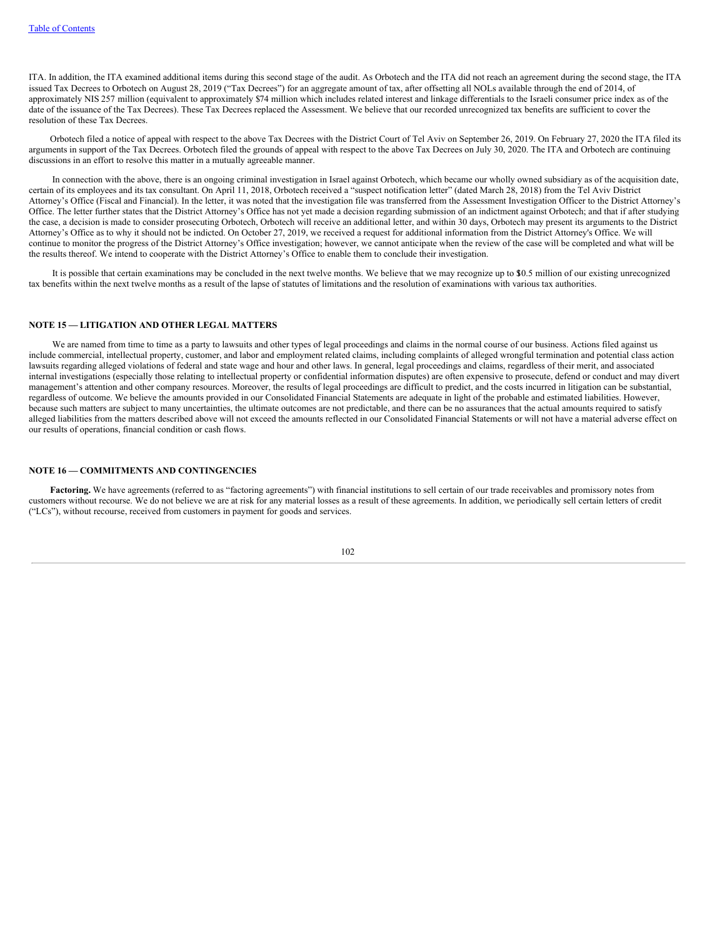ITA. In addition, the ITA examined additional items during this second stage of the audit. As Orbotech and the ITA did not reach an agreement during the second stage, the ITA issued Tax Decrees to Orbotech on August 28, 2019 ("Tax Decrees") for an aggregate amount of tax, after offsetting all NOLs available through the end of 2014, of approximately NIS 257 million (equivalent to approximately \$74 million which includes related interest and linkage differentials to the Israeli consumer price index as of the date of the issuance of the Tax Decrees). These Tax Decrees replaced the Assessment. We believe that our recorded unrecognized tax benefits are sufficient to cover the resolution of these Tax Decrees.

Orbotech filed a notice of appeal with respect to the above Tax Decrees with the District Court of Tel Aviv on September 26, 2019. On February 27, 2020 the ITA filed its arguments in support of the Tax Decrees. Orbotech filed the grounds of appeal with respect to the above Tax Decrees on July 30, 2020. The ITA and Orbotech are continuing discussions in an effort to resolve this matter in a mutually agreeable manner.

In connection with the above, there is an ongoing criminal investigation in Israel against Orbotech, which became our wholly owned subsidiary as of the acquisition date, certain of its employees and its tax consultant. On April 11, 2018, Orbotech received a "suspect notification letter" (dated March 28, 2018) from the Tel Aviv District Attorney's Office (Fiscal and Financial). In the letter, it was noted that the investigation file was transferred from the Assessment Investigation Officer to the District Attorney's Office. The letter further states that the District Attorney's Office has not yet made a decision regarding submission of an indictment against Orbotech; and that if after studying the case, a decision is made to consider prosecuting Orbotech, Orbotech will receive an additional letter, and within 30 days, Orbotech may present its arguments to the District Attorney's Office as to why it should not be indicted. On October 27, 2019, we received a request for additional information from the District Attorney's Office. We will continue to monitor the progress of the District Attorney's Office investigation; however, we cannot anticipate when the review of the case will be completed and what will be the results thereof. We intend to cooperate with the District Attorney's Office to enable them to conclude their investigation.

It is possible that certain examinations may be concluded in the next twelve months. We believe that we may recognize up to \$10.5 million of our existing unrecognized tax benefits within the next twelve months as a result of the lapse of statutes of limitations and the resolution of examinations with various tax authorities.

## **NOTE 15 — LITIGATION AND OTHER LEGAL MATTERS**

We are named from time to time as a party to lawsuits and other types of legal proceedings and claims in the normal course of our business. Actions filed against us include commercial, intellectual property, customer, and labor and employment related claims, including complaints of alleged wrongful termination and potential class action lawsuits regarding alleged violations of federal and state wage and hour and other laws. In general, legal proceedings and claims, regardless of their merit, and associated internal investigations (especially those relating to intellectual property or confidential information disputes) are often expensive to prosecute, defend or conduct and may divert management's attention and other company resources. Moreover, the results of legal proceedings are difficult to predict, and the costs incurred in litigation can be substantial, regardless of outcome. We believe the amounts provided in our Consolidated Financial Statements are adequate in light of the probable and estimated liabilities. However, because such matters are subject to many uncertainties, the ultimate outcomes are not predictable, and there can be no assurances that the actual amounts required to satisfy alleged liabilities from the matters described above will not exceed the amounts reflected in our Consolidated Financial Statements or will not have a material adverse effect on our results of operations, financial condition or cash flows.

## **NOTE 16 — COMMITMENTS AND CONTINGENCIES**

Factoring. We have agreements (referred to as "factoring agreements") with financial institutions to sell certain of our trade receivables and promissory notes from customers without recourse. We do not believe we are at risk for any material losses as a result of these agreements. In addition, we periodically sell certain letters of credit ("LCs"), without recourse, received from customers in payment for goods and services.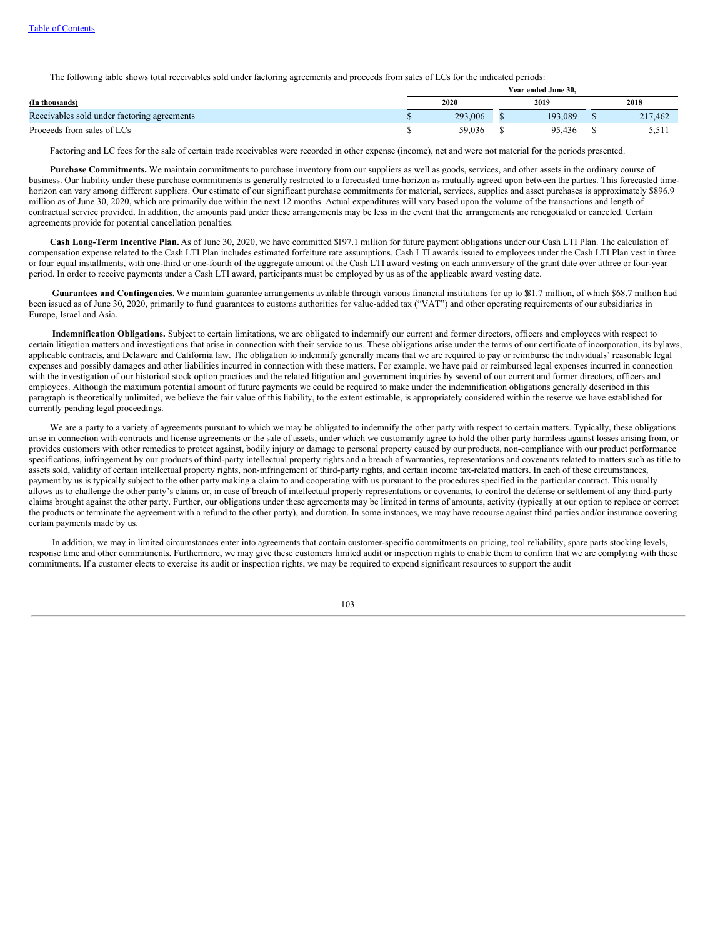The following table shows total receivables sold under factoring agreements and proceeds from sales of LCs for the indicated periods:

| (In thousands)                              | Year ended June 30. |  |         |  |         |  |  |  |
|---------------------------------------------|---------------------|--|---------|--|---------|--|--|--|
|                                             | 2020                |  | 2019    |  | 2018    |  |  |  |
| Receivables sold under factoring agreements | 293,006             |  | 193,089 |  | 217,462 |  |  |  |
| Proceeds from sales of LCs                  | 59.036              |  | 95.436  |  | 5,511   |  |  |  |

Factoring and LC fees for the sale of certain trade receivables were recorded in other expense (income), net and were not material for the periods presented.

**Purchase Commitments.** We maintain commitments to purchase inventory from our suppliers as well as goods, services, and other assets in the ordinary course of business. Our liability under these purchase commitments is generally restricted to a forecasted time-horizon as mutually agreed upon between the parties. This forecasted timehorizon can vary among different suppliers. Our estimate of our significant purchase commitments for material, services, supplies and asset purchases is approximately \$896.9 million as of June 30, 2020, which are primarily due within the next 12 months. Actual expenditures will vary based upon the volume of the transactions and length of contractual service provided. In addition, the amounts paid under these arrangements may be less in the event that the arrangements are renegotiated or canceled. Certain agreements provide for potential cancellation penalties.

**Cash Long-Term Incentive Plan.** As of June 30, 2020, we have committed \$197.1 million for future payment obligations under our Cash LTI Plan. The calculation of compensation expense related to the Cash LTI Plan includes estimated forfeiture rate assumptions. Cash LTI awards issued to employees under the Cash LTI Plan vest in three or four equal installments, with one-third or one-fourth of the aggregate amount of the Cash LTI award vesting on each anniversary of the grant date over athree or four-year period. In order to receive payments under a Cash LTI award, participants must be employed by us as of the applicable award vesting date.

**Guarantees and Contingencies.** We maintain guarantee arrangements available through various financial institutions for up to \$81.7 million, of which \$68.7 million had been issued as of June 30, 2020, primarily to fund guarantees to customs authorities for value-added tax ("VAT") and other operating requirements of our subsidiaries in Europe, Israel and Asia.

**Indemnification Obligations.** Subject to certain limitations, we are obligated to indemnify our current and former directors, officers and employees with respect to certain litigation matters and investigations that arise in connection with their service to us. These obligations arise under the terms of our certificate of incorporation, its bylaws, applicable contracts, and Delaware and California law. The obligation to indemnify generally means that we are required to pay or reimburse the individuals' reasonable legal expenses and possibly damages and other liabilities incurred in connection with these matters. For example, we have paid or reimbursed legal expenses incurred in connection with the investigation of our historical stock option practices and the related litigation and government inquiries by several of our current and former directors, officers and employees. Although the maximum potential amount of future payments we could be required to make under the indemnification obligations generally described in this paragraph is theoretically unlimited, we believe the fair value of this liability, to the extent estimable, is appropriately considered within the reserve we have established for currently pending legal proceedings.

We are a party to a variety of agreements pursuant to which we may be obligated to indemnify the other party with respect to certain matters. Typically, these obligations arise in connection with contracts and license agreements or the sale of assets, under which we customarily agree to hold the other party harmless against losses arising from, or provides customers with other remedies to protect against, bodily injury or damage to personal property caused by our products, non-compliance with our product performance specifications, infringement by our products of third-party intellectual property rights and a breach of warranties, representations and covenants related to matters such as title to assets sold, validity of certain intellectual property rights, non-infringement of third-party rights, and certain income tax-related matters. In each of these circumstances, payment by us is typically subject to the other party making a claim to and cooperating with us pursuant to the procedures specified in the particular contract. This usually allows us to challenge the other party's claims or, in case of breach of intellectual property representations or covenants, to control the defense or settlement of any third-party claims brought against the other party. Further, our obligations under these agreements may be limited in terms of amounts, activity (typically at our option to replace or correct the products or terminate the agreement with a refund to the other party), and duration. In some instances, we may have recourse against third parties and/or insurance covering certain payments made by us.

In addition, we may in limited circumstances enter into agreements that contain customer-specific commitments on pricing, tool reliability, spare parts stocking levels, response time and other commitments. Furthermore, we may give these customers limited audit or inspection rights to enable them to confirm that we are complying with these commitments. If a customer elects to exercise its audit or inspection rights, we may be required to expend significant resources to support the audit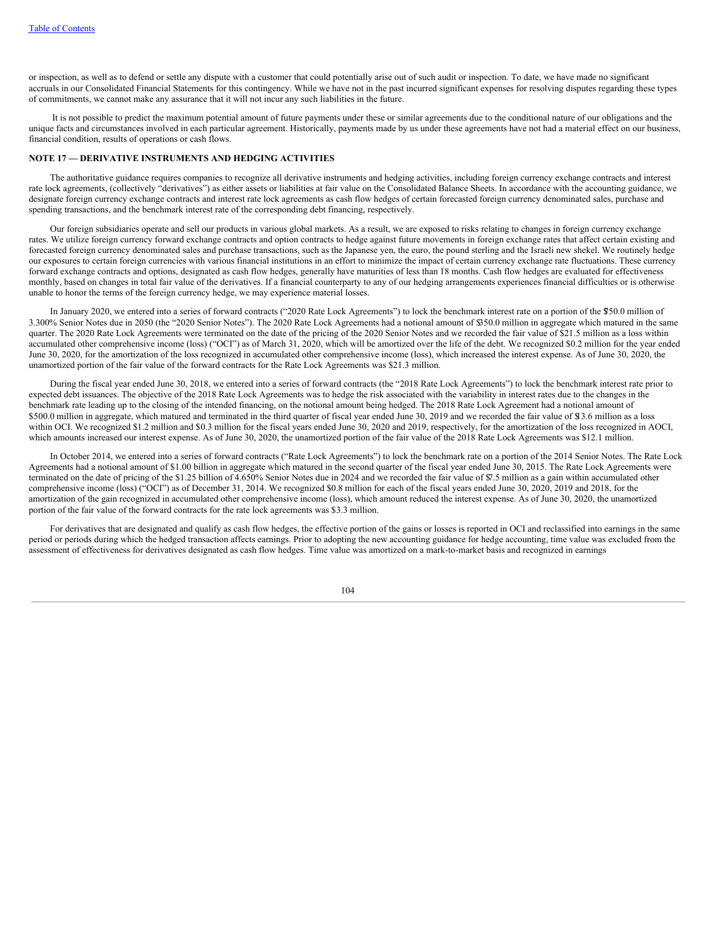or inspection, as well as to defend or settle any dispute with a customer that could potentially arise out of such audit or inspection. To date, we have made no significant accruals in our Consolidated Financial Statements for this contingency. While we have not in the past incurred significant expenses for resolving disputes regarding these types of commitments, we cannot make any assurance that it will not incur any such liabilities in the future.

It is not possible to predict the maximum potential amount of future payments under these or similar agreements due to the conditional nature of our obligations and the unique facts and circumstances involved in each particular agreement. Historically, payments made by us under these agreements have not had a material effect on our business, financial condition, results of operations or cash flows.

## **NOTE 17 — DERIVATIVE INSTRUMENTS AND HEDGING ACTIVITIES**

The authoritative guidance requires companies to recognize all derivative instruments and hedging activities, including foreign currency exchange contracts and interest rate lock agreements, (collectively "derivatives") as either assets or liabilities at fair value on the Consolidated Balance Sheets. In accordance with the accounting guidance, we designate foreign currency exchange contracts and interest rate lock agreements as cash flow hedges of certain forecasted foreign currency denominated sales, purchase and spending transactions, and the benchmark interest rate of the corresponding debt financing, respectively.

Our foreign subsidiaries operate and sell our products in various global markets. As a result, we are exposed to risks relating to changes in foreign currency exchange rates. We utilize foreign currency forward exchange contracts and option contracts to hedge against future movements in foreign exchange rates that affect certain existing and forecasted foreign currency denominated sales and purchase transactions, such as the Japanese yen, the euro, the pound sterling and the Israeli new shekel. We routinely hedge our exposures to certain foreign currencies with various financial institutions in an effort to minimize the impact of certain currency exchange rate fluctuations. These currency forward exchange contracts and options, designated as cash flow hedges, generally have maturities of less than 18 months. Cash flow hedges are evaluated for effectiveness monthly, based on changes in total fair value of the derivatives. If a financial counterparty to any of our hedging arrangements experiences financial difficulties or is otherwise unable to honor the terms of the foreign currency hedge, we may experience material losses.

In January 2020, we entered into a series of forward contracts ("2020 Rate Lock Agreements") to lock the benchmark interest rate on a portion of the \$750.0 million of 3.300% Senior Notes due in 2050 (the "2020 Senior Notes"). The 2020 Rate Lock Agreements had a notional amount of \$350.0 million in aggregate which matured in the same quarter. The 2020 Rate Lock Agreements were terminated on the date of the pricing of the 2020 Senior Notes and we recorded the fair value of \$21.5 million as a loss within accumulated other comprehensive income (loss) ("OCI") as of March 31, 2020, which will be amortized over the life of the debt. We recognized \$0.2 million for the year ended June 30, 2020, for the amortization of the loss recognized in accumulated other comprehensive income (loss), which increased the interest expense. As of June 30, 2020, the unamortized portion of the fair value of the forward contracts for the Rate Lock Agreements was \$21.3 million.

During the fiscal year ended June 30, 2018, we entered into a series of forward contracts (the "2018 Rate Lock Agreements") to lock the benchmark interest rate prior to expected debt issuances. The objective of the 2018 Rate Lock Agreements was to hedge the risk associated with the variability in interest rates due to the changes in the benchmark rate leading up to the closing of the intended financing, on the notional amount being hedged. The 2018 Rate Lock Agreement had a notional amount of \$500.0 million in aggregate, which matured and terminated in the third quarter of fiscal year ended June 30, 2019 and we recorded the fair value of \$13.6 million as a loss within OCI. We recognized \$1.2 million and \$0.3 million for the fiscal years ended June 30, 2020 and 2019, respectively, for the amortization of the loss recognized in AOCI, which amounts increased our interest expense. As of June 30, 2020, the unamortized portion of the fair value of the 2018 Rate Lock Agreements was \$12.1 million.

In October 2014, we entered into a series of forward contracts ("Rate Lock Agreements") to lock the benchmark rate on a portion of the 2014 Senior Notes. The Rate Lock Agreements had a notional amount of \$1.00 billion in aggregate which matured in the second quarter of the fiscal year ended June 30, 2015. The Rate Lock Agreements were terminated on the date of pricing of the \$1.25 billion of 4.650% Senior Notes due in 2024 and we recorded the fair value of \$7.5 million as a gain within accumulated other comprehensive income (loss) ("OCI") as of December 31, 2014. We recognized \$0.8 million for each of the fiscal years ended June 30, 2020, 2019 and 2018, for the amortization of the gain recognized in accumulated other comprehensive income (loss), which amount reduced the interest expense. As of June 30, 2020, the unamortized portion of the fair value of the forward contracts for the rate lock agreements was \$3.3 million.

For derivatives that are designated and qualify as cash flow hedges, the effective portion of the gains or losses is reported in OCI and reclassified into earnings in the same period or periods during which the hedged transaction affects earnings. Prior to adopting the new accounting guidance for hedge accounting, time value was excluded from the assessment of effectiveness for derivatives designated as cash flow hedges. Time value was amortized on a mark-to-market basis and recognized in earnings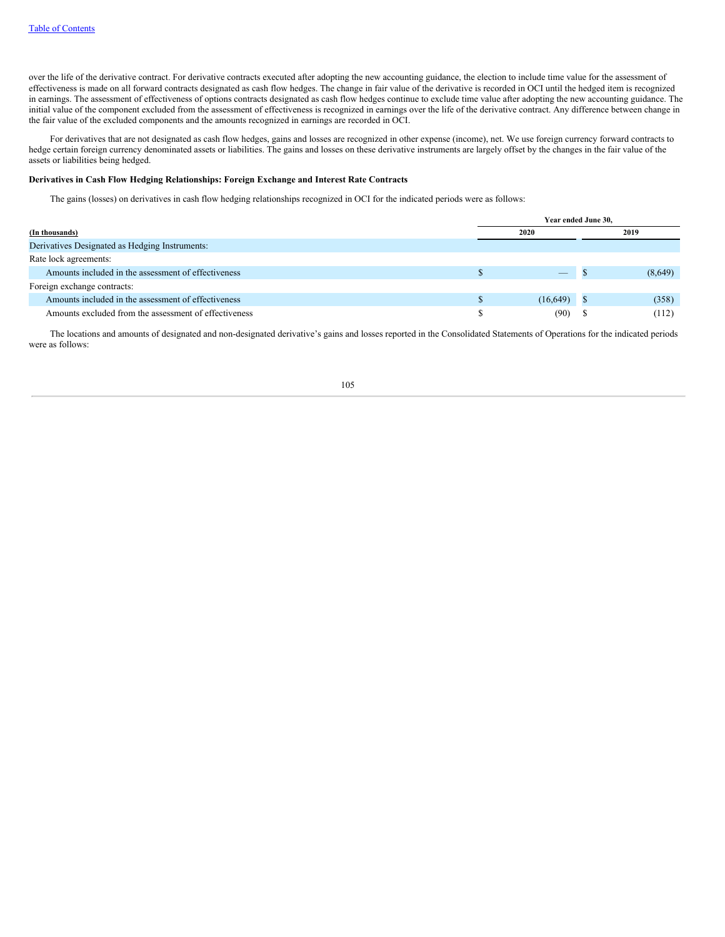over the life of the derivative contract. For derivative contracts executed after adopting the new accounting guidance, the election to include time value for the assessment of effectiveness is made on all forward contracts designated as cash flow hedges. The change in fair value of the derivative is recorded in OCI until the hedged item is recognized in earnings. The assessment of effectiveness of options contracts designated as cash flow hedges continue to exclude time value after adopting the new accounting guidance. The initial value of the component excluded from the assessment of effectiveness is recognized in earnings over the life of the derivative contract. Any difference between change in the fair value of the excluded components and the amounts recognized in earnings are recorded in OCI.

For derivatives that are not designated as cash flow hedges, gains and losses are recognized in other expense (income), net. We use foreign currency forward contracts to hedge certain foreign currency denominated assets or liabilities. The gains and losses on these derivative instruments are largely offset by the changes in the fair value of the assets or liabilities being hedged.

## **Derivatives in Cash Flow Hedging Relationships: Foreign Exchange and Interest Rate Contracts**

The gains (losses) on derivatives in cash flow hedging relationships recognized in OCI for the indicated periods were as follows:

|                                                       | Year ended June 30. |               |  |         |  |  |  |
|-------------------------------------------------------|---------------------|---------------|--|---------|--|--|--|
| (In thousands)                                        |                     | 2020          |  | 2019    |  |  |  |
| Derivatives Designated as Hedging Instruments:        |                     |               |  |         |  |  |  |
| Rate lock agreements:                                 |                     |               |  |         |  |  |  |
| Amounts included in the assessment of effectiveness   |                     | $-$           |  | (8,649) |  |  |  |
| Foreign exchange contracts:                           |                     |               |  |         |  |  |  |
| Amounts included in the assessment of effectiveness   |                     | $(16,649)$ \$ |  | (358)   |  |  |  |
| Amounts excluded from the assessment of effectiveness |                     | (90)          |  | (112)   |  |  |  |

The locations and amounts of designated and non-designated derivative's gains and losses reported in the Consolidated Statements of Operations for the indicated periods were as follows: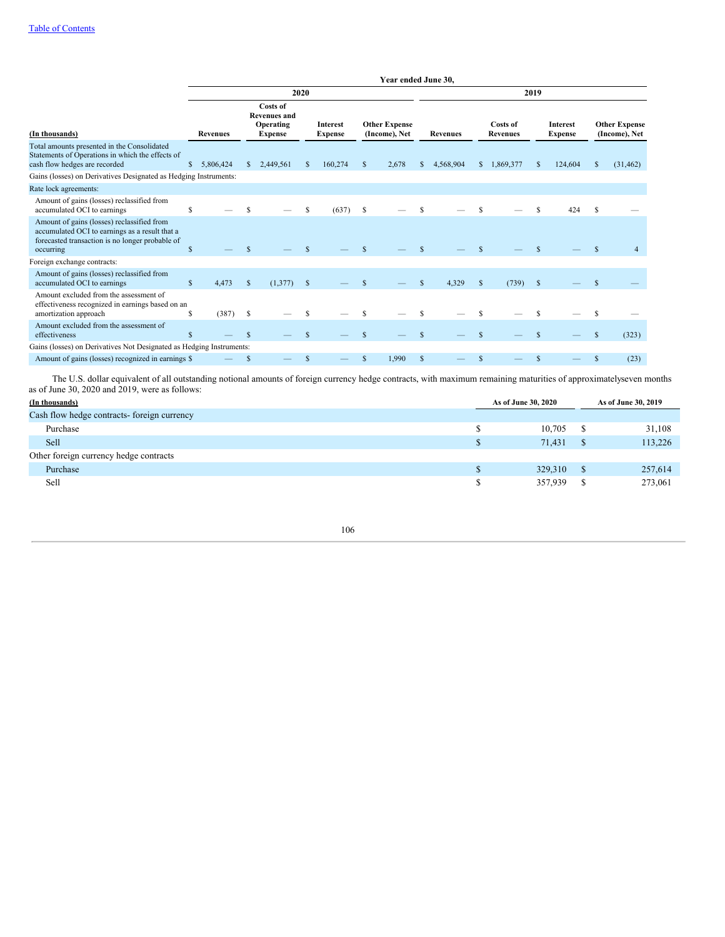|                                                                                                                                                              |               |                 |               |                                                                |      |                            |          | Year ended June 30,                   |    |                 |                             |           |                                   |         |                                       |           |
|--------------------------------------------------------------------------------------------------------------------------------------------------------------|---------------|-----------------|---------------|----------------------------------------------------------------|------|----------------------------|----------|---------------------------------------|----|-----------------|-----------------------------|-----------|-----------------------------------|---------|---------------------------------------|-----------|
|                                                                                                                                                              |               |                 |               |                                                                | 2020 |                            |          |                                       |    |                 |                             |           | 2019                              |         |                                       |           |
| (In thousands)                                                                                                                                               |               | <b>Revenues</b> |               | Costs of<br><b>Revenues and</b><br>Operating<br><b>Expense</b> |      | Interest<br><b>Expense</b> |          | <b>Other Expense</b><br>(Income), Net |    | <b>Revenues</b> | Costs of<br><b>Revenues</b> |           | <b>Interest</b><br><b>Expense</b> |         | <b>Other Expense</b><br>(Income), Net |           |
| Total amounts presented in the Consolidated<br>Statements of Operations in which the effects of<br>cash flow hedges are recorded                             |               | \$5,806,424     |               | 2,449,561                                                      |      | 160,274                    |          | 2,678                                 | S. | 4,568,904       |                             | 1,869,377 |                                   | 124,604 |                                       | (31, 462) |
| Gains (losses) on Derivatives Designated as Hedging Instruments:                                                                                             |               |                 |               |                                                                |      |                            |          |                                       |    |                 |                             |           |                                   |         |                                       |           |
| Rate lock agreements:                                                                                                                                        |               |                 |               |                                                                |      |                            |          |                                       |    |                 |                             |           |                                   |         |                                       |           |
| Amount of gains (losses) reclassified from<br>accumulated OCI to earnings                                                                                    | S             |                 |               |                                                                |      | (637)                      | S        |                                       |    |                 | ς                           |           |                                   | 424     | \$.                                   |           |
| Amount of gains (losses) reclassified from<br>accumulated OCI to earnings as a result that a<br>forecasted transaction is no longer probable of<br>occurring | S             |                 | $\mathcal{S}$ |                                                                |      |                            |          |                                       |    |                 |                             |           |                                   |         | $\mathbf S$                           |           |
| Foreign exchange contracts:                                                                                                                                  |               |                 |               |                                                                |      |                            |          |                                       |    |                 |                             |           |                                   |         |                                       |           |
| Amount of gains (losses) reclassified from<br>accumulated OCI to earnings                                                                                    | S             | 4.473           | <sup>S</sup>  | (1,377)                                                        | S    |                            |          |                                       |    | 4.329           | <sup>\$</sup>               | (739)     | <sup>S</sup>                      |         |                                       |           |
| Amount excluded from the assessment of<br>effectiveness recognized in earnings based on an<br>amortization approach                                          | S             | (387)           | <sup>\$</sup> |                                                                |      |                            | S        |                                       |    |                 | <b>S</b>                    |           |                                   |         | S                                     |           |
| Amount excluded from the assessment of<br>effectiveness                                                                                                      | <sup>\$</sup> |                 |               |                                                                |      |                            | ٢        |                                       |    |                 | S                           |           |                                   |         | $\mathcal{S}$                         | (323)     |
| Gains (losses) on Derivatives Not Designated as Hedging Instruments:                                                                                         |               |                 |               |                                                                |      |                            |          |                                       |    |                 |                             |           |                                   |         |                                       |           |
| Amount of gains (losses) recognized in earnings \$                                                                                                           |               |                 | <b>S</b>      |                                                                |      |                            | <b>S</b> | 1,990                                 |    |                 |                             |           |                                   |         | $\mathcal{S}$                         | (23)      |

The U.S. dollar equivalent of all outstanding notional amounts of foreign currency hedge contracts, with maximum remaining maturities of approximatelyseven months as of June 30, 2020 and 2019, were as follows:

| (In thousands)                             | As of June 30, 2020 |         |      | As of June 30, 2019 |
|--------------------------------------------|---------------------|---------|------|---------------------|
| Cash flow hedge contracts-foreign currency |                     |         |      |                     |
| Purchase                                   |                     | 10.705  |      | 31,108              |
| <b>Sell</b>                                | Ъ                   | 71.431  | - \$ | 113,226             |
| Other foreign currency hedge contracts     |                     |         |      |                     |
| Purchase                                   | S.                  | 329,310 |      | 257,614             |
| Sell                                       |                     | 357.939 | - \$ | 273,061             |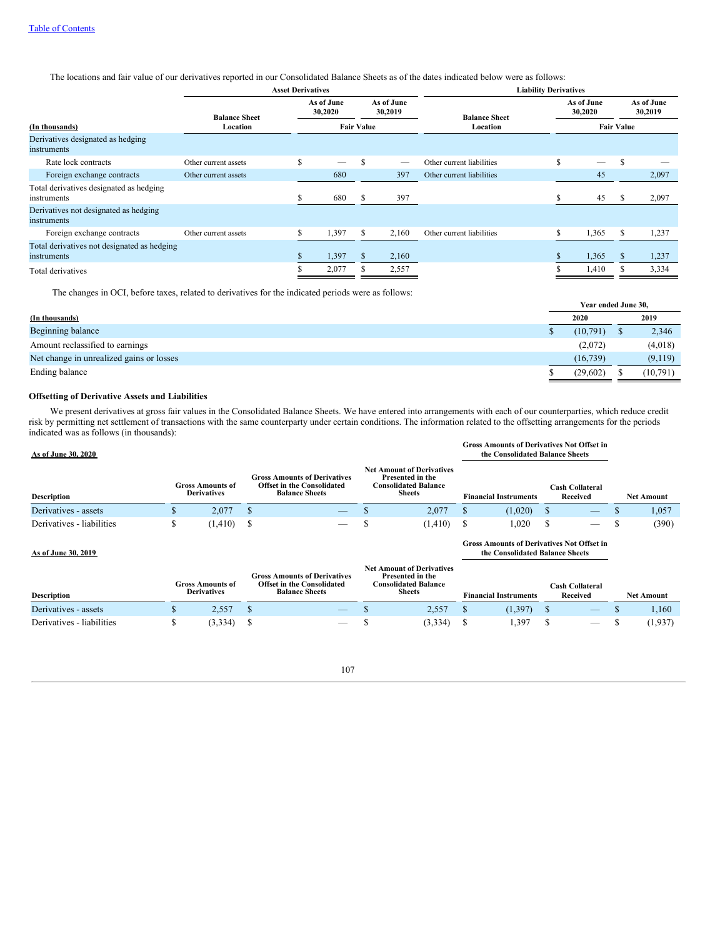The locations and fair value of our derivatives reported in our Consolidated Balance Sheets as of the dates indicated below were as follows:

|                                                            |                      | <b>Asset Derivatives</b>         |       |                   |                      | <b>Liability Derivatives</b> |   |                       |   |       |  |  |
|------------------------------------------------------------|----------------------|----------------------------------|-------|-------------------|----------------------|------------------------------|---|-----------------------|---|-------|--|--|
|                                                            | <b>Balance Sheet</b> | As of June<br>30,2020<br>30,2019 |       | As of June        | <b>Balance Sheet</b> | As of June<br>30,2020        |   | As of June<br>30,2019 |   |       |  |  |
| (In thousands)                                             | Location             |                                  |       | <b>Fair Value</b> |                      | Location                     |   | <b>Fair Value</b>     |   |       |  |  |
| Derivatives designated as hedging<br>instruments           |                      |                                  |       |                   |                      |                              |   |                       |   |       |  |  |
| Rate lock contracts                                        | Other current assets | S                                |       | S                 |                      | Other current liabilities    | S | $\sim$                | S |       |  |  |
| Foreign exchange contracts                                 | Other current assets |                                  | 680   |                   | 397                  | Other current liabilities    |   | 45                    |   | 2,097 |  |  |
| Total derivatives designated as hedging<br>instruments     |                      |                                  | 680   | S                 | 397                  |                              |   | 45                    | S | 2,097 |  |  |
| Derivatives not designated as hedging<br>instruments       |                      |                                  |       |                   |                      |                              |   |                       |   |       |  |  |
| Foreign exchange contracts                                 | Other current assets |                                  | 1,397 | S                 | 2,160                | Other current liabilities    |   | 1,365                 | S | 1,237 |  |  |
| Total derivatives not designated as hedging<br>instruments |                      |                                  | 1,397 | S                 | 2,160                |                              |   | 1,365                 | S | 1,237 |  |  |
| Total derivatives                                          |                      |                                  | 2,077 | S                 | 2,557                |                              |   | 1,410                 |   | 3,334 |  |  |

The changes in OCI, before taxes, related to derivatives for the indicated periods were as follows:

|                                          | Year ended June 30. |           |
|------------------------------------------|---------------------|-----------|
| (In thousands)                           | 2020                | 2019      |
| Beginning balance                        | (10, 791)           | 2,346     |
| Amount reclassified to earnings          | (2,072)             | (4,018)   |
| Net change in unrealized gains or losses | (16, 739)           | (9,119)   |
| Ending balance                           | (29,602)            | (10, 791) |

### **Offsetting of Derivative Assets and Liabilities**

We present derivatives at gross fair values in the Consolidated Balance Sheets. We have entered into arrangements with each of our counterparties, which reduce credit risk by permitting net settlement of transactions with the same counterparty under certain conditions. The information related to the offsetting arrangements for the periods indicated was as follows (in thousands):

> **Gross Amounts of Derivatives Not Offset in the Consolidated Balance Sheets**

|  | As of June 30, 2020 |  |  |
|--|---------------------|--|--|
|  |                     |  |  |

| <b>Description</b>        |   | <b>Gross Amounts of</b><br><b>Derivatives</b> |               | <b>Gross Amounts of Derivatives</b><br><b>Offset in the Consolidated</b><br><b>Balance Sheets</b> |    | <b>Net Amount of Derivatives</b><br>Presented in the<br><b>Consolidated Balance</b><br><b>Sheets</b> |              | <b>Financial Instruments</b>                                                         |    | <b>Cash Collateral</b><br>Received |    | <b>Net Amount</b> |
|---------------------------|---|-----------------------------------------------|---------------|---------------------------------------------------------------------------------------------------|----|------------------------------------------------------------------------------------------------------|--------------|--------------------------------------------------------------------------------------|----|------------------------------------|----|-------------------|
| Derivatives - assets      | S | 2,077                                         | <b>S</b>      | $-$                                                                                               | J. | 2,077                                                                                                | S.           | (1,020)                                                                              | S  | $\overline{\phantom{m}}$           | ъ  | 1,057             |
| Derivatives - liabilities | S | (1, 410)                                      | S             | _                                                                                                 | J. | (1,410)                                                                                              | S            | 1,020                                                                                | S  |                                    | \$ | (390)             |
| As of June 30, 2019       |   |                                               |               |                                                                                                   |    |                                                                                                      |              | <b>Gross Amounts of Derivatives Not Offset in</b><br>the Consolidated Balance Sheets |    |                                    |    |                   |
| <b>Description</b>        |   | <b>Gross Amounts of</b><br><b>Derivatives</b> |               | <b>Gross Amounts of Derivatives</b><br><b>Offset in the Consolidated</b><br><b>Balance Sheets</b> |    | <b>Net Amount of Derivatives</b><br>Presented in the<br><b>Consolidated Balance</b><br><b>Sheets</b> |              | <b>Financial Instruments</b>                                                         |    | <b>Cash Collateral</b><br>Received |    | <b>Net Amount</b> |
| Derivatives - assets      | Ф | 2,557                                         | <sup>\$</sup> | $-$                                                                                               | J. | 2,557                                                                                                | <sup>S</sup> | (1, 397)                                                                             | -S | $-$                                |    | 1,160             |
| Derivatives - liabilities | S | (3,334)                                       | S             |                                                                                                   |    | (3,334)                                                                                              | S            | 1,397                                                                                | S  | $-$                                |    | (1,937)           |

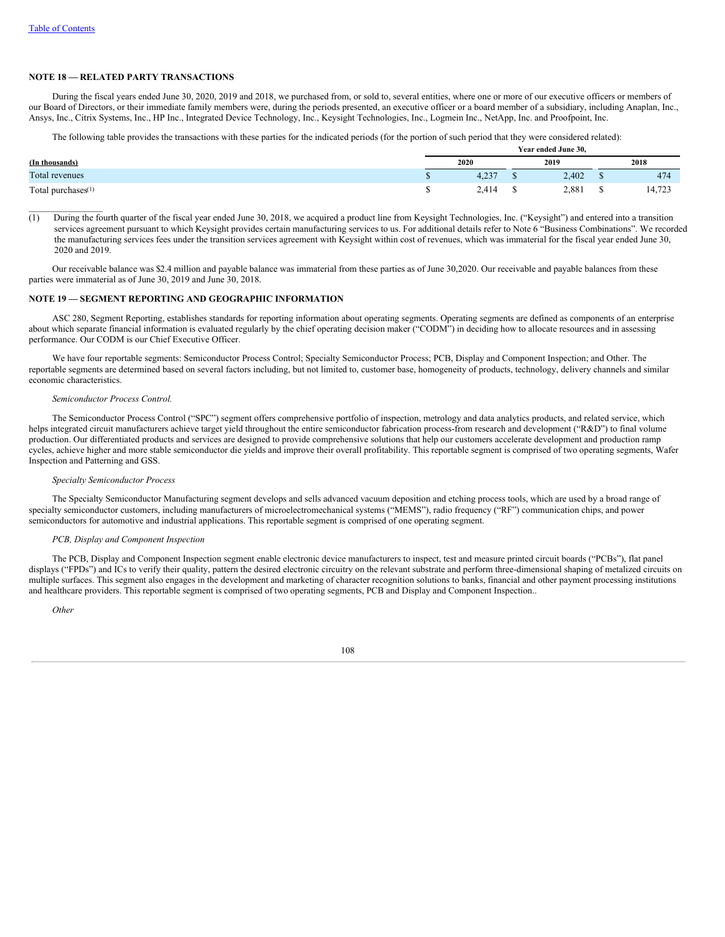$\mathcal{L}=\mathcal{L}^{\mathcal{L}}$  , where  $\mathcal{L}^{\mathcal{L}}$ 

### **NOTE 18 — RELATED PARTY TRANSACTIONS**

During the fiscal years ended June 30, 2020, 2019 and 2018, we purchased from, or sold to, several entities, where one or more of our executive officers or members of our Board of Directors, or their immediate family members were, during the periods presented, an executive officer or a board member of a subsidiary, including Anaplan, Inc., Ansys, Inc., Citrix Systems, Inc., HP Inc., Integrated Device Technology, Inc., Keysight Technologies, Inc., Logmein Inc., NetApp, Inc. and Proofpoint, Inc.

The following table provides the transactions with these parties for the indicated periods (for the portion of such period that they were considered related):

|                       |       | Year ended June 30. |        |
|-----------------------|-------|---------------------|--------|
| (In thousands)        | 2020  | 2019                | 2018   |
| Total revenues        | 4.237 | 2,402               | 474    |
| Total purchases $(1)$ | 2,414 | 2,881               | 14,723 |

(1) During the fourth quarter of the fiscal year ended June 30, 2018, we acquired a product line from Keysight Technologies, Inc. ("Keysight") and entered into a transition services agreement pursuant to which Keysight provides certain manufacturing services to us. For additional details refer to Note 6 "Business Combinations". We recorded the manufacturing services fees under the transition services agreement with Keysight within cost of revenues, which was immaterial for the fiscal year ended June 30, 2020 and 2019.

Our receivable balance was \$2.4 million and payable balance was immaterial from these parties as of June 30,2020. Our receivable and payable balances from these parties were immaterial as of June 30, 2019 and June 30, 2018.

#### **NOTE 19 — SEGMENT REPORTING AND GEOGRAPHIC INFORMATION**

ASC 280, Segment Reporting, establishes standards for reporting information about operating segments. Operating segments are defined as components of an enterprise about which separate financial information is evaluated regularly by the chief operating decision maker ("CODM") in deciding how to allocate resources and in assessing performance. Our CODM is our Chief Executive Officer.

We have four reportable segments: Semiconductor Process Control; Specialty Semiconductor Process; PCB, Display and Component Inspection; and Other. The reportable segments are determined based on several factors including, but not limited to, customer base, homogeneity of products, technology, delivery channels and similar economic characteristics.

#### *Semiconductor Process Control.*

The Semiconductor Process Control ("SPC") segment offers comprehensive portfolio of inspection, metrology and data analytics products, and related service, which helps integrated circuit manufacturers achieve target yield throughout the entire semiconductor fabrication process-from research and development ("R&D") to final volume production. Our differentiated products and services are designed to provide comprehensive solutions that help our customers accelerate development and production ramp cycles, achieve higher and more stable semiconductor die yields and improve their overall profitability. This reportable segment is comprised of two operating segments, Wafer Inspection and Patterning and GSS.

#### *Specialty Semiconductor Process*

The Specialty Semiconductor Manufacturing segment develops and sells advanced vacuum deposition and etching process tools, which are used by a broad range of specialty semiconductor customers, including manufacturers of microelectromechanical systems ("MEMS"), radio frequency ("RF") communication chips, and power semiconductors for automotive and industrial applications. This reportable segment is comprised of one operating segment.

### *PCB, Display and Component Inspection*

The PCB, Display and Component Inspection segment enable electronic device manufacturers to inspect, test and measure printed circuit boards ("PCBs"), flat panel displays ("FPDs") and ICs to verify their quality, pattern the desired electronic circuitry on the relevant substrate and perform three-dimensional shaping of metalized circuits on multiple surfaces. This segment also engages in the development and marketing of character recognition solutions to banks, financial and other payment processing institutions and healthcare providers. This reportable segment is comprised of two operating segments, PCB and Display and Component Inspection..

*Other*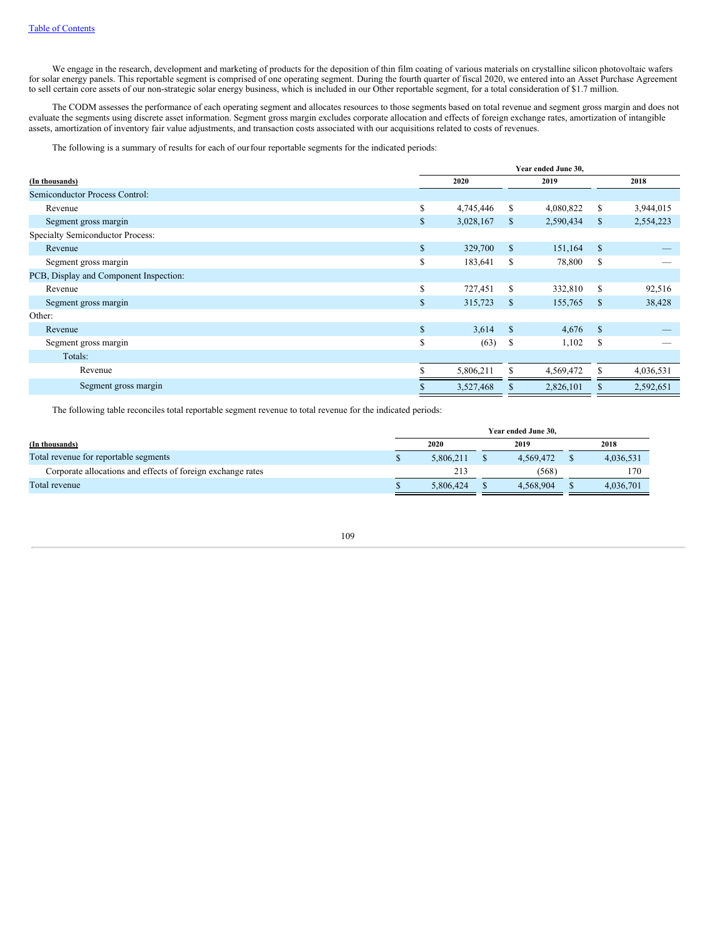We engage in the research, development and marketing of products for the deposition of thin film coating of various materials on crystalline silicon photovoltaic wafers for solar energy panels. This reportable segment is comprised of one operating segment. During the fourth quarter of fiscal 2020, we entered into an Asset Purchase Agreement to sell certain core assets of our non-strategic solar energy business, which is included in our Other reportable segment, for a total consideration of \$1.7 million.

The CODM assesses the performance of each operating segment and allocates resources to those segments based on total revenue and segment gross margin and does not evaluate the segments using discrete asset information. Segment gross margin excludes corporate allocation and effects of foreign exchange rates, amortization of intangible assets, amortization of inventory fair value adjustments, and transaction costs associated with our acquisitions related to costs of revenues.

The following is a summary of results for each of ourfour reportable segments for the indicated periods:

|              | 2020      |              | 2019      |                     | 2018      |
|--------------|-----------|--------------|-----------|---------------------|-----------|
|              |           |              |           |                     |           |
| \$           | 4,745,446 | \$           | 4,080,822 | <sup>\$</sup>       | 3,944,015 |
| \$           | 3,028,167 | \$           | 2,590,434 | $\mathcal{S}$       | 2,554,223 |
|              |           |              |           |                     |           |
| $\mathbb{S}$ | 329,700   | $\mathbb{S}$ | 151,164   | <sup>\$</sup>       |           |
| \$           | 183,641   | \$           | 78,800    | <sup>\$</sup>       |           |
|              |           |              |           |                     |           |
| \$           | 727,451   | \$           | 332,810   | <sup>\$</sup>       | 92,516    |
| \$           | 315,723   | \$           | 155,765   | $\mathcal{S}$       | 38,428    |
|              |           |              |           |                     |           |
| \$           | 3,614     | $\mathbb{S}$ | 4,676     | $\mathcal{S}$       |           |
| \$           | (63)      | \$           | 1,102     | \$                  |           |
|              |           |              |           |                     |           |
|              | 5,806,211 | S            | 4,569,472 | S                   | 4,036,531 |
|              | 3,527,468 | \$.          | 2,826,101 | \$                  | 2,592,651 |
|              |           |              |           | Year ended June 30, |           |

The following table reconciles total reportable segment revenue to total revenue for the indicated periods:

|                                                             | Year ended June 30. |           |  |           |  |           |  |  |  |  |
|-------------------------------------------------------------|---------------------|-----------|--|-----------|--|-----------|--|--|--|--|
| (In thousands)                                              |                     | 2020      |  | 2019      |  | 2018      |  |  |  |  |
| Total revenue for reportable segments                       |                     | 5,806,211 |  | 4.569.472 |  | 4,036,531 |  |  |  |  |
| Corporate allocations and effects of foreign exchange rates |                     | 213       |  | (568)     |  | 170       |  |  |  |  |
| Total revenue                                               |                     | 5.806.424 |  | 4.568.904 |  | 4.036.701 |  |  |  |  |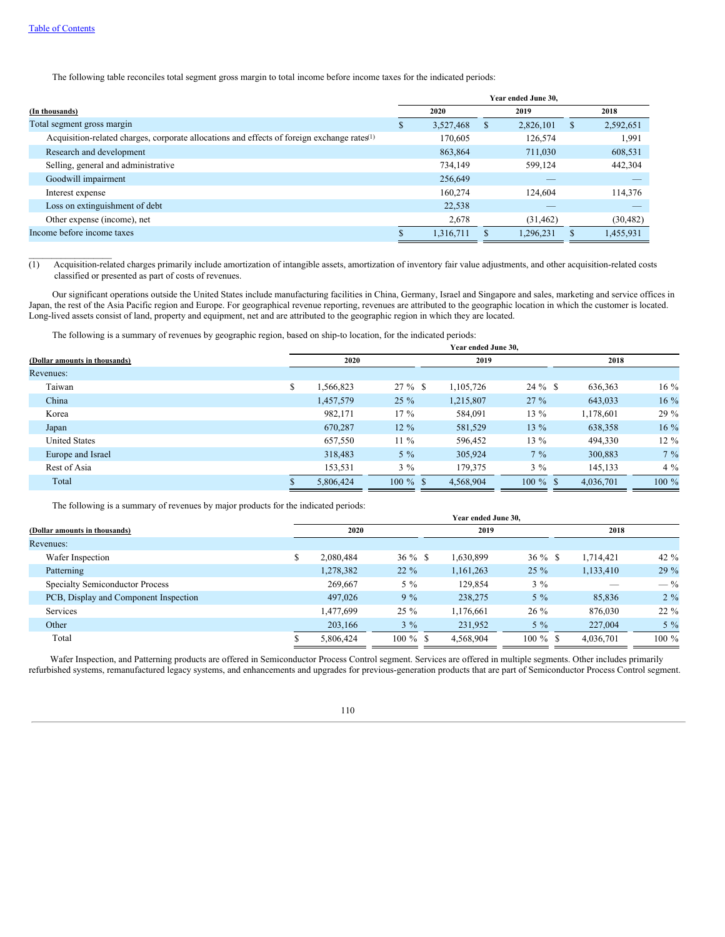$\mathcal{L}=\mathcal{L}^{\mathcal{L}}$  , where  $\mathcal{L}^{\mathcal{L}}$ 

The following table reconciles total segment gross margin to total income before income taxes for the indicated periods:

|                                                                                                         |     |           |    | Year ended June 30, |    |           |
|---------------------------------------------------------------------------------------------------------|-----|-----------|----|---------------------|----|-----------|
| (In thousands)                                                                                          |     | 2020      |    | 2019                |    | 2018      |
| Total segment gross margin                                                                              | аħ. | 3,527,468 | Ъ. | 2,826,101           | S. | 2,592,651 |
| Acquisition-related charges, corporate allocations and effects of foreign exchange rates <sup>(1)</sup> |     | 170,605   |    | 126,574             |    | 1,991     |
| Research and development                                                                                |     | 863,864   |    | 711,030             |    | 608,531   |
| Selling, general and administrative                                                                     |     | 734,149   |    | 599.124             |    | 442,304   |
| Goodwill impairment                                                                                     |     | 256,649   |    |                     |    |           |
| Interest expense                                                                                        |     | 160,274   |    | 124,604             |    | 114,376   |
| Loss on extinguishment of debt                                                                          |     | 22,538    |    |                     |    |           |
| Other expense (income), net                                                                             |     | 2,678     |    | (31, 462)           |    | (30, 482) |
| Income before income taxes                                                                              |     | 1,316,711 |    | 1,296,231           |    | 1,455,931 |

(1) Acquisition-related charges primarily include amortization of intangible assets, amortization of inventory fair value adjustments, and other acquisition-related costs classified or presented as part of costs of revenues.

Our significant operations outside the United States include manufacturing facilities in China, Germany, Israel and Singapore and sales, marketing and service offices in Japan, the rest of the Asia Pacific region and Europe. For geographical revenue reporting, revenues are attributed to the geographic location in which the customer is located. Long-lived assets consist of land, property and equipment, net and are attributed to the geographic region in which they are located.

The following is a summary of revenues by geographic region, based on ship-to location, for the indicated periods:

|                               | Year ended June 30, |           |             |  |           |             |  |           |          |  |  |
|-------------------------------|---------------------|-----------|-------------|--|-----------|-------------|--|-----------|----------|--|--|
| (Dollar amounts in thousands) |                     | 2020      |             |  | 2019      |             |  |           |          |  |  |
| Revenues:                     |                     |           |             |  |           |             |  |           |          |  |  |
| Taiwan                        | \$                  | 1,566,823 | $27 \%$ \$  |  | 1,105,726 | $24 \%$ \$  |  | 636, 363  | 16 %     |  |  |
| China                         |                     | 1,457,579 | $25\%$      |  | 1,215,807 | $27\%$      |  | 643,033   | $16\%$   |  |  |
| Korea                         |                     | 982,171   | $17\%$      |  | 584,091   | 13 %        |  | 1,178,601 | 29 %     |  |  |
| Japan                         |                     | 670,287   | $12\%$      |  | 581,529   | $13\%$      |  | 638,358   | 16 %     |  |  |
| <b>United States</b>          |                     | 657,550   | $11\%$      |  | 596,452   | $13\%$      |  | 494,330   | $12\%$   |  |  |
| Europe and Israel             |                     | 318,483   | $5\%$       |  | 305,924   | $7\%$       |  | 300,883   | $7\%$    |  |  |
| Rest of Asia                  |                     | 153,531   | $3\%$       |  | 179,375   | $3\%$       |  | 145,133   | $4\%$    |  |  |
| Total                         |                     | 5,806,424 | $100 \%$ \$ |  | 4,568,904 | $100 \%$ \$ |  | 4,036,701 | $100 \%$ |  |  |

The following is a summary of revenues by major products for the indicated periods:

|                                       |    |           |             |           | Year ended June 30. |           |                |
|---------------------------------------|----|-----------|-------------|-----------|---------------------|-----------|----------------|
| (Dollar amounts in thousands)         |    | 2020      |             |           | 2019                | 2018      |                |
| Revenues:                             |    |           |             |           |                     |           |                |
| Wafer Inspection                      | D. | 2,080,484 | $36\%$ \$   | 1,630,899 | $36\%$ \$           | 1,714,421 | 42 $\%$        |
| Patterning                            |    | 1,278,382 | $22\%$      | 1,161,263 | $25\%$              | 1,133,410 | 29 %           |
| Specialty Semiconductor Process       |    | 269,667   | $5\%$       | 129,854   | $3\%$               |           | $-\frac{0}{0}$ |
| PCB, Display and Component Inspection |    | 497,026   | $9\%$       | 238,275   | $5\%$               | 85,836    | $2\%$          |
| Services                              |    | 1,477,699 | $25 \%$     | 1,176,661 | 26 %                | 876,030   | 22 %           |
| Other                                 |    | 203,166   | $3\%$       | 231,952   | $5\%$               | 227,004   | $5\%$          |
| Total                                 |    | 5,806,424 | $100 \%$ \$ | 4,568,904 | $100 \%$ \$         | 4,036,701 | $100\%$        |

Wafer Inspection, and Patterning products are offered in Semiconductor Process Control segment. Services are offered in multiple segments. Other includes primarily refurbished systems, remanufactured legacy systems, and enhancements and upgrades for previous-generation products that are part of Semiconductor Process Control segment.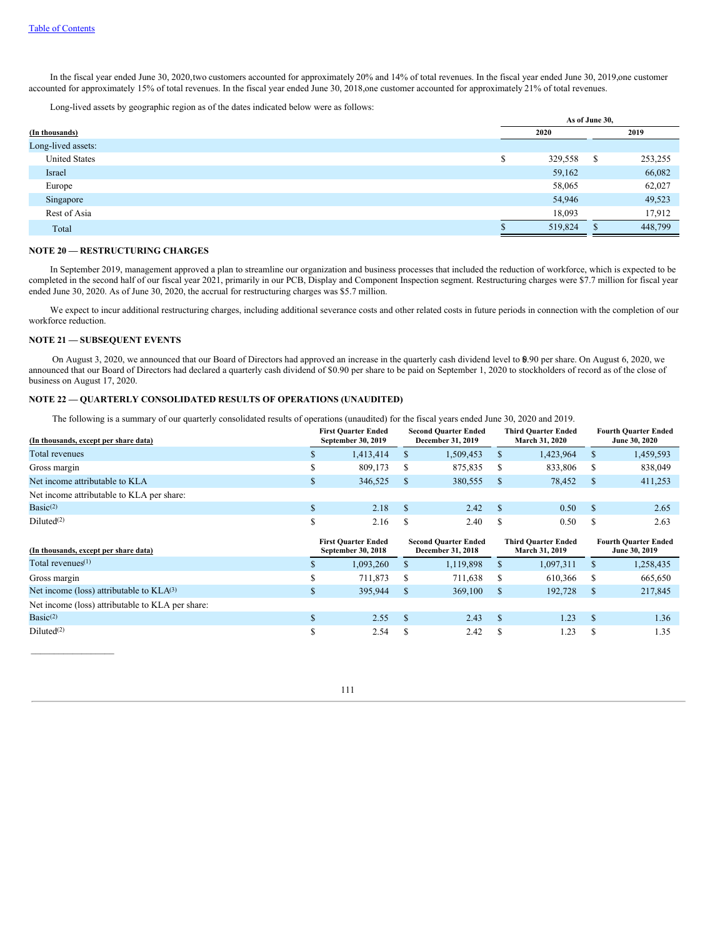In the fiscal year ended June 30, 2020,two customers accounted for approximately 20% and 14% of total revenues. In the fiscal year ended June 30, 2019,one customer accounted for approximately 15% of total revenues. In the fiscal year ended June 30, 2018,one customer accounted for approximately 21% of total revenues.

Long-lived assets by geographic region as of the dates indicated below were as follows:

|                      | As of June 30, |         |    |         |
|----------------------|----------------|---------|----|---------|
| (In thousands)       |                | 2020    |    | 2019    |
| Long-lived assets:   |                |         |    |         |
| <b>United States</b> | \$             | 329,558 | \$ | 253,255 |
| Israel               |                | 59,162  |    | 66,082  |
| Europe               |                | 58,065  |    | 62,027  |
| Singapore            |                | 54,946  |    | 49,523  |
| Rest of Asia         |                | 18,093  |    | 17,912  |
| Total                |                | 519,824 | \$ | 448,799 |

### **NOTE 20 — RESTRUCTURING CHARGES**

In September 2019, management approved a plan to streamline our organization and business processes that included the reduction of workforce, which is expected to be completed in the second half of our fiscal year 2021, primarily in our PCB, Display and Component Inspection segment. Restructuring charges were \$7.7 million for fiscal year ended June 30, 2020. As of June 30, 2020, the accrual for restructuring charges was \$5.7 million.

We expect to incur additional restructuring charges, including additional severance costs and other related costs in future periods in connection with the completion of our workforce reduction.

### **NOTE 21 — SUBSEQUENT EVENTS**

 $\mathcal{L}=\mathcal{L}^{\mathcal{L}}$  , where  $\mathcal{L}^{\mathcal{L}}$ 

On August 3, 2020, we announced that our Board of Directors had approved an increase in the quarterly cash dividend level to 0.90 per share. On August 6, 2020, we announced that our Board of Directors had declared a quarterly cash dividend of \$0.90 per share to be paid on September 1, 2020 to stockholders of record as of the close of business on August 17, 2020.

### **NOTE 22 — QUARTERLY CONSOLIDATED RESULTS OF OPERATIONS (UNAUDITED)**

The following is a summary of our quarterly consolidated results of operations (unaudited) for the fiscal years ended June 30, 2020 and 2019.

| (In thousands, except per share data)     | <b>First Quarter Ended</b><br>September 30, 2019 |               | <b>Second Quarter Ended</b><br>December 31, 2019 |               | <b>Third Quarter Ended</b><br><b>March 31, 2020</b> | <b>Fourth Quarter Ended</b><br><b>June 30, 2020</b> |
|-------------------------------------------|--------------------------------------------------|---------------|--------------------------------------------------|---------------|-----------------------------------------------------|-----------------------------------------------------|
| Total revenues                            | 1.413.414                                        | S             | 1,509,453                                        | <sup>S</sup>  | 1,423,964                                           | 1,459,593                                           |
| Gross margin                              | 809,173                                          |               | 875,835                                          | \$            | 833,806                                             | 838,049                                             |
| Net income attributable to KLA            | 346,525                                          | <sup>\$</sup> | 380,555                                          | <sup>\$</sup> | 78.452                                              | 411,253                                             |
| Net income attributable to KLA per share: |                                                  |               |                                                  |               |                                                     |                                                     |
| Basic <sup>(2)</sup>                      | 2.18                                             |               | 2.42                                             | -S            | 0.50                                                | 2.65                                                |
| Diluted <sup>(2)</sup>                    | 2.16                                             | S             | 2.40                                             | £.            | 0.50                                                | 2.63                                                |

| (In thousands, except per share data)            | <b>First Ouarter Ended</b><br>September 30, 2018 |   | <b>Second Ouarter Ended</b><br><b>December 31, 2018</b> |    | <b>Third Ouarter Ended</b><br><b>March 31, 2019</b> | <b>Fourth Quarter Ended</b><br>June 30, 2019 |
|--------------------------------------------------|--------------------------------------------------|---|---------------------------------------------------------|----|-----------------------------------------------------|----------------------------------------------|
| Total revenues $(1)$                             | 1.093.260                                        | S | 1,119,898                                               | S  | 1,097,311                                           | 1,258,435                                    |
| Gross margin                                     | 711.873                                          |   | 711.638                                                 | S  | 610.366                                             | 665,650                                      |
| Net income (loss) attributable to KLA(3)         | 395,944                                          |   | 369,100                                                 | \$ | 192.728                                             | 217,845                                      |
| Net income (loss) attributable to KLA per share: |                                                  |   |                                                         |    |                                                     |                                              |
| Basic <sup>(2)</sup>                             | 2.55                                             |   | 2.43                                                    |    | 1.23                                                | 1.36                                         |
| Diluted <sup>(2)</sup>                           | 2.54                                             |   | 2.42                                                    | £. | .23                                                 | 1.35                                         |

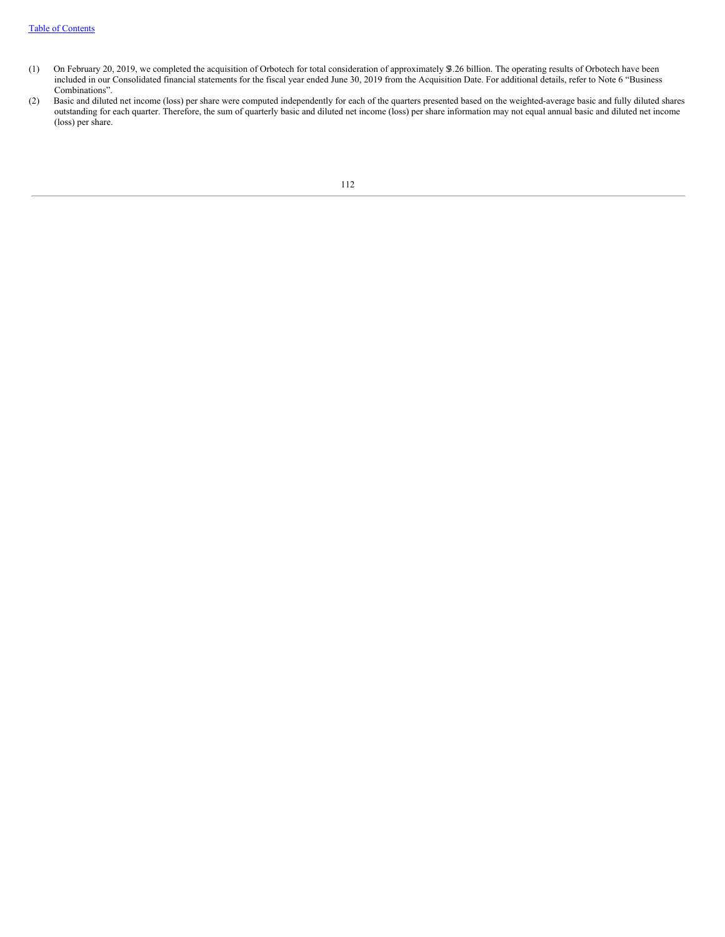- (1) On February 20, 2019, we completed the acquisition of Orbotech for total consideration of approximately \$3.26 billion. The operating results of Orbotech have been included in our Consolidated financial statements for the fiscal year ended June 30, 2019 from the Acquisition Date. For additional details, refer to Note 6 "Business Combinations".
- <span id="page-114-0"></span>(2) Basic and diluted net income (loss) per share were computed independently for each of the quarters presented based on the weighted-average basic and fully diluted shares outstanding for each quarter. Therefore, the sum of quarterly basic and diluted net income (loss) per share information may not equal annual basic and diluted net income (loss) per share.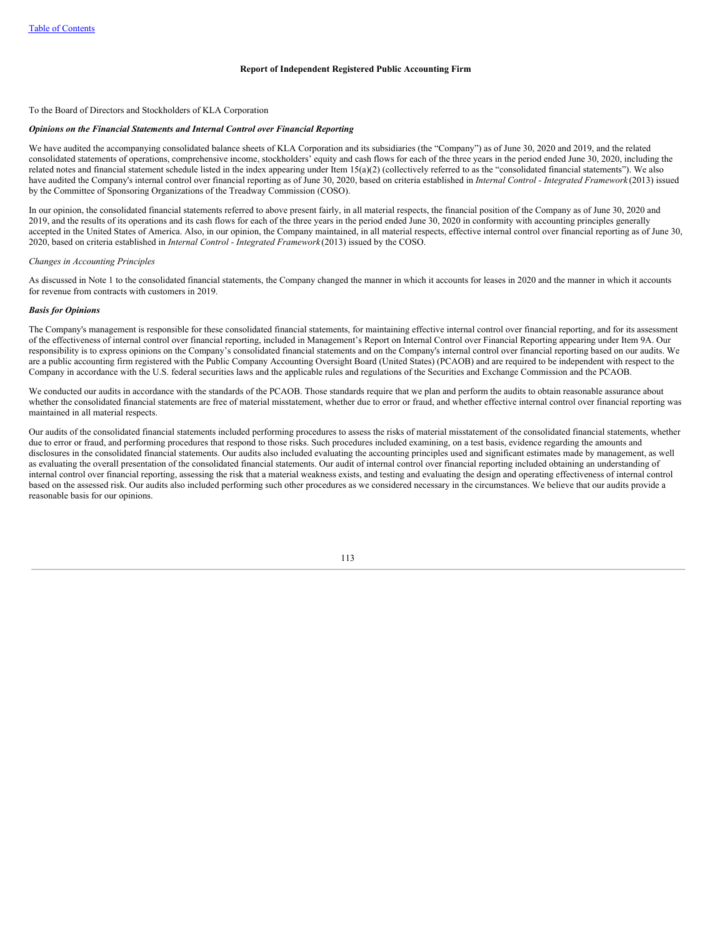#### **Report of Independent Registered Public Accounting Firm**

### To the Board of Directors and Stockholders of KLA Corporation

### *Opinions on the Financial Statements and Internal Control over Financial Reporting*

We have audited the accompanying consolidated balance sheets of KLA Corporation and its subsidiaries (the "Company") as of June 30, 2020 and 2019, and the related consolidated statements of operations, comprehensive income, stockholders' equity and cash flows for each of the three years in the period ended June 30, 2020, including the related notes and financial statement schedule listed in the index appearing under Item 15(a)(2) (collectively referred to as the "consolidated financial statements"). We also have audited the Company's internal control over financial reporting as of June 30, 2020, based on criteria established in *Internal Control - Integrated Framework* (2013) issued by the Committee of Sponsoring Organizations of the Treadway Commission (COSO).

In our opinion, the consolidated financial statements referred to above present fairly, in all material respects, the financial position of the Company as of June 30, 2020 and 2019, and the results of its operations and its cash flows for each of the three years in the period ended June 30, 2020 in conformity with accounting principles generally accepted in the United States of America. Also, in our opinion, the Company maintained, in all material respects, effective internal control over financial reporting as of June 30, 2020, based on criteria established in *Internal Control - Integrated Framework* (2013) issued by the COSO.

#### *Changes in Accounting Principles*

As discussed in Note 1 to the consolidated financial statements, the Company changed the manner in which it accounts for leases in 2020 and the manner in which it accounts for revenue from contracts with customers in 2019.

### *Basis for Opinions*

The Company's management is responsible for these consolidated financial statements, for maintaining effective internal control over financial reporting, and for its assessment of the effectiveness of internal control over financial reporting, included in Management's Report on Internal Control over Financial Reporting appearing under Item 9A. Our responsibility is to express opinions on the Company's consolidated financial statements and on the Company's internal control over financial reporting based on our audits. We are a public accounting firm registered with the Public Company Accounting Oversight Board (United States) (PCAOB) and are required to be independent with respect to the Company in accordance with the U.S. federal securities laws and the applicable rules and regulations of the Securities and Exchange Commission and the PCAOB.

We conducted our audits in accordance with the standards of the PCAOB. Those standards require that we plan and perform the audits to obtain reasonable assurance about whether the consolidated financial statements are free of material misstatement, whether due to error or fraud, and whether effective internal control over financial reporting was maintained in all material respects.

Our audits of the consolidated financial statements included performing procedures to assess the risks of material misstatement of the consolidated financial statements, whether due to error or fraud, and performing procedures that respond to those risks. Such procedures included examining, on a test basis, evidence regarding the amounts and disclosures in the consolidated financial statements. Our audits also included evaluating the accounting principles used and significant estimates made by management, as well as evaluating the overall presentation of the consolidated financial statements. Our audit of internal control over financial reporting included obtaining an understanding of internal control over financial reporting, assessing the risk that a material weakness exists, and testing and evaluating the design and operating effectiveness of internal control based on the assessed risk. Our audits also included performing such other procedures as we considered necessary in the circumstances. We believe that our audits provide a reasonable basis for our opinions.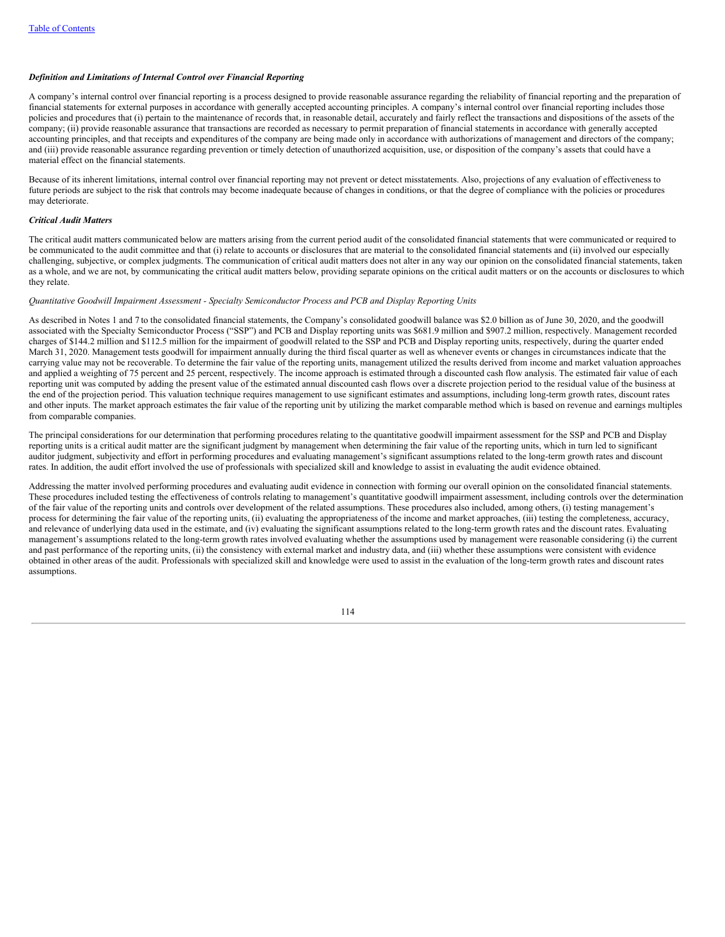### *Definition and Limitations of Internal Control over Financial Reporting*

A company's internal control over financial reporting is a process designed to provide reasonable assurance regarding the reliability of financial reporting and the preparation of financial statements for external purposes in accordance with generally accepted accounting principles. A company's internal control over financial reporting includes those policies and procedures that (i) pertain to the maintenance of records that, in reasonable detail, accurately and fairly reflect the transactions and dispositions of the assets of the company; (ii) provide reasonable assurance that transactions are recorded as necessary to permit preparation of financial statements in accordance with generally accepted accounting principles, and that receipts and expenditures of the company are being made only in accordance with authorizations of management and directors of the company; and (iii) provide reasonable assurance regarding prevention or timely detection of unauthorized acquisition, use, or disposition of the company's assets that could have a material effect on the financial statements.

Because of its inherent limitations, internal control over financial reporting may not prevent or detect misstatements. Also, projections of any evaluation of effectiveness to future periods are subject to the risk that controls may become inadequate because of changes in conditions, or that the degree of compliance with the policies or procedures may deteriorate.

### *Critical Audit Matters*

The critical audit matters communicated below are matters arising from the current period audit of the consolidated financial statements that were communicated or required to be communicated to the audit committee and that (i) relate to accounts or disclosures that are material to the consolidated financial statements and (ii) involved our especially challenging, subjective, or complex judgments. The communication of critical audit matters does not alter in any way our opinion on the consolidated financial statements, taken as a whole, and we are not, by communicating the critical audit matters below, providing separate opinions on the critical audit matters or on the accounts or disclosures to which they relate.

### *Quantitative Goodwill Impairment Assessment - Specialty Semiconductor Process and PCB and Display Reporting Units*

As described in Notes 1 and 7 to the consolidated financial statements, the Company's consolidated goodwill balance was \$2.0 billion as of June 30, 2020, and the goodwill associated with the Specialty Semiconductor Process ("SSP") and PCB and Display reporting units was \$681.9 million and \$907.2 million, respectively. Management recorded charges of \$144.2 million and \$112.5 million for the impairment of goodwill related to the SSP and PCB and Display reporting units, respectively, during the quarter ended March 31, 2020. Management tests goodwill for impairment annually during the third fiscal quarter as well as whenever events or changes in circumstances indicate that the carrying value may not be recoverable. To determine the fair value of the reporting units, management utilized the results derived from income and market valuation approaches and applied a weighting of 75 percent and 25 percent, respectively. The income approach is estimated through a discounted cash flow analysis. The estimated fair value of each reporting unit was computed by adding the present value of the estimated annual discounted cash flows over a discrete projection period to the residual value of the business at the end of the projection period. This valuation technique requires management to use significant estimates and assumptions, including long-term growth rates, discount rates and other inputs. The market approach estimates the fair value of the reporting unit by utilizing the market comparable method which is based on revenue and earnings multiples from comparable companies.

The principal considerations for our determination that performing procedures relating to the quantitative goodwill impairment assessment for the SSP and PCB and Display reporting units is a critical audit matter are the significant judgment by management when determining the fair value of the reporting units, which in turn led to significant auditor judgment, subjectivity and effort in performing procedures and evaluating management's significant assumptions related to the long-term growth rates and discount rates. In addition, the audit effort involved the use of professionals with specialized skill and knowledge to assist in evaluating the audit evidence obtained.

Addressing the matter involved performing procedures and evaluating audit evidence in connection with forming our overall opinion on the consolidated financial statements. These procedures included testing the effectiveness of controls relating to management's quantitative goodwill impairment assessment, including controls over the determination of the fair value of the reporting units and controls over development of the related assumptions. These procedures also included, among others, (i) testing management's process for determining the fair value of the reporting units, (ii) evaluating the appropriateness of the income and market approaches, (iii) testing the completeness, accuracy, and relevance of underlying data used in the estimate, and (iv) evaluating the significant assumptions related to the long-term growth rates and the discount rates. Evaluating management's assumptions related to the long-term growth rates involved evaluating whether the assumptions used by management were reasonable considering (i) the current and past performance of the reporting units, (ii) the consistency with external market and industry data, and (iii) whether these assumptions were consistent with evidence obtained in other areas of the audit. Professionals with specialized skill and knowledge were used to assist in the evaluation of the long-term growth rates and discount rates assumptions.

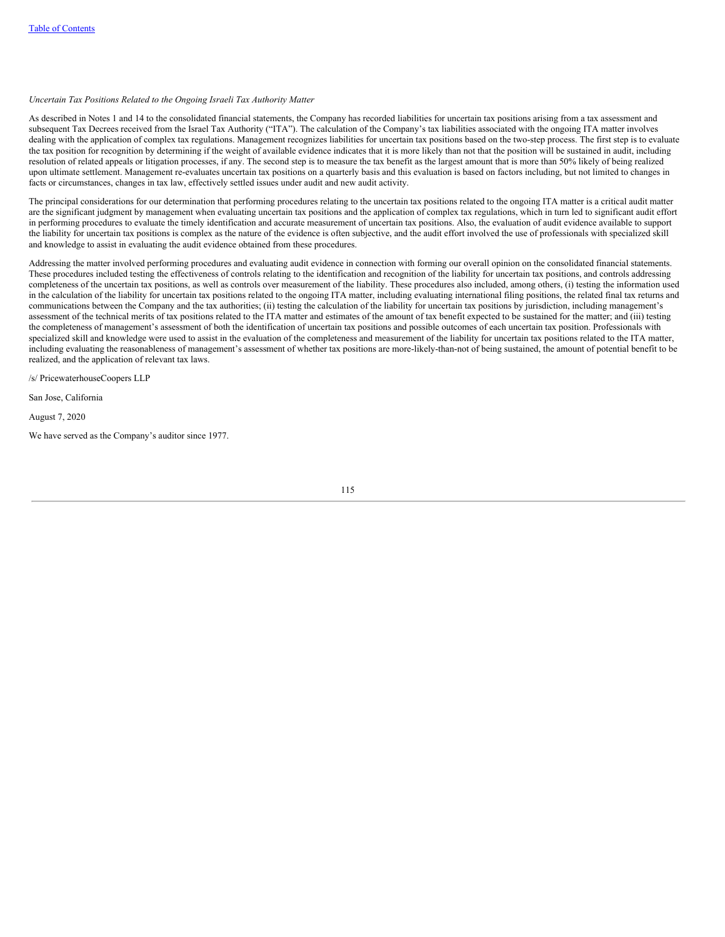### *Uncertain Tax Positions Related to the Ongoing Israeli Tax Authority Matter*

As described in Notes 1 and 14 to the consolidated financial statements, the Company has recorded liabilities for uncertain tax positions arising from a tax assessment and subsequent Tax Decrees received from the Israel Tax Authority ("ITA"). The calculation of the Company's tax liabilities associated with the ongoing ITA matter involves dealing with the application of complex tax regulations. Management recognizes liabilities for uncertain tax positions based on the two-step process. The first step is to evaluate the tax position for recognition by determining if the weight of available evidence indicates that it is more likely than not that the position will be sustained in audit, including resolution of related appeals or litigation processes, if any. The second step is to measure the tax benefit as the largest amount that is more than 50% likely of being realized upon ultimate settlement. Management re-evaluates uncertain tax positions on a quarterly basis and this evaluation is based on factors including, but not limited to changes in facts or circumstances, changes in tax law, effectively settled issues under audit and new audit activity.

The principal considerations for our determination that performing procedures relating to the uncertain tax positions related to the ongoing ITA matter is a critical audit matter are the significant judgment by management when evaluating uncertain tax positions and the application of complex tax regulations, which in turn led to significant audit effort in performing procedures to evaluate the timely identification and accurate measurement of uncertain tax positions. Also, the evaluation of audit evidence available to support the liability for uncertain tax positions is complex as the nature of the evidence is often subjective, and the audit effort involved the use of professionals with specialized skill and knowledge to assist in evaluating the audit evidence obtained from these procedures.

Addressing the matter involved performing procedures and evaluating audit evidence in connection with forming our overall opinion on the consolidated financial statements. These procedures included testing the effectiveness of controls relating to the identification and recognition of the liability for uncertain tax positions, and controls addressing completeness of the uncertain tax positions, as well as controls over measurement of the liability. These procedures also included, among others, (i) testing the information used in the calculation of the liability for uncertain tax positions related to the ongoing ITA matter, including evaluating international filing positions, the related final tax returns and communications between the Company and the tax authorities; (ii) testing the calculation of the liability for uncertain tax positions by jurisdiction, including management's assessment of the technical merits of tax positions related to the ITA matter and estimates of the amount of tax benefit expected to be sustained for the matter; and (iii) testing the completeness of management's assessment of both the identification of uncertain tax positions and possible outcomes of each uncertain tax position. Professionals with specialized skill and knowledge were used to assist in the evaluation of the completeness and measurement of the liability for uncertain tax positions related to the ITA matter, including evaluating the reasonableness of management's assessment of whether tax positions are more-likely-than-not of being sustained, the amount of potential benefit to be realized, and the application of relevant tax laws.

/s/ PricewaterhouseCoopers LLP

San Jose, California

August 7, 2020

We have served as the Company's auditor since 1977.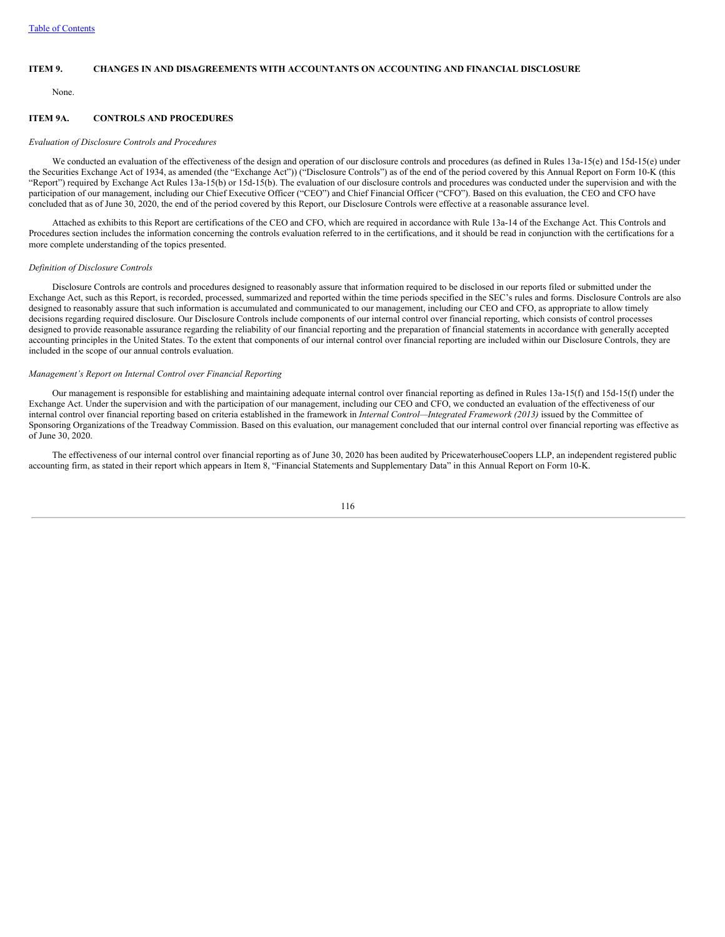### **ITEM 9. CHANGES IN AND DISAGREEMENTS WITH ACCOUNTANTS ON ACCOUNTING AND FINANCIAL DISCLOSURE**

None.

### **ITEM 9A. CONTROLS AND PROCEDURES**

#### *Evaluation of Disclosure Controls and Procedures*

We conducted an evaluation of the effectiveness of the design and operation of our disclosure controls and procedures (as defined in Rules 13a-15(e) and 15d-15(e) under the Securities Exchange Act of 1934, as amended (the "Exchange Act")) ("Disclosure Controls") as of the end of the period covered by this Annual Report on Form 10-K (this "Report") required by Exchange Act Rules 13a-15(b) or 15d-15(b). The evaluation of our disclosure controls and procedures was conducted under the supervision and with the participation of our management, including our Chief Executive Officer ("CEO") and Chief Financial Officer ("CFO"). Based on this evaluation, the CEO and CFO have concluded that as of June 30, 2020, the end of the period covered by this Report, our Disclosure Controls were effective at a reasonable assurance level.

Attached as exhibits to this Report are certifications of the CEO and CFO, which are required in accordance with Rule 13a-14 of the Exchange Act. This Controls and Procedures section includes the information concerning the controls evaluation referred to in the certifications, and it should be read in conjunction with the certifications for a more complete understanding of the topics presented.

#### *Definition of Disclosure Controls*

Disclosure Controls are controls and procedures designed to reasonably assure that information required to be disclosed in our reports filed or submitted under the Exchange Act, such as this Report, is recorded, processed, summarized and reported within the time periods specified in the SEC's rules and forms. Disclosure Controls are also designed to reasonably assure that such information is accumulated and communicated to our management, including our CEO and CFO, as appropriate to allow timely decisions regarding required disclosure. Our Disclosure Controls include components of our internal control over financial reporting, which consists of control processes designed to provide reasonable assurance regarding the reliability of our financial reporting and the preparation of financial statements in accordance with generally accepted accounting principles in the United States. To the extent that components of our internal control over financial reporting are included within our Disclosure Controls, they are included in the scope of our annual controls evaluation.

#### *Management's Report on Internal Control over Financial Reporting*

Our management is responsible for establishing and maintaining adequate internal control over financial reporting as defined in Rules 13a-15(f) and 15d-15(f) under the Exchange Act. Under the supervision and with the participation of our management, including our CEO and CFO, we conducted an evaluation of the effectiveness of our internal control over financial reporting based on criteria established in the framework in *Internal Control—Integrated Framework (2013)* issued by the Committee of Sponsoring Organizations of the Treadway Commission. Based on this evaluation, our management concluded that our internal control over financial reporting was effective as of June 30, 2020.

The effectiveness of our internal control over financial reporting as of June 30, 2020 has been audited by PricewaterhouseCoopers LLP, an independent registered public accounting firm, as stated in their report which appears in Item 8, "Financial Statements and Supplementary Data" in this Annual Report on Form 10-K.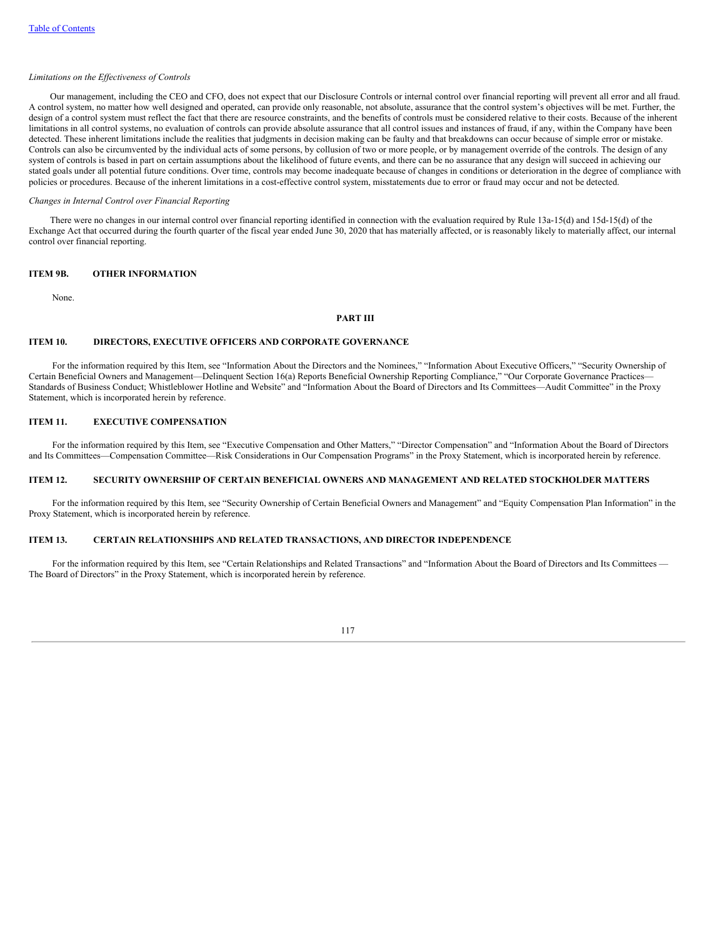### *Limitations on the Ef ectiveness of Controls*

Our management, including the CEO and CFO, does not expect that our Disclosure Controls or internal control over financial reporting will prevent all error and all fraud. A control system, no matter how well designed and operated, can provide only reasonable, not absolute, assurance that the control system's objectives will be met. Further, the design of a control system must reflect the fact that there are resource constraints, and the benefits of controls must be considered relative to their costs. Because of the inherent limitations in all control systems, no evaluation of controls can provide absolute assurance that all control issues and instances of fraud, if any, within the Company have been detected. These inherent limitations include the realities that judgments in decision making can be faulty and that breakdowns can occur because of simple error or mistake. Controls can also be circumvented by the individual acts of some persons, by collusion of two or more people, or by management override of the controls. The design of any system of controls is based in part on certain assumptions about the likelihood of future events, and there can be no assurance that any design will succeed in achieving our stated goals under all potential future conditions. Over time, controls may become inadequate because of changes in conditions or deterioration in the degree of compliance with policies or procedures. Because of the inherent limitations in a cost-effective control system, misstatements due to error or fraud may occur and not be detected.

### *Changes in Internal Control over Financial Reporting*

There were no changes in our internal control over financial reporting identified in connection with the evaluation required by Rule 13a-15(d) and 15d-15(d) of the Exchange Act that occurred during the fourth quarter of the fiscal year ended June 30, 2020 that has materially affected, or is reasonably likely to materially affect, our internal control over financial reporting.

### **ITEM 9B. OTHER INFORMATION**

None.

#### **PART III**

### **ITEM 10. DIRECTORS, EXECUTIVE OFFICERS AND CORPORATE GOVERNANCE**

For the information required by this Item, see "Information About the Directors and the Nominees," "Information About Executive Officers," "Security Ownership of Certain Beneficial Owners and Management—Delinquent Section 16(a) Reports Beneficial Ownership Reporting Compliance," "Our Corporate Governance Practices— Standards of Business Conduct; Whistleblower Hotline and Website" and "Information About the Board of Directors and Its Committees—Audit Committee" in the Proxy Statement, which is incorporated herein by reference.

### **ITEM 11. EXECUTIVE COMPENSATION**

For the information required by this Item, see "Executive Compensation and Other Matters," "Director Compensation" and "Information About the Board of Directors and Its Committees—Compensation Committee—Risk Considerations in Our Compensation Programs" in the Proxy Statement, which is incorporated herein by reference.

#### **ITEM 12. SECURITY OWNERSHIP OF CERTAIN BENEFICIAL OWNERS AND MANAGEMENT AND RELATED STOCKHOLDER MATTERS**

For the information required by this Item, see "Security Ownership of Certain Beneficial Owners and Management" and "Equity Compensation Plan Information" in the Proxy Statement, which is incorporated herein by reference.

### **ITEM 13. CERTAIN RELATIONSHIPS AND RELATED TRANSACTIONS, AND DIRECTOR INDEPENDENCE**

For the information required by this Item, see "Certain Relationships and Related Transactions" and "Information About the Board of Directors and Its Committees — The Board of Directors" in the Proxy Statement, which is incorporated herein by reference.

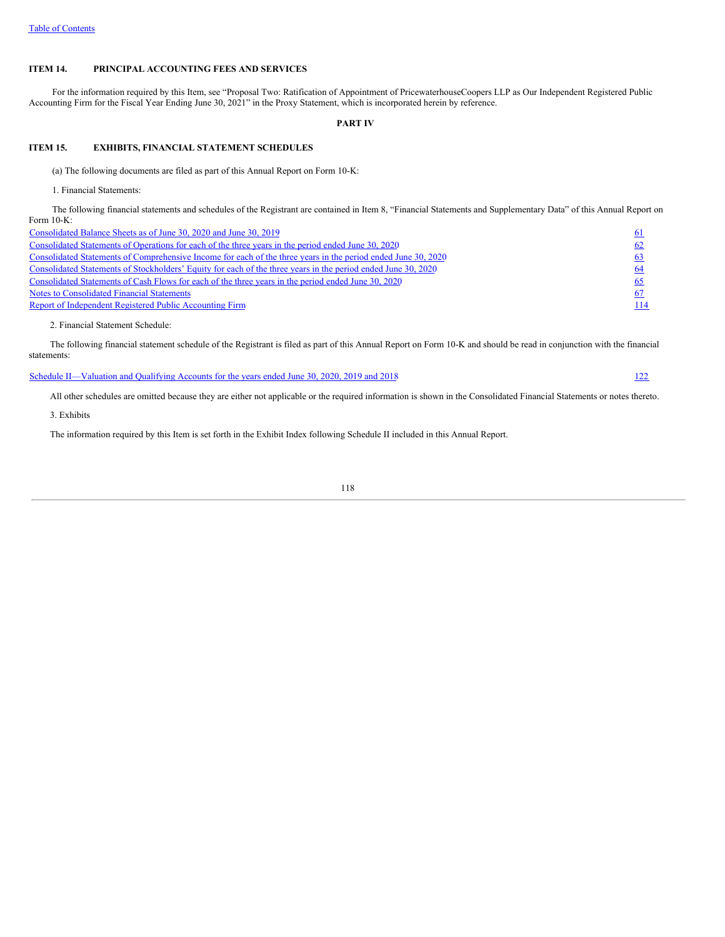### **ITEM 14. PRINCIPAL ACCOUNTING FEES AND SERVICES**

For the information required by this Item, see "Proposal Two: Ratification of Appointment of PricewaterhouseCoopers LLP as Our Independent Registered Public Accounting Firm for the Fiscal Year Ending June 30, 2021" in the Proxy Statement, which is incorporated herein by reference.

### **PART IV**

### **ITEM 15. EXHIBITS, FINANCIAL STATEMENT SCHEDULES**

(a) The following documents are filed as part of this Annual Report on Form 10-K:

1. Financial Statements:

The following financial statements and schedules of the Registrant are contained in Item 8, "Financial Statements and Supplementary Data" of this Annual Report on Form 10-K:

| Consolidated Balance Sheets as of June 30, 2020 and June 30, 2019                                             |     |
|---------------------------------------------------------------------------------------------------------------|-----|
| Consolidated Statements of Operations for each of the three years in the period ended June 30, 2020           |     |
| Consolidated Statements of Comprehensive Income for each of the three years in the period ended June 30, 2020 |     |
| Consolidated Statements of Stockholders' Equity for each of the three years in the period ended June 30, 2020 |     |
| Consolidated Statements of Cash Flows for each of the three years in the period ended June 30, 2020           |     |
| <b>Notes to Consolidated Financial Statements</b>                                                             |     |
| Report of Independent Registered Public Accounting Firm                                                       | 114 |
|                                                                                                               |     |

2. Financial Statement Schedule:

The following financial statement schedule of the Registrant is filed as part of this Annual Report on Form 10-K and should be read in conjunction with the financial statements:

Schedule [II—Valuation](#page-122-0) and Qualifying Accounts for the years ended June 30, 2020, 2019 and 2018 [122](#page-122-0)

All other schedules are omitted because they are either not applicable or the required information is shown in the Consolidated Financial Statements or notes thereto.

3. Exhibits

The information required by this Item is set forth in the Exhibit Index following Schedule II included in this Annual Report.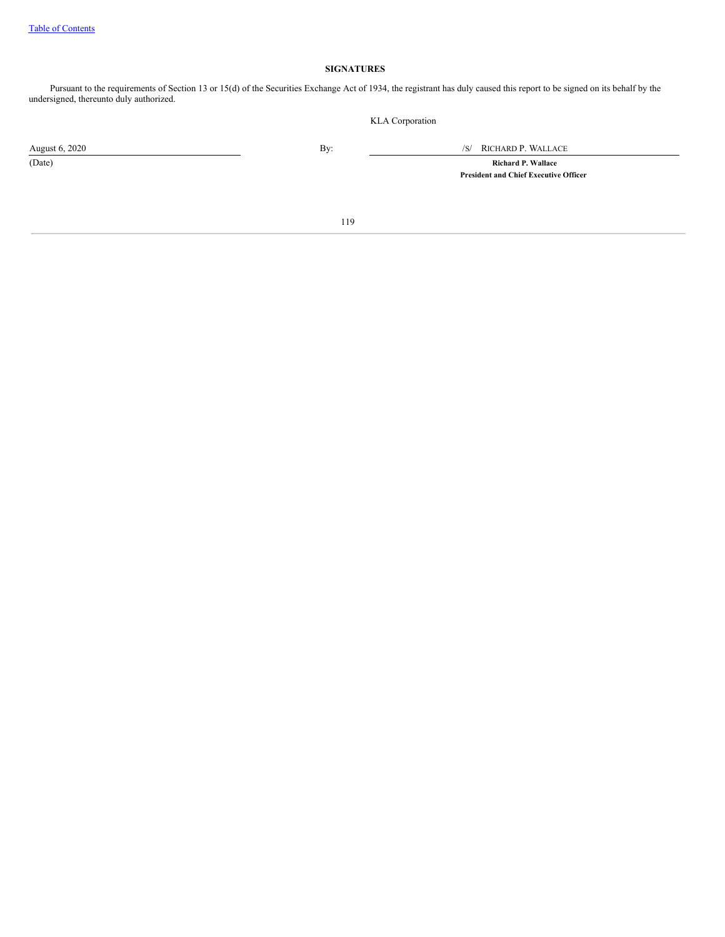### **SIGNATURES**

Pursuant to the requirements of Section 13 or 15(d) of the Securities Exchange Act of 1934, the registrant has duly caused this report to be signed on its behalf by the undersigned, thereunto duly authorized.

## KLA Corporation

August 6, 2020 By: By: /S/ RICHARD P. WALLACE

(Date) **Richard P. Wallace President and Chief Executive Officer**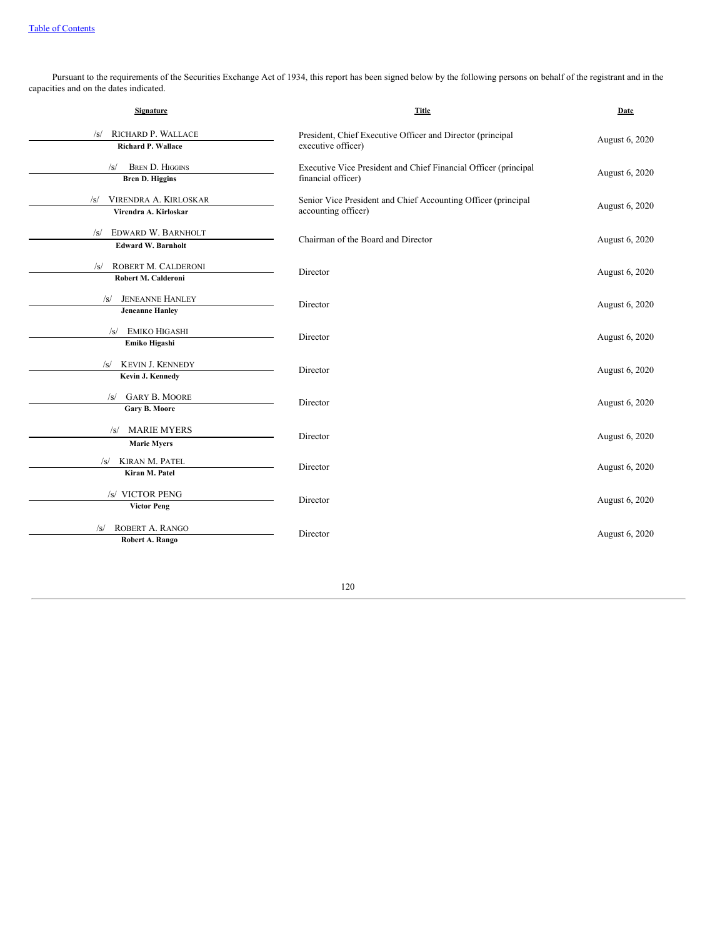Pursuant to the requirements of the Securities Exchange Act of 1934, this report has been signed below by the following persons on behalf of the registrant and in the capacities and on the dates indicated.

<span id="page-122-0"></span>

| Signature                                                      | <b>Title</b>                                                                          | Date           |
|----------------------------------------------------------------|---------------------------------------------------------------------------------------|----------------|
| /s/<br>RICHARD P. WALLACE<br>Richard P. Wallace                | President, Chief Executive Officer and Director (principal<br>executive officer)      | August 6, 2020 |
| <b>BREN D. HIGGINS</b><br>/s/<br><b>Bren D. Higgins</b>        | Executive Vice President and Chief Financial Officer (principal<br>financial officer) | August 6, 2020 |
| VIRENDRA A. KIRLOSKAR<br>$\sqrt{s}$<br>Virendra A. Kirloskar   | Senior Vice President and Chief Accounting Officer (principal<br>accounting officer)  | August 6, 2020 |
| EDWARD W. BARNHOLT<br>/s/<br><b>Edward W. Barnholt</b>         | Chairman of the Board and Director                                                    | August 6, 2020 |
| ROBERT M. CALDERONI<br>$\sqrt{s}$<br>Robert M. Calderoni       | Director                                                                              | August 6, 2020 |
| <b>JENEANNE HANLEY</b><br>$\sqrt{s}$<br><b>Jeneanne Hanley</b> | Director                                                                              | August 6, 2020 |
| <b>EMIKO HIGASHI</b><br>/s/<br>Emiko Higashi                   | Director                                                                              | August 6, 2020 |
| <b>KEVIN J. KENNEDY</b><br>/s/<br>Kevin J. Kennedy             | Director                                                                              | August 6, 2020 |
| <b>GARY B. MOORE</b><br>$\sqrt{s}$<br>Gary B. Moore            | Director                                                                              | August 6, 2020 |
| <b>MARIE MYERS</b><br>$\sqrt{s}$<br><b>Marie Myers</b>         | Director                                                                              | August 6, 2020 |
| <b>KIRAN M. PATEL</b><br>$\sqrt{s}$<br>Kiran M. Patel          | Director                                                                              | August 6, 2020 |
| /s/ VICTOR PENG<br><b>Victor Peng</b>                          | Director                                                                              | August 6, 2020 |
| ROBERT A. RANGO<br>$\sqrt{s}$<br>Robert A. Rango               | Director                                                                              | August 6, 2020 |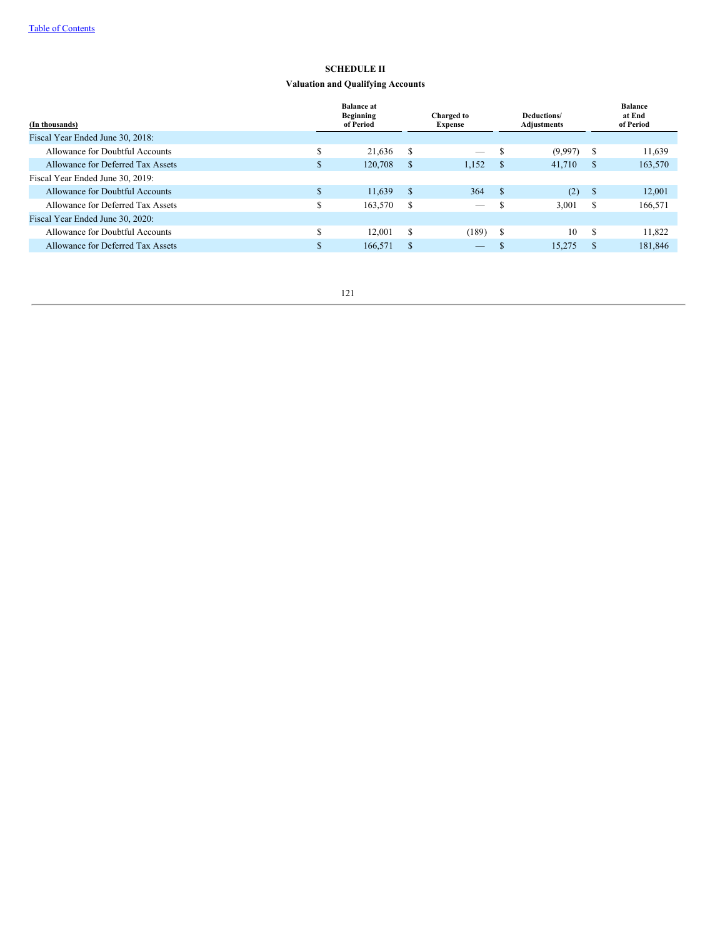### **SCHEDULE II**

## **Valuation and Qualifying Accounts**

| (In thousands)                    |                   | <b>Balance at</b><br><b>Beginning</b><br>of Period |    | <b>Charged to</b><br><b>Expense</b> |               | Deductions/<br>Adjustments |               | <b>Balance</b><br>at End<br>of Period |
|-----------------------------------|-------------------|----------------------------------------------------|----|-------------------------------------|---------------|----------------------------|---------------|---------------------------------------|
| Fiscal Year Ended June 30, 2018:  |                   |                                                    |    |                                     |               |                            |               |                                       |
| Allowance for Doubtful Accounts   | J.                | 21.636                                             | -S |                                     | ъ             | (9,997)                    | <sup>\$</sup> | 11,639                                |
| Allowance for Deferred Tax Assets | <b>J</b>          | 120,708                                            | S  | 1,152                               | -S            | 41,710                     | <sup>S</sup>  | 163,570                               |
| Fiscal Year Ended June 30, 2019:  |                   |                                                    |    |                                     |               |                            |               |                                       |
| Allowance for Doubtful Accounts   | ъ                 | 11,639                                             | S  | 364                                 | <sup>\$</sup> | (2)                        | - \$          | 12,001                                |
| Allowance for Deferred Tax Assets | $\triangle$<br>J. | 163,570                                            | S  |                                     | S             | 3,001                      | S             | 166,571                               |
| Fiscal Year Ended June 30, 2020:  |                   |                                                    |    |                                     |               |                            |               |                                       |
| Allowance for Doubtful Accounts   | $\triangle$       | 12.001                                             | S  | (189)                               | -S            | 10                         | S             | 11.822                                |
| Allowance for Deferred Tax Assets | <b>J</b>          | 166,571                                            | S  | $\overline{\phantom{m}}$            | S             | 15,275                     | \$.           | 181,846                               |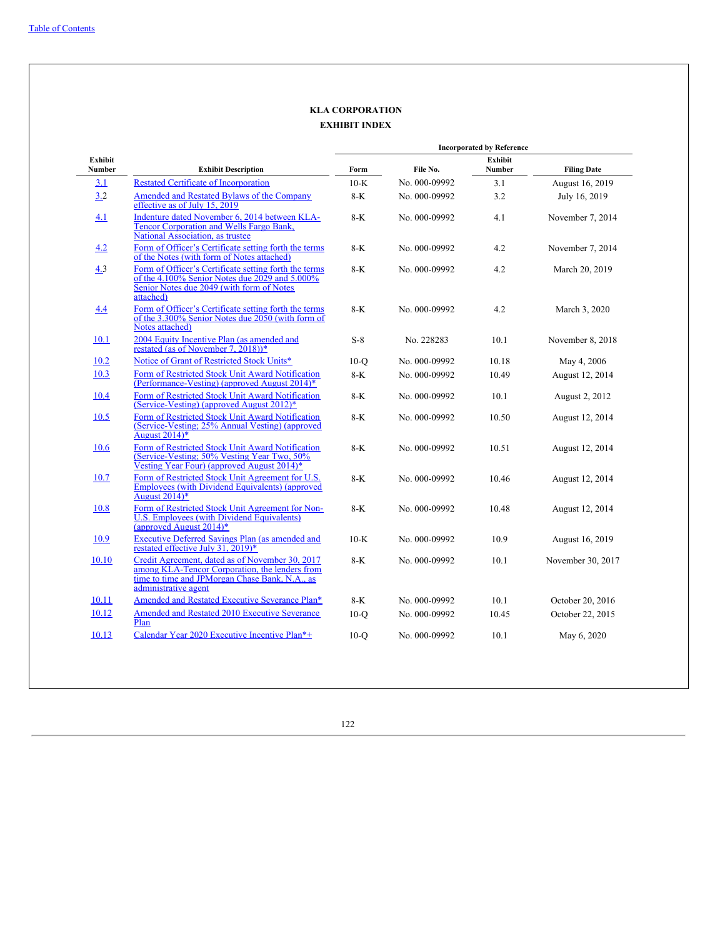# **KLA CORPORATION EXHIBIT INDEX**

|                          |                                                                                                                                                                              |        |               | <b>Incorporated by Reference</b> |                    |
|--------------------------|------------------------------------------------------------------------------------------------------------------------------------------------------------------------------|--------|---------------|----------------------------------|--------------------|
| Exhibit<br><b>Number</b> | <b>Exhibit Description</b>                                                                                                                                                   | Form   | File No.      | Exhibit<br><b>Number</b>         | <b>Filing Date</b> |
| <u>3.1</u>               | <b>Restated Certificate of Incorporation</b>                                                                                                                                 | $10-K$ | No. 000-09992 | 3.1                              | August 16, 2019    |
| 3.2                      | <b>Amended and Restated Bylaws of the Company</b><br>effective as of July 15, 2019                                                                                           | 8-K    | No. 000-09992 | 3.2                              | July 16, 2019      |
| 4.1                      | Indenture dated November 6, 2014 between KLA-<br>Tencor Corporation and Wells Fargo Bank,<br>National Association, as trustee                                                | 8-K    | No. 000-09992 | 4.1                              | November 7, 2014   |
| 4.2                      | Form of Officer's Certificate setting forth the terms<br>of the Notes (with form of Notes attached)                                                                          | $8-K$  | No. 000-09992 | 4.2                              | November 7, 2014   |
| 4.3                      | Form of Officer's Certificate setting forth the terms<br>of the $4.100\%$ Senior Notes due 2029 and $5.000\%$<br>Senior Notes due 2049 (with form of Notes<br>attached)      | $8-K$  | No. 000-09992 | 4.2                              | March 20, 2019     |
| 4.4                      | Form of Officer's Certificate setting forth the terms<br>of the 3.300% Senior Notes due 2050 (with form of<br>Notes attached)                                                | $8-K$  | No. 000-09992 | 4.2                              | March 3, 2020      |
| 10.1                     | 2004 Equity Incentive Plan (as amended and<br>restated (as of November 7, 2018))*                                                                                            | $S-8$  | No. 228283    | 10.1                             | November 8, 2018   |
| 10.2                     | Notice of Grant of Restricted Stock Units*                                                                                                                                   | $10-Q$ | No. 000-09992 | 10.18                            | May 4, 2006        |
| 10.3                     | Form of Restricted Stock Unit Award Notification<br>(Performance-Vesting) (approved August $2014$ )*                                                                         | $8-K$  | No. 000-09992 | 10.49                            | August 12, 2014    |
| 10.4                     | Form of Restricted Stock Unit Award Notification<br>(Service-Vesting) (approved August 2012)*                                                                                | 8-K    | No. 000-09992 | 10.1                             | August 2, 2012     |
| 10.5                     | Form of Restricted Stock Unit Award Notification<br>(Service-Vesting; 25% Annual Vesting) (approved<br>August 2014)*                                                         | $8-K$  | No. 000-09992 | 10.50                            | August 12, 2014    |
| 10.6                     | Form of Restricted Stock Unit Award Notification<br>(Service-Vesting: 50% Vesting Year Two, 50%)<br>Vesting Year Four) (approved August 2014)*                               | $8-K$  | No. 000-09992 | 10.51                            | August 12, 2014    |
| 10.7                     | Form of Restricted Stock Unit Agreement for U.S.<br><b>Employees (with Dividend Equivalents) (approved</b><br>August 2014)*                                                  | $8-K$  | No. 000-09992 | 10.46                            | August 12, 2014    |
| 10.8                     | Form of Restricted Stock Unit Agreement for Non-<br>U.S. Employees (with Dividend Equivalents)<br>(approved August $2014$ )*                                                 | $8-K$  | No. 000-09992 | 10.48                            | August 12, 2014    |
| 10.9                     | Executive Deferred Savings Plan (as amended and<br>restated effective July 31, 2019)*                                                                                        | $10-K$ | No. 000-09992 | 10.9                             | August 16, 2019    |
| 10.10                    | Credit Agreement, dated as of November 30, 2017<br>among KLA-Tencor Corporation, the lenders from<br>time to time and JPM organ Chase Bank, N.A., as<br>administrative agent | $8-K$  | No. 000-09992 | 10.1                             | November 30, 2017  |
| 10.11                    | Amended and Restated Executive Severance Plan*                                                                                                                               | $8-K$  | No. 000-09992 | 10.1                             | October 20, 2016   |
| 10.12                    | Amended and Restated 2010 Executive Severance<br>Plan                                                                                                                        | $10-o$ | No. 000-09992 | 10.45                            | October 22, 2015   |
| 10.13                    | Calendar Year 2020 Executive Incentive Plan*+                                                                                                                                | $10-o$ | No. 000-09992 | 10.1                             | May 6, 2020        |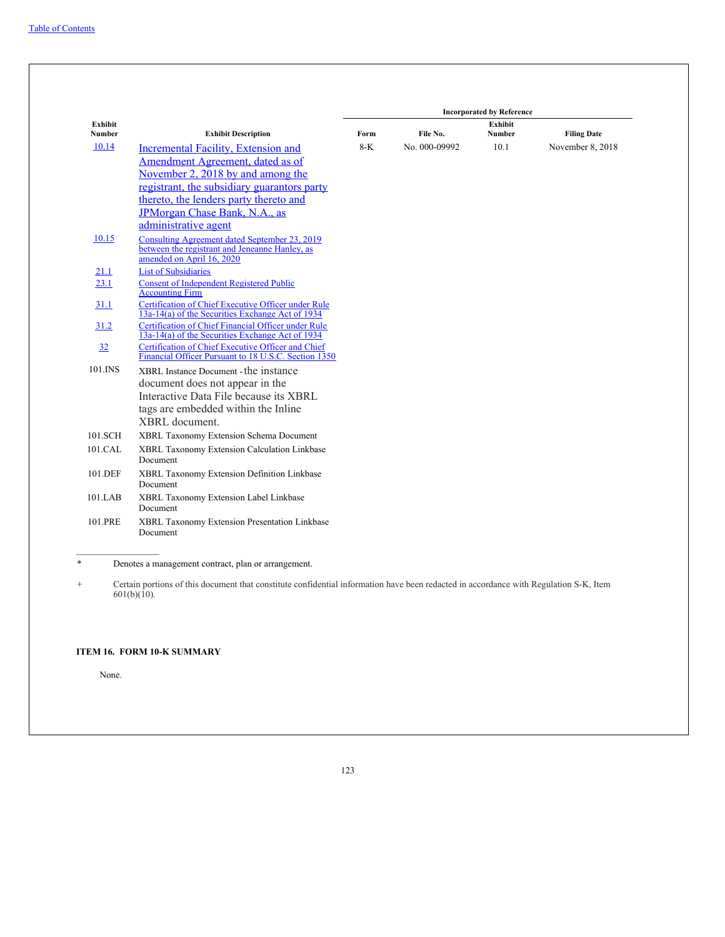|                   |                                                                                                            |       |               | <b>Incorporated by Reference</b> |                    |
|-------------------|------------------------------------------------------------------------------------------------------------|-------|---------------|----------------------------------|--------------------|
| Exhibit<br>Number | <b>Exhibit Description</b>                                                                                 | Form  | File No.      | Exhibit<br>Number                | <b>Filing Date</b> |
| 10.14             | <b>Incremental Facility, Extension and</b>                                                                 | $8-K$ | No. 000-09992 | 10.1                             | November 8, 2018   |
|                   | Amendment Agreement, dated as of                                                                           |       |               |                                  |                    |
|                   | November 2, 2018 by and among the                                                                          |       |               |                                  |                    |
|                   | registrant, the subsidiary guarantors party                                                                |       |               |                                  |                    |
|                   | thereto, the lenders party thereto and                                                                     |       |               |                                  |                    |
|                   | JPMorgan Chase Bank, N.A., as                                                                              |       |               |                                  |                    |
|                   | administrative agent                                                                                       |       |               |                                  |                    |
| 10.15             | Consulting Agreement dated September 23, 2019                                                              |       |               |                                  |                    |
|                   | between the registrant and Jeneanne Hanley, as<br>amended on April 16, 2020                                |       |               |                                  |                    |
| 21.1              | <b>List of Subsidiaries</b>                                                                                |       |               |                                  |                    |
| 23.1              | <b>Consent of Independent Registered Public</b><br><b>Accounting Firm</b>                                  |       |               |                                  |                    |
| 31.1              | Certification of Chief Executive Officer under Rule<br>13a-14(a) of the Securities Exchange Act of 1934    |       |               |                                  |                    |
| 31.2              | Certification of Chief Financial Officer under Rule<br>13a-14(a) of the Securities Exchange Act of 1934    |       |               |                                  |                    |
| 32                | Certification of Chief Executive Officer and Chief<br>Financial Officer Pursuant to 18 U.S.C. Section 1350 |       |               |                                  |                    |
| 101.INS           | XBRL Instance Document - the instance                                                                      |       |               |                                  |                    |
|                   | document does not appear in the                                                                            |       |               |                                  |                    |
|                   | Interactive Data File because its XBRL                                                                     |       |               |                                  |                    |
|                   | tags are embedded within the Inline                                                                        |       |               |                                  |                    |
|                   | XBRL document.                                                                                             |       |               |                                  |                    |
| 101.SCH           | XBRL Taxonomy Extension Schema Document                                                                    |       |               |                                  |                    |
| 101.CAL           | XBRL Taxonomy Extension Calculation Linkbase<br>Document                                                   |       |               |                                  |                    |
| 101.DEF           | XBRL Taxonomy Extension Definition Linkbase<br>Document                                                    |       |               |                                  |                    |
| 101.LAB           | XBRL Taxonomy Extension Label Linkbase<br>Document                                                         |       |               |                                  |                    |
| 101.PRE           | XBRL Taxonomy Extension Presentation Linkbase                                                              |       |               |                                  |                    |

# **ITEM 16. FORM 10-K SUMMARY**

None.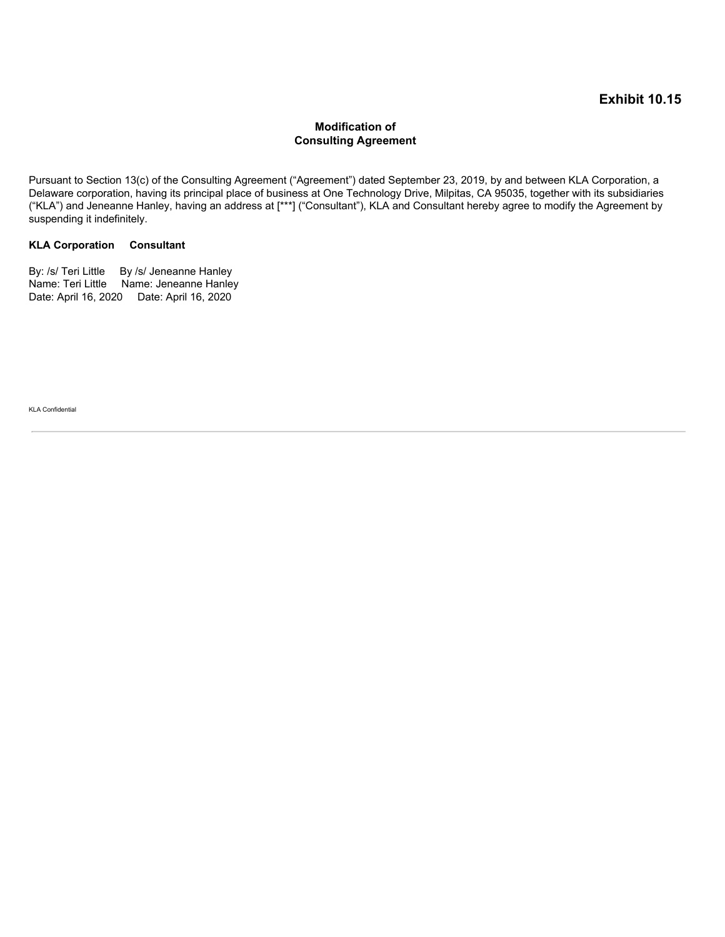# **Exhibit 10.15**

# **Modification of Consulting Agreement**

Pursuant to Section 13(c) of the Consulting Agreement ("Agreement") dated September 23, 2019, by and between KLA Corporation, a Delaware corporation, having its principal place of business at One Technology Drive, Milpitas, CA 95035, together with its subsidiaries ("KLA") and Jeneanne Hanley, having an address at [\*\*\*] ("Consultant"), KLA and Consultant hereby agree to modify the Agreement by suspending it indefinitely.

# **KLA Corporation Consultant**

By: /s/ Teri Little By /s/ Jeneanne Hanley Name: Teri Little Name: Jeneanne Hanley Date: April 16, 2020 Date: April 16, 2020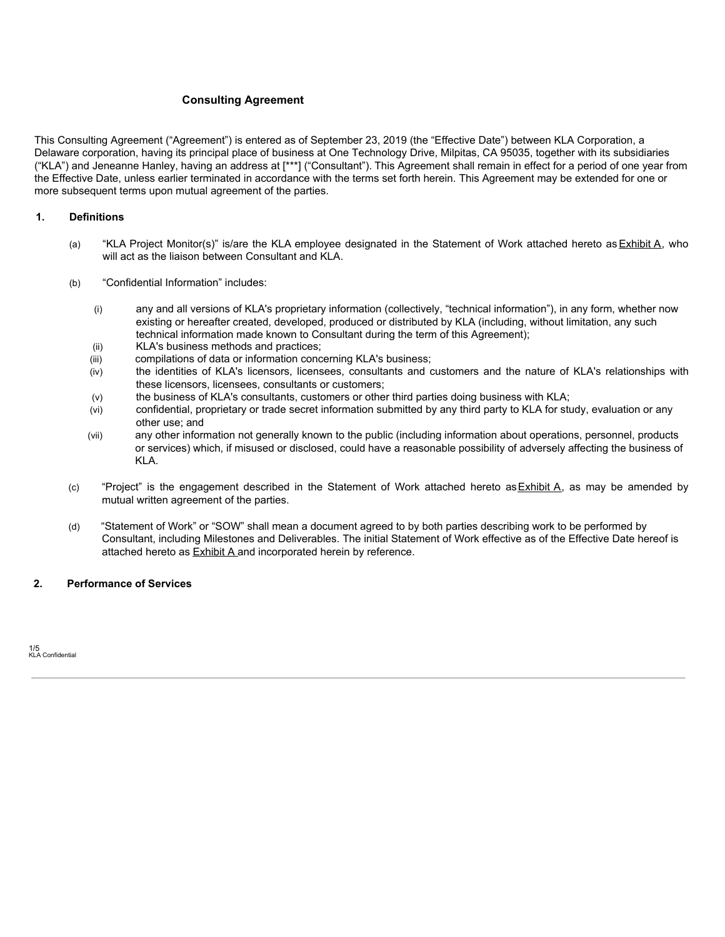# **Consulting Agreement**

This Consulting Agreement ("Agreement") is entered as of September 23, 2019 (the "Effective Date") between KLA Corporation, a Delaware corporation, having its principal place of business at One Technology Drive, Milpitas, CA 95035, together with its subsidiaries ("KLA") and Jeneanne Hanley, having an address at [\*\*\*] ("Consultant"). This Agreement shall remain in effect for a period of one year from the Effective Date, unless earlier terminated in accordance with the terms set forth herein. This Agreement may be extended for one or more subsequent terms upon mutual agreement of the parties.

# **1. Definitions**

- (a) "KLA Project Monitor(s)" is/are the KLA employee designated in the Statement of Work attached hereto as Exhibit A, who will act as the liaison between Consultant and KLA.
- (b) "Confidential Information" includes:
	- (i) any and all versions of KLA's proprietary information (collectively, "technical information"), in any form, whether now existing or hereafter created, developed, produced or distributed by KLA (including, without limitation, any such technical information made known to Consultant during the term of this Agreement);
	- (ii) KLA's business methods and practices;
	- (iii) compilations of data or information concerning KLA's business;
	- (iv) the identities of KLA's licensors, licensees, consultants and customers and the nature of KLA's relationships with these licensors, licensees, consultants or customers;
	- (v) the business of KLA's consultants, customers or other third parties doing business with KLA;
	- (vi) confidential, proprietary or trade secret information submitted by any third party to KLA for study, evaluation or any other use; and
	- (vii) any other information not generally known to the public (including information about operations, personnel, products or services) which, if misused or disclosed, could have a reasonable possibility of adversely affecting the business of KLA.
- (c) "Project" is the engagement described in the Statement of Work attached hereto asExhibit A, as may be amended by mutual written agreement of the parties.
- (d) "Statement of Work" or "SOW" shall mean a document agreed to by both parties describing work to be performed by Consultant, including Milestones and Deliverables. The initial Statement of Work effective as of the Effective Date hereof is attached hereto as Exhibit A and incorporated herein by reference.

# **2. Performance of Services**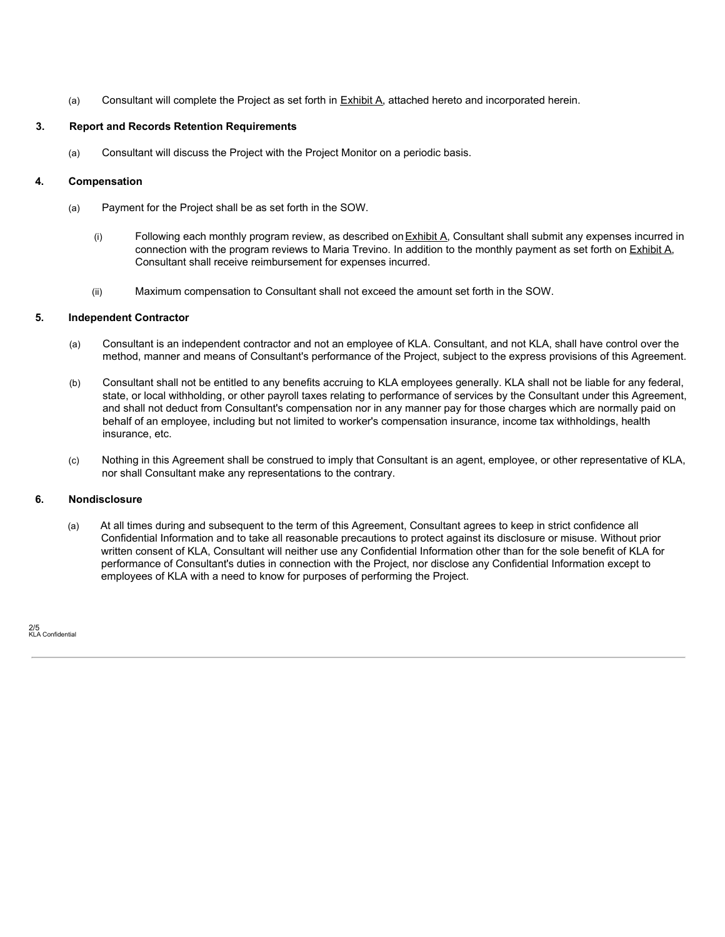(a) Consultant will complete the Project as set forth in Exhibit A, attached hereto and incorporated herein.

## **3. Report and Records Retention Requirements**

(a) Consultant will discuss the Project with the Project Monitor on a periodic basis.

# **4. Compensation**

- (a) Payment for the Project shall be as set forth in the SOW.
	- $(i)$  Following each monthly program review, as described on **Exhibit A**, Consultant shall submit any expenses incurred in connection with the program reviews to Maria Trevino. In addition to the monthly payment as set forth on Exhibit A, Consultant shall receive reimbursement for expenses incurred.
	- (ii) Maximum compensation to Consultant shall not exceed the amount set forth in the SOW.

## **5. Independent Contractor**

- (a) Consultant is an independent contractor and not an employee of KLA. Consultant, and not KLA, shall have control over the method, manner and means of Consultant's performance of the Project, subject to the express provisions of this Agreement.
- (b) Consultant shall not be entitled to any benefits accruing to KLA employees generally. KLA shall not be liable for any federal, state, or local withholding, or other payroll taxes relating to performance of services by the Consultant under this Agreement, and shall not deduct from Consultant's compensation nor in any manner pay for those charges which are normally paid on behalf of an employee, including but not limited to worker's compensation insurance, income tax withholdings, health insurance, etc.
- (c) Nothing in this Agreement shall be construed to imply that Consultant is an agent, employee, or other representative of KLA, nor shall Consultant make any representations to the contrary.

# **6. Nondisclosure**

(a) At all times during and subsequent to the term of this Agreement, Consultant agrees to keep in strict confidence all Confidential Information and to take all reasonable precautions to protect against its disclosure or misuse. Without prior written consent of KLA, Consultant will neither use any Confidential Information other than for the sole benefit of KLA for performance of Consultant's duties in connection with the Project, nor disclose any Confidential Information except to employees of KLA with a need to know for purposes of performing the Project.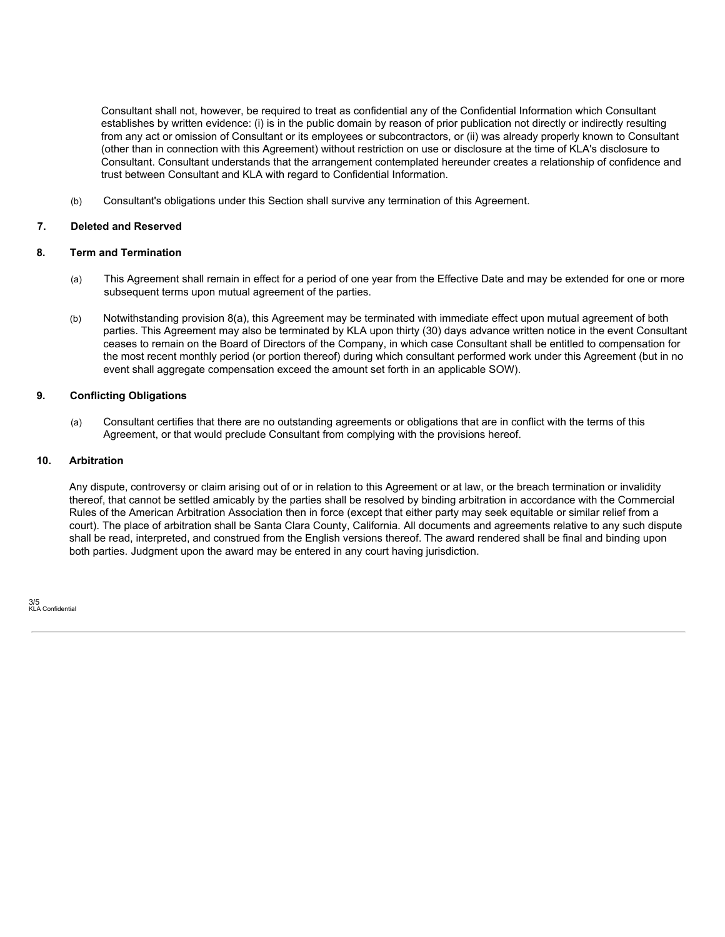<span id="page-129-0"></span>Consultant shall not, however, be required to treat as confidential any of the Confidential Information which Consultant establishes by written evidence: (i) is in the public domain by reason of prior publication not directly or indirectly resulting from any act or omission of Consultant or its employees or subcontractors, or (ii) was already properly known to Consultant (other than in connection with this Agreement) without restriction on use or disclosure at the time of KLA's disclosure to Consultant. Consultant understands that the arrangement contemplated hereunder creates a relationship of confidence and trust between Consultant and KLA with regard to Confidential Information.

(b) Consultant's obligations under this Section shall survive any termination of this Agreement.

# **7. Deleted and Reserved**

# **8. Term and Termination**

- (a) This Agreement shall remain in effect for a period of one year from the Effective Date and may be extended for one or more subsequent terms upon mutual agreement of the parties.
- (b) Notwithstanding provision 8(a), this Agreement may be terminated with immediate effect upon mutual agreement of both parties. This Agreement may also be terminated by KLA upon thirty (30) days advance written notice in the event Consultant ceases to remain on the Board of Directors of the Company, in which case Consultant shall be entitled to compensation for the most recent monthly period (or portion thereof) during which consultant performed work under this Agreement (but in no event shall aggregate compensation exceed the amount set forth in an applicable SOW).

# **9. Conflicting Obligations**

(a) Consultant certifies that there are no outstanding agreements or obligations that are in conflict with the terms of this Agreement, or that would preclude Consultant from complying with the provisions hereof.

# **10. Arbitration**

Any dispute, controversy or claim arising out of or in relation to this Agreement or at law, or the breach termination or invalidity thereof, that cannot be settled amicably by the parties shall be resolved by binding arbitration in accordance with the Commercial Rules of the American Arbitration Association then in force (except that either party may seek equitable or similar relief from a court). The place of arbitration shall be Santa Clara County, California. All documents and agreements relative to any such dispute shall be read, interpreted, and construed from the English versions thereof. The award rendered shall be final and binding upon both parties. Judgment upon the award may be entered in any court having jurisdiction.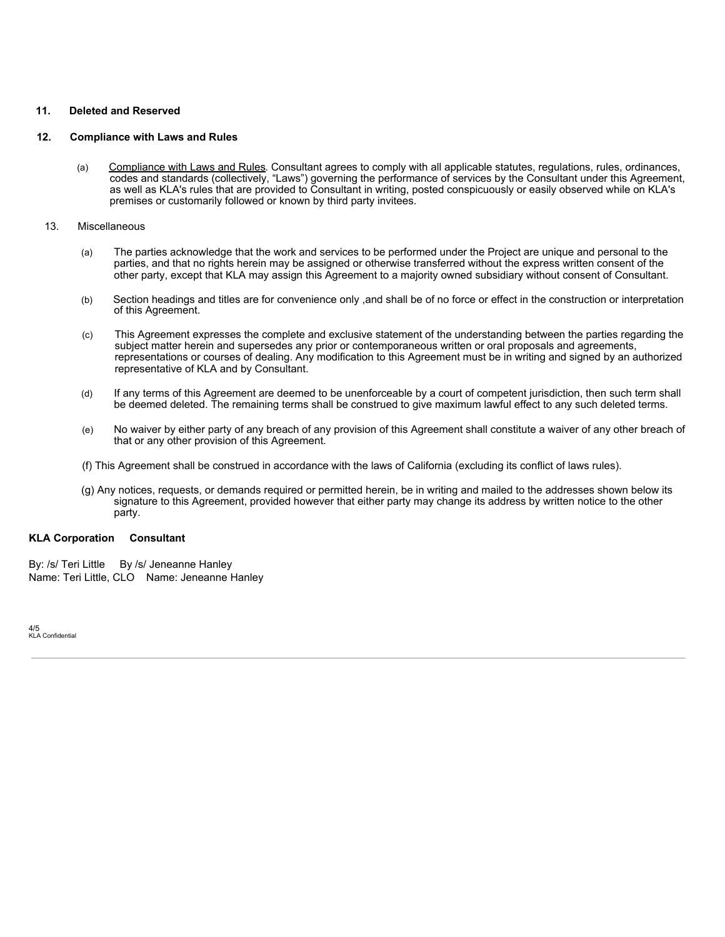# **11. Deleted and Reserved**

### **12. Compliance with Laws and Rules**

(a) Compliance with Laws and Rules. Consultant agrees to comply with all applicable statutes, regulations, rules, ordinances, codes and standards (collectively, "Laws") governing the performance of services by the Consultant under this Agreement, as well as KLA's rules that are provided to Consultant in writing, posted conspicuously or easily observed while on KLA's premises or customarily followed or known by third party invitees.

### 13. Miscellaneous

- (a) The parties acknowledge that the work and services to be performed under the Project are unique and personal to the parties, and that no rights herein may be assigned or otherwise transferred without the express written consent of the other party, except that KLA may assign this Agreement to a majority owned subsidiary without consent of Consultant.
- (b) Section headings and titles are for convenience only ,and shall be of no force or effect in the construction or interpretation of this Agreement.
- (c) This Agreement expresses the complete and exclusive statement of the understanding between the parties regarding the subject matter herein and supersedes any prior or contemporaneous written or oral proposals and agreements, representations or courses of dealing. Any modification to this Agreement must be in writing and signed by an authorized representative of KLA and by Consultant.
- (d) If any terms of this Agreement are deemed to be unenforceable by a court of competent jurisdiction, then such term shall be deemed deleted. The remaining terms shall be construed to give maximum lawful effect to any such deleted terms.
- (e) No waiver by either party of any breach of any provision of this Agreement shall constitute a waiver of any other breach of that or any other provision of this Agreement.
- (f) This Agreement shall be construed in accordance with the laws of California (excluding its conflict of laws rules).
- (g) Any notices, requests, or demands required or permitted herein, be in writing and mailed to the addresses shown below its signature to this Agreement, provided however that either party may change its address by written notice to the other party.

# **KLA Corporation Consultant**

By: /s/ Teri Little By /s/ Jeneanne Hanley Name: Teri Little, CLO Name: Jeneanne Hanley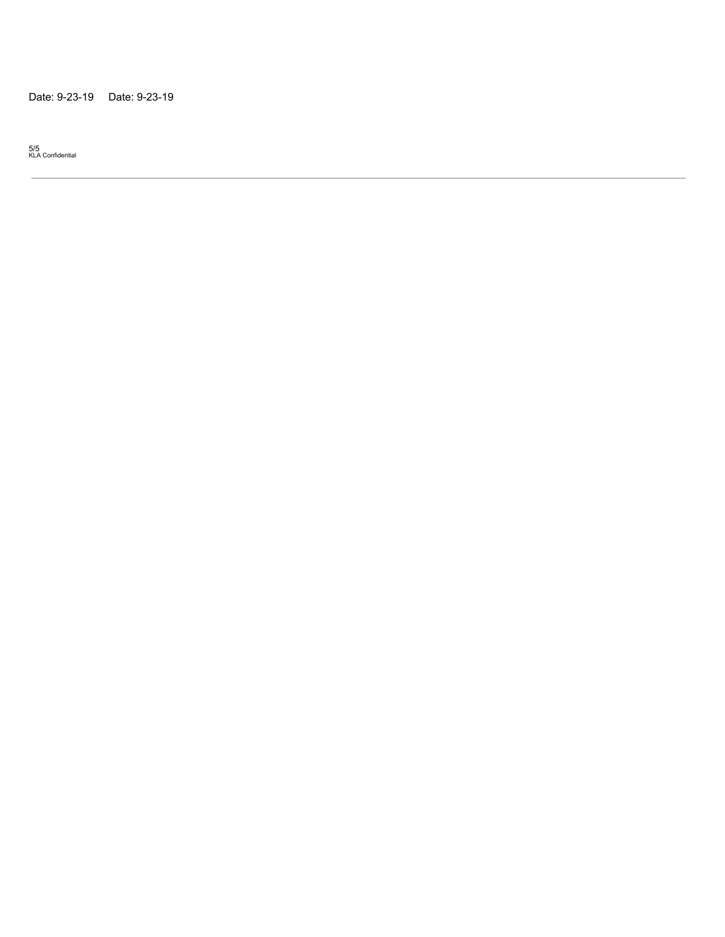Date: 9-23-19 Date: 9-23-19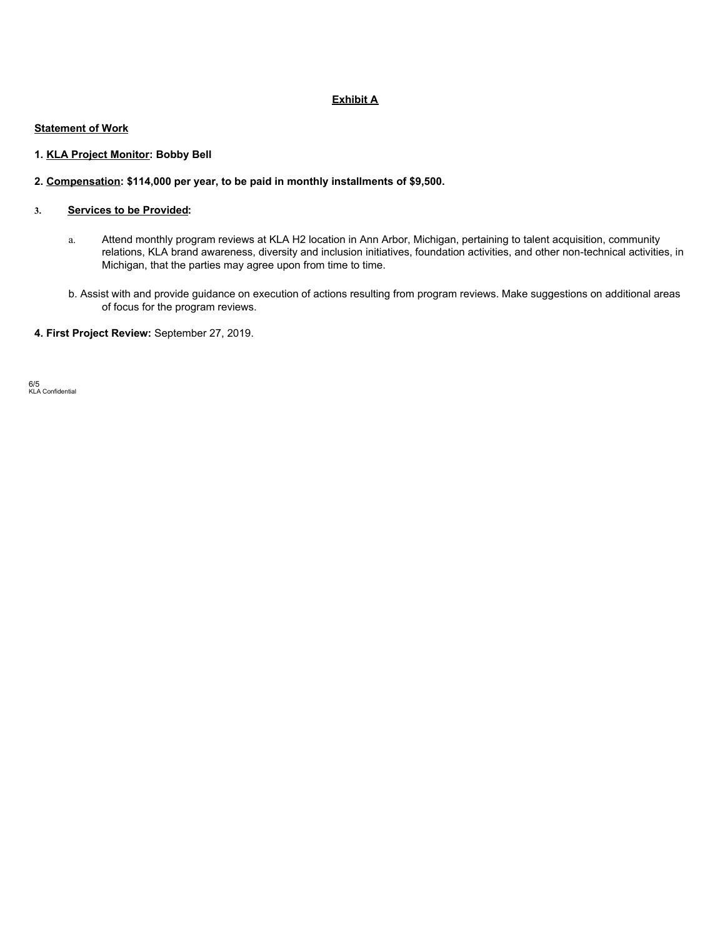# **Exhibit A**

# **Statement of Work**

# **1. KLA Project Monitor: Bobby Bell**

# **2. Compensation: \$114,000 per year, to be paid in monthly installments of \$9,500.**

# **3. Services to be Provided:**

- a. Attend monthly program reviews at KLA H2 location in Ann Arbor, Michigan, pertaining to talent acquisition, community relations, KLA brand awareness, diversity and inclusion initiatives, foundation activities, and other non-technical activities, in Michigan, that the parties may agree upon from time to time.
- b. Assist with and provide guidance on execution of actions resulting from program reviews. Make suggestions on additional areas of focus for the program reviews.

# **4. First Project Review:** September 27, 2019.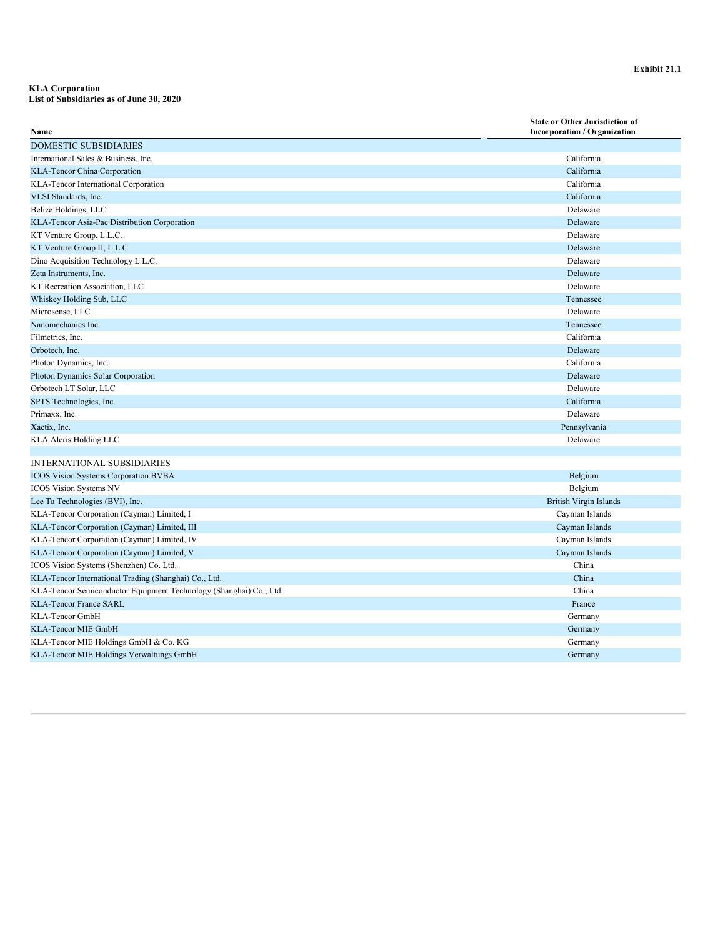### **KLA Corporation**

**List of Subsidiaries as of June 30, 2020**

| Name                                                               | <b>State or Other Jurisdiction of</b><br>Incorporation / Organization |
|--------------------------------------------------------------------|-----------------------------------------------------------------------|
| <b>DOMESTIC SUBSIDIARIES</b>                                       |                                                                       |
| International Sales & Business, Inc.                               | California                                                            |
| KLA-Tencor China Corporation                                       | California                                                            |
| KLA-Tencor International Corporation                               | California                                                            |
| VLSI Standards, Inc.                                               | California                                                            |
| Belize Holdings, LLC                                               | Delaware                                                              |
| KLA-Tencor Asia-Pac Distribution Corporation                       | Delaware                                                              |
| KT Venture Group, L.L.C.                                           | Delaware                                                              |
| KT Venture Group II, L.L.C.                                        | Delaware                                                              |
| Dino Acquisition Technology L.L.C.                                 | Delaware                                                              |
| Zeta Instruments, Inc.                                             | Delaware                                                              |
| KT Recreation Association, LLC                                     | Delaware                                                              |
| Whiskey Holding Sub, LLC                                           | Tennessee                                                             |
| Microsense, LLC                                                    | Delaware                                                              |
| Nanomechanics Inc.                                                 | Tennessee                                                             |
| Filmetrics, Inc.                                                   | California                                                            |
| Orbotech, Inc.                                                     | Delaware                                                              |
| Photon Dynamics, Inc.                                              | California                                                            |
| Photon Dynamics Solar Corporation                                  | Delaware                                                              |
| Orbotech LT Solar, LLC                                             | Delaware                                                              |
| SPTS Technologies, Inc.                                            | California                                                            |
| Primaxx, Inc.                                                      | Delaware                                                              |
| Xactix, Inc.                                                       | Pennsylvania                                                          |
| KLA Aleris Holding LLC                                             | Delaware                                                              |
|                                                                    |                                                                       |
| INTERNATIONAL SUBSIDIARIES                                         |                                                                       |
| ICOS Vision Systems Corporation BVBA                               | Belgium                                                               |
| <b>ICOS Vision Systems NV</b>                                      | Belgium                                                               |
| Lee Ta Technologies (BVI), Inc.                                    | British Virgin Islands                                                |
| KLA-Tencor Corporation (Cayman) Limited, I                         | Cayman Islands                                                        |
| KLA-Tencor Corporation (Cayman) Limited, III                       | Cayman Islands                                                        |
| KLA-Tencor Corporation (Cayman) Limited, IV                        | Cayman Islands                                                        |
| KLA-Tencor Corporation (Cayman) Limited, V                         | Cayman Islands                                                        |
| ICOS Vision Systems (Shenzhen) Co. Ltd.                            | China                                                                 |
| KLA-Tencor International Trading (Shanghai) Co., Ltd.              | China                                                                 |
| KLA-Tencor Semiconductor Equipment Technology (Shanghai) Co., Ltd. | China                                                                 |
| <b>KLA-Tencor France SARL</b>                                      | France                                                                |
| KLA-Tencor GmbH                                                    | Germany                                                               |
| KLA-Tencor MIE GmbH                                                | Germany                                                               |
| KLA-Tencor MIE Holdings GmbH & Co. KG                              | Germany                                                               |
| KLA-Tencor MIE Holdings Verwaltungs GmbH                           | Germany                                                               |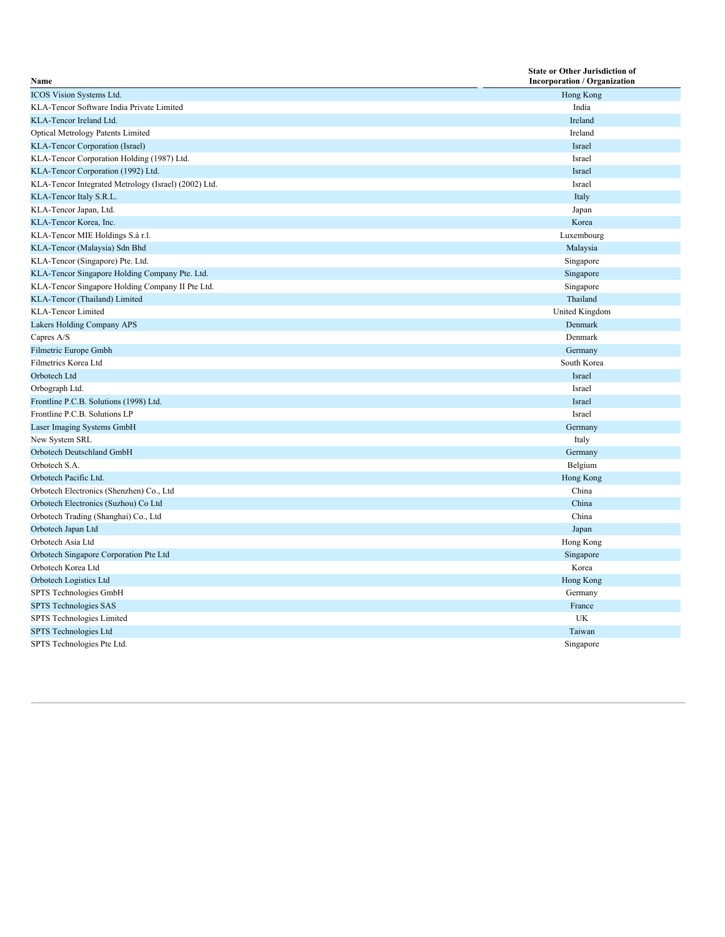<span id="page-134-0"></span>

| Name                                                 | <b>State or Other Jurisdiction of</b><br><b>Incorporation / Organization</b> |
|------------------------------------------------------|------------------------------------------------------------------------------|
| ICOS Vision Systems Ltd.                             | Hong Kong                                                                    |
| KLA-Tencor Software India Private Limited            | India                                                                        |
| KLA-Tencor Ireland Ltd.                              | Ireland                                                                      |
| Optical Metrology Patents Limited                    | Ireland                                                                      |
| KLA-Tencor Corporation (Israel)                      | Israel                                                                       |
| KLA-Tencor Corporation Holding (1987) Ltd.           | Israel                                                                       |
| KLA-Tencor Corporation (1992) Ltd.                   | Israel                                                                       |
| KLA-Tencor Integrated Metrology (Israel) (2002) Ltd. | Israel                                                                       |
| KLA-Tencor Italy S.R.L.                              | Italy                                                                        |
| KLA-Tencor Japan, Ltd.                               | Japan                                                                        |
| KLA-Tencor Korea, Inc.                               | Korea                                                                        |
| KLA-Tencor MIE Holdings S.à r.l.                     | Luxembourg                                                                   |
| KLA-Tencor (Malaysia) Sdn Bhd                        | Malaysia                                                                     |
| KLA-Tencor (Singapore) Pte. Ltd.                     | Singapore                                                                    |
| KLA-Tencor Singapore Holding Company Pte. Ltd.       | Singapore                                                                    |
| KLA-Tencor Singapore Holding Company II Pte Ltd.     | Singapore                                                                    |
| KLA-Tencor (Thailand) Limited                        | Thailand                                                                     |
| KLA-Tencor Limited                                   | United Kingdom                                                               |
| Lakers Holding Company APS                           | Denmark                                                                      |
| Capres A/S                                           | Denmark                                                                      |
| Filmetric Europe Gmbh                                | Germany                                                                      |
| Filmetrics Korea Ltd                                 | South Korea                                                                  |
| Orbotech Ltd                                         | Israel                                                                       |
| Orbograph Ltd.                                       | Israel                                                                       |
| Frontline P.C.B. Solutions (1998) Ltd.               | Israel                                                                       |
| Frontline P.C.B. Solutions LP                        | Israel                                                                       |
| Laser Imaging Systems GmbH                           | Germany                                                                      |
| New System SRL                                       | Italy                                                                        |
| Orbotech Deutschland GmbH                            | Germany                                                                      |
| Orbotech S.A.                                        | Belgium                                                                      |
| Orbotech Pacific Ltd.                                | Hong Kong                                                                    |
| Orbotech Electronics (Shenzhen) Co., Ltd             | China                                                                        |
| Orbotech Electronics (Suzhou) Co Ltd                 | China                                                                        |
| Orbotech Trading (Shanghai) Co., Ltd                 | China                                                                        |
| Orbotech Japan Ltd                                   | Japan                                                                        |
| Orbotech Asia Ltd                                    | Hong Kong                                                                    |
| Orbotech Singapore Corporation Pte Ltd               | Singapore                                                                    |
| Orbotech Korea Ltd                                   | Korea                                                                        |
| Orbotech Logistics Ltd                               | Hong Kong                                                                    |
| SPTS Technologies GmbH                               | Germany                                                                      |
| SPTS Technologies SAS                                | France                                                                       |
| SPTS Technologies Limited                            | UK                                                                           |
| SPTS Technologies Ltd                                | Taiwan                                                                       |
| SPTS Technologies Pte Ltd.                           | Singapore                                                                    |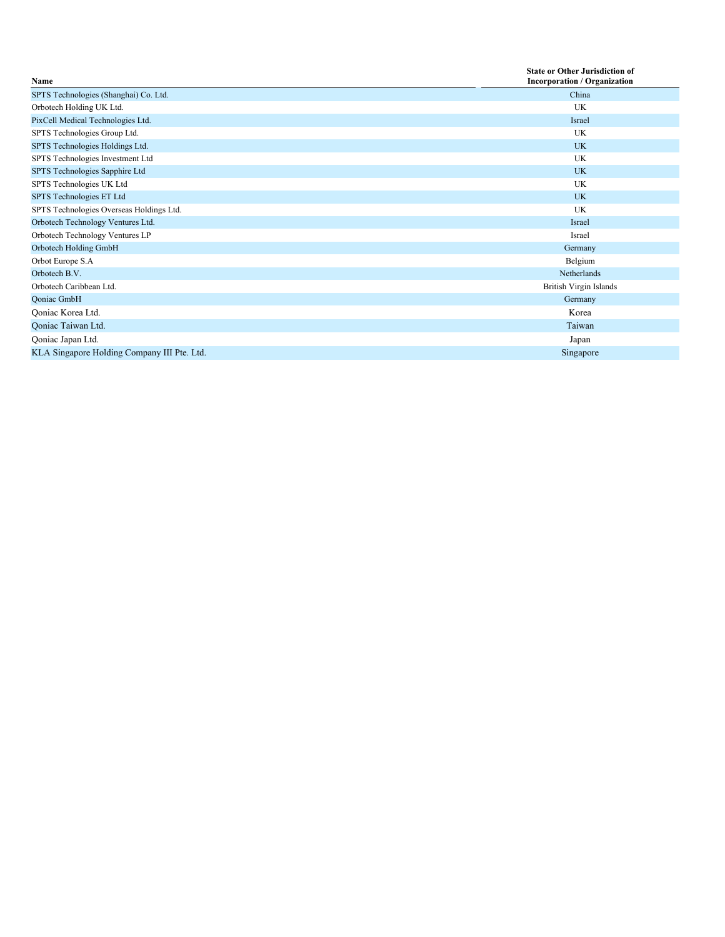| Name                                        | <b>State or Other Jurisdiction of</b><br><b>Incorporation / Organization</b> |
|---------------------------------------------|------------------------------------------------------------------------------|
| SPTS Technologies (Shanghai) Co. Ltd.       | China                                                                        |
| Orbotech Holding UK Ltd.                    | UK                                                                           |
| PixCell Medical Technologies Ltd.           | Israel                                                                       |
| SPTS Technologies Group Ltd.                | UK                                                                           |
| SPTS Technologies Holdings Ltd.             | <b>UK</b>                                                                    |
| SPTS Technologies Investment Ltd            | <b>UK</b>                                                                    |
| SPTS Technologies Sapphire Ltd              | <b>UK</b>                                                                    |
| SPTS Technologies UK Ltd                    | UK                                                                           |
| SPTS Technologies ET Ltd                    | <b>UK</b>                                                                    |
| SPTS Technologies Overseas Holdings Ltd.    | <b>UK</b>                                                                    |
| Orbotech Technology Ventures Ltd.           | Israel                                                                       |
| Orbotech Technology Ventures LP             | Israel                                                                       |
| Orbotech Holding GmbH                       | Germany                                                                      |
| Orbot Europe S.A                            | Belgium                                                                      |
| Orbotech B.V.                               | Netherlands                                                                  |
| Orbotech Caribbean Ltd.                     | British Virgin Islands                                                       |
| Qoniac GmbH                                 | Germany                                                                      |
| Qoniac Korea Ltd.                           | Korea                                                                        |
| Qoniac Taiwan Ltd.                          | Taiwan                                                                       |
| Qoniac Japan Ltd.                           | Japan                                                                        |
| KLA Singapore Holding Company III Pte. Ltd. | Singapore                                                                    |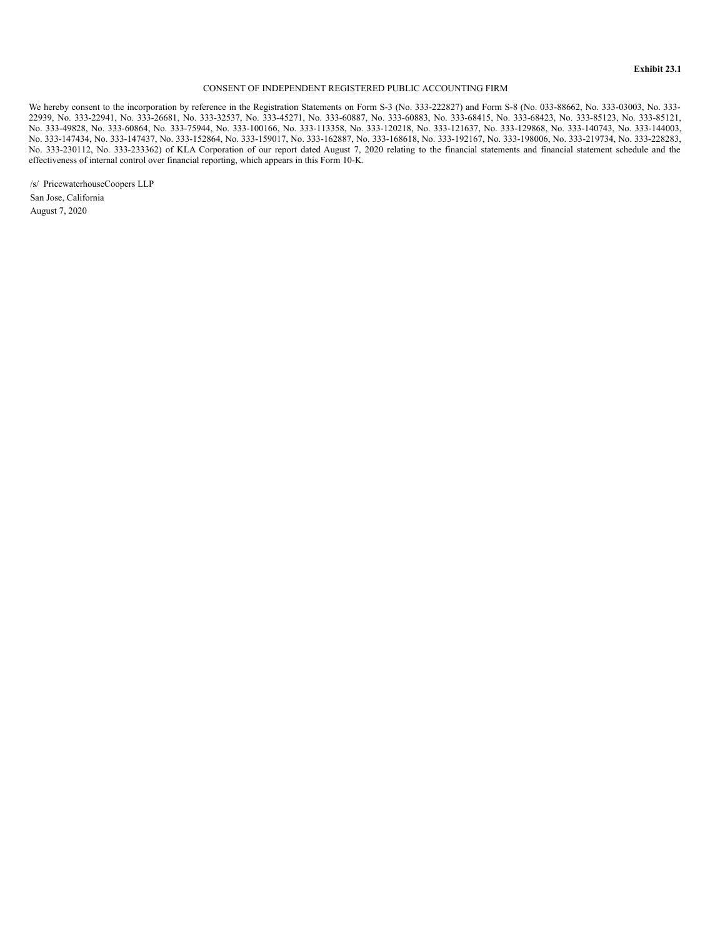### CONSENT OF INDEPENDENT REGISTERED PUBLIC ACCOUNTING FIRM

<span id="page-136-0"></span>We hereby consent to the incorporation by reference in the Registration Statements on Form S-3 (No. 333-222827) and Form S-8 (No. 033-88662, No. 333-03003, No. 333-22939, No. 333-22941, No. 333-26681, No. 333-32537, No. 333-45271, No. 333-60887, No. 333-60883, No. 333-68415, No. 333-68423, No. 333-85123, No. 333-85121, No. 333-49828, No. 333-60864, No. 333-75944, No. 333-100166, No. 333-113358, No. 333-120218, No. 333-121637, No. 333-129868, No. 333-140743, No. 333-144003, No. 333-147434, No. 333-147437, No. 333-152864, No. 333-159017, No. 333-162887, No. 333-168618, No. 333-192167, No. 333-198006, No. 333-219734, No. 333-228283, No. 333-230112, No. 333-233362) of KLA Corporation of our report dated August 7, 2020 relating to the financial statements and financial statement schedule and the effectiveness of internal control over financial reporting, which appears in this Form 10-K.

/s/ PricewaterhouseCoopers LLP San Jose, California August 7, 2020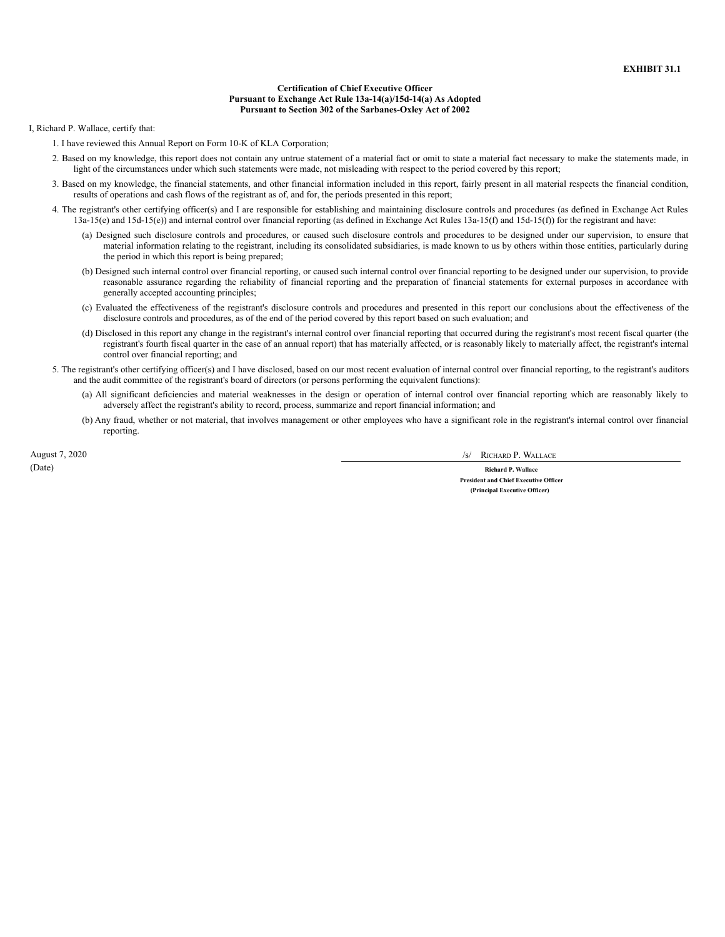### **Certification of Chief Executive Officer Pursuant to Exchange Act Rule 13a-14(a)/15d-14(a) As Adopted Pursuant to Section 302 of the Sarbanes-Oxley Act of 2002**

<span id="page-137-0"></span>I, Richard P. Wallace, certify that:

- 1. I have reviewed this Annual Report on Form 10-K of KLA Corporation;
- 2. Based on my knowledge, this report does not contain any untrue statement of a material fact or omit to state a material fact necessary to make the statements made, in light of the circumstances under which such statements were made, not misleading with respect to the period covered by this report;
- 3. Based on my knowledge, the financial statements, and other financial information included in this report, fairly present in all material respects the financial condition, results of operations and cash flows of the registrant as of, and for, the periods presented in this report;
- 4. The registrant's other certifying officer(s) and I are responsible for establishing and maintaining disclosure controls and procedures (as defined in Exchange Act Rules 13a-15(e) and 15d-15(e)) and internal control over financial reporting (as defined in Exchange Act Rules 13a-15(f) and 15d-15(f)) for the registrant and have:
	- (a) Designed such disclosure controls and procedures, or caused such disclosure controls and procedures to be designed under our supervision, to ensure that material information relating to the registrant, including its consolidated subsidiaries, is made known to us by others within those entities, particularly during the period in which this report is being prepared;
	- (b) Designed such internal control over financial reporting, or caused such internal control over financial reporting to be designed under our supervision, to provide reasonable assurance regarding the reliability of financial reporting and the preparation of financial statements for external purposes in accordance with generally accepted accounting principles;
	- (c) Evaluated the effectiveness of the registrant's disclosure controls and procedures and presented in this report our conclusions about the effectiveness of the disclosure controls and procedures, as of the end of the period covered by this report based on such evaluation; and
	- (d) Disclosed in this report any change in the registrant's internal control over financial reporting that occurred during the registrant's most recent fiscal quarter (the registrant's fourth fiscal quarter in the case of an annual report) that has materially affected, or is reasonably likely to materially affect, the registrant's internal control over financial reporting; and
- 5. The registrant's other certifying officer(s) and I have disclosed, based on our most recent evaluation of internal control over financial reporting, to the registrant's auditors and the audit committee of the registrant's board of directors (or persons performing the equivalent functions):
	- (a) All significant deficiencies and material weaknesses in the design or operation of internal control over financial reporting which are reasonably likely to adversely affect the registrant's ability to record, process, summarize and report financial information; and
	- (b) Any fraud, whether or not material, that involves management or other employees who have a significant role in the registrant's internal control over financial reporting.

August 7, 2020 /s/ RICHARD P. WALLACE

(Date) **Richard P. Wallace President and Chief Executive Officer (Principal Executive Officer)**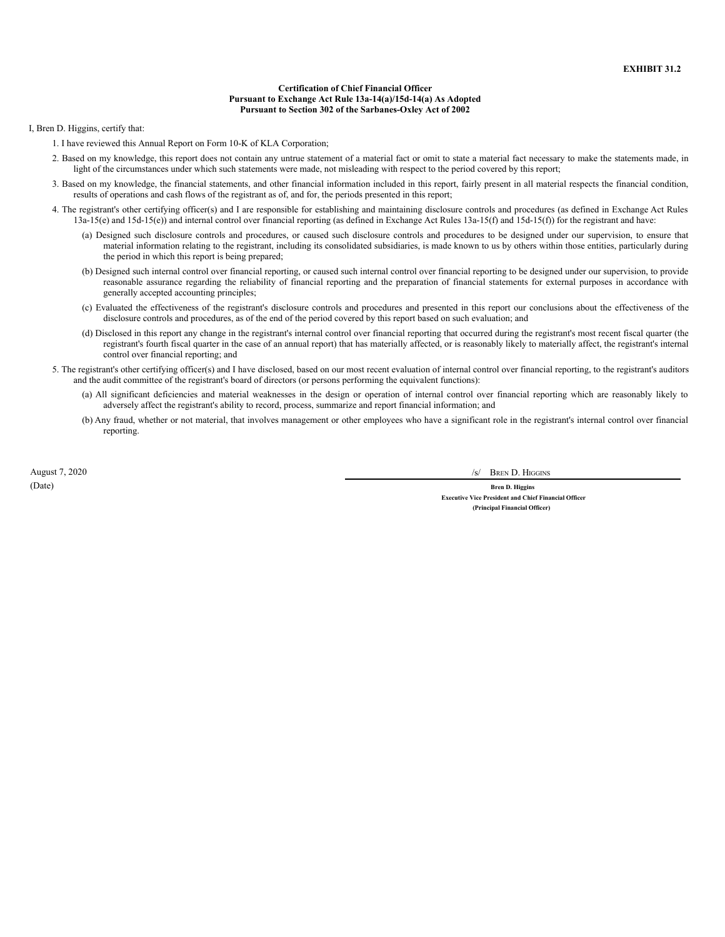### **Certification of Chief Financial Officer Pursuant to Exchange Act Rule 13a-14(a)/15d-14(a) As Adopted Pursuant to Section 302 of the Sarbanes-Oxley Act of 2002**

<span id="page-138-0"></span>I, Bren D. Higgins, certify that:

- 1. I have reviewed this Annual Report on Form 10-K of KLA Corporation;
- 2. Based on my knowledge, this report does not contain any untrue statement of a material fact or omit to state a material fact necessary to make the statements made, in light of the circumstances under which such statements were made, not misleading with respect to the period covered by this report;
- 3. Based on my knowledge, the financial statements, and other financial information included in this report, fairly present in all material respects the financial condition, results of operations and cash flows of the registrant as of, and for, the periods presented in this report;
- 4. The registrant's other certifying officer(s) and I are responsible for establishing and maintaining disclosure controls and procedures (as defined in Exchange Act Rules 13a-15(e) and 15d-15(e)) and internal control over financial reporting (as defined in Exchange Act Rules 13a-15(f) and 15d-15(f)) for the registrant and have:
	- (a) Designed such disclosure controls and procedures, or caused such disclosure controls and procedures to be designed under our supervision, to ensure that material information relating to the registrant, including its consolidated subsidiaries, is made known to us by others within those entities, particularly during the period in which this report is being prepared;
	- (b) Designed such internal control over financial reporting, or caused such internal control over financial reporting to be designed under our supervision, to provide reasonable assurance regarding the reliability of financial reporting and the preparation of financial statements for external purposes in accordance with generally accepted accounting principles;
	- (c) Evaluated the effectiveness of the registrant's disclosure controls and procedures and presented in this report our conclusions about the effectiveness of the disclosure controls and procedures, as of the end of the period covered by this report based on such evaluation; and
	- (d) Disclosed in this report any change in the registrant's internal control over financial reporting that occurred during the registrant's most recent fiscal quarter (the registrant's fourth fiscal quarter in the case of an annual report) that has materially affected, or is reasonably likely to materially affect, the registrant's internal control over financial reporting; and
- 5. The registrant's other certifying officer(s) and I have disclosed, based on our most recent evaluation of internal control over financial reporting, to the registrant's auditors and the audit committee of the registrant's board of directors (or persons performing the equivalent functions):
	- (a) All significant deficiencies and material weaknesses in the design or operation of internal control over financial reporting which are reasonably likely to adversely affect the registrant's ability to record, process, summarize and report financial information; and
	- (b) Any fraud, whether or not material, that involves management or other employees who have a significant role in the registrant's internal control over financial reporting.

(Date) **Bren D. Higgins**

August 7, 2020 /s/ BREN D. HIGGINS

**Executive Vice President and Chief Financial Officer (Principal Financial Officer)**